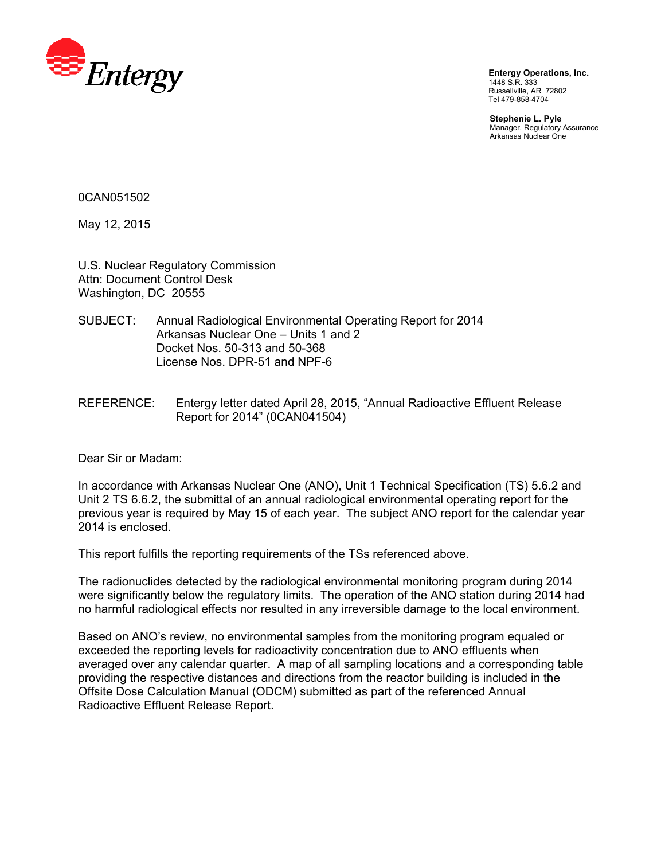

**Entergy Operations, Inc.**  1448 S.R. 333 Russellville, AR 72802 Tel 479-858-4704

**Stephenie L. Pyle**  Manager, Regulatory Assurance Arkansas Nuclear One

0CAN051502

May 12, 2015

U.S. Nuclear Regulatory Commission Attn: Document Control Desk Washington, DC 20555

- SUBJECT: Annual Radiological Environmental Operating Report for 2014 Arkansas Nuclear One – Units 1 and 2 Docket Nos. 50-313 and 50-368 License Nos. DPR-51 and NPF-6
- REFERENCE: Entergy letter dated April 28, 2015, "Annual Radioactive Effluent Release Report for 2014" (0CAN041504)

Dear Sir or Madam:

In accordance with Arkansas Nuclear One (ANO), Unit 1 Technical Specification (TS) 5.6.2 and Unit 2 TS 6.6.2, the submittal of an annual radiological environmental operating report for the previous year is required by May 15 of each year. The subject ANO report for the calendar year 2014 is enclosed.

This report fulfills the reporting requirements of the TSs referenced above.

The radionuclides detected by the radiological environmental monitoring program during 2014 were significantly below the regulatory limits. The operation of the ANO station during 2014 had no harmful radiological effects nor resulted in any irreversible damage to the local environment.

Based on ANO's review, no environmental samples from the monitoring program equaled or exceeded the reporting levels for radioactivity concentration due to ANO effluents when averaged over any calendar quarter. A map of all sampling locations and a corresponding table providing the respective distances and directions from the reactor building is included in the Offsite Dose Calculation Manual (ODCM) submitted as part of the referenced Annual Radioactive Effluent Release Report.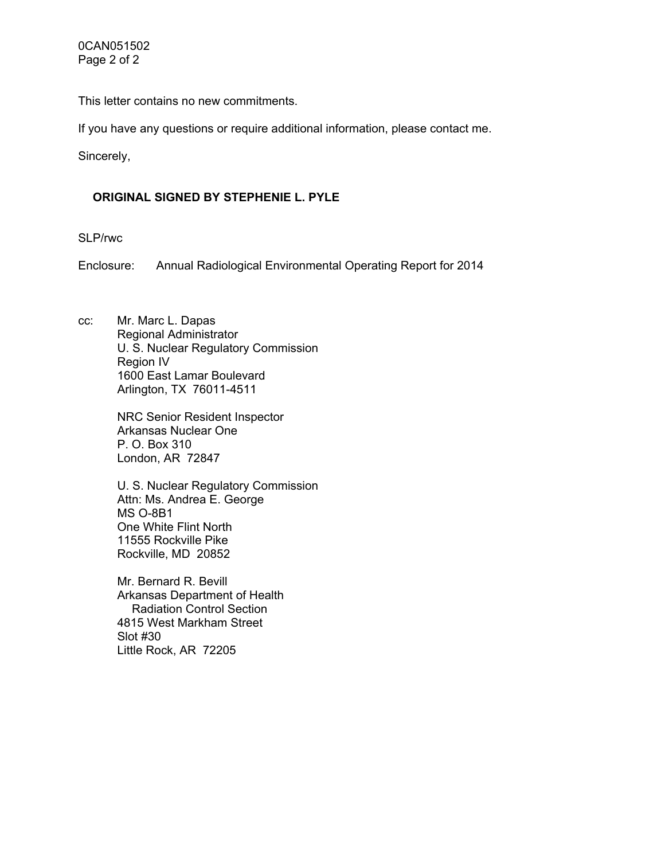This letter contains no new commitments.

If you have any questions or require additional information, please contact me.

Sincerely,

## **ORIGINAL SIGNED BY STEPHENIE L. PYLE**

SLP/rwc

Enclosure: Annual Radiological Environmental Operating Report for 2014

cc: Mr. Marc L. Dapas Regional Administrator U. S. Nuclear Regulatory Commission Region IV 1600 East Lamar Boulevard Arlington, TX 76011-4511

> NRC Senior Resident Inspector Arkansas Nuclear One P. O. Box 310 London, AR 72847

U. S. Nuclear Regulatory Commission Attn: Ms. Andrea E. George MS O-8B1 One White Flint North 11555 Rockville Pike Rockville, MD 20852

Mr. Bernard R. Bevill Arkansas Department of Health Radiation Control Section 4815 West Markham Street Slot #30 Little Rock, AR 72205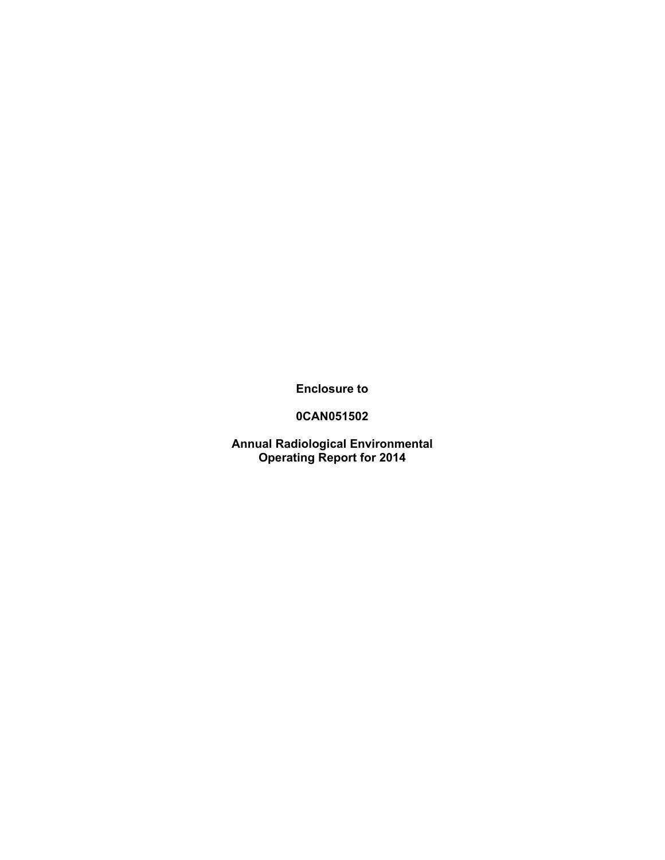**Enclosure to** 

**0CAN051502** 

**Annual Radiological Environmental Operating Report for 2014**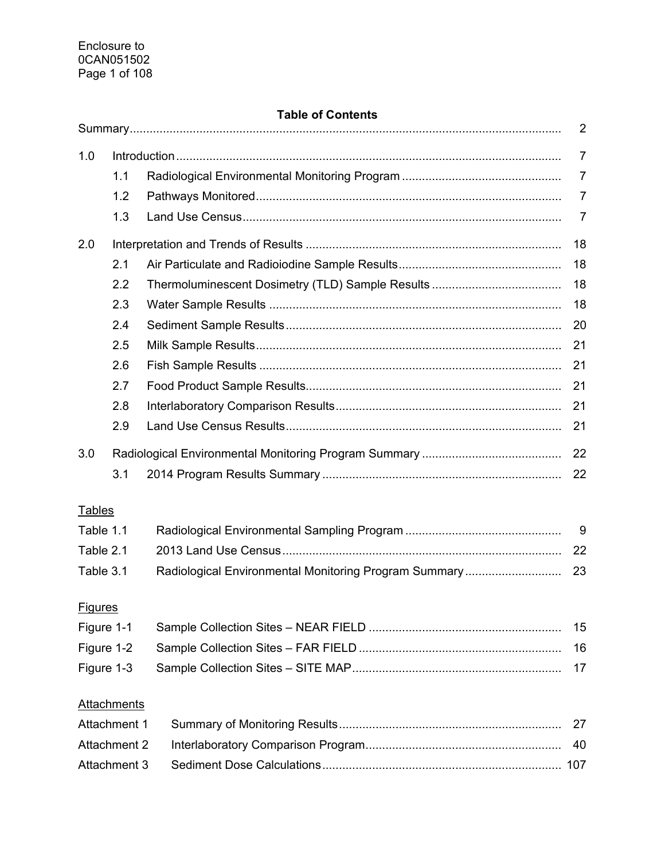## **Table of Contents**

|                     |                    |                                                       | 2              |  |  |
|---------------------|--------------------|-------------------------------------------------------|----------------|--|--|
| 1.0                 |                    |                                                       | $\overline{7}$ |  |  |
|                     | 1.1                |                                                       | $\overline{7}$ |  |  |
|                     | 1.2                |                                                       | 7              |  |  |
|                     | 1.3                |                                                       | 7              |  |  |
| 2.0                 |                    |                                                       | 18             |  |  |
|                     | 2.1                |                                                       | 18             |  |  |
|                     | 2.2                |                                                       | 18             |  |  |
|                     | 2.3                |                                                       | 18             |  |  |
|                     | 2.4                |                                                       | 20             |  |  |
|                     | 2.5                |                                                       | 21             |  |  |
|                     | 2.6                |                                                       | 21             |  |  |
|                     | 2.7                |                                                       | 21             |  |  |
|                     | 2.8                |                                                       | 21             |  |  |
|                     | 2.9                |                                                       | 21             |  |  |
| 3.0                 |                    |                                                       | 22             |  |  |
|                     | 3.1                |                                                       | 22             |  |  |
| <b>Tables</b>       |                    |                                                       |                |  |  |
| Table 1.1           |                    |                                                       | 9              |  |  |
| Table 2.1           |                    |                                                       | 22             |  |  |
| Table 3.1           |                    | Radiological Environmental Monitoring Program Summary | 23             |  |  |
|                     |                    |                                                       |                |  |  |
| <b>Figures</b>      |                    |                                                       |                |  |  |
| Figure 1-1          |                    |                                                       | 15             |  |  |
| Figure 1-2          |                    |                                                       | 16             |  |  |
| Figure 1-3          |                    |                                                       | 17             |  |  |
|                     | <b>Attachments</b> |                                                       |                |  |  |
|                     | Attachment 1<br>27 |                                                       |                |  |  |
| <b>Attachment 2</b> |                    |                                                       | 40             |  |  |
| Attachment 3        |                    |                                                       |                |  |  |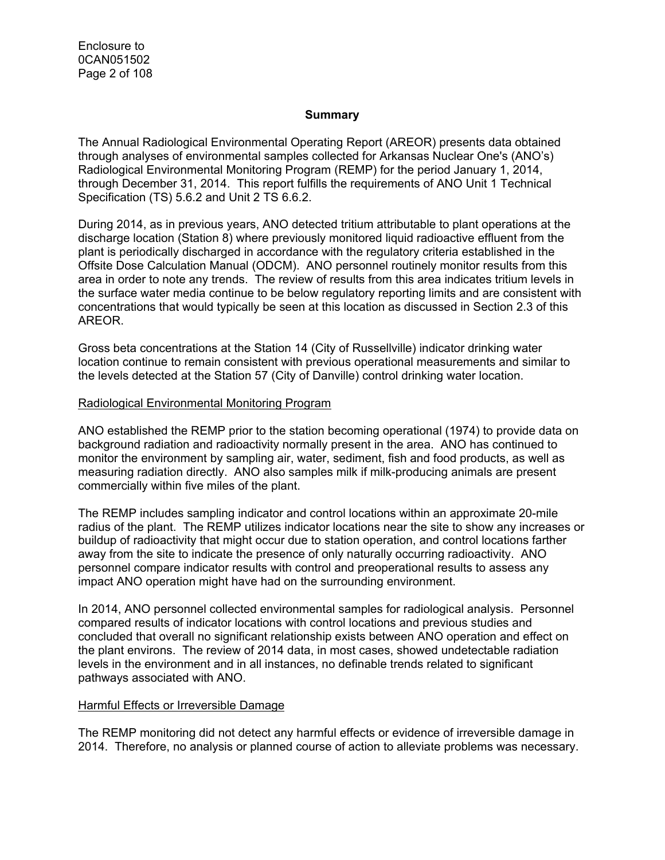Enclosure to 0CAN051502 Page 2 of 108

#### **Summary**

The Annual Radiological Environmental Operating Report (AREOR) presents data obtained through analyses of environmental samples collected for Arkansas Nuclear One's (ANO's) Radiological Environmental Monitoring Program (REMP) for the period January 1, 2014, through December 31, 2014. This report fulfills the requirements of ANO Unit 1 Technical Specification (TS) 5.6.2 and Unit 2 TS 6.6.2.

During 2014, as in previous years, ANO detected tritium attributable to plant operations at the discharge location (Station 8) where previously monitored liquid radioactive effluent from the plant is periodically discharged in accordance with the regulatory criteria established in the Offsite Dose Calculation Manual (ODCM). ANO personnel routinely monitor results from this area in order to note any trends. The review of results from this area indicates tritium levels in the surface water media continue to be below regulatory reporting limits and are consistent with concentrations that would typically be seen at this location as discussed in Section 2.3 of this AREOR.

Gross beta concentrations at the Station 14 (City of Russellville) indicator drinking water location continue to remain consistent with previous operational measurements and similar to the levels detected at the Station 57 (City of Danville) control drinking water location.

#### Radiological Environmental Monitoring Program

ANO established the REMP prior to the station becoming operational (1974) to provide data on background radiation and radioactivity normally present in the area. ANO has continued to monitor the environment by sampling air, water, sediment, fish and food products, as well as measuring radiation directly. ANO also samples milk if milk-producing animals are present commercially within five miles of the plant.

The REMP includes sampling indicator and control locations within an approximate 20-mile radius of the plant. The REMP utilizes indicator locations near the site to show any increases or buildup of radioactivity that might occur due to station operation, and control locations farther away from the site to indicate the presence of only naturally occurring radioactivity. ANO personnel compare indicator results with control and preoperational results to assess any impact ANO operation might have had on the surrounding environment.

In 2014, ANO personnel collected environmental samples for radiological analysis. Personnel compared results of indicator locations with control locations and previous studies and concluded that overall no significant relationship exists between ANO operation and effect on the plant environs. The review of 2014 data, in most cases, showed undetectable radiation levels in the environment and in all instances, no definable trends related to significant pathways associated with ANO.

#### Harmful Effects or Irreversible Damage

The REMP monitoring did not detect any harmful effects or evidence of irreversible damage in 2014. Therefore, no analysis or planned course of action to alleviate problems was necessary.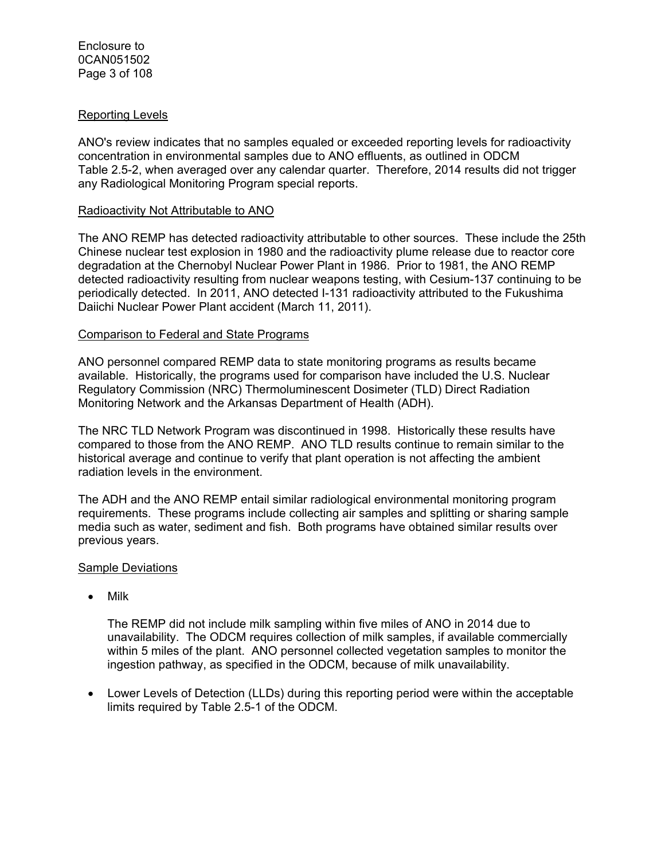#### Reporting Levels

ANO's review indicates that no samples equaled or exceeded reporting levels for radioactivity concentration in environmental samples due to ANO effluents, as outlined in ODCM Table 2.5-2, when averaged over any calendar quarter. Therefore, 2014 results did not trigger any Radiological Monitoring Program special reports.

#### Radioactivity Not Attributable to ANO

The ANO REMP has detected radioactivity attributable to other sources. These include the 25th Chinese nuclear test explosion in 1980 and the radioactivity plume release due to reactor core degradation at the Chernobyl Nuclear Power Plant in 1986. Prior to 1981, the ANO REMP detected radioactivity resulting from nuclear weapons testing, with Cesium-137 continuing to be periodically detected. In 2011, ANO detected I-131 radioactivity attributed to the Fukushima Daiichi Nuclear Power Plant accident (March 11, 2011).

#### Comparison to Federal and State Programs

ANO personnel compared REMP data to state monitoring programs as results became available. Historically, the programs used for comparison have included the U.S. Nuclear Regulatory Commission (NRC) Thermoluminescent Dosimeter (TLD) Direct Radiation Monitoring Network and the Arkansas Department of Health (ADH).

The NRC TLD Network Program was discontinued in 1998. Historically these results have compared to those from the ANO REMP. ANO TLD results continue to remain similar to the historical average and continue to verify that plant operation is not affecting the ambient radiation levels in the environment.

The ADH and the ANO REMP entail similar radiological environmental monitoring program requirements. These programs include collecting air samples and splitting or sharing sample media such as water, sediment and fish. Both programs have obtained similar results over previous years.

#### Sample Deviations

• Milk

The REMP did not include milk sampling within five miles of ANO in 2014 due to unavailability. The ODCM requires collection of milk samples, if available commercially within 5 miles of the plant. ANO personnel collected vegetation samples to monitor the ingestion pathway, as specified in the ODCM, because of milk unavailability.

 Lower Levels of Detection (LLDs) during this reporting period were within the acceptable limits required by Table 2.5-1 of the ODCM.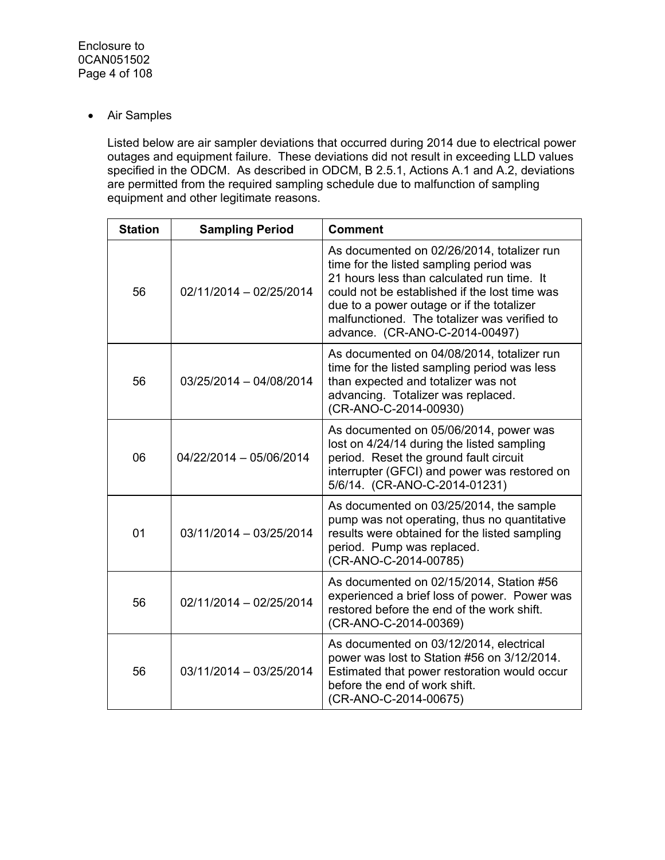Air Samples

Listed below are air sampler deviations that occurred during 2014 due to electrical power outages and equipment failure. These deviations did not result in exceeding LLD values specified in the ODCM. As described in ODCM, B 2.5.1, Actions A.1 and A.2, deviations are permitted from the required sampling schedule due to malfunction of sampling equipment and other legitimate reasons.

| <b>Station</b> | <b>Sampling Period</b>  | <b>Comment</b>                                                                                                                                                                                                                                                                                                      |
|----------------|-------------------------|---------------------------------------------------------------------------------------------------------------------------------------------------------------------------------------------------------------------------------------------------------------------------------------------------------------------|
| 56             | 02/11/2014 - 02/25/2014 | As documented on 02/26/2014, totalizer run<br>time for the listed sampling period was<br>21 hours less than calculated run time. It<br>could not be established if the lost time was<br>due to a power outage or if the totalizer<br>malfunctioned. The totalizer was verified to<br>advance. (CR-ANO-C-2014-00497) |
| 56             | 03/25/2014 - 04/08/2014 | As documented on 04/08/2014, totalizer run<br>time for the listed sampling period was less<br>than expected and totalizer was not<br>advancing. Totalizer was replaced.<br>(CR-ANO-C-2014-00930)                                                                                                                    |
| 06             | 04/22/2014 - 05/06/2014 | As documented on 05/06/2014, power was<br>lost on 4/24/14 during the listed sampling<br>period. Reset the ground fault circuit<br>interrupter (GFCI) and power was restored on<br>5/6/14. (CR-ANO-C-2014-01231)                                                                                                     |
| 01             | 03/11/2014 - 03/25/2014 | As documented on 03/25/2014, the sample<br>pump was not operating, thus no quantitative<br>results were obtained for the listed sampling<br>period. Pump was replaced.<br>(CR-ANO-C-2014-00785)                                                                                                                     |
| 56             | 02/11/2014 - 02/25/2014 | As documented on 02/15/2014, Station #56<br>experienced a brief loss of power. Power was<br>restored before the end of the work shift.<br>(CR-ANO-C-2014-00369)                                                                                                                                                     |
| 56             | 03/11/2014 - 03/25/2014 | As documented on 03/12/2014, electrical<br>power was lost to Station #56 on 3/12/2014.<br>Estimated that power restoration would occur<br>before the end of work shift.<br>(CR-ANO-C-2014-00675)                                                                                                                    |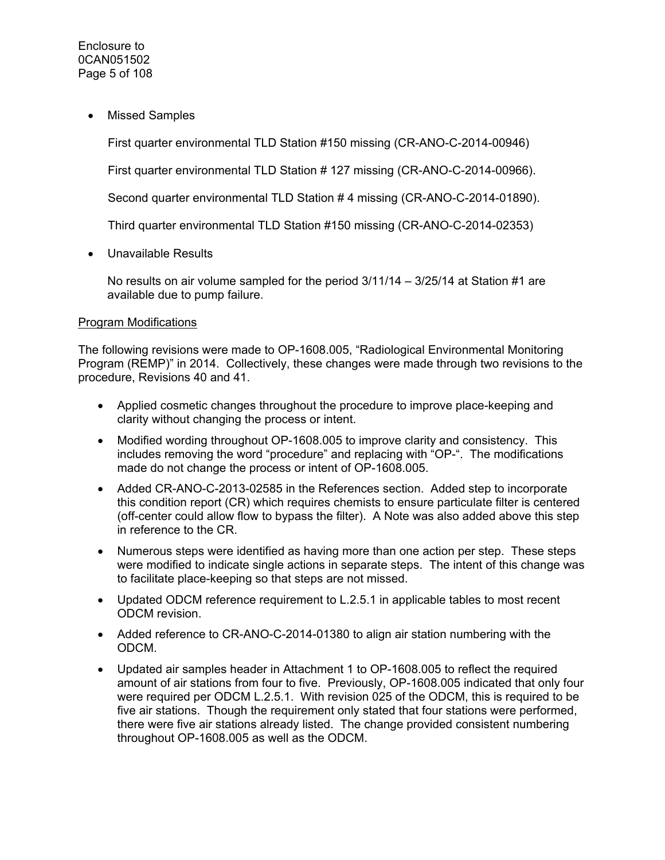Missed Samples

First quarter environmental TLD Station #150 missing (CR-ANO-C-2014-00946)

First quarter environmental TLD Station # 127 missing (CR-ANO-C-2014-00966).

Second quarter environmental TLD Station # 4 missing (CR-ANO-C-2014-01890).

Third quarter environmental TLD Station #150 missing (CR-ANO-C-2014-02353)

Unavailable Results

No results on air volume sampled for the period 3/11/14 – 3/25/14 at Station #1 are available due to pump failure.

#### Program Modifications

The following revisions were made to OP-1608.005, "Radiological Environmental Monitoring Program (REMP)" in 2014. Collectively, these changes were made through two revisions to the procedure, Revisions 40 and 41.

- Applied cosmetic changes throughout the procedure to improve place-keeping and clarity without changing the process or intent.
- Modified wording throughout OP-1608.005 to improve clarity and consistency. This includes removing the word "procedure" and replacing with "OP-". The modifications made do not change the process or intent of OP-1608.005.
- Added CR-ANO-C-2013-02585 in the References section. Added step to incorporate this condition report (CR) which requires chemists to ensure particulate filter is centered (off-center could allow flow to bypass the filter). A Note was also added above this step in reference to the CR.
- Numerous steps were identified as having more than one action per step. These steps were modified to indicate single actions in separate steps. The intent of this change was to facilitate place-keeping so that steps are not missed.
- Updated ODCM reference requirement to L.2.5.1 in applicable tables to most recent ODCM revision.
- Added reference to CR-ANO-C-2014-01380 to align air station numbering with the ODCM.
- Updated air samples header in Attachment 1 to OP-1608.005 to reflect the required amount of air stations from four to five. Previously, OP-1608.005 indicated that only four were required per ODCM L.2.5.1. With revision 025 of the ODCM, this is required to be five air stations. Though the requirement only stated that four stations were performed, there were five air stations already listed. The change provided consistent numbering throughout OP-1608.005 as well as the ODCM.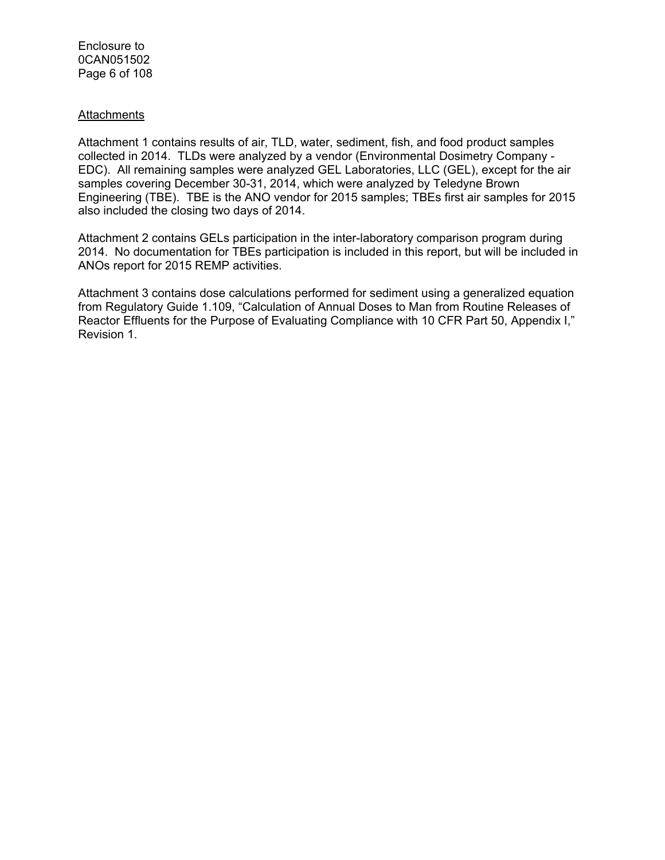Enclosure to 0CAN051502 Page 6 of 108

#### **Attachments**

Attachment 1 contains results of air, TLD, water, sediment, fish, and food product samples collected in 2014. TLDs were analyzed by a vendor (Environmental Dosimetry Company - EDC). All remaining samples were analyzed GEL Laboratories, LLC (GEL), except for the air samples covering December 30-31, 2014, which were analyzed by Teledyne Brown Engineering (TBE). TBE is the ANO vendor for 2015 samples; TBEs first air samples for 2015 also included the closing two days of 2014.

Attachment 2 contains GELs participation in the inter-laboratory comparison program during 2014. No documentation for TBEs participation is included in this report, but will be included in ANOs report for 2015 REMP activities.

Attachment 3 contains dose calculations performed for sediment using a generalized equation from Regulatory Guide 1.109, "Calculation of Annual Doses to Man from Routine Releases of Reactor Effluents for the Purpose of Evaluating Compliance with 10 CFR Part 50, Appendix I," Revision 1.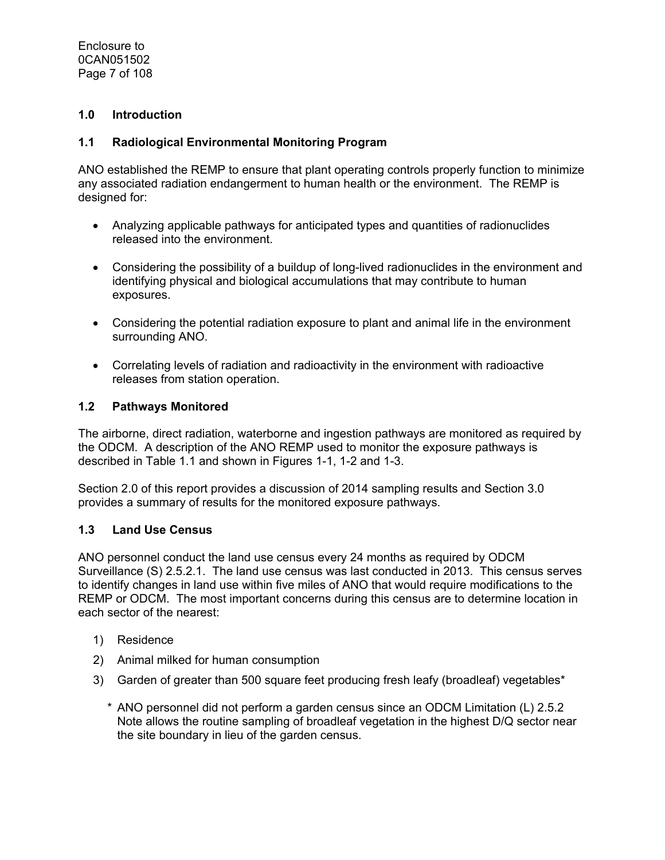Enclosure to 0CAN051502 Page 7 of 108

#### **1.0 Introduction**

#### **1.1 Radiological Environmental Monitoring Program**

ANO established the REMP to ensure that plant operating controls properly function to minimize any associated radiation endangerment to human health or the environment. The REMP is designed for:

- Analyzing applicable pathways for anticipated types and quantities of radionuclides released into the environment.
- Considering the possibility of a buildup of long-lived radionuclides in the environment and identifying physical and biological accumulations that may contribute to human exposures.
- Considering the potential radiation exposure to plant and animal life in the environment surrounding ANO.
- Correlating levels of radiation and radioactivity in the environment with radioactive releases from station operation.

#### **1.2 Pathways Monitored**

The airborne, direct radiation, waterborne and ingestion pathways are monitored as required by the ODCM. A description of the ANO REMP used to monitor the exposure pathways is described in Table 1.1 and shown in Figures 1-1, 1-2 and 1-3.

Section 2.0 of this report provides a discussion of 2014 sampling results and Section 3.0 provides a summary of results for the monitored exposure pathways.

#### **1.3 Land Use Census**

ANO personnel conduct the land use census every 24 months as required by ODCM Surveillance (S) 2.5.2.1. The land use census was last conducted in 2013. This census serves to identify changes in land use within five miles of ANO that would require modifications to the REMP or ODCM. The most important concerns during this census are to determine location in each sector of the nearest:

- 1) Residence
- 2) Animal milked for human consumption
- 3) Garden of greater than 500 square feet producing fresh leafy (broadleaf) vegetables\*
	- \* ANO personnel did not perform a garden census since an ODCM Limitation (L) 2.5.2 Note allows the routine sampling of broadleaf vegetation in the highest D/Q sector near the site boundary in lieu of the garden census.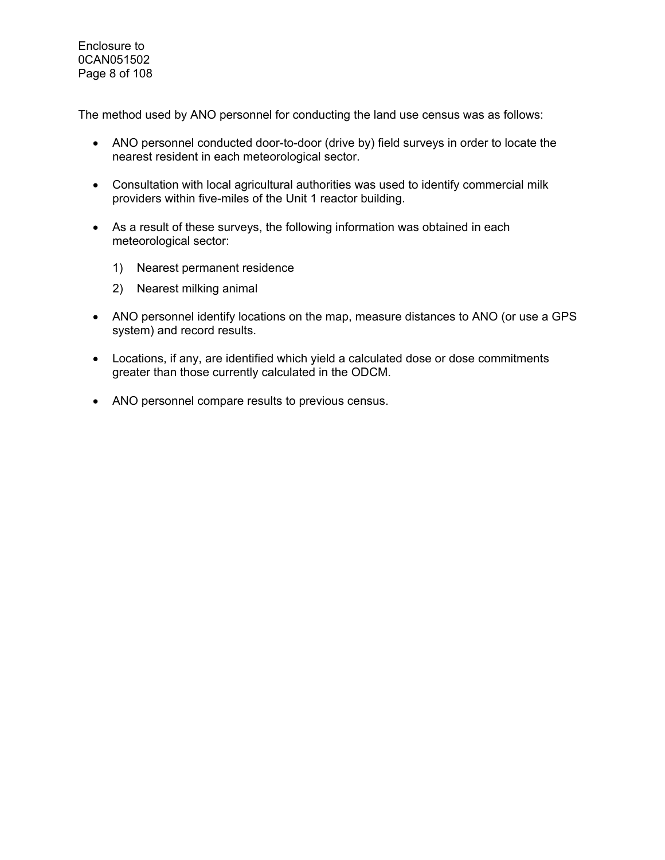Enclosure to 0CAN051502 Page 8 of 108

The method used by ANO personnel for conducting the land use census was as follows:

- ANO personnel conducted door-to-door (drive by) field surveys in order to locate the nearest resident in each meteorological sector.
- Consultation with local agricultural authorities was used to identify commercial milk providers within five-miles of the Unit 1 reactor building.
- As a result of these surveys, the following information was obtained in each meteorological sector:
	- 1) Nearest permanent residence
	- 2) Nearest milking animal
- ANO personnel identify locations on the map, measure distances to ANO (or use a GPS system) and record results.
- Locations, if any, are identified which yield a calculated dose or dose commitments greater than those currently calculated in the ODCM.
- ANO personnel compare results to previous census.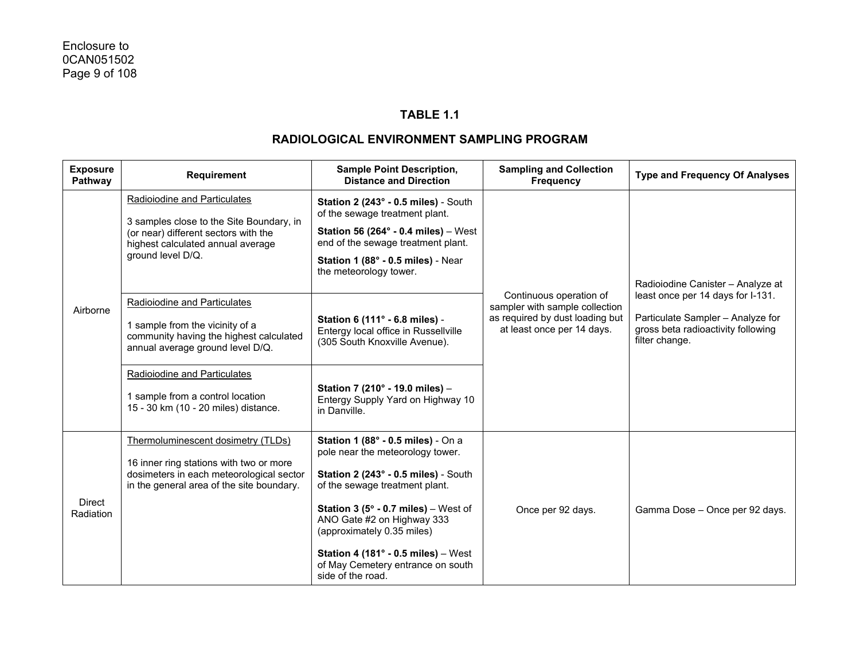#### **TABLE 1.1**

| <b>Exposure</b><br>Pathway | <b>Requirement</b>                                                                                                                                                                                                                                         | <b>Sample Point Description,</b><br><b>Distance and Direction</b>                                                                                                                                                                                                                                                                                                                          | <b>Sampling and Collection</b><br><b>Frequency</b>                                                                         | <b>Type and Frequency Of Analyses</b>                                                                                                                               |
|----------------------------|------------------------------------------------------------------------------------------------------------------------------------------------------------------------------------------------------------------------------------------------------------|--------------------------------------------------------------------------------------------------------------------------------------------------------------------------------------------------------------------------------------------------------------------------------------------------------------------------------------------------------------------------------------------|----------------------------------------------------------------------------------------------------------------------------|---------------------------------------------------------------------------------------------------------------------------------------------------------------------|
| Airborne                   | Radioiodine and Particulates<br>3 samples close to the Site Boundary, in<br>(or near) different sectors with the<br>highest calculated annual average<br>ground level D/Q.                                                                                 | Station 2 (243° - 0.5 miles) - South<br>of the sewage treatment plant.<br>Station 56 (264 $\degree$ - 0.4 miles) - West<br>end of the sewage treatment plant.<br>Station 1 (88° - 0.5 miles) - Near<br>the meteorology tower.                                                                                                                                                              |                                                                                                                            | Radioiodine Canister - Analyze at<br>least once per 14 days for I-131.<br>Particulate Sampler - Analyze for<br>gross beta radioactivity following<br>filter change. |
|                            | Radioiodine and Particulates<br>1 sample from the vicinity of a<br>community having the highest calculated<br>annual average ground level D/Q.<br>Radioiodine and Particulates<br>1 sample from a control location<br>15 - 30 km (10 - 20 miles) distance. | Station 6 (111° - 6.8 miles) -<br>Entergy local office in Russellville<br>(305 South Knoxville Avenue).<br>Station 7 (210° - 19.0 miles) -<br>Entergy Supply Yard on Highway 10<br>in Danville.                                                                                                                                                                                            | Continuous operation of<br>sampler with sample collection<br>as required by dust loading but<br>at least once per 14 days. |                                                                                                                                                                     |
| Direct<br>Radiation        | Thermoluminescent dosimetry (TLDs)<br>16 inner ring stations with two or more<br>dosimeters in each meteorological sector<br>in the general area of the site boundary.                                                                                     | Station 1 (88° - 0.5 miles) - On a<br>pole near the meteorology tower.<br>Station 2 (243° - 0.5 miles) - South<br>of the sewage treatment plant.<br><b>Station 3 (5<math>^{\circ}</math> - 0.7 miles)</b> – West of<br>ANO Gate #2 on Highway 333<br>(approximately 0.35 miles)<br>Station 4 (181 $^{\circ}$ - 0.5 miles) - West<br>of May Cemetery entrance on south<br>side of the road. | Once per 92 days.                                                                                                          | Gamma Dose - Once per 92 days.                                                                                                                                      |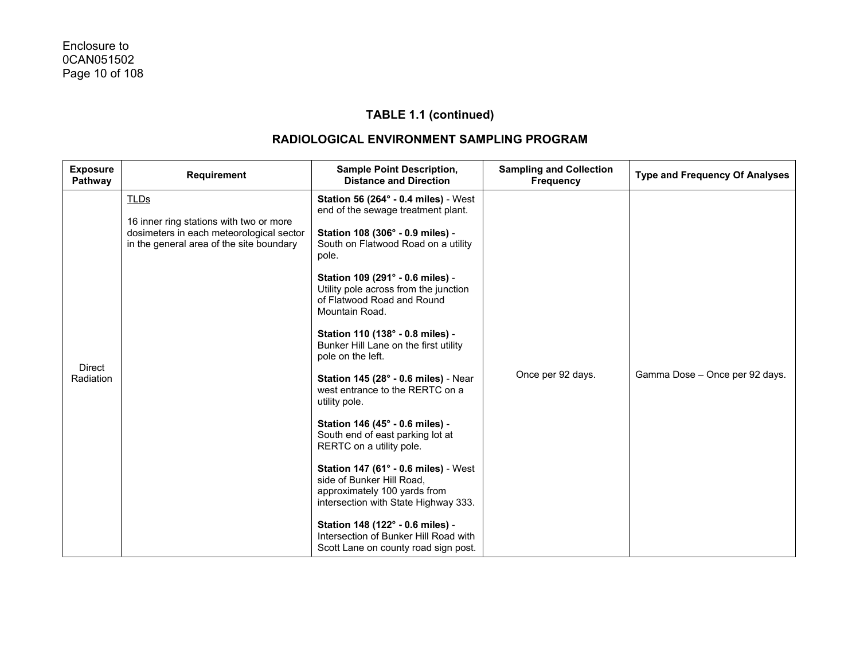| <b>Exposure</b><br>Pathway | <b>Requirement</b>                                                                                                                             | <b>Sample Point Description,</b><br><b>Distance and Direction</b>                                                                                                                                                                                                                                                                                                                                                                                                                                                                                                                                                                                                                                                                                                                                                                                                     | <b>Sampling and Collection</b><br><b>Frequency</b> | <b>Type and Frequency Of Analyses</b> |
|----------------------------|------------------------------------------------------------------------------------------------------------------------------------------------|-----------------------------------------------------------------------------------------------------------------------------------------------------------------------------------------------------------------------------------------------------------------------------------------------------------------------------------------------------------------------------------------------------------------------------------------------------------------------------------------------------------------------------------------------------------------------------------------------------------------------------------------------------------------------------------------------------------------------------------------------------------------------------------------------------------------------------------------------------------------------|----------------------------------------------------|---------------------------------------|
| <b>Direct</b><br>Radiation | <b>TLDs</b><br>16 inner ring stations with two or more<br>dosimeters in each meteorological sector<br>in the general area of the site boundary | <b>Station 56 (264° - 0.4 miles)</b> - West<br>end of the sewage treatment plant.<br>Station 108 (306° - 0.9 miles) -<br>South on Flatwood Road on a utility<br>pole.<br>Station 109 (291° - 0.6 miles) -<br>Utility pole across from the junction<br>of Flatwood Road and Round<br>Mountain Road.<br>Station 110 (138° - 0.8 miles) -<br>Bunker Hill Lane on the first utility<br>pole on the left.<br>Station 145 (28° - 0.6 miles) - Near<br>west entrance to the RERTC on a<br>utility pole.<br>Station 146 (45° - 0.6 miles) -<br>South end of east parking lot at<br>RERTC on a utility pole.<br>Station 147 (61° - 0.6 miles) - West<br>side of Bunker Hill Road,<br>approximately 100 yards from<br>intersection with State Highway 333.<br>Station 148 (122° - 0.6 miles) -<br>Intersection of Bunker Hill Road with<br>Scott Lane on county road sign post. | Once per 92 days.                                  | Gamma Dose - Once per 92 days.        |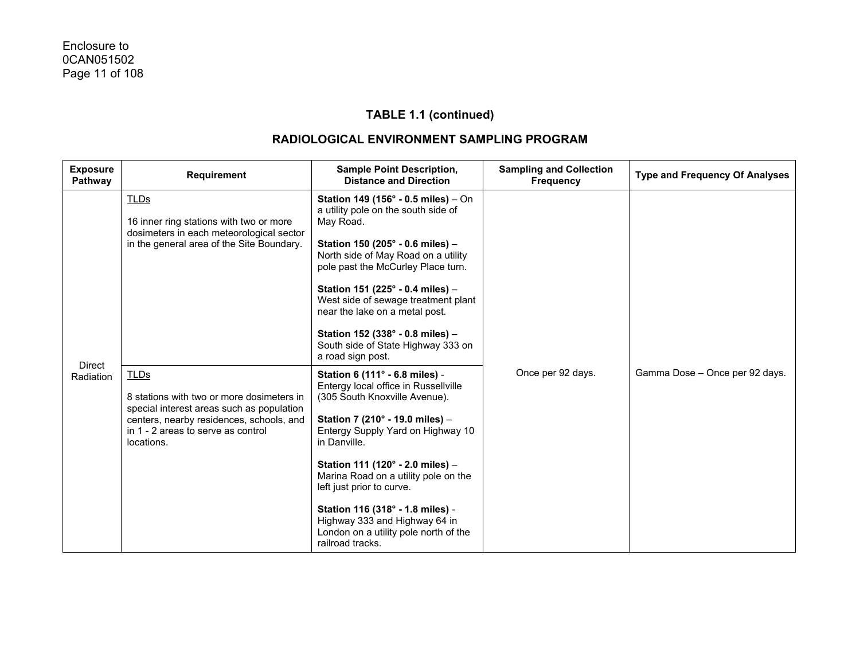| <b>Exposure</b><br>Pathway | <b>Requirement</b>                                                                                                                                                                                    | <b>Sample Point Description,</b><br><b>Distance and Direction</b>                                                                                                                                                                                                                                                                                                                                                                          | <b>Sampling and Collection</b><br><b>Frequency</b> | <b>Type and Frequency Of Analyses</b> |
|----------------------------|-------------------------------------------------------------------------------------------------------------------------------------------------------------------------------------------------------|--------------------------------------------------------------------------------------------------------------------------------------------------------------------------------------------------------------------------------------------------------------------------------------------------------------------------------------------------------------------------------------------------------------------------------------------|----------------------------------------------------|---------------------------------------|
|                            | <b>TLDs</b><br>16 inner ring stations with two or more<br>dosimeters in each meteorological sector<br>in the general area of the Site Boundary.                                                       | Station 149 (156° - 0.5 miles) - On<br>a utility pole on the south side of<br>May Road.<br>Station 150 (205° - 0.6 miles) -<br>North side of May Road on a utility<br>pole past the McCurley Place turn.<br>Station 151 (225° - 0.4 miles) -<br>West side of sewage treatment plant<br>near the lake on a metal post.<br>Station 152 (338° - 0.8 miles) -<br>South side of State Highway 333 on<br>a road sign post.                       |                                                    |                                       |
| <b>Direct</b><br>Radiation | <b>TLDs</b><br>8 stations with two or more dosimeters in<br>special interest areas such as population<br>centers, nearby residences, schools, and<br>in 1 - 2 areas to serve as control<br>locations. | Station 6 (111° - 6.8 miles) -<br>Entergy local office in Russellville<br>(305 South Knoxville Avenue).<br>Station 7 (210° - 19.0 miles) -<br>Entergy Supply Yard on Highway 10<br>in Danville.<br>Station 111 (120° - 2.0 miles) -<br>Marina Road on a utility pole on the<br>left just prior to curve.<br>Station 116 (318° - 1.8 miles) -<br>Highway 333 and Highway 64 in<br>London on a utility pole north of the<br>railroad tracks. | Once per 92 days.                                  | Gamma Dose - Once per 92 days.        |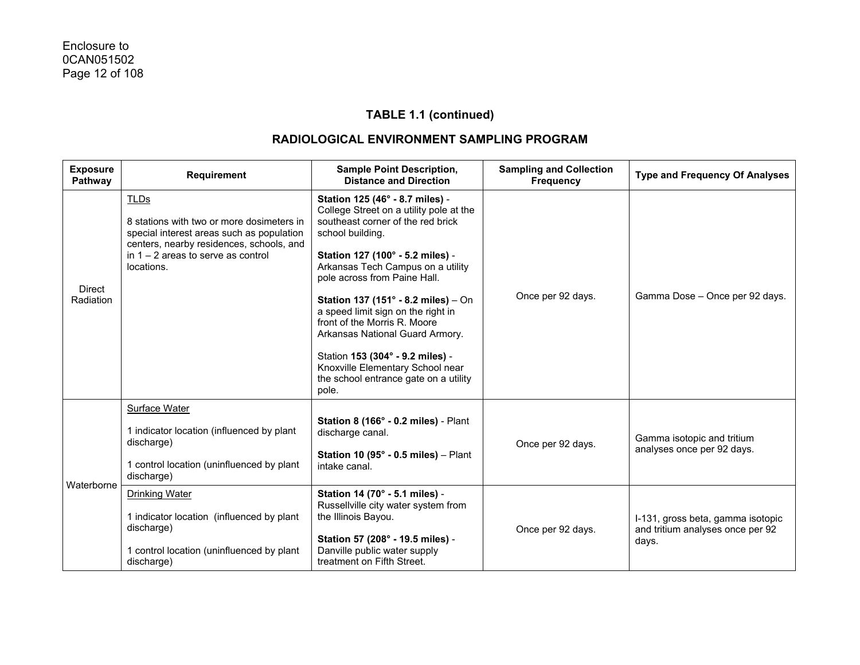| <b>Exposure</b><br>Pathway | Requirement                                                                                                                                                                                             | <b>Sample Point Description,</b><br><b>Distance and Direction</b>                                                                                                                                                                                                                                                                                                                                                                                                                                                      | <b>Sampling and Collection</b><br><b>Frequency</b> | <b>Type and Frequency Of Analyses</b>                                          |
|----------------------------|---------------------------------------------------------------------------------------------------------------------------------------------------------------------------------------------------------|------------------------------------------------------------------------------------------------------------------------------------------------------------------------------------------------------------------------------------------------------------------------------------------------------------------------------------------------------------------------------------------------------------------------------------------------------------------------------------------------------------------------|----------------------------------------------------|--------------------------------------------------------------------------------|
| Direct<br>Radiation        | <b>TLDs</b><br>8 stations with two or more dosimeters in<br>special interest areas such as population<br>centers, nearby residences, schools, and<br>in $1 - 2$ areas to serve as control<br>locations. | Station 125 (46° - 8.7 miles) -<br>College Street on a utility pole at the<br>southeast corner of the red brick<br>school building.<br>Station 127 (100° - 5.2 miles) -<br>Arkansas Tech Campus on a utility<br>pole across from Paine Hall.<br>Station 137 (151° - 8.2 miles) - On<br>a speed limit sign on the right in<br>front of the Morris R. Moore<br>Arkansas National Guard Armory.<br>Station 153 (304° - 9.2 miles) -<br>Knoxville Elementary School near<br>the school entrance gate on a utility<br>pole. | Once per 92 days.                                  | Gamma Dose - Once per 92 days.                                                 |
|                            | <b>Surface Water</b><br>1 indicator location (influenced by plant<br>discharge)<br>1 control location (uninfluenced by plant<br>discharge)                                                              | Station 8 (166° - 0.2 miles) - Plant<br>discharge canal.<br>Station 10 (95 $^{\circ}$ - 0.5 miles) - Plant<br>intake canal.                                                                                                                                                                                                                                                                                                                                                                                            | Once per 92 days.                                  | Gamma isotopic and tritium<br>analyses once per 92 days.                       |
| Waterborne                 | <b>Drinking Water</b><br>1 indicator location (influenced by plant<br>discharge)<br>1 control location (uninfluenced by plant<br>discharge)                                                             | Station 14 (70° - 5.1 miles) -<br>Russellville city water system from<br>the Illinois Bayou.<br>Station 57 (208° - 19.5 miles) -<br>Danville public water supply<br>treatment on Fifth Street.                                                                                                                                                                                                                                                                                                                         | Once per 92 days.                                  | I-131, gross beta, gamma isotopic<br>and tritium analyses once per 92<br>days. |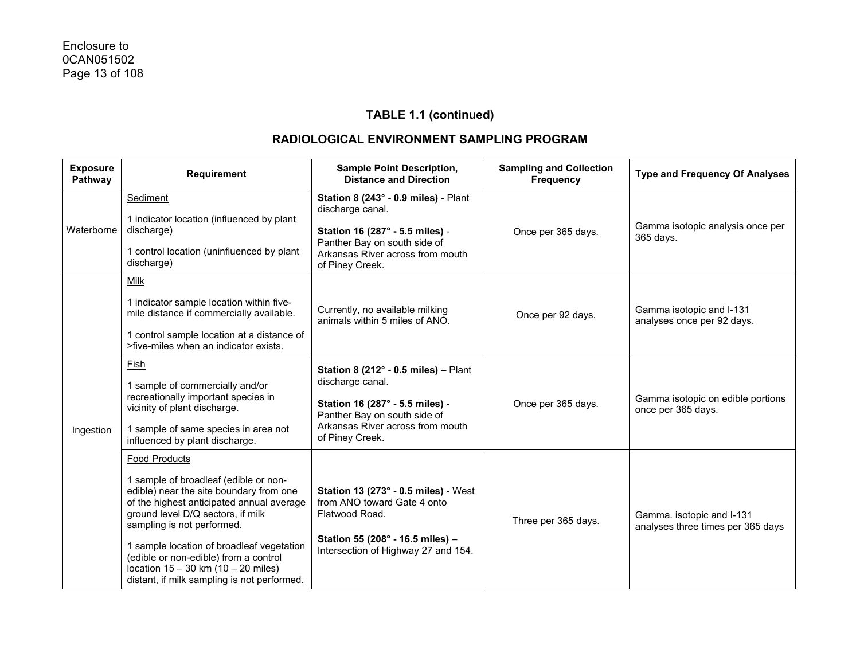| <b>Exposure</b><br>Pathway | Requirement                                                                                                                                                                                                                                                                                                                                                                                              | <b>Sample Point Description,</b><br><b>Distance and Direction</b>                                                                                                                            | <b>Sampling and Collection</b><br><b>Frequency</b> | <b>Type and Frequency Of Analyses</b>                          |
|----------------------------|----------------------------------------------------------------------------------------------------------------------------------------------------------------------------------------------------------------------------------------------------------------------------------------------------------------------------------------------------------------------------------------------------------|----------------------------------------------------------------------------------------------------------------------------------------------------------------------------------------------|----------------------------------------------------|----------------------------------------------------------------|
| Waterborne                 | Sediment<br>1 indicator location (influenced by plant<br>discharge)<br>1 control location (uninfluenced by plant<br>discharge)                                                                                                                                                                                                                                                                           | Station 8 (243° - 0.9 miles) - Plant<br>discharge canal.<br>Station 16 (287° - 5.5 miles) -<br>Panther Bay on south side of<br>Arkansas River across from mouth<br>of Piney Creek.           | Once per 365 days.                                 | Gamma isotopic analysis once per<br>365 days.                  |
| Ingestion                  | Milk<br>1 indicator sample location within five-<br>mile distance if commercially available.<br>1 control sample location at a distance of<br>>five-miles when an indicator exists.                                                                                                                                                                                                                      | Currently, no available milking<br>animals within 5 miles of ANO.                                                                                                                            | Once per 92 days.                                  | Gamma isotopic and I-131<br>analyses once per 92 days.         |
|                            | Fish<br>1 sample of commercially and/or<br>recreationally important species in<br>vicinity of plant discharge.<br>1 sample of same species in area not<br>influenced by plant discharge.                                                                                                                                                                                                                 | Station 8 (212 $^{\circ}$ - 0.5 miles) - Plant<br>discharge canal.<br>Station 16 (287° - 5.5 miles) -<br>Panther Bay on south side of<br>Arkansas River across from mouth<br>of Piney Creek. | Once per 365 days.                                 | Gamma isotopic on edible portions<br>once per 365 days.        |
|                            | <b>Food Products</b><br>1 sample of broadleaf (edible or non-<br>edible) near the site boundary from one<br>of the highest anticipated annual average<br>ground level D/Q sectors, if milk<br>sampling is not performed.<br>1 sample location of broadleaf vegetation<br>(edible or non-edible) from a control<br>location $15 - 30$ km $(10 - 20$ miles)<br>distant, if milk sampling is not performed. | <b>Station 13 (273° - 0.5 miles)</b> - West<br>from ANO toward Gate 4 onto<br>Flatwood Road.<br>Station 55 (208° - 16.5 miles) -<br>Intersection of Highway 27 and 154.                      | Three per 365 days.                                | Gamma. isotopic and I-131<br>analyses three times per 365 days |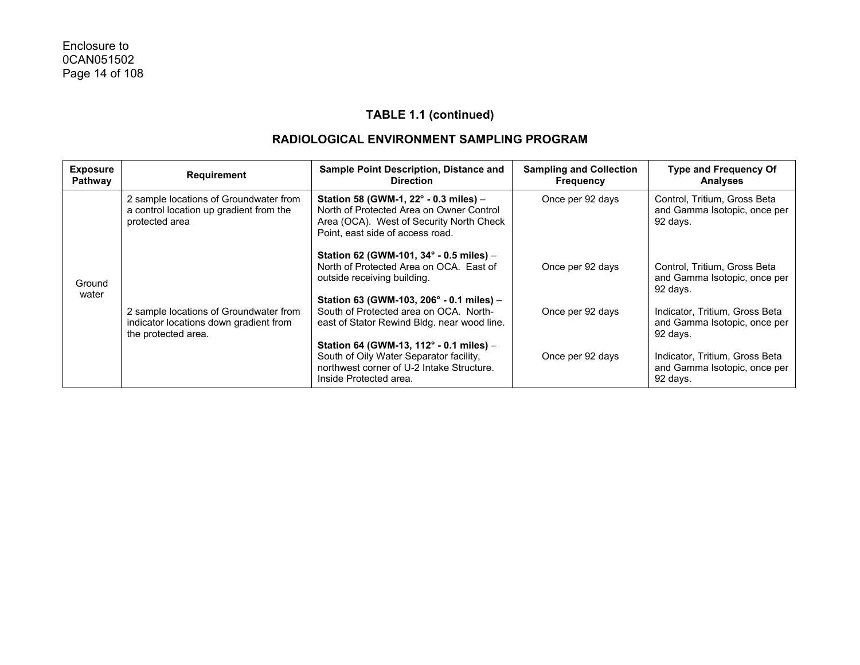| <b>Exposure</b><br>Pathway | <b>Requirement</b>                                                                                      | Sample Point Description, Distance and<br><b>Direction</b>                                                                                                        | <b>Sampling and Collection</b><br><b>Frequency</b> | <b>Type and Frequency Of</b><br>Analyses                                   |
|----------------------------|---------------------------------------------------------------------------------------------------------|-------------------------------------------------------------------------------------------------------------------------------------------------------------------|----------------------------------------------------|----------------------------------------------------------------------------|
|                            | 2 sample locations of Groundwater from<br>a control location up gradient from the<br>protected area     | Station 58 (GWM-1, 22° - 0.3 miles) -<br>North of Protected Area on Owner Control<br>Area (OCA). West of Security North Check<br>Point, east side of access road. | Once per 92 days                                   | Control, Tritium, Gross Beta<br>and Gamma Isotopic, once per<br>92 days.   |
| Ground<br>water            |                                                                                                         | Station 62 (GWM-101, 34° - 0.5 miles) -<br>North of Protected Area on OCA. East of<br>outside receiving building.                                                 | Once per 92 days                                   | Control, Tritium, Gross Beta<br>and Gamma Isotopic, once per<br>92 days.   |
|                            | 2 sample locations of Groundwater from<br>indicator locations down gradient from<br>the protected area. | Station 63 (GWM-103, 206° - 0.1 miles) -<br>South of Protected area on OCA. North-<br>east of Stator Rewind Bldg. near wood line.                                 | Once per 92 days                                   | Indicator, Tritium, Gross Beta<br>and Gamma Isotopic, once per<br>92 days. |
|                            |                                                                                                         | Station 64 (GWM-13, 112° - 0.1 miles) -<br>South of Oily Water Separator facility,<br>northwest corner of U-2 Intake Structure.<br>Inside Protected area.         | Once per 92 days                                   | Indicator, Tritium, Gross Beta<br>and Gamma Isotopic, once per<br>92 days. |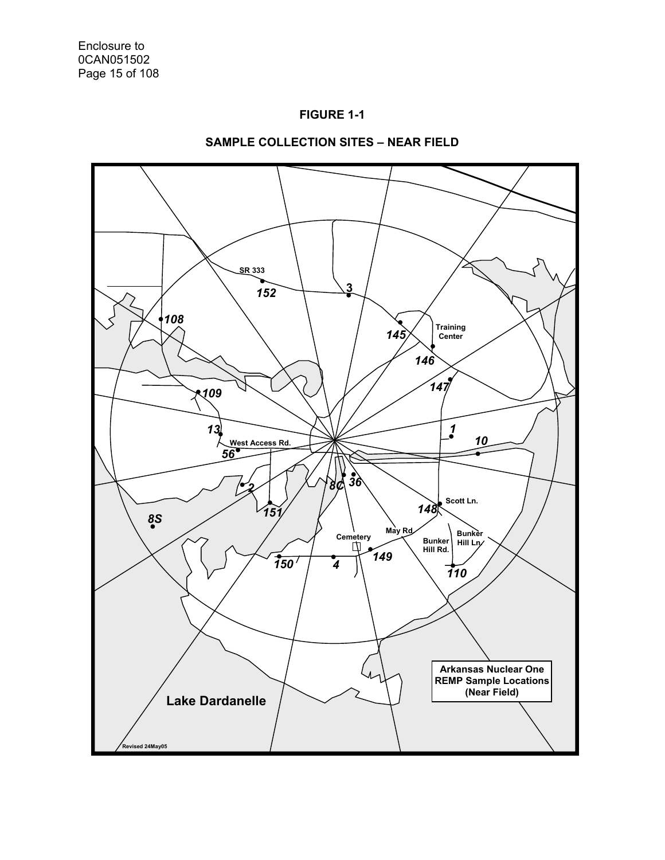



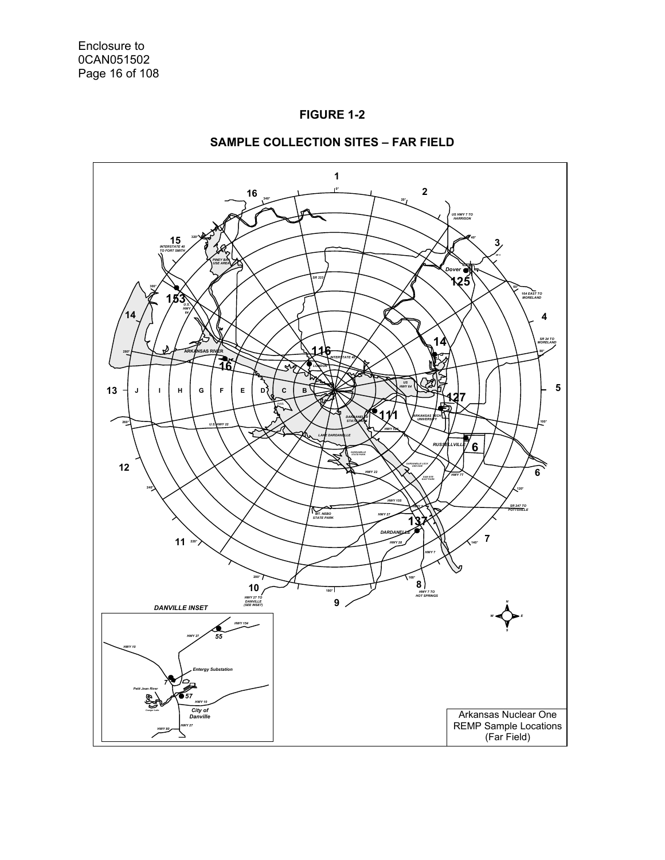



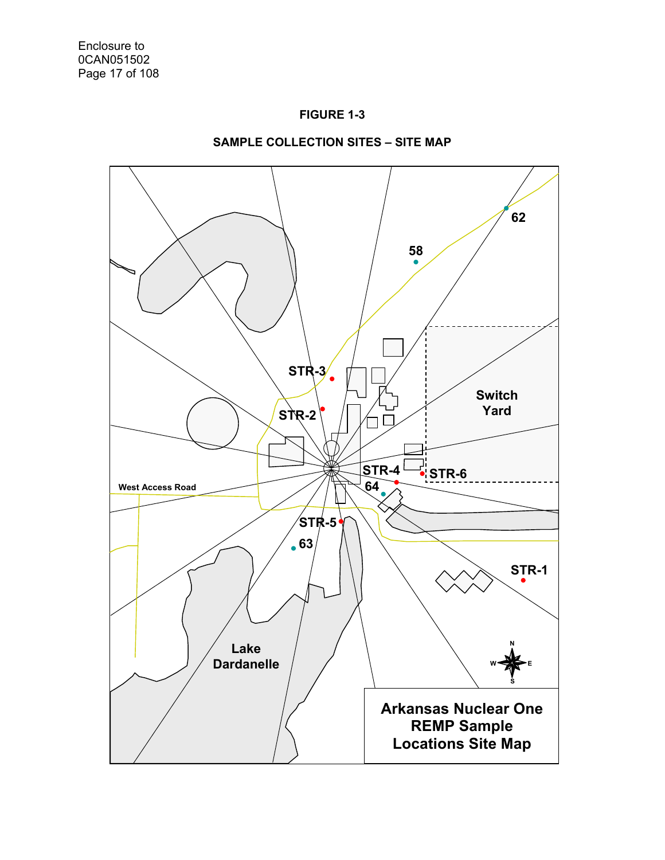



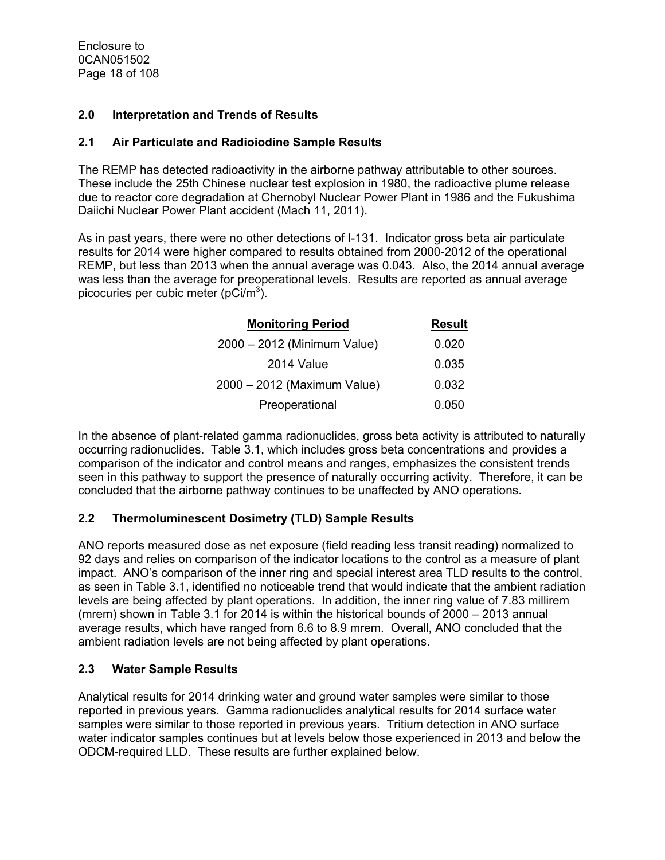Enclosure to 0CAN051502 Page 18 of 108

#### **2.0 Interpretation and Trends of Results**

#### **2.1 Air Particulate and Radioiodine Sample Results**

The REMP has detected radioactivity in the airborne pathway attributable to other sources. These include the 25th Chinese nuclear test explosion in 1980, the radioactive plume release due to reactor core degradation at Chernobyl Nuclear Power Plant in 1986 and the Fukushima Daiichi Nuclear Power Plant accident (Mach 11, 2011).

As in past years, there were no other detections of I-131. Indicator gross beta air particulate results for 2014 were higher compared to results obtained from 2000-2012 of the operational REMP, but less than 2013 when the annual average was 0.043. Also, the 2014 annual average was less than the average for preoperational levels. Results are reported as annual average picocuries per cubic meter (pCi/m<sup>3</sup>).

| <b>Monitoring Period</b>    | <b>Result</b> |
|-----------------------------|---------------|
| 2000 - 2012 (Minimum Value) | 0.020         |
| 2014 Value                  | 0.035         |
| 2000 - 2012 (Maximum Value) | 0.032         |
| Preoperational              | 0.050         |

In the absence of plant-related gamma radionuclides, gross beta activity is attributed to naturally occurring radionuclides. Table 3.1, which includes gross beta concentrations and provides a comparison of the indicator and control means and ranges, emphasizes the consistent trends seen in this pathway to support the presence of naturally occurring activity. Therefore, it can be concluded that the airborne pathway continues to be unaffected by ANO operations.

#### **2.2 Thermoluminescent Dosimetry (TLD) Sample Results**

ANO reports measured dose as net exposure (field reading less transit reading) normalized to 92 days and relies on comparison of the indicator locations to the control as a measure of plant impact. ANO's comparison of the inner ring and special interest area TLD results to the control, as seen in Table 3.1, identified no noticeable trend that would indicate that the ambient radiation levels are being affected by plant operations. In addition, the inner ring value of 7.83 millirem (mrem) shown in Table 3.1 for 2014 is within the historical bounds of 2000 – 2013 annual average results, which have ranged from 6.6 to 8.9 mrem. Overall, ANO concluded that the ambient radiation levels are not being affected by plant operations.

#### **2.3 Water Sample Results**

Analytical results for 2014 drinking water and ground water samples were similar to those reported in previous years. Gamma radionuclides analytical results for 2014 surface water samples were similar to those reported in previous years. Tritium detection in ANO surface water indicator samples continues but at levels below those experienced in 2013 and below the ODCM-required LLD. These results are further explained below.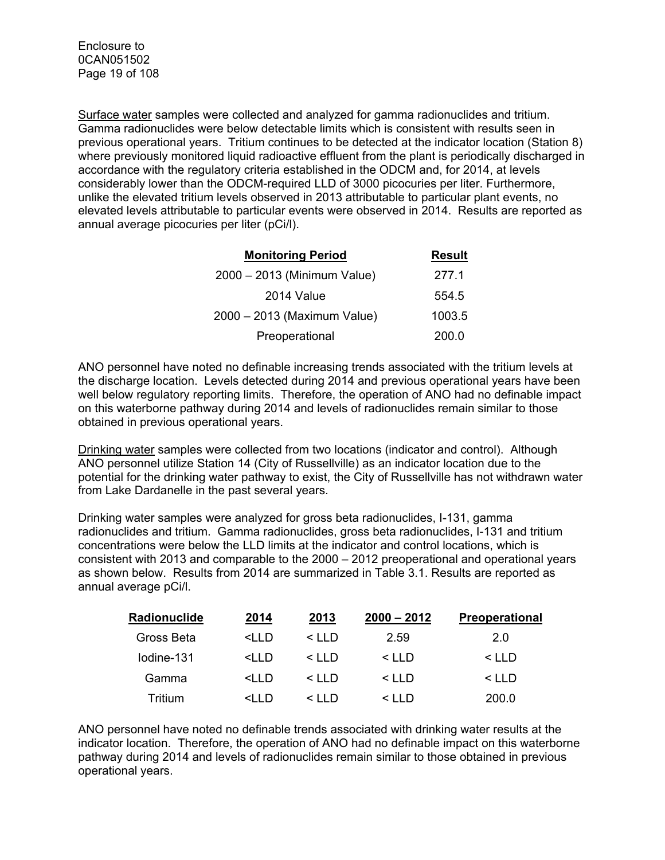Surface water samples were collected and analyzed for gamma radionuclides and tritium. Gamma radionuclides were below detectable limits which is consistent with results seen in previous operational years. Tritium continues to be detected at the indicator location (Station 8) where previously monitored liquid radioactive effluent from the plant is periodically discharged in accordance with the regulatory criteria established in the ODCM and, for 2014, at levels considerably lower than the ODCM-required LLD of 3000 picocuries per liter. Furthermore, unlike the elevated tritium levels observed in 2013 attributable to particular plant events, no elevated levels attributable to particular events were observed in 2014. Results are reported as annual average picocuries per liter (pCi/l).

| <b>Monitoring Period</b>    | <b>Result</b> |
|-----------------------------|---------------|
| 2000 - 2013 (Minimum Value) | 277.1         |
| 2014 Value                  | 554.5         |
| 2000 - 2013 (Maximum Value) | 1003.5        |
| Preoperational              | 200.0         |

ANO personnel have noted no definable increasing trends associated with the tritium levels at the discharge location. Levels detected during 2014 and previous operational years have been well below regulatory reporting limits. Therefore, the operation of ANO had no definable impact on this waterborne pathway during 2014 and levels of radionuclides remain similar to those obtained in previous operational years.

Drinking water samples were collected from two locations (indicator and control). Although ANO personnel utilize Station 14 (City of Russellville) as an indicator location due to the potential for the drinking water pathway to exist, the City of Russellville has not withdrawn water from Lake Dardanelle in the past several years.

Drinking water samples were analyzed for gross beta radionuclides, I-131, gamma radionuclides and tritium. Gamma radionuclides, gross beta radionuclides, I-131 and tritium concentrations were below the LLD limits at the indicator and control locations, which is consistent with 2013 and comparable to the 2000 – 2012 preoperational and operational years as shown below. Results from 2014 are summarized in Table 3.1. Results are reported as annual average pCi/l.

| Radionuclide | 2014                                                                                                                | 2013         | $2000 - 2012$ | <b>Preoperational</b> |
|--------------|---------------------------------------------------------------------------------------------------------------------|--------------|---------------|-----------------------|
| Gross Beta   | <iid< td=""><td><math>\leq</math> I I D</td><td>2.59</td><td>2.0</td></iid<>                                        | $\leq$ I I D | 2.59          | 2.0                   |
| Iodine-131   | <iid< td=""><td><math>\leq</math> I I D</td><td><math>\leq</math> I I D</td><td><math>\leq</math> I I D</td></iid<> | $\leq$ I I D | $\leq$ I I D  | $\leq$ I I D          |
| Gamma        | <iid< td=""><td><math>\leq</math> I I D</td><td><math>\leq</math> I I D</td><td><math>\leq</math> I I D</td></iid<> | $\leq$ I I D | $\leq$ I I D  | $\leq$ I I D          |
| Tritium      | <i d<="" i="" td=""><td><math>\leq</math> I I D</td><td><math>\leq</math> I I D</td><td>200.0</td></i>              | $\leq$ I I D | $\leq$ I I D  | 200.0                 |

ANO personnel have noted no definable trends associated with drinking water results at the indicator location. Therefore, the operation of ANO had no definable impact on this waterborne pathway during 2014 and levels of radionuclides remain similar to those obtained in previous operational years.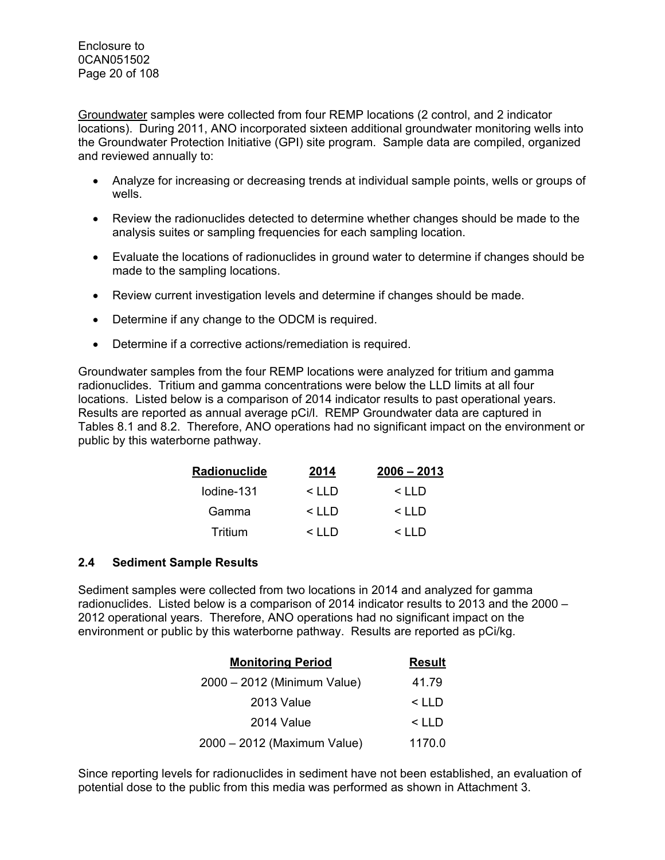Groundwater samples were collected from four REMP locations (2 control, and 2 indicator locations). During 2011, ANO incorporated sixteen additional groundwater monitoring wells into the Groundwater Protection Initiative (GPI) site program. Sample data are compiled, organized and reviewed annually to:

- Analyze for increasing or decreasing trends at individual sample points, wells or groups of wells.
- Review the radionuclides detected to determine whether changes should be made to the analysis suites or sampling frequencies for each sampling location.
- Evaluate the locations of radionuclides in ground water to determine if changes should be made to the sampling locations.
- Review current investigation levels and determine if changes should be made.
- Determine if any change to the ODCM is required.
- Determine if a corrective actions/remediation is required.

Groundwater samples from the four REMP locations were analyzed for tritium and gamma radionuclides. Tritium and gamma concentrations were below the LLD limits at all four locations. Listed below is a comparison of 2014 indicator results to past operational years. Results are reported as annual average pCi/l. REMP Groundwater data are captured in Tables 8.1 and 8.2. Therefore, ANO operations had no significant impact on the environment or public by this waterborne pathway.

| Radionuclide | 2014         | $2006 - 2013$ |
|--------------|--------------|---------------|
| lodine-131   | $\leq$ I I D | $\leq$ I I D  |
| Gamma        | $\leq$ I I D | $\leq$ I I D  |
| Tritium      | $\leq$ I I D | $\leq$ IID    |

#### **2.4 Sediment Sample Results**

Sediment samples were collected from two locations in 2014 and analyzed for gamma radionuclides. Listed below is a comparison of 2014 indicator results to 2013 and the 2000 – 2012 operational years. Therefore, ANO operations had no significant impact on the environment or public by this waterborne pathway. Results are reported as pCi/kg.

| <b>Monitoring Period</b>    | <b>Result</b> |
|-----------------------------|---------------|
| 2000 - 2012 (Minimum Value) | 41.79         |
| 2013 Value                  | $<$ LLD       |
| 2014 Value                  | $<$ LLD       |
| 2000 - 2012 (Maximum Value) | 1170.0        |

Since reporting levels for radionuclides in sediment have not been established, an evaluation of potential dose to the public from this media was performed as shown in Attachment 3.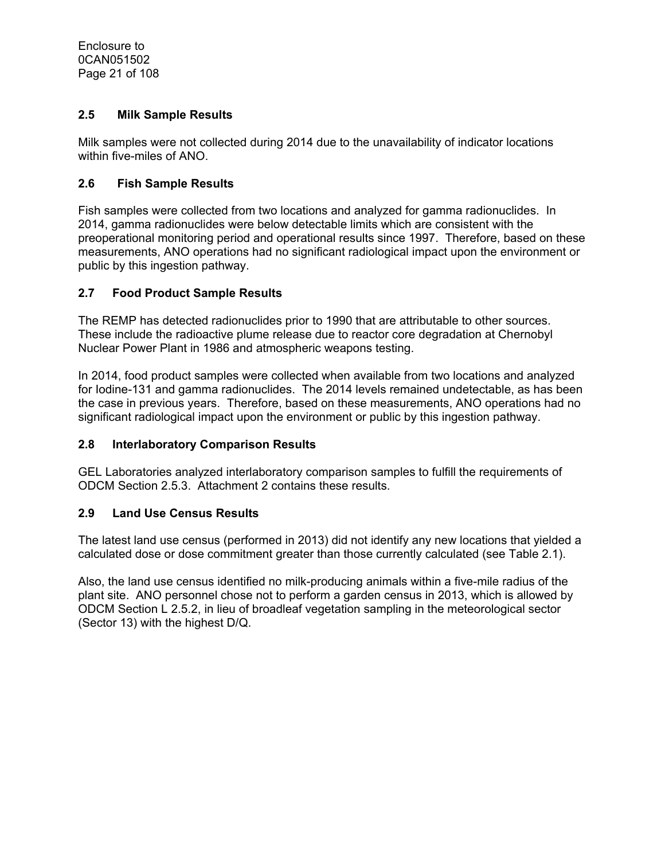## **2.5 Milk Sample Results**

Milk samples were not collected during 2014 due to the unavailability of indicator locations within five-miles of ANO.

#### **2.6 Fish Sample Results**

Fish samples were collected from two locations and analyzed for gamma radionuclides. In 2014, gamma radionuclides were below detectable limits which are consistent with the preoperational monitoring period and operational results since 1997. Therefore, based on these measurements, ANO operations had no significant radiological impact upon the environment or public by this ingestion pathway.

## **2.7 Food Product Sample Results**

The REMP has detected radionuclides prior to 1990 that are attributable to other sources. These include the radioactive plume release due to reactor core degradation at Chernobyl Nuclear Power Plant in 1986 and atmospheric weapons testing.

In 2014, food product samples were collected when available from two locations and analyzed for Iodine-131 and gamma radionuclides. The 2014 levels remained undetectable, as has been the case in previous years. Therefore, based on these measurements, ANO operations had no significant radiological impact upon the environment or public by this ingestion pathway.

#### **2.8 Interlaboratory Comparison Results**

GEL Laboratories analyzed interlaboratory comparison samples to fulfill the requirements of ODCM Section 2.5.3. Attachment 2 contains these results.

## **2.9 Land Use Census Results**

The latest land use census (performed in 2013) did not identify any new locations that yielded a calculated dose or dose commitment greater than those currently calculated (see Table 2.1).

Also, the land use census identified no milk-producing animals within a five-mile radius of the plant site. ANO personnel chose not to perform a garden census in 2013, which is allowed by ODCM Section L 2.5.2, in lieu of broadleaf vegetation sampling in the meteorological sector (Sector 13) with the highest D/Q.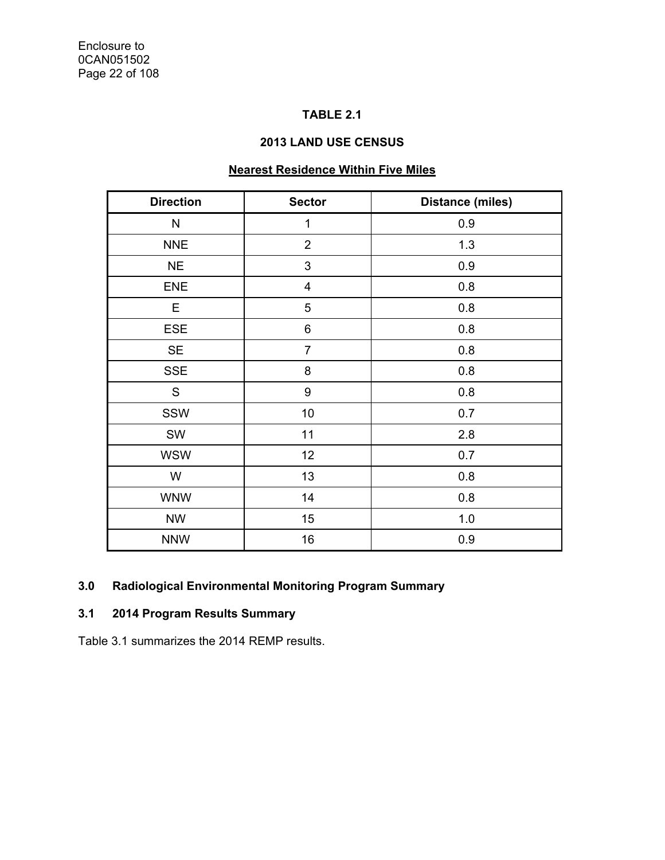# **TABLE 2.1**

## **2013 LAND USE CENSUS**

# **Nearest Residence Within Five Miles**

| <b>Direction</b> | <b>Sector</b>           | <b>Distance (miles)</b> |
|------------------|-------------------------|-------------------------|
| N                | $\mathbf 1$             | 0.9                     |
| <b>NNE</b>       | $\overline{2}$          | 1.3                     |
| <b>NE</b>        | 3                       | 0.9                     |
| <b>ENE</b>       | $\overline{\mathbf{4}}$ | 0.8                     |
| Е                | 5                       | 0.8                     |
| <b>ESE</b>       | 6                       | 0.8                     |
| <b>SE</b>        | $\overline{7}$          | 0.8                     |
| <b>SSE</b>       | 8                       | 0.8                     |
| S                | 9                       | 0.8                     |
| SSW              | 10                      | 0.7                     |
| SW               | 11                      | 2.8                     |
| <b>WSW</b>       | 12                      | 0.7                     |
| W                | 13                      | 0.8                     |
| <b>WNW</b>       | 14                      | 0.8                     |
| <b>NW</b>        | 15                      | 1.0                     |
| <b>NNW</b>       | 16                      | 0.9                     |

## **3.0 Radiological Environmental Monitoring Program Summary**

# **3.1 2014 Program Results Summary**

Table 3.1 summarizes the 2014 REMP results.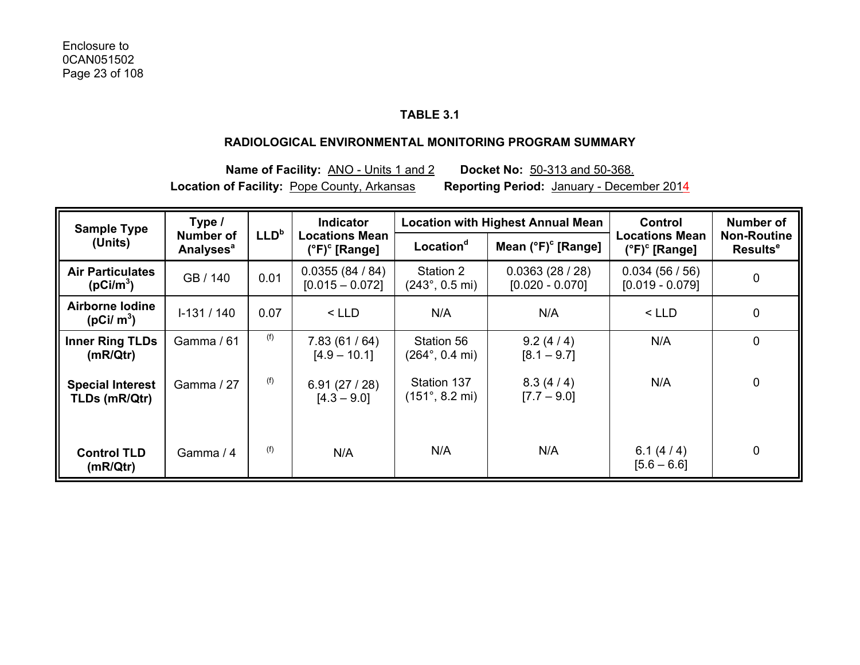## **TABLE 3.1**

#### **RADIOLOGICAL ENVIRONMENTAL MONITORING PROGRAM SUMMARY**

**Name of Facility:** ANO - Units 1 and 2 **Docket No:** 50-313 and 50-368. **Location of Facility:** Pope County, Arkansas **Reporting Period:** January - December 2014

| <b>Sample Type</b>                               | Type /                                   |                  | <b>Indicator</b>                                       |                                                | <b>Location with Highest Annual Mean</b> | <b>Control</b>                                         | Number of                                  |
|--------------------------------------------------|------------------------------------------|------------------|--------------------------------------------------------|------------------------------------------------|------------------------------------------|--------------------------------------------------------|--------------------------------------------|
| (Units)                                          | Number of<br><b>Analyses<sup>a</sup></b> | LLD <sup>b</sup> | <b>Locations Mean</b><br>$(^{\circ}F)^{\circ}$ [Range] | Location <sup>d</sup>                          | Mean $(°F)$ <sup>c</sup> [Range]         | <b>Locations Mean</b><br>$(^{\circ}F)^{\circ}$ [Range] | <b>Non-Routine</b><br>Results <sup>e</sup> |
| <b>Air Particulates</b><br>(pCi/m <sup>3</sup> ) | GB / 140                                 | 0.01             | 0.0355(84/84)<br>$[0.015 - 0.072]$                     | Station 2<br>$(243^{\circ}, 0.5 \text{ mi})$   | 0.0363(28/28)<br>$[0.020 - 0.070]$       | 0.034(56/56)<br>$[0.019 - 0.079]$                      | $\pmb{0}$                                  |
| Airborne lodine<br>$(pCi/m^3)$                   | $1-131/140$                              | 0.07             | $<$ LLD                                                | N/A                                            | N/A                                      | $<$ LLD                                                | 0                                          |
| <b>Inner Ring TLDs</b><br>(mR/Qtr)               | Gamma / 61                               | (f)              | 7.83(61/64)<br>$[4.9 - 10.1]$                          | Station 56<br>$(264^{\circ}, 0.4 \text{ mi})$  | 9.2(4/4)<br>$[8.1 - 9.7]$                | N/A                                                    | 0                                          |
| <b>Special Interest</b><br>TLDs (mR/Qtr)         | Gamma / 27                               | (f)              | 6.91(27/28)<br>$[4.3 - 9.0]$                           | Station 137<br>$(151^{\circ}, 8.2 \text{ mi})$ | 8.3(4/4)<br>$[7.7 - 9.0]$                | N/A                                                    | $\mathbf 0$                                |
| <b>Control TLD</b><br>(mR/Qtr)                   | Gamma / 4                                | (f)              | N/A                                                    | N/A                                            | N/A                                      | 6.1 $(4/4)$<br>$[5.6 - 6.6]$                           | $\mathbf 0$                                |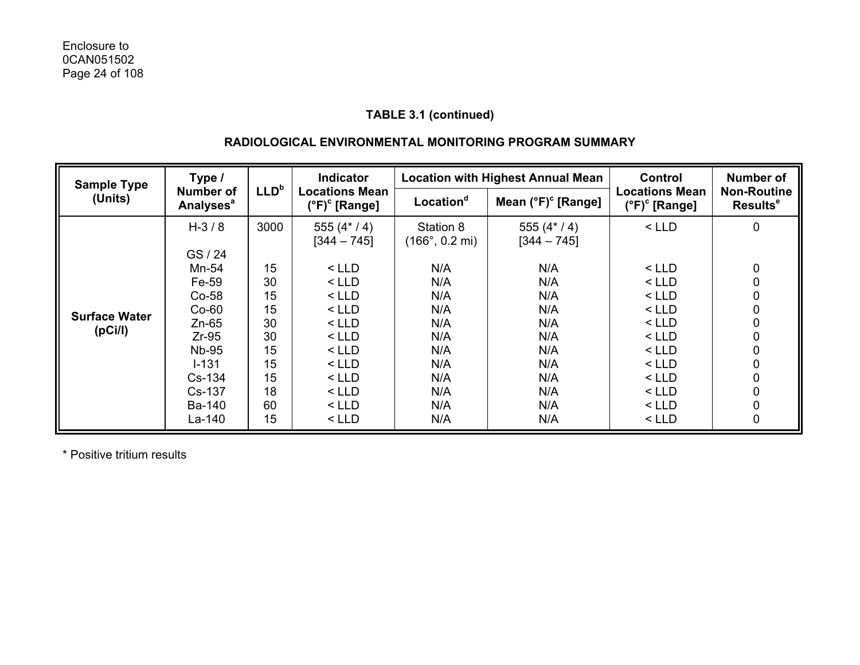#### **RADIOLOGICAL ENVIRONMENTAL MONITORING PROGRAM SUMMARY**

| <b>Sample Type</b>                           | Type /                                                                                             |                                                    | <b>Indicator</b>                                                                                | <b>Location with Highest Annual Mean</b>                          |                                                             | Control                                                                                         | <b>Number of</b>                           |
|----------------------------------------------|----------------------------------------------------------------------------------------------------|----------------------------------------------------|-------------------------------------------------------------------------------------------------|-------------------------------------------------------------------|-------------------------------------------------------------|-------------------------------------------------------------------------------------------------|--------------------------------------------|
| (Units)                                      | Number of<br><b>Analyses<sup>a</sup></b>                                                           | LLD <sup>b</sup>                                   | <b>Locations Mean</b><br>$(^{\circ}F)^{\circ}$ [Range]                                          | Location <sup>d</sup>                                             | Mean $(^{\circ}F)^{\circ}$ [Range]                          | <b>Locations Mean</b><br>$(^{\circ}F)^{\circ}$ [Range]                                          | <b>Non-Routine</b><br>Results <sup>e</sup> |
|                                              | $H - 3 / 8$<br>GS/24<br>Mn-54<br>Fe-59<br>$Co-58$                                                  | 3000<br>15<br>30<br>15                             | 555 $(4*/4)$<br>$[344 - 745]$<br>$<$ LLD<br>$<$ LLD<br>$<$ LLD                                  | Station 8<br>$(166^{\circ}, 0.2 \text{ mi})$<br>N/A<br>N/A<br>N/A | 555 $(4*/4)$<br>$[344 - 745]$<br>N/A<br>N/A<br>N/A          | $<$ LLD<br>$<$ LLD<br>$<$ LLD<br>$<$ LLD                                                        | 0<br>0<br>0<br>0                           |
| <b>Surface Water</b><br>(pC <sub>i</sub> /l) | $Co-60$<br>$Zn-65$<br>$Zr-95$<br><b>Nb-95</b><br>$I - 131$<br>Cs-134<br>Cs-137<br>Ba-140<br>La-140 | 15<br>30<br>30<br>15<br>15<br>15<br>18<br>60<br>15 | $<$ LLD<br>$<$ LLD<br>$<$ LLD<br>$<$ LLD<br>$<$ LLD<br>$<$ LLD<br>$<$ LLD<br>$<$ LLD<br>$<$ LLD | N/A<br>N/A<br>N/A<br>N/A<br>N/A<br>N/A<br>N/A<br>N/A<br>N/A       | N/A<br>N/A<br>N/A<br>N/A<br>N/A<br>N/A<br>N/A<br>N/A<br>N/A | $<$ LLD<br>$<$ LLD<br>$<$ LLD<br>$<$ LLD<br>$<$ LLD<br>$<$ LLD<br>$<$ LLD<br>$<$ LLD<br>$<$ LLD | 0<br>0<br>0<br>0<br>0<br>0<br>0<br>0       |

\* Positive tritium results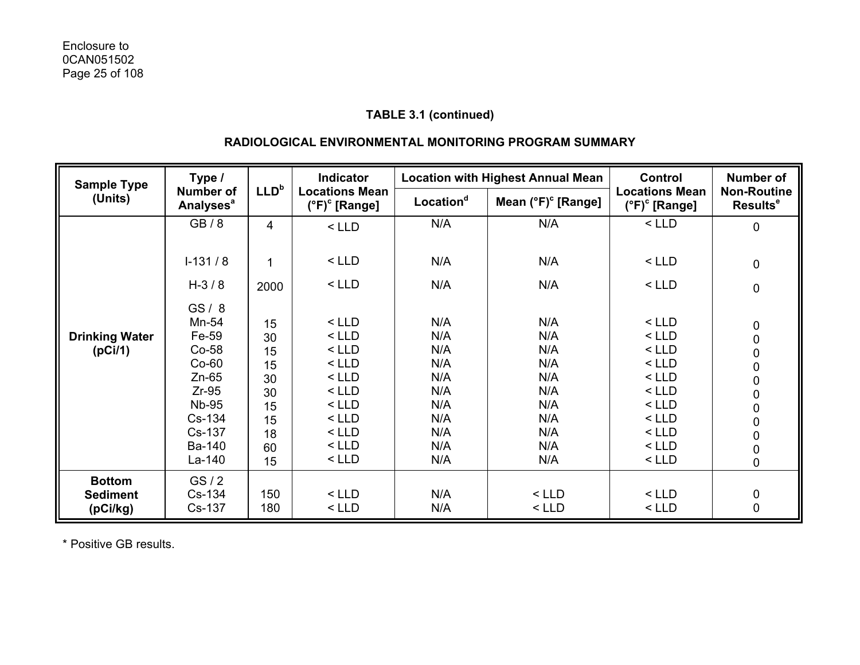## **RADIOLOGICAL ENVIRONMENTAL MONITORING PROGRAM SUMMARY**

| <b>Sample Type</b>               | Type /                                                                                                                     |                                                                | <b>Indicator</b>                                                                                                      |                                                                           | <b>Location with Highest Annual Mean</b>                                  | <b>Control</b>                                                                                                        | <b>Number of</b>                                                            |
|----------------------------------|----------------------------------------------------------------------------------------------------------------------------|----------------------------------------------------------------|-----------------------------------------------------------------------------------------------------------------------|---------------------------------------------------------------------------|---------------------------------------------------------------------------|-----------------------------------------------------------------------------------------------------------------------|-----------------------------------------------------------------------------|
| (Units)                          | <b>Number of</b><br><b>Analyses<sup>a</sup></b>                                                                            | LLD <sup>b</sup>                                               | <b>Locations Mean</b><br>$(^{\circ}F)^{\circ}$ [Range]                                                                | Location <sup>d</sup>                                                     | Mean (°F) <sup>c</sup> [Range]                                            | <b>Locations Mean</b><br>$(^{\circ}F)^{\circ}$ [Range]                                                                | <b>Non-Routine</b><br><b>Results<sup>e</sup></b>                            |
|                                  | GB/8                                                                                                                       | 4                                                              | $<$ LLD                                                                                                               | N/A                                                                       | N/A                                                                       | $<$ LLD                                                                                                               | 0                                                                           |
|                                  | $I-131/8$                                                                                                                  | 1                                                              | $<$ LLD                                                                                                               | N/A                                                                       | N/A                                                                       | $<$ LLD                                                                                                               | $\pmb{0}$                                                                   |
|                                  | $H-3/8$                                                                                                                    | 2000                                                           | $<$ LLD                                                                                                               | N/A                                                                       | N/A                                                                       | $<$ LLD                                                                                                               | $\pmb{0}$                                                                   |
| <b>Drinking Water</b><br>(pCi/1) | GS/8<br>Mn-54<br>Fe-59<br>$Co-58$<br>$Co-60$<br>$Zn-65$<br>$Zr-95$<br><b>Nb-95</b><br>Cs-134<br>Cs-137<br>Ba-140<br>La-140 | 15<br>30<br>15<br>15<br>30<br>30<br>15<br>15<br>18<br>60<br>15 | $<$ LLD<br>$<$ LLD<br>$<$ LLD<br>$<$ LLD<br>$<$ LLD<br>$<$ LLD<br>$<$ LLD<br>$<$ LLD<br>$<$ LLD<br>$<$ LLD<br>$<$ LLD | N/A<br>N/A<br>N/A<br>N/A<br>N/A<br>N/A<br>N/A<br>N/A<br>N/A<br>N/A<br>N/A | N/A<br>N/A<br>N/A<br>N/A<br>N/A<br>N/A<br>N/A<br>N/A<br>N/A<br>N/A<br>N/A | $<$ LLD<br>$<$ LLD<br>$<$ LLD<br>$<$ LLD<br>$<$ LLD<br>$<$ LLD<br>$<$ LLD<br>$<$ LLD<br>$<$ LLD<br>$<$ LLD<br>$<$ LLD | $\begin{smallmatrix}0\0\0\0\0\end{smallmatrix}$<br>000000<br>$\overline{0}$ |
| <b>Bottom</b><br><b>Sediment</b> | GS/2<br>Cs-134                                                                                                             | 150                                                            | $<$ LLD                                                                                                               | N/A                                                                       | $<$ LLD                                                                   | $<$ LLD                                                                                                               | $0\atop 0$                                                                  |
| (pCi/kg)                         | Cs-137                                                                                                                     | 180                                                            | $<$ LLD                                                                                                               | N/A                                                                       | $<$ LLD                                                                   | $<$ LLD                                                                                                               |                                                                             |

\* Positive GB results.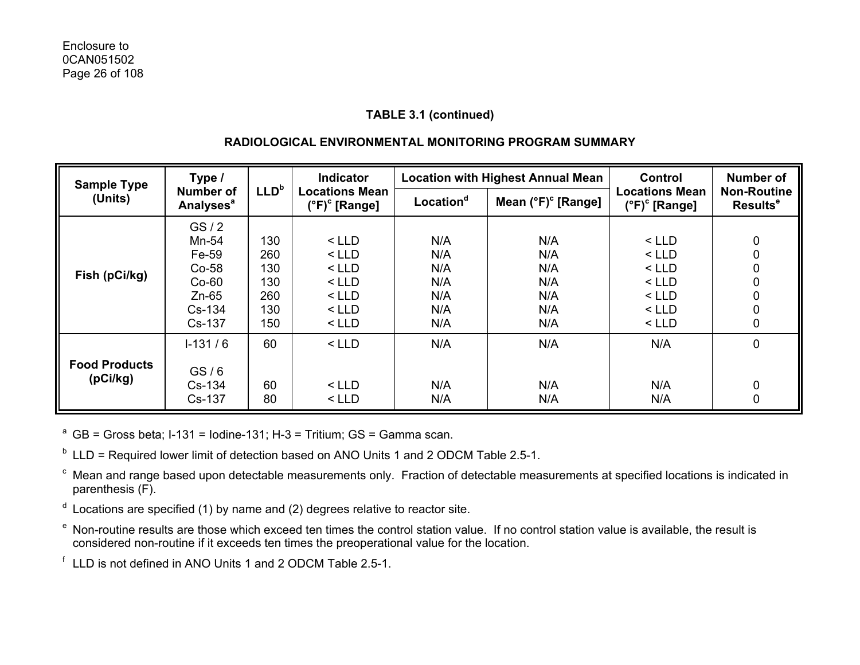## **RADIOLOGICAL ENVIRONMENTAL MONITORING PROGRAM SUMMARY**

| Type /<br><b>Sample Type</b>     |                                                                     | Indicator                              | <b>Location with Highest Annual Mean</b>                       |                                        | Control                                | <b>Number of</b>                                               |                                            |
|----------------------------------|---------------------------------------------------------------------|----------------------------------------|----------------------------------------------------------------|----------------------------------------|----------------------------------------|----------------------------------------------------------------|--------------------------------------------|
| (Units)                          | <b>Number of</b><br><b>Analyses<sup>a</sup></b>                     | LLD <sup>b</sup>                       | <b>Locations Mean</b><br>$(^{\circ}F)^{\circ}$ [Range]         | Location <sup>d</sup>                  | Mean $(^{\circ}F)^{\circ}$ [Range]     | <b>Locations Mean</b><br>$(^{\circ}F)^{\circ}$ [Range]         | <b>Non-Routine</b><br>Results <sup>e</sup> |
| Fish (pCi/kg)                    | GS/2<br>Mn-54<br>Fe-59<br>$Co-58$<br>$Co-60$<br>$Zn-65$<br>$Cs-134$ | 130<br>260<br>130<br>130<br>260<br>130 | $<$ LLD<br>$<$ LLD<br>$<$ LLD<br>$<$ LLD<br>$<$ LLD<br>$<$ LLD | N/A<br>N/A<br>N/A<br>N/A<br>N/A<br>N/A | N/A<br>N/A<br>N/A<br>N/A<br>N/A<br>N/A | $<$ LLD<br>$<$ LLD<br>$<$ LLD<br>$<$ LLD<br>$<$ LLD<br>$<$ LLD | 0<br>0<br>0<br>0<br>0<br>0                 |
|                                  | Cs-137<br>$1-131/6$                                                 | 150<br>60                              | $<$ LLD<br>$<$ LLD                                             | N/A<br>N/A                             | N/A<br>N/A                             | $<$ LLD<br>N/A                                                 | 0<br>0                                     |
| <b>Food Products</b><br>(pCi/kg) | GS/6<br>Cs-134<br>Cs-137                                            | 60<br>80                               | $<$ LLD<br>$<$ LLD                                             | N/A<br>N/A                             | N/A<br>N/A                             | N/A<br>N/A                                                     | 0<br>0                                     |

<sup>a</sup> GB = Gross beta; I-131 = Iodine-131; H-3 = Tritium; GS = Gamma scan.

 $<sup>b</sup>$  LLD = Required lower limit of detection based on ANO Units 1 and 2 ODCM Table 2.5-1.</sup>

c Mean and range based upon detectable measurements only. Fraction of detectable measurements at specified locations is indicated in parenthesis (F).

- $d$  Locations are specified (1) by name and (2) degrees relative to reactor site.
- e Non-routine results are those which exceed ten times the control station value. If no control station value is available, the result is considered non-routine if it exceeds ten times the preoperational value for the location.

f LLD is not defined in ANO Units 1 and 2 ODCM Table 2.5-1.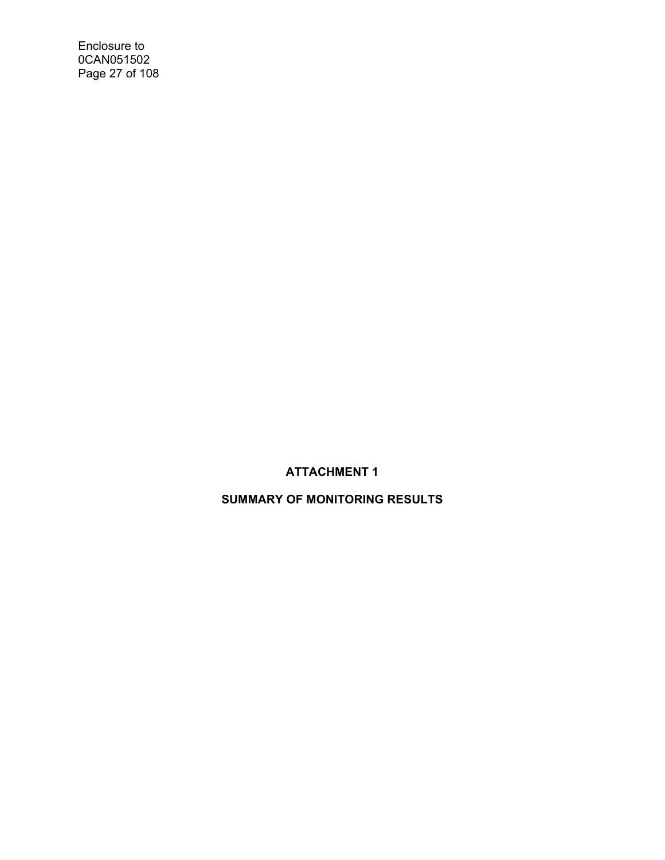Enclosure to 0CAN051502 Page 27 of 108

# **ATTACHMENT 1**

# **SUMMARY OF MONITORING RESULTS**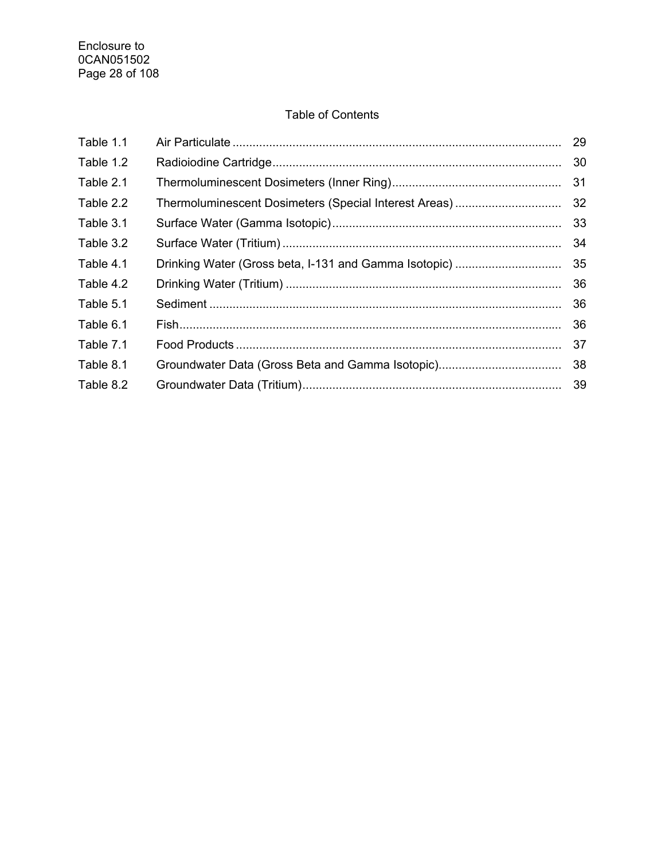# Table of Contents

| Table 1.1 |                                                       | 29 |
|-----------|-------------------------------------------------------|----|
| Table 1.2 |                                                       | 30 |
| Table 2.1 |                                                       | 31 |
| Table 2.2 | Thermoluminescent Dosimeters (Special Interest Areas) | 32 |
| Table 3.1 |                                                       | 33 |
| Table 3.2 |                                                       | 34 |
| Table 4.1 | Drinking Water (Gross beta, I-131 and Gamma Isotopic) | 35 |
| Table 4.2 |                                                       | 36 |
| Table 5.1 |                                                       | 36 |
| Table 6.1 |                                                       | 36 |
| Table 7.1 |                                                       | 37 |
| Table 8.1 |                                                       | 38 |
| Table 8.2 |                                                       |    |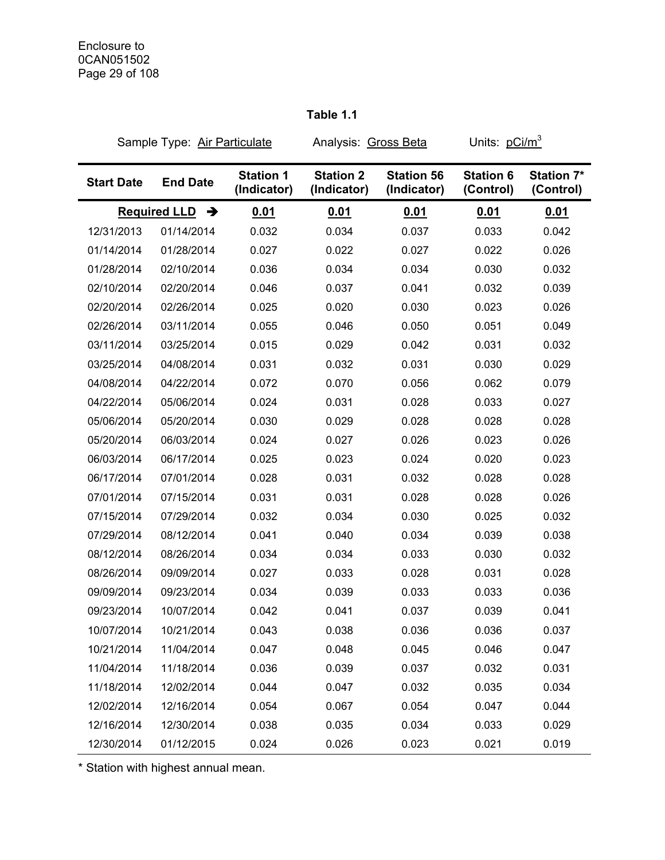# Sample Type: Air Particulate Analysis: Gross Beta Units: pCi/m<sup>3</sup> **Start Date End Date Station 1 (Indicator) Station 2 (Indicator) Station 56 (Indicator) Station 6 (Control) Station 7\* (Control) Required LLD**  $\rightarrow$  **0.01 0.01 0.01 0.01 0.01 0.01** 12/31/2013 01/14/2014 0.032 0.034 0.037 0.033 0.042 01/14/2014 01/28/2014 0.027 0.022 0.027 0.022 0.026 01/28/2014 02/10/2014 0.036 0.034 0.034 0.030 0.032 02/10/2014 02/20/2014 0.046 0.037 0.041 0.032 0.039 02/20/2014 02/26/2014 0.025 0.020 0.030 0.023 0.026 02/26/2014 03/11/2014 0.055 0.046 0.050 0.051 0.049 03/11/2014 03/25/2014 0.015 0.029 0.042 0.031 0.032 03/25/2014 04/08/2014 0.031 0.032 0.031 0.030 0.029 04/08/2014 04/22/2014 0.072 0.070 0.056 0.062 0.079 04/22/2014 05/06/2014 0.024 0.031 0.028 0.033 0.027 05/06/2014 05/20/2014 0.030 0.029 0.028 0.028 0.028 05/20/2014 06/03/2014 0.024 0.027 0.026 0.023 0.026 06/03/2014 06/17/2014 0.025 0.023 0.024 0.020 0.023 06/17/2014 07/01/2014 0.028 0.031 0.032 0.028 0.028 07/01/2014 07/15/2014 0.031 0.031 0.028 0.028 0.026 07/15/2014 07/29/2014 0.032 0.034 0.030 0.025 0.032 07/29/2014 08/12/2014 0.041 0.040 0.034 0.039 0.038 08/12/2014 08/26/2014 0.034 0.034 0.033 0.030 0.032 08/26/2014 09/09/2014 0.027 0.033 0.028 0.031 0.028 09/09/2014 09/23/2014 0.034 0.039 0.033 0.033 0.036 09/23/2014 10/07/2014 0.042 0.041 0.037 0.039 0.041 10/07/2014 10/21/2014 0.043 0.038 0.036 0.036 0.037 10/21/2014 11/04/2014 0.047 0.048 0.045 0.046 0.047 11/04/2014 11/18/2014 0.036 0.039 0.037 0.032 0.031 11/18/2014 12/02/2014 0.044 0.047 0.032 0.035 0.034 12/02/2014 12/16/2014 0.054 0.067 0.054 0.047 0.044 12/16/2014 12/30/2014 0.038 0.035 0.034 0.033 0.029

12/30/2014 01/12/2015 0.024 0.026 0.023 0.021 0.019

#### **Table 1.1**

\* Station with highest annual mean.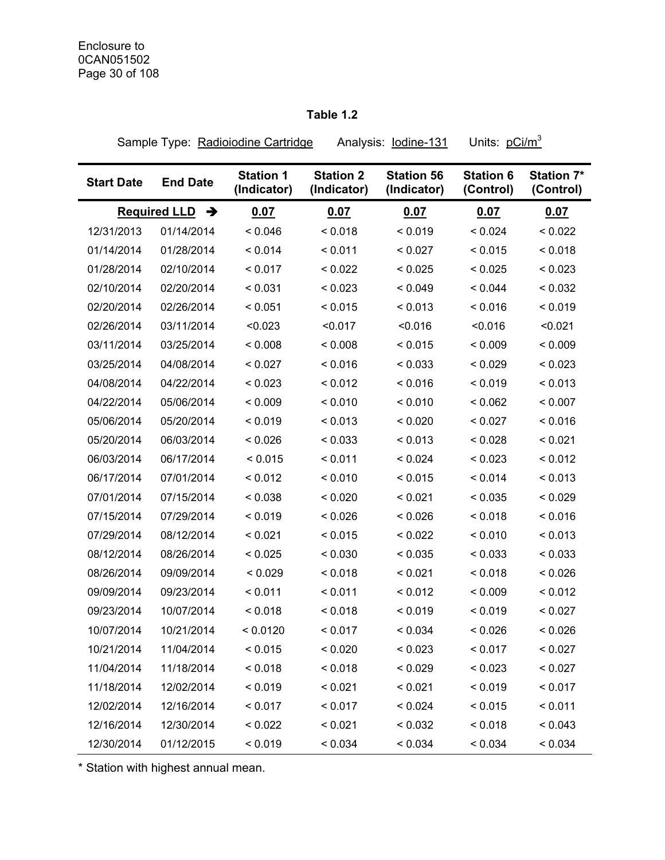# **Table 1.2**

Sample Type: Radioiodine Cartridge Analysis: lodine-131 Units: pCi/m<sup>3</sup>

| <b>Start Date</b> | <b>End Date</b>          | <b>Station 1</b><br>(Indicator) | <b>Station 2</b><br>(Indicator) | <b>Station 56</b><br>(Indicator) | <b>Station 6</b><br>(Control) | <b>Station 7*</b><br>(Control) |
|-------------------|--------------------------|---------------------------------|---------------------------------|----------------------------------|-------------------------------|--------------------------------|
|                   | <b>Required LLD</b><br>→ | 0.07                            | 0.07                            | 0.07                             | 0.07                          | 0.07                           |
| 12/31/2013        | 01/14/2014               | < 0.046                         | < 0.018                         | < 0.019                          | < 0.024                       | < 0.022                        |
| 01/14/2014        | 01/28/2014               | < 0.014                         | < 0.011                         | < 0.027                          | < 0.015                       | < 0.018                        |
| 01/28/2014        | 02/10/2014               | < 0.017                         | < 0.022                         | < 0.025                          | < 0.025                       | < 0.023                        |
| 02/10/2014        | 02/20/2014               | < 0.031                         | < 0.023                         | < 0.049                          | < 0.044                       | < 0.032                        |
| 02/20/2014        | 02/26/2014               | < 0.051                         | < 0.015                         | < 0.013                          | < 0.016                       | < 0.019                        |
| 02/26/2014        | 03/11/2014               | < 0.023                         | < 0.017                         | < 0.016                          | < 0.016                       | < 0.021                        |
| 03/11/2014        | 03/25/2014               | < 0.008                         | < 0.008                         | < 0.015                          | < 0.009                       | < 0.009                        |
| 03/25/2014        | 04/08/2014               | < 0.027                         | < 0.016                         | < 0.033                          | < 0.029                       | < 0.023                        |
| 04/08/2014        | 04/22/2014               | < 0.023                         | < 0.012                         | < 0.016                          | < 0.019                       | < 0.013                        |
| 04/22/2014        | 05/06/2014               | < 0.009                         | < 0.010                         | < 0.010                          | < 0.062                       | < 0.007                        |
| 05/06/2014        | 05/20/2014               | < 0.019                         | < 0.013                         | < 0.020                          | < 0.027                       | < 0.016                        |
| 05/20/2014        | 06/03/2014               | < 0.026                         | < 0.033                         | < 0.013                          | < 0.028                       | < 0.021                        |
| 06/03/2014        | 06/17/2014               | < 0.015                         | < 0.011                         | < 0.024                          | < 0.023                       | < 0.012                        |
| 06/17/2014        | 07/01/2014               | < 0.012                         | < 0.010                         | < 0.015                          | < 0.014                       | < 0.013                        |
| 07/01/2014        | 07/15/2014               | < 0.038                         | < 0.020                         | < 0.021                          | < 0.035                       | < 0.029                        |
| 07/15/2014        | 07/29/2014               | < 0.019                         | < 0.026                         | < 0.026                          | < 0.018                       | < 0.016                        |
| 07/29/2014        | 08/12/2014               | < 0.021                         | < 0.015                         | < 0.022                          | < 0.010                       | < 0.013                        |
| 08/12/2014        | 08/26/2014               | < 0.025                         | < 0.030                         | < 0.035                          | < 0.033                       | < 0.033                        |
| 08/26/2014        | 09/09/2014               | < 0.029                         | < 0.018                         | < 0.021                          | < 0.018                       | < 0.026                        |
| 09/09/2014        | 09/23/2014               | < 0.011                         | < 0.011                         | < 0.012                          | < 0.009                       | < 0.012                        |
| 09/23/2014        | 10/07/2014               | < 0.018                         | < 0.018                         | < 0.019                          | < 0.019                       | < 0.027                        |
| 10/07/2014        | 10/21/2014               | < 0.0120                        | < 0.017                         | < 0.034                          | < 0.026                       | < 0.026                        |
| 10/21/2014        | 11/04/2014               | < 0.015                         | < 0.020                         | < 0.023                          | < 0.017                       | < 0.027                        |
| 11/04/2014        | 11/18/2014               | < 0.018                         | < 0.018                         | < 0.029                          | < 0.023                       | < 0.027                        |
| 11/18/2014        | 12/02/2014               | < 0.019                         | < 0.021                         | < 0.021                          | < 0.019                       | < 0.017                        |
| 12/02/2014        | 12/16/2014               | < 0.017                         | < 0.017                         | < 0.024                          | < 0.015                       | < 0.011                        |
| 12/16/2014        | 12/30/2014               | < 0.022                         | < 0.021                         | < 0.032                          | < 0.018                       | < 0.043                        |
| 12/30/2014        | 01/12/2015               | < 0.019                         | < 0.034                         | < 0.034                          | < 0.034                       | < 0.034                        |

\* Station with highest annual mean.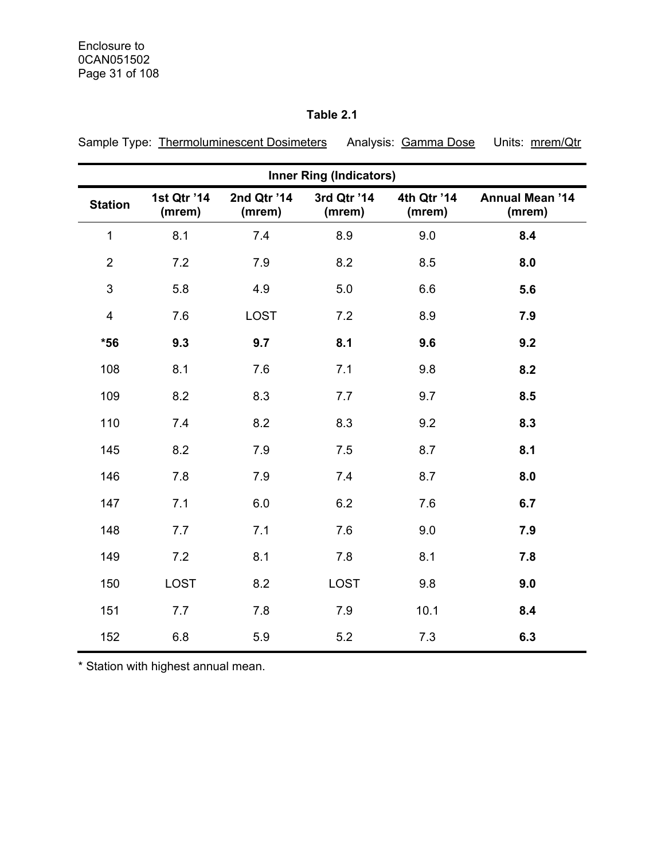# **Table 2.1**

| Sample Type: Thermoluminescent Dosimeters Analysis: Gamma Dose Units: mrem/Qtr |  |  |
|--------------------------------------------------------------------------------|--|--|
|                                                                                |  |  |

| <b>Inner Ring (Indicators)</b> |                       |                       |                       |                       |                                  |  |  |
|--------------------------------|-----------------------|-----------------------|-----------------------|-----------------------|----------------------------------|--|--|
| <b>Station</b>                 | 1st Qtr '14<br>(mrem) | 2nd Qtr '14<br>(mrem) | 3rd Qtr '14<br>(mrem) | 4th Qtr '14<br>(mrem) | <b>Annual Mean '14</b><br>(mrem) |  |  |
| $\mathbf 1$                    | 8.1                   | 7.4                   | 8.9                   | 9.0                   | 8.4                              |  |  |
| $\overline{2}$                 | 7.2                   | 7.9                   | 8.2                   | 8.5                   | 8.0                              |  |  |
| $\mathsf 3$                    | 5.8                   | 4.9                   | 5.0                   | 6.6                   | 5.6                              |  |  |
| 4                              | 7.6                   | <b>LOST</b>           | 7.2                   | 8.9                   | 7.9                              |  |  |
| $*56$                          | 9.3                   | 9.7                   | 8.1                   | 9.6                   | 9.2                              |  |  |
| 108                            | 8.1                   | 7.6                   | 7.1                   | 9.8                   | 8.2                              |  |  |
| 109                            | 8.2                   | 8.3                   | 7.7                   | 9.7                   | 8.5                              |  |  |
| 110                            | 7.4                   | 8.2                   | 8.3                   | 9.2                   | 8.3                              |  |  |
| 145                            | 8.2                   | 7.9                   | 7.5                   | 8.7                   | 8.1                              |  |  |
| 146                            | 7.8                   | 7.9                   | 7.4                   | 8.7                   | 8.0                              |  |  |
| 147                            | 7.1                   | 6.0                   | 6.2                   | 7.6                   | 6.7                              |  |  |
| 148                            | 7.7                   | 7.1                   | 7.6                   | 9.0                   | 7.9                              |  |  |
| 149                            | 7.2                   | 8.1                   | 7.8                   | 8.1                   | 7.8                              |  |  |
| 150                            | <b>LOST</b>           | 8.2                   | <b>LOST</b>           | 9.8                   | 9.0                              |  |  |
| 151                            | 7.7                   | 7.8                   | 7.9                   | 10.1                  | 8.4                              |  |  |
| 152                            | 6.8                   | 5.9                   | 5.2                   | 7.3                   | 6.3                              |  |  |

\* Station with highest annual mean.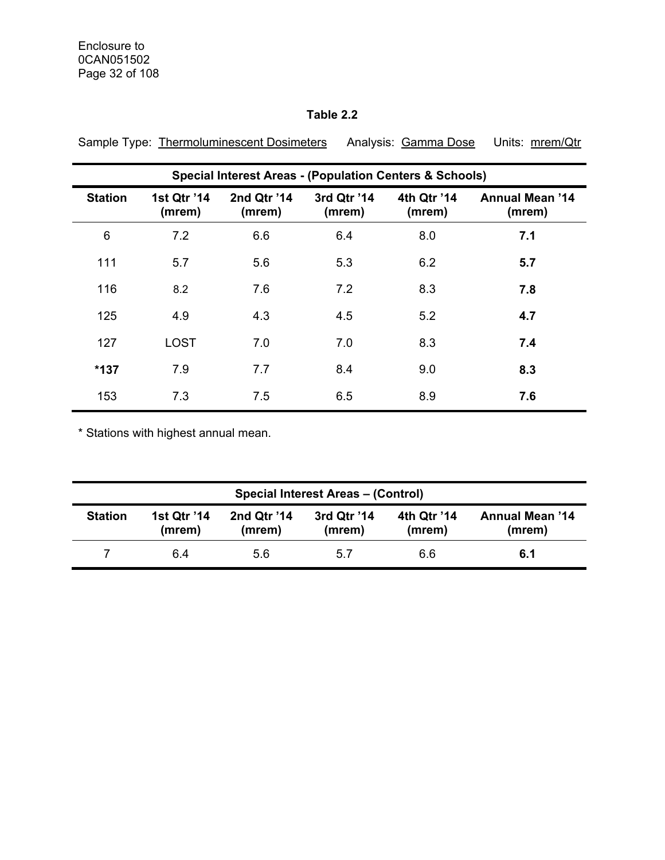# **Table 2.2**

|                | <b>Special Interest Areas - (Population Centers &amp; Schools)</b> |                       |                       |                       |                                  |  |  |  |
|----------------|--------------------------------------------------------------------|-----------------------|-----------------------|-----------------------|----------------------------------|--|--|--|
| <b>Station</b> | 1st Qtr '14<br>(mrem)                                              | 2nd Qtr '14<br>(mrem) | 3rd Qtr '14<br>(mrem) | 4th Qtr '14<br>(mrem) | <b>Annual Mean '14</b><br>(mrem) |  |  |  |
| 6              | 7.2                                                                | 6.6                   | 6.4                   | 8.0                   | 7.1                              |  |  |  |
| 111            | 5.7                                                                | 5.6                   | 5.3                   | 6.2                   | 5.7                              |  |  |  |
| 116            | 8.2                                                                | 7.6                   | 7.2                   | 8.3                   | 7.8                              |  |  |  |
| 125            | 4.9                                                                | 4.3                   | 4.5                   | 5.2                   | 4.7                              |  |  |  |
| 127            | <b>LOST</b>                                                        | 7.0                   | 7.0                   | 8.3                   | 7.4                              |  |  |  |
| $*137$         | 7.9                                                                | 7.7                   | 8.4                   | 9.0                   | 8.3                              |  |  |  |
| 153            | 7.3                                                                | 7.5                   | 6.5                   | 8.9                   | 7.6                              |  |  |  |

Sample Type: Thermoluminescent Dosimeters Analysis: Gamma Dose Units: mrem/Qtr

\* Stations with highest annual mean.

| <b>Special Interest Areas - (Control)</b> |                              |                       |                       |                       |                                  |  |
|-------------------------------------------|------------------------------|-----------------------|-----------------------|-----------------------|----------------------------------|--|
| <b>Station</b>                            | <b>1st Qtr '14</b><br>(mrem) | 2nd Qtr '14<br>(mrem) | 3rd Qtr '14<br>(mrem) | 4th Qtr '14<br>(mrem) | <b>Annual Mean '14</b><br>(mrem) |  |
|                                           | 6.4                          | 5.6                   | 5.7                   | 6.6                   | 6.1                              |  |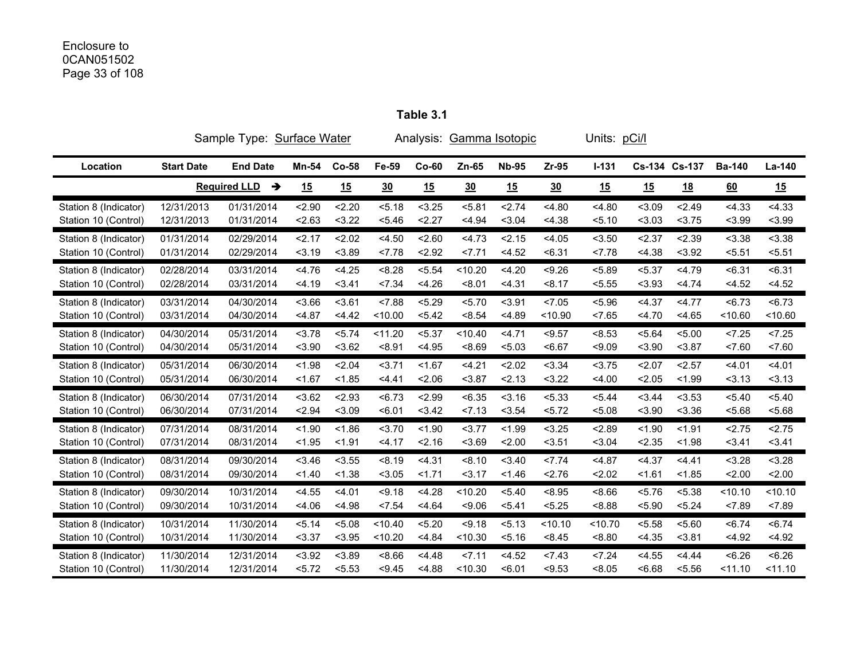# Enclosure to 0CAN051502 Page 33 of 108

|                       | Sample Type: Surface Water | Analysis: Gamma Isotopic |        |         |         |         | Units: pCi/l |              |         |         |               |           |               |         |
|-----------------------|----------------------------|--------------------------|--------|---------|---------|---------|--------------|--------------|---------|---------|---------------|-----------|---------------|---------|
| Location              | <b>Start Date</b>          | <b>End Date</b>          | Mn-54  | $Co-58$ | Fe-59   | $Co-60$ | Zn-65        | <b>Nb-95</b> | $Zr-95$ | $I-131$ | Cs-134 Cs-137 |           | <b>Ba-140</b> | La-140  |
|                       |                            | <b>Required LLD</b><br>→ | 15     | 15      | 30      | 15      | 30           | 15           | 30      | 15      | 15            | <u>18</u> | 60            | 15      |
| Station 8 (Indicator) | 12/31/2013                 | 01/31/2014               | < 2.90 | 2.20    | 5.18    | < 3.25  | 5.81         | 2.74         | < 4.80  | < 4.80  | < 3.09        | 2.49      | < 4.33        | < 4.33  |
| Station 10 (Control)  | 12/31/2013                 | 01/31/2014               | 2.63   | < 3.22  | < 5.46  | 2.27    | < 4.94       | < 3.04       | < 4.38  | 5.10    | < 3.03        | < 3.75    | < 3.99        | < 3.99  |
| Station 8 (Indicator) | 01/31/2014                 | 02/29/2014               | 2.17   | 2.02    | < 4.50  | 2.60    | 4.73         | 2.15         | < 4.05  | < 3.50  | 2.37          | 2.39      | < 3.38        | < 3.38  |
| Station 10 (Control)  | 01/31/2014                 | 02/29/2014               | 3.19   | < 3.89  | 27.78   | 2.92    | 27.71        | < 4.52       | < 6.31  | < 7.78  | < 4.38        | < 3.92    | 5.51          | < 5.51  |
| Station 8 (Indicator) | 02/28/2014                 | 03/31/2014               | 4.76   | < 4.25  | < 8.28  | < 5.54  | < 10.20      | 4.20         | < 9.26  | < 5.89  | < 5.37        | 4.79      | < 6.31        | < 6.31  |
| Station 10 (Control)  | 02/28/2014                 | 03/31/2014               | < 4.19 | < 3.41  | 27.34   | < 4.26  | < 8.01       | < 4.31       | < 8.17  | < 5.55  | < 3.93        | 4.74      | < 4.52        | < 4.52  |
| Station 8 (Indicator) | 03/31/2014                 | 04/30/2014               | 3.66   | 3.61    | < 7.88  | < 5.29  | 5.70         | < 3.91       | < 7.05  | < 5.96  | < 4.37        | 4.77      | < 6.73        | < 6.73  |
| Station 10 (Control)  | 03/31/2014                 | 04/30/2014               | < 4.87 | 4.42    | < 10.00 | < 5.42  | < 8.54       | < 4.89       | < 10.90 | 27.65   | 4.70          | < 4.65    | < 10.60       | < 10.60 |
| Station 8 (Indicator) | 04/30/2014                 | 05/31/2014               | < 3.78 | < 5.74  | < 11.20 | < 5.37  | < 10.40      | < 4.71       | < 9.57  | < 8.53  | < 5.64        | < 5.00    | 25            | 25      |
| Station 10 (Control)  | 04/30/2014                 | 05/31/2014               | $3.90$ | < 3.62  | < 8.91  | < 4.95  | < 8.69       | < 5.03       | < 6.67  | < 9.09  | < 3.90        | < 3.87    | 27.60         | 27.60   |
| Station 8 (Indicator) | 05/31/2014                 | 06/30/2014               | < 1.98 | 2.04    | 3.71    | < 1.67  | 4.21         | 2.02         | < 3.34  | < 3.75  | 2.07          | < 2.57    | 4.01          | < 4.01  |
| Station 10 (Control)  | 05/31/2014                 | 06/30/2014               | 1.67   | < 1.85  | 4.41    | 2.06    | $3.87$       | 2.13         | < 3.22  | 4.00    | 2.05          | < 1.99    | 3.13          | 3.13    |
| Station 8 (Indicator) | 06/30/2014                 | 07/31/2014               | 3.62   | < 2.93  | < 6.73  | < 2.99  | < 6.35       | 3.16         | < 5.33  | < 5.44  | 3.44          | < 3.53    | < 5.40        | < 5.40  |
| Station 10 (Control)  | 06/30/2014                 | 07/31/2014               | < 2.94 | < 3.09  | < 6.01  | < 3.42  | 27.13        | < 3.54       | < 5.72  | < 5.08  | < 3.90        | 3.36      | 5.68          | < 5.68  |
| Station 8 (Indicator) | 07/31/2014                 | 08/31/2014               | < 1.90 | < 1.86  | 3.70    | < 1.90  | 3.77         | < 1.99       | < 3.25  | 2.89    | < 1.90        | < 1.91    | 2.75          | 2.75    |
| Station 10 (Control)  | 07/31/2014                 | 08/31/2014               | < 1.95 | < 1.91  | 4.17    | 2.16    | < 3.69       | 2.00         | < 3.51  | < 3.04  | < 2.35        | < 1.98    | 3.41          | < 3.41  |
| Station 8 (Indicator) | 08/31/2014                 | 09/30/2014               | 3.46   | < 3.55  | < 8.19  | < 4.31  | < 8.10       | < 3.40       | 27.74   | < 4.87  | < 4.37        | 4.41      | < 3.28        | < 3.28  |
| Station 10 (Control)  | 08/31/2014                 | 09/30/2014               | 1.40   | < 1.38  | < 3.05  | 1.71    | 3.17         | < 1.46       | 2.76    | 2.02    | < 1.61        | < 1.85    | 2.00          | 2.00    |
| Station 8 (Indicator) | 09/30/2014                 | 10/31/2014               | < 4.55 | < 4.01  | < 9.18  | < 4.28  | < 10.20      | < 5.40       | < 8.95  | 8.66    | < 5.76        | < 5.38    | < 10.10       | < 10.10 |
| Station 10 (Control)  | 09/30/2014                 | 10/31/2014               | 4.06   | < 4.98  | 27.54   | 4.64    | < 9.06       | < 5.41       | < 5.25  | < 8.88  | < 5.90        | < 5.24    | < 7.89        | 27.89   |
| Station 8 (Indicator) | 10/31/2014                 | 11/30/2014               | < 5.14 | < 5.08  | < 10.40 | < 5.20  | < 9.18       | 5.13         | < 10.10 | < 10.70 | < 5.58        | 5.60      | < 6.74        | < 6.74  |
| Station 10 (Control)  | 10/31/2014                 | 11/30/2014               | < 3.37 | < 3.95  | < 10.20 | < 4.84  | < 10.30      | 5.16         | < 8.45  | < 8.80  | < 4.35        | < 3.81    | < 4.92        | < 4.92  |
| Station 8 (Indicator) | 11/30/2014                 | 12/31/2014               | < 3.92 | < 3.89  | 8.66    | < 4.48  | 27.11        | < 4.52       | 27.43   | 27.24   | < 4.55        | 4.44      | < 6.26        | <6.26   |
| Station 10 (Control)  | 11/30/2014                 | 12/31/2014               | 5.72   | < 5.53  | < 9.45  | < 4.88  | < 10.30      | < 6.01       | < 9.53  | < 8.05  | <6.68         | < 5.56    | < 11.10       | < 11.10 |

**Table 3.1**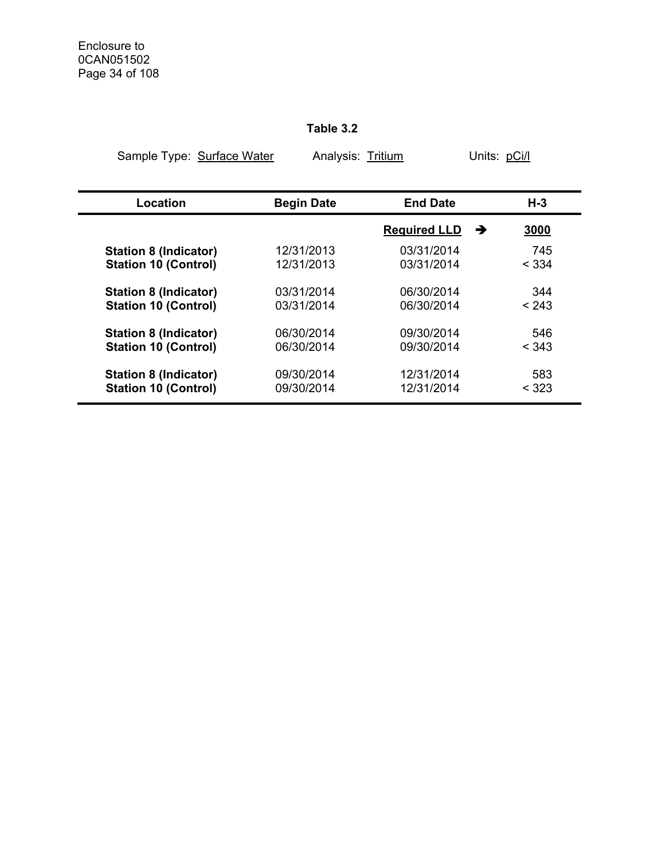#### **Table 3.2**

| Sample Type: Surface Water   | Analysis: Tritium |                     | Units: pCi/l |       |  |
|------------------------------|-------------------|---------------------|--------------|-------|--|
| Location                     | <b>Begin Date</b> | <b>End Date</b>     |              | H-3   |  |
|                              |                   |                     |              |       |  |
|                              |                   | <b>Required LLD</b> | →            | 3000  |  |
| <b>Station 8 (Indicator)</b> | 12/31/2013        | 03/31/2014          |              | 745   |  |
| <b>Station 10 (Control)</b>  | 12/31/2013        | 03/31/2014          |              | < 334 |  |
| <b>Station 8 (Indicator)</b> | 03/31/2014        | 06/30/2014          |              | 344   |  |
| <b>Station 10 (Control)</b>  | 03/31/2014        | 06/30/2014          |              | < 243 |  |
| <b>Station 8 (Indicator)</b> | 06/30/2014        | 09/30/2014          |              | 546   |  |
| <b>Station 10 (Control)</b>  | 06/30/2014        | 09/30/2014          |              | < 343 |  |
| <b>Station 8 (Indicator)</b> | 09/30/2014        | 12/31/2014          |              | 583   |  |
| <b>Station 10 (Control)</b>  | 09/30/2014        | 12/31/2014          |              | < 323 |  |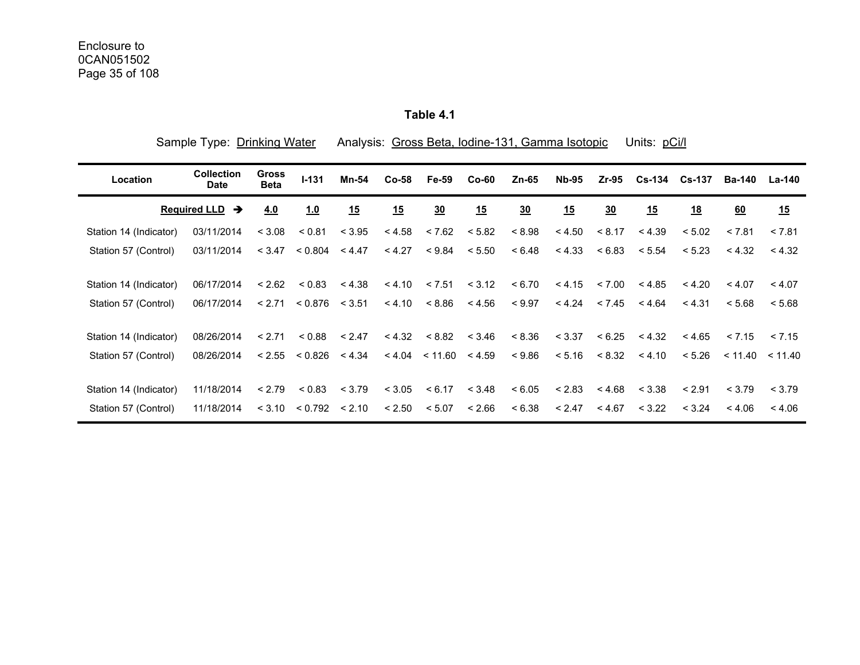**Table 4.1** 

|                        | Sample Type: Drinking Water          |                             |           | Analysis: Gross Beta, Iodine-131, Gamma Isotopic<br>Units: pCi/l |         |                    |         |                |              |        |        |           |               |                     |
|------------------------|--------------------------------------|-----------------------------|-----------|------------------------------------------------------------------|---------|--------------------|---------|----------------|--------------|--------|--------|-----------|---------------|---------------------|
| Location               | <b>Collection</b><br><b>Date</b>     | <b>Gross</b><br><b>Beta</b> | $I - 131$ | Mn-54                                                            | $Co-58$ | Fe-59              | $Co-60$ | Zn-65          | <b>Nb-95</b> | Zr-95  | Cs-134 | Cs-137    | <b>Ba-140</b> | La-140              |
|                        | <b>Required LLD</b><br>$\rightarrow$ | 4.0                         | 1.0       | 15                                                               | 15      | $\underline{30}$   | 15      | $\frac{30}{2}$ | 15           | 30     | 15     | <u>18</u> | 60            | 15                  |
| Station 14 (Indicator) | 03/11/2014                           | < 3.08                      | < 0.81    | < 3.95                                                           | < 4.58  | < 7.62             | < 5.82  | < 8.98         | < 4.50       | < 8.17 | < 4.39 | < 5.02    | < 7.81        | < 7.81              |
| Station 57 (Control)   | 03/11/2014                           | < 3.47                      | < 0.804   | < 4.47                                                           | < 4.27  | < 9.84             | < 5.50  | < 6.48         | < 4.33       | < 6.83 | < 5.54 | < 5.23    | < 4.32        | < 4.32              |
| Station 14 (Indicator) | 06/17/2014                           | < 2.62                      | < 0.83    | < 4.38                                                           | < 4.10  | < 7.51             | < 3.12  | < 6.70         | < 4.15       | < 7.00 | < 4.85 | < 4.20    | < 4.07        | < 4.07              |
| Station 57 (Control)   | 06/17/2014                           | < 2.71                      | < 0.876   | < 3.51                                                           | < 4.10  | < 8.86             | < 4.56  | < 9.97         | < 4.24       | < 7.45 | < 4.64 | < 4.31    | < 5.68        | < 5.68              |
| Station 14 (Indicator) | 08/26/2014                           | < 2.71                      | < 0.88    | < 2.47                                                           | < 4.32  | < 8.82             | < 3.46  | < 8.36         | < 3.37       | < 6.25 | < 4.32 | < 4.65    | < 7.15        | < 7.15              |
| Station 57 (Control)   | 08/26/2014                           | < 2.55                      | < 0.826   | < 4.34                                                           |         | $< 4.04$ $< 11.60$ | < 4.59  | < 9.86         | < 5.16       | < 8.32 | < 4.10 | < 5.26    |               | $< 11.40 \le 11.40$ |
| Station 14 (Indicator) | 11/18/2014                           | < 2.79                      | < 0.83    | < 3.79                                                           | < 3.05  | < 6.17             | < 3.48  | < 6.05         | < 2.83       | < 4.68 | < 3.38 | < 2.91    | < 3.79        | < 3.79              |
| Station 57 (Control)   | 11/18/2014                           | < 3.10                      | < 0.792   | < 2.10                                                           | < 2.50  | < 5.07             | < 2.66  | < 6.38         | < 2.47       | < 4.67 | < 3.22 | < 3.24    | < 4.06        | < 4.06              |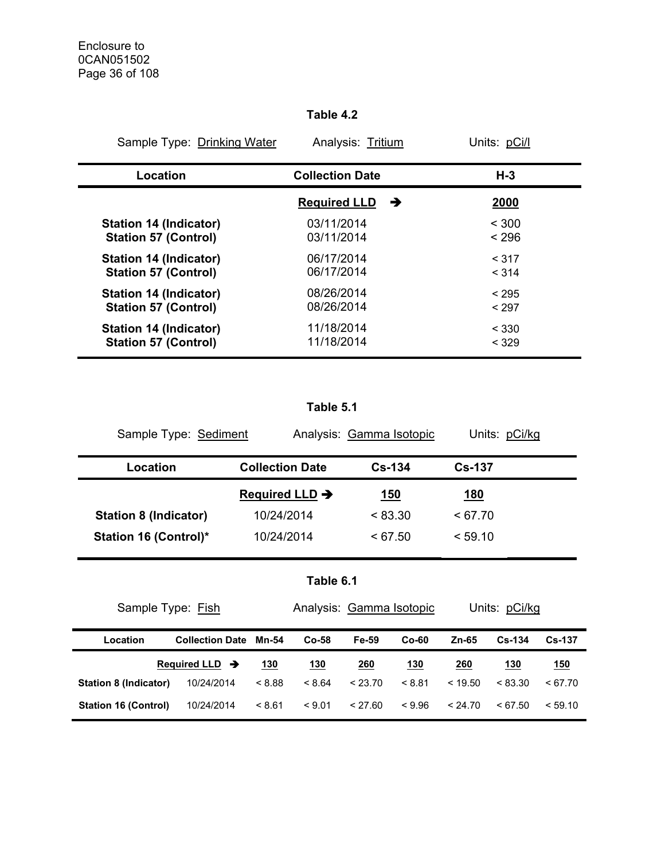#### **Table 4.2**

| Sample Type: Drinking Water   | Analysis: Tritium        | Units: pCi/l |
|-------------------------------|--------------------------|--------------|
| Location                      | <b>Collection Date</b>   | $H-3$        |
|                               | <b>Required LLD</b><br>→ | 2000         |
| <b>Station 14 (Indicator)</b> | 03/11/2014               | < 300        |
| <b>Station 57 (Control)</b>   | 03/11/2014               | < 296        |
| <b>Station 14 (Indicator)</b> | 06/17/2014               | < 317        |
| <b>Station 57 (Control)</b>   | 06/17/2014               | < 314        |
| <b>Station 14 (Indicator)</b> | 08/26/2014               | < 295        |
| <b>Station 57 (Control)</b>   | 08/26/2014               | < 297        |
| <b>Station 14 (Indicator)</b> | 11/18/2014               | < 330        |
| <b>Station 57 (Control)</b>   | 11/18/2014               | < 329        |

#### **Table 5.1**

| Sample Type: Sediment        |                            | Analysis: Gamma Isotopic | Units: pCi/kg |  |
|------------------------------|----------------------------|--------------------------|---------------|--|
| Location                     | <b>Collection Date</b>     | $Cs - 134$               | <b>Cs-137</b> |  |
|                              | Required LLD $\rightarrow$ | <u>150</u>               | <u> 180</u>   |  |
| <b>Station 8 (Indicator)</b> | 10/24/2014                 | < 83.30                  | < 67.70       |  |
| <b>Station 16 (Control)*</b> | 10/24/2014                 | < 67.50                  | < 59.10       |  |

```
Table 6.1
```

| Sample Type: Fish           |                            |         | Analysis: Gamma Isotopic |            |            | Units: pCi/kg |               |            |  |
|-----------------------------|----------------------------|---------|--------------------------|------------|------------|---------------|---------------|------------|--|
| Location                    | <b>Collection Date</b>     | $Co-58$ | Fe-59                    | $Co-60$    | Zn-65      | $Cs - 134$    | <b>Cs-137</b> |            |  |
|                             | Required LLD $\rightarrow$ | 130     | <u>130</u>               | <u>260</u> | <u>130</u> | 260           | <u> 130</u>   | <u>150</u> |  |
| Station 8 (Indicator)       | 10/24/2014                 | < 8.88  | < 8.64                   | < 23.70    | < 8.81     | < 19.50       | < 83.30       | < 67.70    |  |
| <b>Station 16 (Control)</b> | 10/24/2014                 | < 8.61  | < 9.01                   | < 27.60    | < 9.96     | < 24.70       | < 67.50       | < 59.10    |  |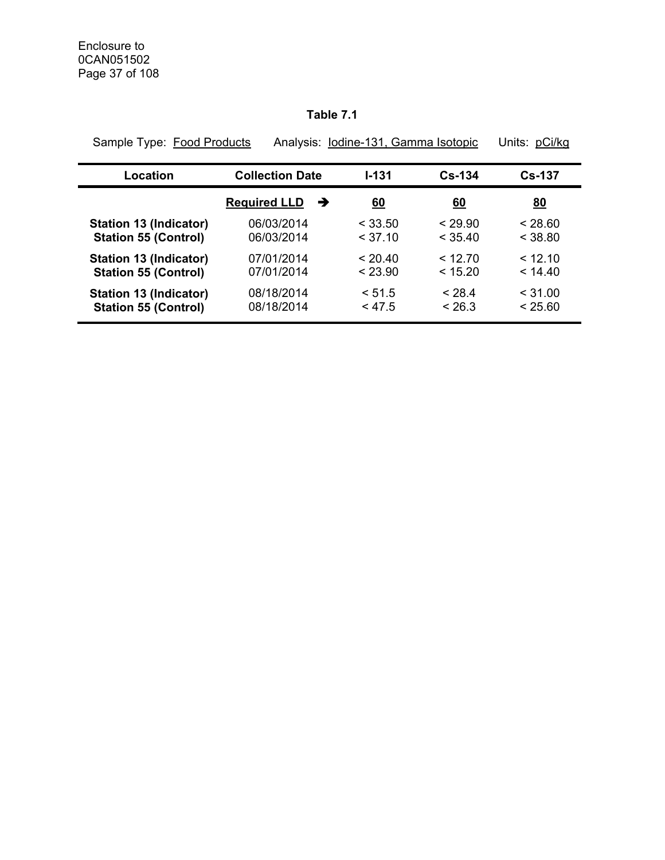#### **Table 7.1**

| Sample Type: Food Products    |                          | Analysis: Iodine-131, Gamma Isotopic |            | Units: pCi/kg |
|-------------------------------|--------------------------|--------------------------------------|------------|---------------|
| Location                      | <b>Collection Date</b>   | $1 - 131$                            | $Cs - 134$ | $Cs-137$      |
|                               | <b>Required LLD</b><br>→ | <u>60</u>                            | <u>60</u>  | <u>80</u>     |
| <b>Station 13 (Indicator)</b> | 06/03/2014               | < 33.50                              | < 29.90    | < 28.60       |
| <b>Station 55 (Control)</b>   | 06/03/2014               | < 37.10                              | < 35.40    | < 38.80       |
| <b>Station 13 (Indicator)</b> | 07/01/2014               | < 20.40                              | < 12.70    | < 12.10       |
| <b>Station 55 (Control)</b>   | 07/01/2014               | < 23.90                              | < 15.20    | < 14.40       |
| <b>Station 13 (Indicator)</b> | 08/18/2014               | < 51.5                               | < 28.4     | $<$ 31.00     |
| <b>Station 55 (Control)</b>   | 08/18/2014               | < 47.5                               | < 26.3     | < 25.60       |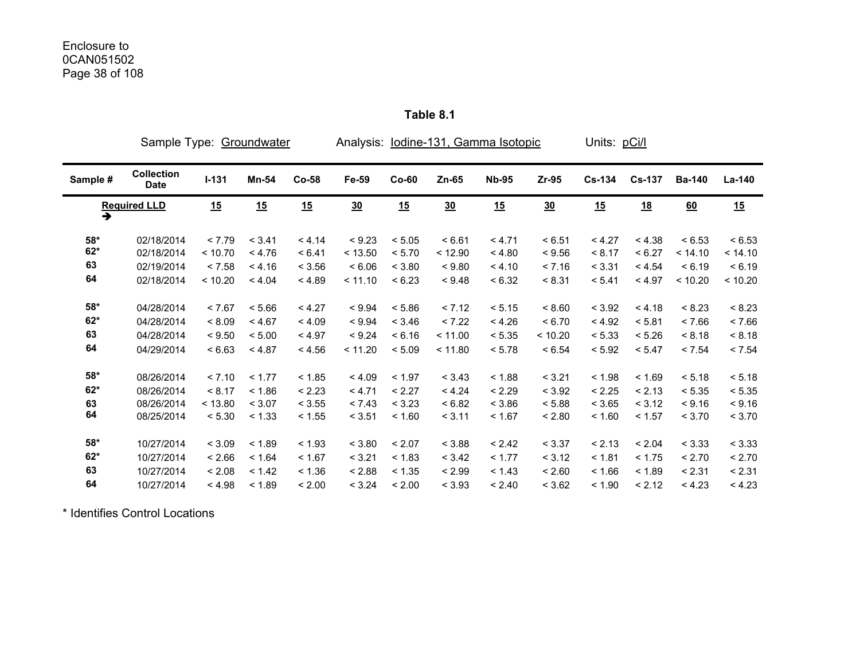|                      | Sample Type: Groundwater         |         |              |         | Analysis: lodine-131, Gamma Isotopic |         |         |              |         | Units: pCi/l  |               |               |         |
|----------------------|----------------------------------|---------|--------------|---------|--------------------------------------|---------|---------|--------------|---------|---------------|---------------|---------------|---------|
| Sample #             | <b>Collection</b><br><b>Date</b> | $I-131$ | <b>Mn-54</b> | $Co-58$ | Fe-59                                | $Co-60$ | $Zn-65$ | <b>Nb-95</b> | Zr-95   | <b>Cs-134</b> | <b>Cs-137</b> | <b>Ba-140</b> | La-140  |
| $\overline{\bullet}$ | <b>Required LLD</b>              | 15      | 15           | 15      | 30                                   | 15      | 30      | 15           | 30      | 15            | <u>18</u>     | 60            | 15      |
| $58*$                | 02/18/2014                       | < 7.79  | < 3.41       | < 4.14  | < 9.23                               | < 5.05  | < 6.61  | < 4.71       | < 6.51  | < 4.27        | < 4.38        | < 6.53        | < 6.53  |
| $62*$                | 02/18/2014                       | < 10.70 | < 4.76       | < 6.41  | < 13.50                              | < 5.70  | < 12.90 | < 4.80       | < 9.56  | < 8.17        | < 6.27        | < 14.10       | < 14.10 |
| 63                   | 02/19/2014                       | < 7.58  | < 4.16       | < 3.56  | < 6.06                               | < 3.80  | < 9.80  | < 4.10       | < 7.16  | < 3.31        | < 4.54        | < 6.19        | < 6.19  |
| 64                   | 02/18/2014                       | < 10.20 | < 4.04       | < 4.89  | < 11.10                              | < 6.23  | < 9.48  | < 6.32       | < 8.31  | < 5.41        | < 4.97        | < 10.20       | < 10.20 |
| $58*$                | 04/28/2014                       | < 7.67  | < 5.66       | < 4.27  | < 9.94                               | < 5.86  | < 7.12  | < 5.15       | < 8.60  | < 3.92        | < 4.18        | < 8.23        | < 8.23  |
| $62*$                | 04/28/2014                       | < 8.09  | < 4.67       | < 4.09  | < 9.94                               | < 3.46  | < 7.22  | < 4.26       | < 6.70  | < 4.92        | < 5.81        | < 7.66        | < 7.66  |
| 63                   | 04/28/2014                       | < 9.50  | < 5.00       | < 4.97  | < 9.24                               | < 6.16  | < 11.00 | < 5.35       | < 10.20 | < 5.33        | < 5.26        | < 8.18        | < 8.18  |
| 64                   | 04/29/2014                       | < 6.63  | < 4.87       | < 4.56  | < 11.20                              | < 5.09  | < 11.80 | < 5.78       | < 6.54  | < 5.92        | < 5.47        | < 7.54        | < 7.54  |
| $58*$                | 08/26/2014                       | < 7.10  | < 1.77       | < 1.85  | < 4.09                               | < 1.97  | < 3.43  | < 1.88       | < 3.21  | < 1.98        | < 1.69        | < 5.18        | < 5.18  |
| $62*$                | 08/26/2014                       | < 8.17  | < 1.86       | < 2.23  | < 4.71                               | < 2.27  | < 4.24  | < 2.29       | < 3.92  | < 2.25        | < 2.13        | < 5.35        | < 5.35  |
| 63                   | 08/26/2014                       | < 13.80 | < 3.07       | < 3.55  | < 7.43                               | < 3.23  | < 6.82  | < 3.86       | < 5.88  | < 3.65        | < 3.12        | < 9.16        | < 9.16  |
| 64                   | 08/25/2014                       | < 5.30  | < 1.33       | < 1.55  | < 3.51                               | < 1.60  | < 3.11  | < 1.67       | < 2.80  | < 1.60        | < 1.57        | < 3.70        | < 3.70  |
| $58*$                | 10/27/2014                       | < 3.09  | < 1.89       | < 1.93  | < 3.80                               | < 2.07  | < 3.88  | < 2.42       | < 3.37  | < 2.13        | < 2.04        | < 3.33        | < 3.33  |
| $62*$                | 10/27/2014                       | < 2.66  | < 1.64       | < 1.67  | < 3.21                               | < 1.83  | < 3.42  | < 1.77       | < 3.12  | < 1.81        | < 1.75        | < 2.70        | < 2.70  |
| 63                   | 10/27/2014                       | < 2.08  | < 1.42       | < 1.36  | < 2.88                               | < 1.35  | < 2.99  | < 1.43       | < 2.60  | < 1.66        | < 1.89        | < 2.31        | < 2.31  |
| 64                   | 10/27/2014                       | < 4.98  | < 1.89       | < 2.00  | < 3.24                               | < 2.00  | < 3.93  | < 2.40       | < 3.62  | < 1.90        | < 2.12        | < 4.23        | < 4.23  |

**Table 8.1** 

\* Identifies Control Locations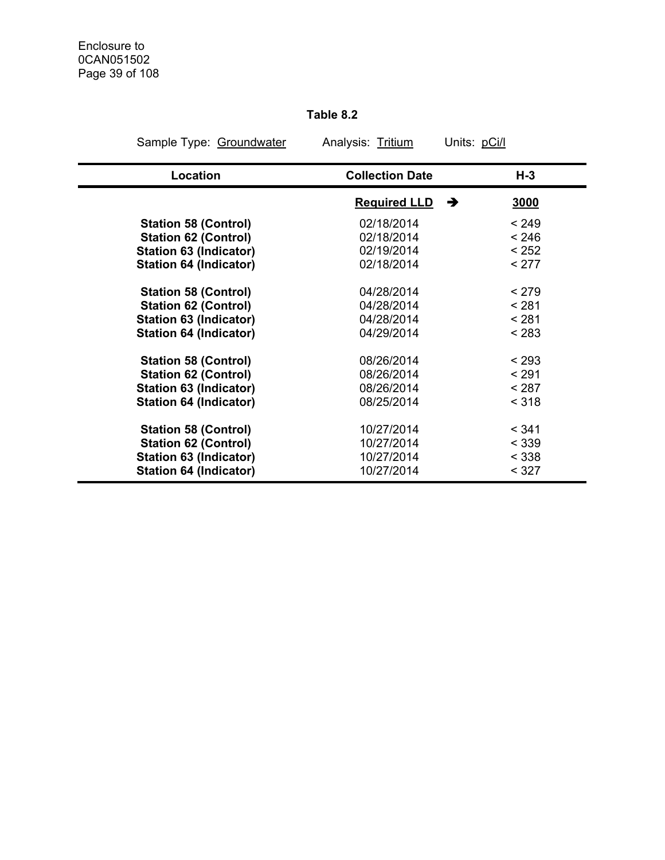#### **Table 8.2**

| Sample Type: Groundwater      | Analysis: Tritium      | Units: pCi/l |
|-------------------------------|------------------------|--------------|
| Location                      | <b>Collection Date</b> | $H-3$        |
|                               | <b>Required LLD</b>    | →<br>3000    |
| <b>Station 58 (Control)</b>   | 02/18/2014             | < 249        |
| <b>Station 62 (Control)</b>   | 02/18/2014             | < 246        |
| <b>Station 63 (Indicator)</b> | 02/19/2014             | < 252        |
| <b>Station 64 (Indicator)</b> | 02/18/2014             | < 277        |
| <b>Station 58 (Control)</b>   | 04/28/2014             | < 279        |
| <b>Station 62 (Control)</b>   | 04/28/2014             | < 281        |
| <b>Station 63 (Indicator)</b> | 04/28/2014             | < 281        |
| <b>Station 64 (Indicator)</b> | 04/29/2014             | < 283        |
| <b>Station 58 (Control)</b>   | 08/26/2014             | < 293        |
| <b>Station 62 (Control)</b>   | 08/26/2014             | < 291        |
| Station 63 (Indicator)        | 08/26/2014             | < 287        |
| <b>Station 64 (Indicator)</b> | 08/25/2014             | < 318        |
| <b>Station 58 (Control)</b>   | 10/27/2014             | < 341        |
| <b>Station 62 (Control)</b>   | 10/27/2014             | < 339        |
| <b>Station 63 (Indicator)</b> | 10/27/2014             | < 338        |
| <b>Station 64 (Indicator)</b> | 10/27/2014             | < 327        |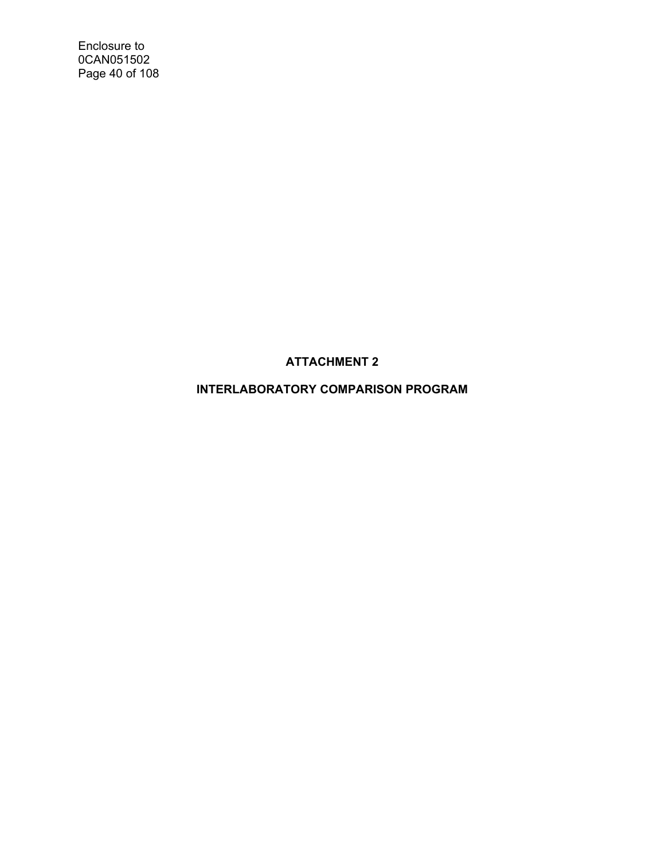Enclosure to 0CAN051502 Page 40 of 108

**ATTACHMENT 2** 

**INTERLABORATORY COMPARISON PROGRAM**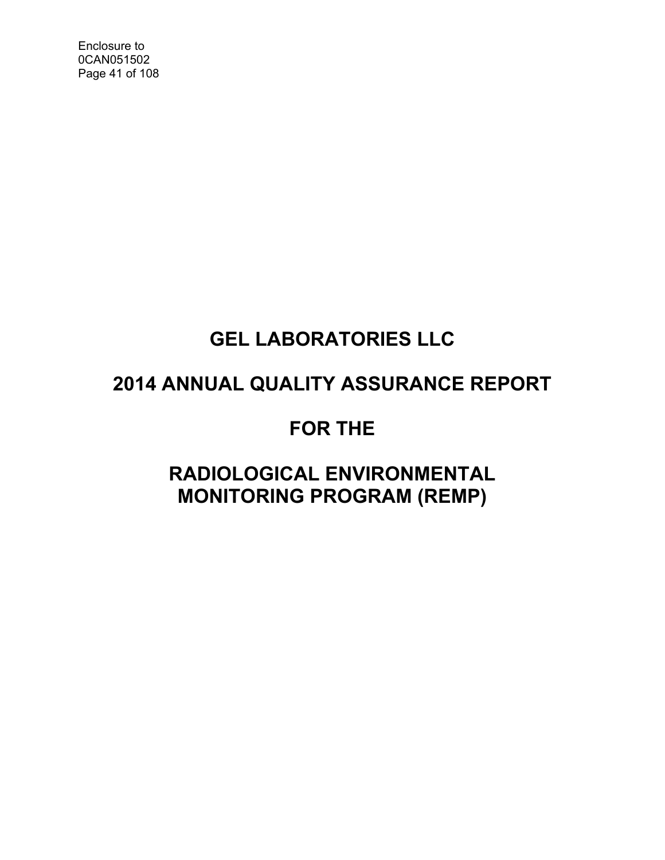Enclosure to 0CAN051502 Page 41 of 108

## **GEL LABORATORIES LLC**

## **2014 ANNUAL QUALITY ASSURANCE REPORT**

## **FOR THE**

## **RADIOLOGICAL ENVIRONMENTAL MONITORING PROGRAM (REMP)**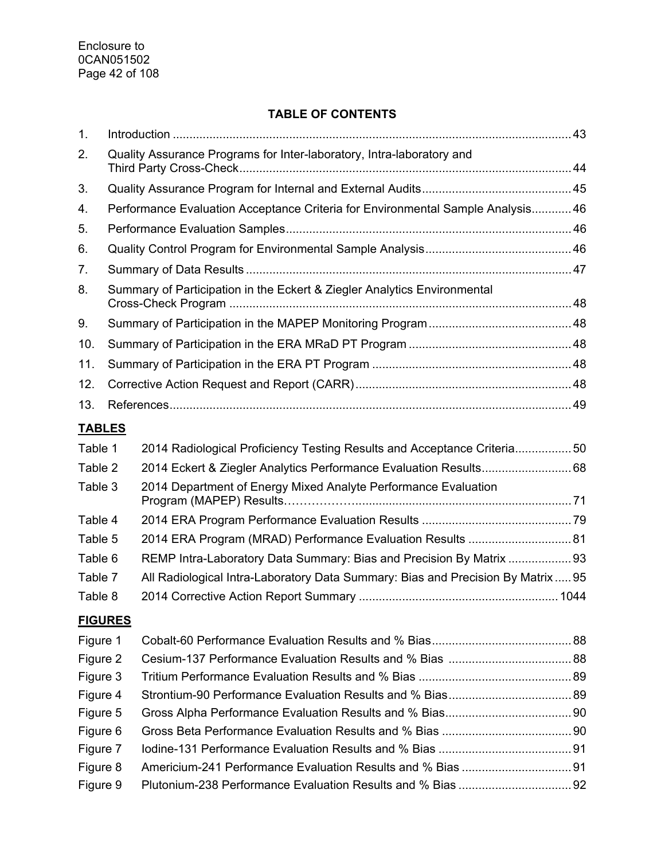#### **TABLE OF CONTENTS**

| 1.             |                                                                                  |  |
|----------------|----------------------------------------------------------------------------------|--|
| 2.             | Quality Assurance Programs for Inter-laboratory, Intra-laboratory and            |  |
| 3.             |                                                                                  |  |
| 4.             | Performance Evaluation Acceptance Criteria for Environmental Sample Analysis 46  |  |
| 5.             |                                                                                  |  |
| 6.             |                                                                                  |  |
| 7.             |                                                                                  |  |
| 8.             | Summary of Participation in the Eckert & Ziegler Analytics Environmental         |  |
| 9.             |                                                                                  |  |
| 10.            |                                                                                  |  |
| 11.            |                                                                                  |  |
| 12.            |                                                                                  |  |
| 13.            |                                                                                  |  |
| <b>TABLES</b>  |                                                                                  |  |
| Table 1        | 2014 Radiological Proficiency Testing Results and Acceptance Criteria50          |  |
| Table 2        | 2014 Eckert & Ziegler Analytics Performance Evaluation Results 68                |  |
| Table 3        | 2014 Department of Energy Mixed Analyte Performance Evaluation                   |  |
| Table 4        |                                                                                  |  |
| Table 5        | 2014 ERA Program (MRAD) Performance Evaluation Results  81                       |  |
| Table 6        | REMP Intra-Laboratory Data Summary: Bias and Precision By Matrix 93              |  |
| Table 7        | All Radiological Intra-Laboratory Data Summary: Bias and Precision By Matrix  95 |  |
| Table 8        |                                                                                  |  |
| <b>FIGURES</b> |                                                                                  |  |
| Figure 1       |                                                                                  |  |
| Figure 2       |                                                                                  |  |
| Figure 3       |                                                                                  |  |
| Figure 4       |                                                                                  |  |
| Figure 5       |                                                                                  |  |
| Figure 6       |                                                                                  |  |
| Figure 7       |                                                                                  |  |
| Figure 8       |                                                                                  |  |
| Figure 9       |                                                                                  |  |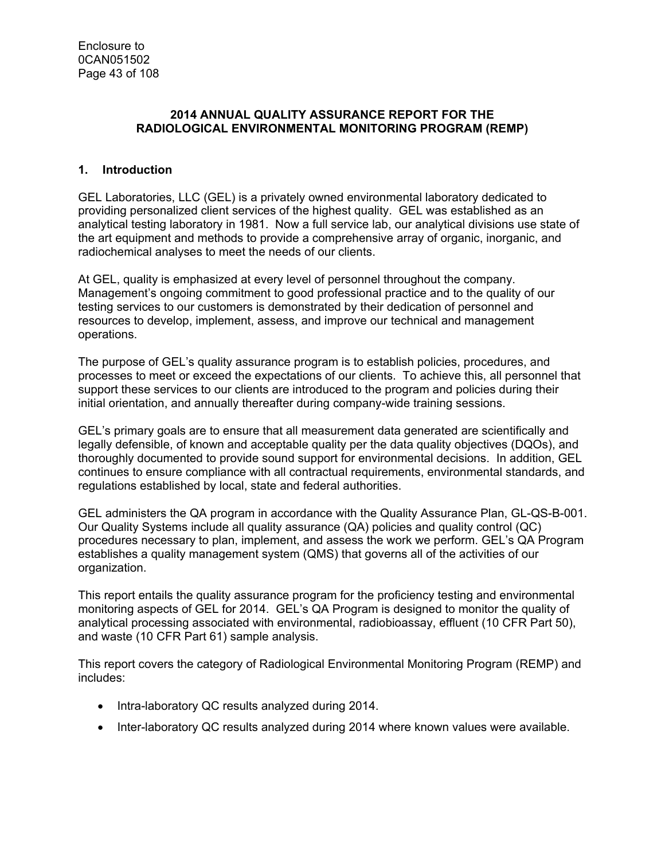#### **2014 ANNUAL QUALITY ASSURANCE REPORT FOR THE RADIOLOGICAL ENVIRONMENTAL MONITORING PROGRAM (REMP)**

#### **1. Introduction**

GEL Laboratories, LLC (GEL) is a privately owned environmental laboratory dedicated to providing personalized client services of the highest quality. GEL was established as an analytical testing laboratory in 1981. Now a full service lab, our analytical divisions use state of the art equipment and methods to provide a comprehensive array of organic, inorganic, and radiochemical analyses to meet the needs of our clients.

At GEL, quality is emphasized at every level of personnel throughout the company. Management's ongoing commitment to good professional practice and to the quality of our testing services to our customers is demonstrated by their dedication of personnel and resources to develop, implement, assess, and improve our technical and management operations.

The purpose of GEL's quality assurance program is to establish policies, procedures, and processes to meet or exceed the expectations of our clients. To achieve this, all personnel that support these services to our clients are introduced to the program and policies during their initial orientation, and annually thereafter during company-wide training sessions.

GEL's primary goals are to ensure that all measurement data generated are scientifically and legally defensible, of known and acceptable quality per the data quality objectives (DQOs), and thoroughly documented to provide sound support for environmental decisions. In addition, GEL continues to ensure compliance with all contractual requirements, environmental standards, and regulations established by local, state and federal authorities.

GEL administers the QA program in accordance with the Quality Assurance Plan, GL-QS-B-001. Our Quality Systems include all quality assurance (QA) policies and quality control (QC) procedures necessary to plan, implement, and assess the work we perform. GEL's QA Program establishes a quality management system (QMS) that governs all of the activities of our organization.

This report entails the quality assurance program for the proficiency testing and environmental monitoring aspects of GEL for 2014. GEL's QA Program is designed to monitor the quality of analytical processing associated with environmental, radiobioassay, effluent (10 CFR Part 50), and waste (10 CFR Part 61) sample analysis.

This report covers the category of Radiological Environmental Monitoring Program (REMP) and includes:

- Intra-laboratory QC results analyzed during 2014.
- Inter-laboratory QC results analyzed during 2014 where known values were available.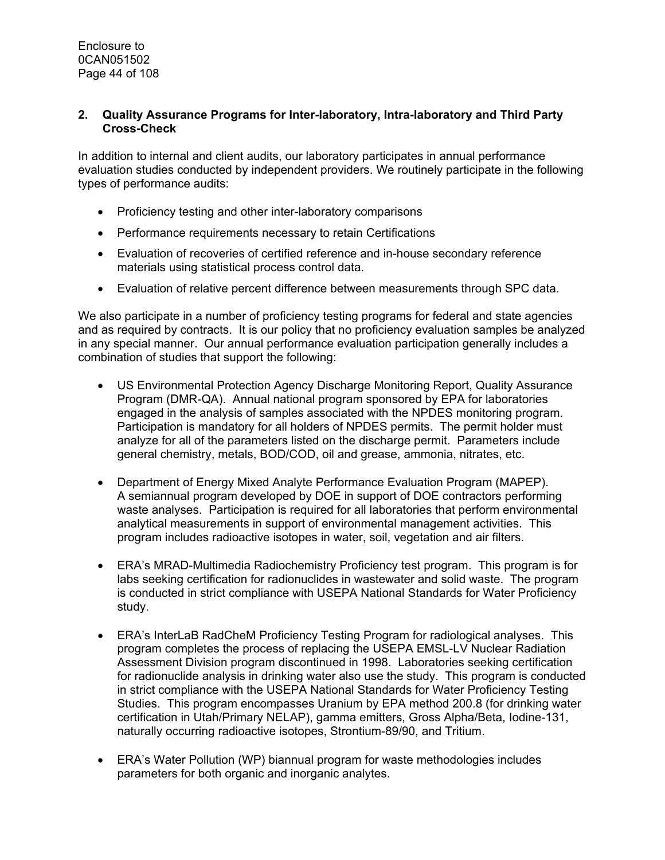#### **2. Quality Assurance Programs for Inter-laboratory, Intra-laboratory and Third Party Cross-Check**

In addition to internal and client audits, our laboratory participates in annual performance evaluation studies conducted by independent providers. We routinely participate in the following types of performance audits:

- Proficiency testing and other inter-laboratory comparisons
- Performance requirements necessary to retain Certifications
- Evaluation of recoveries of certified reference and in-house secondary reference materials using statistical process control data.
- Evaluation of relative percent difference between measurements through SPC data.

We also participate in a number of proficiency testing programs for federal and state agencies and as required by contracts. It is our policy that no proficiency evaluation samples be analyzed in any special manner. Our annual performance evaluation participation generally includes a combination of studies that support the following:

- US Environmental Protection Agency Discharge Monitoring Report, Quality Assurance Program (DMR-QA). Annual national program sponsored by EPA for laboratories engaged in the analysis of samples associated with the NPDES monitoring program. Participation is mandatory for all holders of NPDES permits. The permit holder must analyze for all of the parameters listed on the discharge permit. Parameters include general chemistry, metals, BOD/COD, oil and grease, ammonia, nitrates, etc.
- Department of Energy Mixed Analyte Performance Evaluation Program (MAPEP). A semiannual program developed by DOE in support of DOE contractors performing waste analyses. Participation is required for all laboratories that perform environmental analytical measurements in support of environmental management activities. This program includes radioactive isotopes in water, soil, vegetation and air filters.
- ERA's MRAD-Multimedia Radiochemistry Proficiency test program. This program is for labs seeking certification for radionuclides in wastewater and solid waste. The program is conducted in strict compliance with USEPA National Standards for Water Proficiency study.
- ERA's InterLaB RadCheM Proficiency Testing Program for radiological analyses. This program completes the process of replacing the USEPA EMSL-LV Nuclear Radiation Assessment Division program discontinued in 1998. Laboratories seeking certification for radionuclide analysis in drinking water also use the study. This program is conducted in strict compliance with the USEPA National Standards for Water Proficiency Testing Studies. This program encompasses Uranium by EPA method 200.8 (for drinking water certification in Utah/Primary NELAP), gamma emitters, Gross Alpha/Beta, Iodine-131, naturally occurring radioactive isotopes, Strontium-89/90, and Tritium.
- ERA's Water Pollution (WP) biannual program for waste methodologies includes parameters for both organic and inorganic analytes.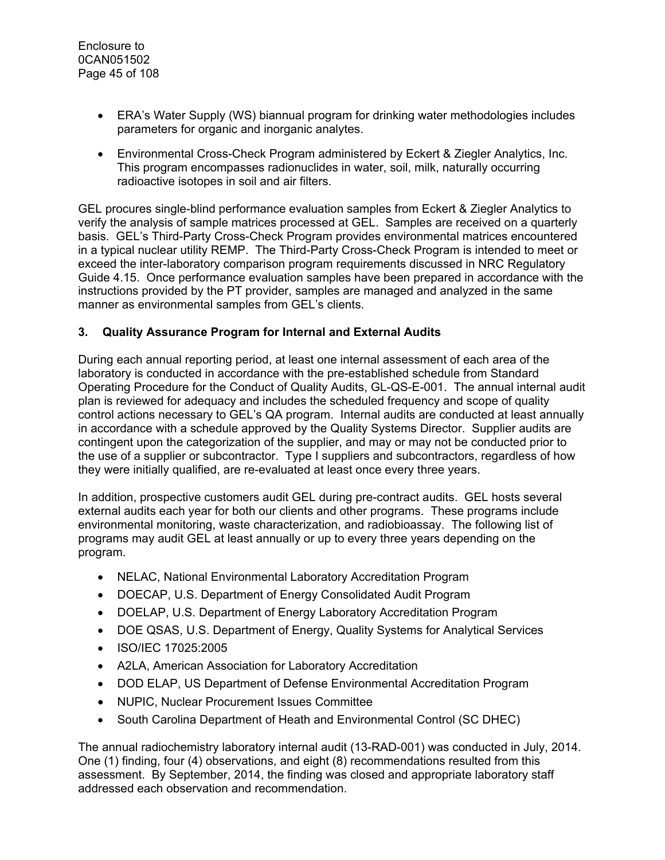- ERA's Water Supply (WS) biannual program for drinking water methodologies includes parameters for organic and inorganic analytes.
- Environmental Cross-Check Program administered by Eckert & Ziegler Analytics, Inc. This program encompasses radionuclides in water, soil, milk, naturally occurring radioactive isotopes in soil and air filters.

GEL procures single-blind performance evaluation samples from Eckert & Ziegler Analytics to verify the analysis of sample matrices processed at GEL. Samples are received on a quarterly basis. GEL's Third-Party Cross-Check Program provides environmental matrices encountered in a typical nuclear utility REMP. The Third-Party Cross-Check Program is intended to meet or exceed the inter-laboratory comparison program requirements discussed in NRC Regulatory Guide 4.15. Once performance evaluation samples have been prepared in accordance with the instructions provided by the PT provider, samples are managed and analyzed in the same manner as environmental samples from GEL's clients.

#### **3. Quality Assurance Program for Internal and External Audits**

During each annual reporting period, at least one internal assessment of each area of the laboratory is conducted in accordance with the pre-established schedule from Standard Operating Procedure for the Conduct of Quality Audits, GL-QS-E-001. The annual internal audit plan is reviewed for adequacy and includes the scheduled frequency and scope of quality control actions necessary to GEL's QA program. Internal audits are conducted at least annually in accordance with a schedule approved by the Quality Systems Director. Supplier audits are contingent upon the categorization of the supplier, and may or may not be conducted prior to the use of a supplier or subcontractor. Type I suppliers and subcontractors, regardless of how they were initially qualified, are re-evaluated at least once every three years.

In addition, prospective customers audit GEL during pre-contract audits. GEL hosts several external audits each year for both our clients and other programs. These programs include environmental monitoring, waste characterization, and radiobioassay. The following list of programs may audit GEL at least annually or up to every three years depending on the program.

- NELAC, National Environmental Laboratory Accreditation Program
- DOECAP, U.S. Department of Energy Consolidated Audit Program
- DOELAP, U.S. Department of Energy Laboratory Accreditation Program
- DOE QSAS, U.S. Department of Energy, Quality Systems for Analytical Services
- ISO/IEC 17025:2005
- A2LA, American Association for Laboratory Accreditation
- DOD ELAP, US Department of Defense Environmental Accreditation Program
- NUPIC, Nuclear Procurement Issues Committee
- South Carolina Department of Heath and Environmental Control (SC DHEC)

The annual radiochemistry laboratory internal audit (13-RAD-001) was conducted in July, 2014. One (1) finding, four (4) observations, and eight (8) recommendations resulted from this assessment. By September, 2014, the finding was closed and appropriate laboratory staff addressed each observation and recommendation.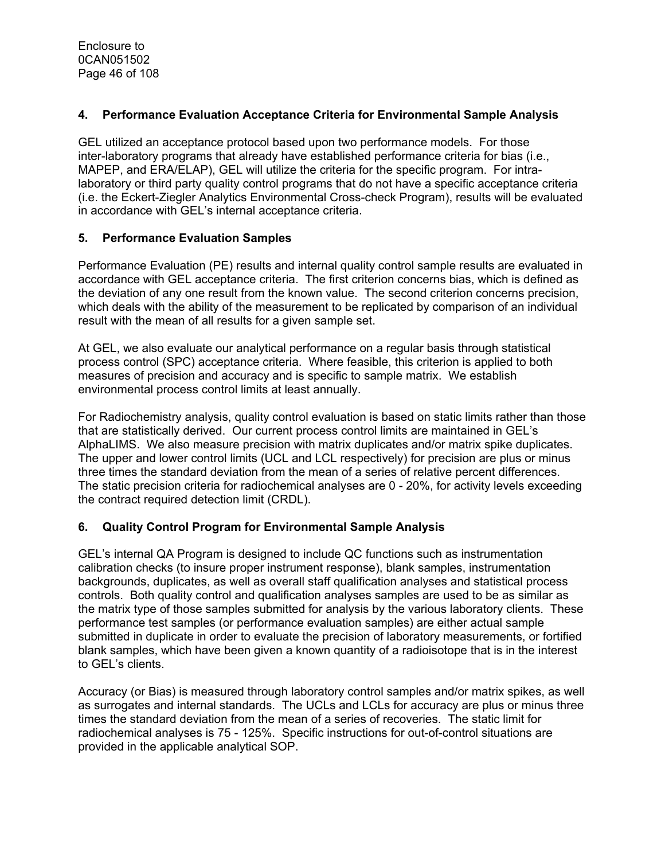#### **4. Performance Evaluation Acceptance Criteria for Environmental Sample Analysis**

GEL utilized an acceptance protocol based upon two performance models. For those inter-laboratory programs that already have established performance criteria for bias (i.e., MAPEP, and ERA/ELAP), GEL will utilize the criteria for the specific program. For intralaboratory or third party quality control programs that do not have a specific acceptance criteria (i.e. the Eckert-Ziegler Analytics Environmental Cross-check Program), results will be evaluated in accordance with GEL's internal acceptance criteria.

#### **5. Performance Evaluation Samples**

Performance Evaluation (PE) results and internal quality control sample results are evaluated in accordance with GEL acceptance criteria. The first criterion concerns bias, which is defined as the deviation of any one result from the known value. The second criterion concerns precision, which deals with the ability of the measurement to be replicated by comparison of an individual result with the mean of all results for a given sample set.

At GEL, we also evaluate our analytical performance on a regular basis through statistical process control (SPC) acceptance criteria. Where feasible, this criterion is applied to both measures of precision and accuracy and is specific to sample matrix. We establish environmental process control limits at least annually.

For Radiochemistry analysis, quality control evaluation is based on static limits rather than those that are statistically derived. Our current process control limits are maintained in GEL's AlphaLIMS. We also measure precision with matrix duplicates and/or matrix spike duplicates. The upper and lower control limits (UCL and LCL respectively) for precision are plus or minus three times the standard deviation from the mean of a series of relative percent differences. The static precision criteria for radiochemical analyses are 0 - 20%, for activity levels exceeding the contract required detection limit (CRDL).

#### **6. Quality Control Program for Environmental Sample Analysis**

GEL's internal QA Program is designed to include QC functions such as instrumentation calibration checks (to insure proper instrument response), blank samples, instrumentation backgrounds, duplicates, as well as overall staff qualification analyses and statistical process controls. Both quality control and qualification analyses samples are used to be as similar as the matrix type of those samples submitted for analysis by the various laboratory clients. These performance test samples (or performance evaluation samples) are either actual sample submitted in duplicate in order to evaluate the precision of laboratory measurements, or fortified blank samples, which have been given a known quantity of a radioisotope that is in the interest to GEL's clients.

Accuracy (or Bias) is measured through laboratory control samples and/or matrix spikes, as well as surrogates and internal standards. The UCLs and LCLs for accuracy are plus or minus three times the standard deviation from the mean of a series of recoveries. The static limit for radiochemical analyses is 75 - 125%. Specific instructions for out-of-control situations are provided in the applicable analytical SOP.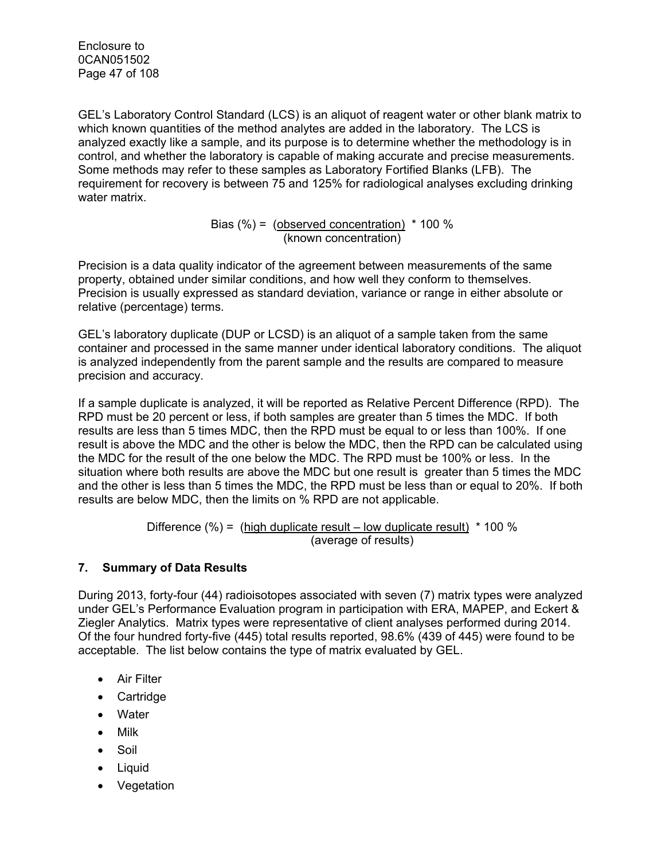Enclosure to 0CAN051502 Page 47 of 108

GEL's Laboratory Control Standard (LCS) is an aliquot of reagent water or other blank matrix to which known quantities of the method analytes are added in the laboratory. The LCS is analyzed exactly like a sample, and its purpose is to determine whether the methodology is in control, and whether the laboratory is capable of making accurate and precise measurements. Some methods may refer to these samples as Laboratory Fortified Blanks (LFB). The requirement for recovery is between 75 and 125% for radiological analyses excluding drinking water matrix.

> Bias  $(\%) =$  (observed concentration)  $*$  100 % (known concentration)

Precision is a data quality indicator of the agreement between measurements of the same property, obtained under similar conditions, and how well they conform to themselves. Precision is usually expressed as standard deviation, variance or range in either absolute or relative (percentage) terms.

GEL's laboratory duplicate (DUP or LCSD) is an aliquot of a sample taken from the same container and processed in the same manner under identical laboratory conditions. The aliquot is analyzed independently from the parent sample and the results are compared to measure precision and accuracy.

If a sample duplicate is analyzed, it will be reported as Relative Percent Difference (RPD). The RPD must be 20 percent or less, if both samples are greater than 5 times the MDC. If both results are less than 5 times MDC, then the RPD must be equal to or less than 100%. If one result is above the MDC and the other is below the MDC, then the RPD can be calculated using the MDC for the result of the one below the MDC. The RPD must be 100% or less. In the situation where both results are above the MDC but one result is greater than 5 times the MDC and the other is less than 5 times the MDC, the RPD must be less than or equal to 20%. If both results are below MDC, then the limits on % RPD are not applicable.

> Difference  $\frac{9}{6}$  = (high duplicate result – low duplicate result)  $*$  100 % (average of results)

#### **7. Summary of Data Results**

During 2013, forty-four (44) radioisotopes associated with seven (7) matrix types were analyzed under GEL's Performance Evaluation program in participation with ERA, MAPEP, and Eckert & Ziegler Analytics. Matrix types were representative of client analyses performed during 2014. Of the four hundred forty-five (445) total results reported, 98.6% (439 of 445) were found to be acceptable. The list below contains the type of matrix evaluated by GEL.

- Air Filter
- Cartridge
- Water
- Milk
- Soil
- Liquid
- Vegetation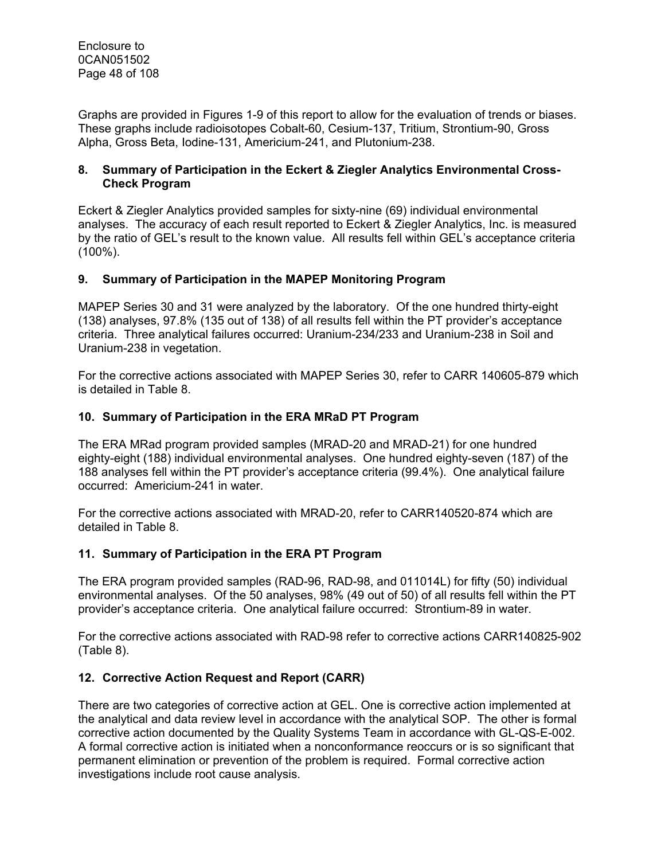Graphs are provided in Figures 1-9 of this report to allow for the evaluation of trends or biases. These graphs include radioisotopes Cobalt-60, Cesium-137, Tritium, Strontium-90, Gross Alpha, Gross Beta, Iodine-131, Americium-241, and Plutonium-238.

#### **8. Summary of Participation in the Eckert & Ziegler Analytics Environmental Cross-Check Program**

Eckert & Ziegler Analytics provided samples for sixty-nine (69) individual environmental analyses. The accuracy of each result reported to Eckert & Ziegler Analytics, Inc. is measured by the ratio of GEL's result to the known value. All results fell within GEL's acceptance criteria (100%).

#### **9. Summary of Participation in the MAPEP Monitoring Program**

MAPEP Series 30 and 31 were analyzed by the laboratory. Of the one hundred thirty-eight (138) analyses, 97.8% (135 out of 138) of all results fell within the PT provider's acceptance criteria. Three analytical failures occurred: Uranium-234/233 and Uranium-238 in Soil and Uranium-238 in vegetation.

For the corrective actions associated with MAPEP Series 30, refer to CARR 140605-879 which is detailed in Table 8.

#### **10. Summary of Participation in the ERA MRaD PT Program**

The ERA MRad program provided samples (MRAD-20 and MRAD-21) for one hundred eighty-eight (188) individual environmental analyses. One hundred eighty-seven (187) of the 188 analyses fell within the PT provider's acceptance criteria (99.4%). One analytical failure occurred: Americium-241 in water.

For the corrective actions associated with MRAD-20, refer to CARR140520-874 which are detailed in Table 8.

#### **11. Summary of Participation in the ERA PT Program**

The ERA program provided samples (RAD-96, RAD-98, and 011014L) for fifty (50) individual environmental analyses. Of the 50 analyses, 98% (49 out of 50) of all results fell within the PT provider's acceptance criteria. One analytical failure occurred: Strontium-89 in water.

For the corrective actions associated with RAD-98 refer to corrective actions CARR140825-902 (Table 8).

#### **12. Corrective Action Request and Report (CARR)**

There are two categories of corrective action at GEL. One is corrective action implemented at the analytical and data review level in accordance with the analytical SOP. The other is formal corrective action documented by the Quality Systems Team in accordance with GL-QS-E-002. A formal corrective action is initiated when a nonconformance reoccurs or is so significant that permanent elimination or prevention of the problem is required. Formal corrective action investigations include root cause analysis.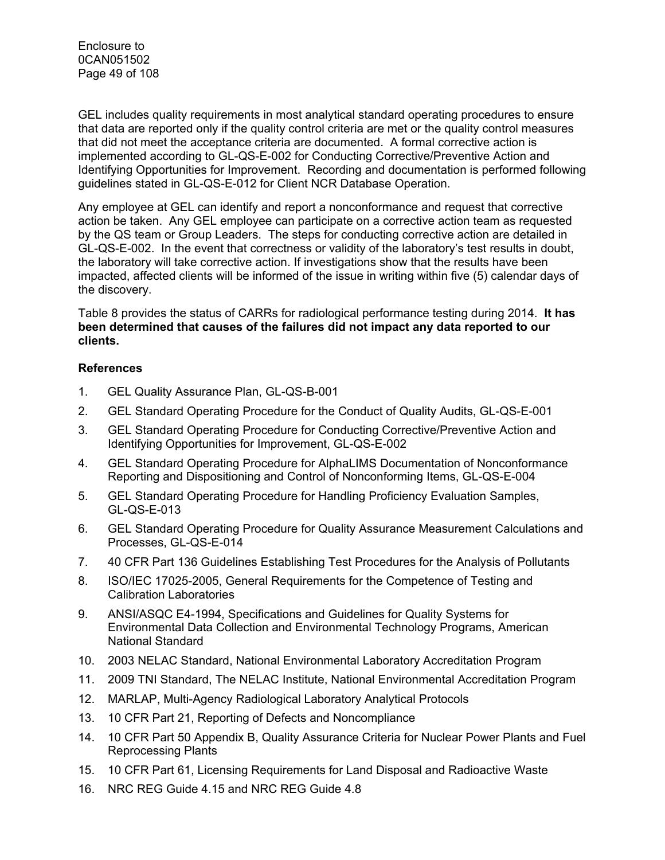Enclosure to 0CAN051502 Page 49 of 108

GEL includes quality requirements in most analytical standard operating procedures to ensure that data are reported only if the quality control criteria are met or the quality control measures that did not meet the acceptance criteria are documented. A formal corrective action is implemented according to GL-QS-E-002 for Conducting Corrective/Preventive Action and Identifying Opportunities for Improvement. Recording and documentation is performed following guidelines stated in GL-QS-E-012 for Client NCR Database Operation.

Any employee at GEL can identify and report a nonconformance and request that corrective action be taken. Any GEL employee can participate on a corrective action team as requested by the QS team or Group Leaders. The steps for conducting corrective action are detailed in GL-QS-E-002. In the event that correctness or validity of the laboratory's test results in doubt, the laboratory will take corrective action. If investigations show that the results have been impacted, affected clients will be informed of the issue in writing within five (5) calendar days of the discovery.

Table 8 provides the status of CARRs for radiological performance testing during 2014. **It has been determined that causes of the failures did not impact any data reported to our clients.** 

#### **References**

- 1. GEL Quality Assurance Plan, GL-QS-B-001
- 2. GEL Standard Operating Procedure for the Conduct of Quality Audits, GL-QS-E-001
- 3. GEL Standard Operating Procedure for Conducting Corrective/Preventive Action and Identifying Opportunities for Improvement, GL-QS-E-002
- 4. GEL Standard Operating Procedure for AlphaLIMS Documentation of Nonconformance Reporting and Dispositioning and Control of Nonconforming Items, GL-QS-E-004
- 5. GEL Standard Operating Procedure for Handling Proficiency Evaluation Samples, GL-QS-E-013
- 6. GEL Standard Operating Procedure for Quality Assurance Measurement Calculations and Processes, GL-QS-E-014
- 7. 40 CFR Part 136 Guidelines Establishing Test Procedures for the Analysis of Pollutants
- 8. ISO/IEC 17025-2005, General Requirements for the Competence of Testing and Calibration Laboratories
- 9. ANSI/ASQC E4-1994, Specifications and Guidelines for Quality Systems for Environmental Data Collection and Environmental Technology Programs, American National Standard
- 10. 2003 NELAC Standard, National Environmental Laboratory Accreditation Program
- 11. 2009 TNI Standard, The NELAC Institute, National Environmental Accreditation Program
- 12. MARLAP, Multi-Agency Radiological Laboratory Analytical Protocols
- 13. 10 CFR Part 21, Reporting of Defects and Noncompliance
- 14. 10 CFR Part 50 Appendix B, Quality Assurance Criteria for Nuclear Power Plants and Fuel Reprocessing Plants
- 15. 10 CFR Part 61, Licensing Requirements for Land Disposal and Radioactive Waste
- 16. NRC REG Guide 4.15 and NRC REG Guide 4.8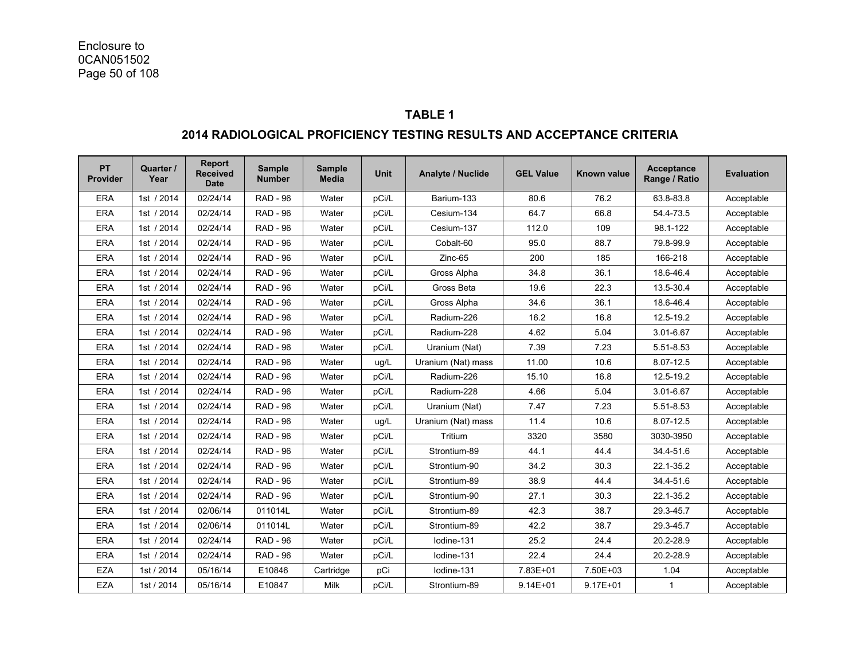#### **TABLE 1**

#### **2014 RADIOLOGICAL PROFICIENCY TESTING RESULTS AND ACCEPTANCE CRITERIA**

| <b>PT</b><br>Provider | Quarter /<br>Year | <b>Report</b><br><b>Received</b><br><b>Date</b> | <b>Sample</b><br><b>Number</b> | <b>Sample</b><br><b>Media</b> | <b>Unit</b> | <b>Analyte / Nuclide</b> | <b>GEL Value</b> | Known value  | Acceptance<br>Range / Ratio | <b>Evaluation</b> |
|-----------------------|-------------------|-------------------------------------------------|--------------------------------|-------------------------------|-------------|--------------------------|------------------|--------------|-----------------------------|-------------------|
| <b>ERA</b>            | 1st / 2014        | 02/24/14                                        | <b>RAD - 96</b>                | Water                         | pCi/L       | Barium-133               | 80.6             | 76.2         | 63.8-83.8                   | Acceptable        |
| <b>ERA</b>            | 1st / 2014        | 02/24/14                                        | <b>RAD - 96</b>                | Water                         | pCi/L       | Cesium-134               | 64.7             | 66.8         | 54.4-73.5                   | Acceptable        |
| <b>ERA</b>            | 1st / 2014        | 02/24/14                                        | <b>RAD - 96</b>                | Water                         | pCi/L       | Cesium-137               | 112.0            | 109          | 98.1-122                    | Acceptable        |
| <b>ERA</b>            | 1st / 2014        | 02/24/14                                        | <b>RAD - 96</b>                | Water                         | pCi/L       | Cobalt-60                | 95.0             | 88.7         | 79.8-99.9                   | Acceptable        |
| <b>ERA</b>            | 1st / 2014        | 02/24/14                                        | <b>RAD - 96</b>                | Water                         | pCi/L       | Zinc-65                  | 200              | 185          | 166-218                     | Acceptable        |
| <b>ERA</b>            | 1st / 2014        | 02/24/14                                        | <b>RAD - 96</b>                | Water                         | pCi/L       | Gross Alpha              | 34.8             | 36.1         | 18.6-46.4                   | Acceptable        |
| <b>ERA</b>            | 1st / 2014        | 02/24/14                                        | <b>RAD - 96</b>                | Water                         | pCi/L       | Gross Beta               | 19.6             | 22.3         | 13.5-30.4                   | Acceptable        |
| <b>ERA</b>            | 1st / 2014        | 02/24/14                                        | <b>RAD - 96</b>                | Water                         | pCi/L       | Gross Alpha              | 34.6             | 36.1         | 18.6-46.4                   | Acceptable        |
| ERA                   | 1st / 2014        | 02/24/14                                        | <b>RAD - 96</b>                | Water                         | pCi/L       | Radium-226               | 16.2             | 16.8         | 12.5-19.2                   | Acceptable        |
| <b>ERA</b>            | 1st / 2014        | 02/24/14                                        | <b>RAD - 96</b>                | Water                         | pCi/L       | Radium-228               | 4.62             | 5.04         | 3.01-6.67                   | Acceptable        |
| <b>ERA</b>            | 1st / 2014        | 02/24/14                                        | <b>RAD - 96</b>                | Water                         | pCi/L       | Uranium (Nat)            | 7.39             | 7.23         | 5.51-8.53                   | Acceptable        |
| <b>ERA</b>            | 1st / 2014        | 02/24/14                                        | <b>RAD - 96</b>                | Water                         | ug/L        | Uranium (Nat) mass       | 11.00            | 10.6         | 8.07-12.5                   | Acceptable        |
| <b>ERA</b>            | 1st / 2014        | 02/24/14                                        | <b>RAD - 96</b>                | Water                         | pCi/L       | Radium-226               | 15.10            | 16.8         | 12.5-19.2                   | Acceptable        |
| <b>ERA</b>            | 1st / 2014        | 02/24/14                                        | <b>RAD - 96</b>                | Water                         | pCi/L       | Radium-228               | 4.66             | 5.04         | 3.01-6.67                   | Acceptable        |
| <b>ERA</b>            | 1st / 2014        | 02/24/14                                        | <b>RAD - 96</b>                | Water                         | pCi/L       | Uranium (Nat)            | 7.47             | 7.23         | 5.51-8.53                   | Acceptable        |
| <b>ERA</b>            | 1st / 2014        | 02/24/14                                        | <b>RAD - 96</b>                | Water                         | ug/L        | Uranium (Nat) mass       | 11.4             | 10.6         | 8.07-12.5                   | Acceptable        |
| <b>ERA</b>            | 1st / 2014        | 02/24/14                                        | <b>RAD - 96</b>                | Water                         | pCi/L       | Tritium                  | 3320             | 3580         | 3030-3950                   | Acceptable        |
| <b>ERA</b>            | 1st / 2014        | 02/24/14                                        | <b>RAD - 96</b>                | Water                         | pCi/L       | Strontium-89             | 44.1             | 44.4         | 34.4-51.6                   | Acceptable        |
| <b>ERA</b>            | 1st / 2014        | 02/24/14                                        | <b>RAD - 96</b>                | Water                         | pCi/L       | Strontium-90             | 34.2             | 30.3         | 22.1-35.2                   | Acceptable        |
| <b>ERA</b>            | 1st / 2014        | 02/24/14                                        | <b>RAD - 96</b>                | Water                         | pCi/L       | Strontium-89             | 38.9             | 44.4         | 34.4-51.6                   | Acceptable        |
| <b>ERA</b>            | 1st / 2014        | 02/24/14                                        | <b>RAD - 96</b>                | Water                         | pCi/L       | Strontium-90             | 27.1             | 30.3         | 22.1-35.2                   | Acceptable        |
| <b>ERA</b>            | 1st / 2014        | 02/06/14                                        | 011014L                        | Water                         | pCi/L       | Strontium-89             | 42.3             | 38.7         | 29.3-45.7                   | Acceptable        |
| <b>ERA</b>            | 1st / 2014        | 02/06/14                                        | 011014L                        | Water                         | pCi/L       | Strontium-89             | 42.2             | 38.7         | 29.3-45.7                   | Acceptable        |
| <b>ERA</b>            | 1st / 2014        | 02/24/14                                        | <b>RAD - 96</b>                | Water                         | pCi/L       | lodine-131               | 25.2             | 24.4         | 20.2-28.9                   | Acceptable        |
| <b>ERA</b>            | 1st / 2014        | 02/24/14                                        | <b>RAD - 96</b>                | Water                         | pCi/L       | Iodine-131               | 22.4             | 24.4         | 20.2-28.9                   | Acceptable        |
| <b>EZA</b>            | 1st / 2014        | 05/16/14                                        | E10846                         | Cartridge                     | pCi         | Iodine-131               | 7.83E+01         | 7.50E+03     | 1.04                        | Acceptable        |
| <b>EZA</b>            | 1st / 2014        | 05/16/14                                        | E10847                         | Milk                          | pCi/L       | Strontium-89             | $9.14E + 01$     | $9.17E + 01$ | $\mathbf{1}$                | Acceptable        |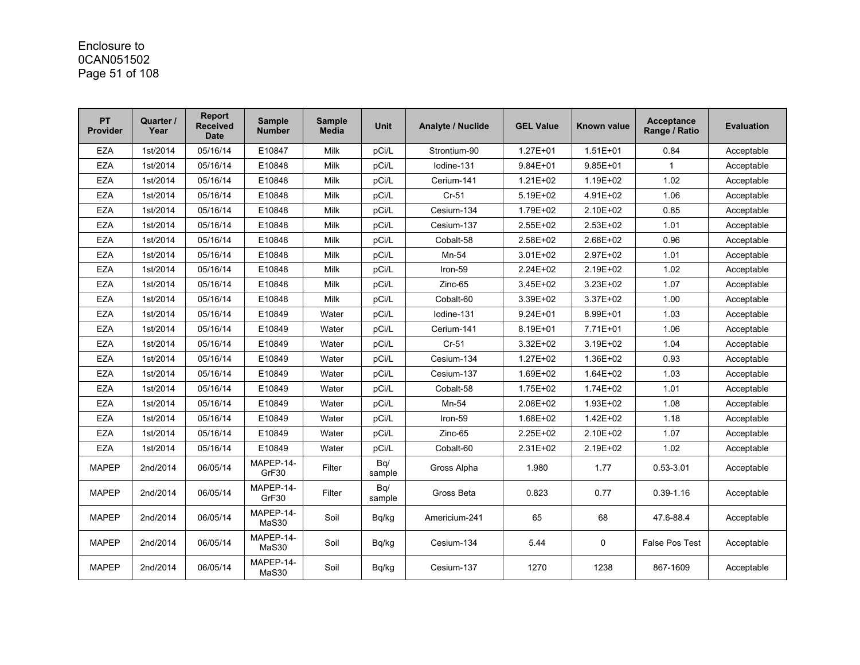# Enclosure to 0CAN051502 Page 51 of 108

| <b>PT</b><br><b>Provider</b> | Quarter /<br>Year | Report<br><b>Received</b><br><b>Date</b> | <b>Sample</b><br><b>Number</b> | <b>Sample</b><br><b>Media</b> | <b>Unit</b>   | <b>Analyte / Nuclide</b> | <b>GEL Value</b> | Known value  | <b>Acceptance</b><br>Range / Ratio | <b>Evaluation</b> |
|------------------------------|-------------------|------------------------------------------|--------------------------------|-------------------------------|---------------|--------------------------|------------------|--------------|------------------------------------|-------------------|
| <b>EZA</b>                   | 1st/2014          | 05/16/14                                 | E10847                         | <b>Milk</b>                   | pCi/L         | Strontium-90             | $1.27E + 01$     | $1.51E + 01$ | 0.84                               | Acceptable        |
| <b>EZA</b>                   | 1st/2014          | 05/16/14                                 | E10848                         | Milk                          | pCi/L         | lodine-131               | $9.84E + 01$     | $9.85E + 01$ | $\mathbf 1$                        | Acceptable        |
| <b>EZA</b>                   | 1st/2014          | 05/16/14                                 | E10848                         | Milk                          | pCi/L         | Cerium-141               | $1.21E + 02$     | 1.19E+02     | 1.02                               | Acceptable        |
| <b>EZA</b>                   | 1st/2014          | 05/16/14                                 | E10848                         | Milk                          | pCi/L         | $Cr-51$                  | 5.19E+02         | 4.91E+02     | 1.06                               | Acceptable        |
| <b>EZA</b>                   | 1st/2014          | 05/16/14                                 | E10848                         | <b>Milk</b>                   | pCi/L         | Cesium-134               | 1.79E+02         | $2.10E + 02$ | 0.85                               | Acceptable        |
| <b>EZA</b>                   | 1st/2014          | 05/16/14                                 | E10848                         | <b>Milk</b>                   | pCi/L         | Cesium-137               | 2.55E+02         | 2.53E+02     | 1.01                               | Acceptable        |
| <b>EZA</b>                   | 1st/2014          | 05/16/14                                 | E10848                         | Milk                          | pCi/L         | Cobalt-58                | 2.58E+02         | 2.68E+02     | 0.96                               | Acceptable        |
| <b>EZA</b>                   | 1st/2014          | 05/16/14                                 | E10848                         | Milk                          | pCi/L         | Mn-54                    | $3.01E + 02$     | 2.97E+02     | 1.01                               | Acceptable        |
| <b>EZA</b>                   | 1st/2014          | 05/16/14                                 | E10848                         | Milk                          | pCi/L         | Iron-59                  | 2.24E+02         | 2.19E+02     | 1.02                               | Acceptable        |
| <b>EZA</b>                   | 1st/2014          | 05/16/14                                 | E10848                         | Milk                          | pCi/L         | Zinc-65                  | 3.45E+02         | 3.23E+02     | 1.07                               | Acceptable        |
| <b>EZA</b>                   | 1st/2014          | 05/16/14                                 | E10848                         | Milk                          | pCi/L         | Cobalt-60                | 3.39E+02         | 3.37E+02     | 1.00                               | Acceptable        |
| <b>EZA</b>                   | 1st/2014          | 05/16/14                                 | E10849                         | Water                         | pCi/L         | lodine-131               | $9.24E + 01$     | 8.99E+01     | 1.03                               | Acceptable        |
| <b>EZA</b>                   | 1st/2014          | 05/16/14                                 | E10849                         | Water                         | pCi/L         | Cerium-141               | 8.19E+01         | 7.71E+01     | 1.06                               | Acceptable        |
| <b>EZA</b>                   | 1st/2014          | 05/16/14                                 | E10849                         | Water                         | pCi/L         | $Cr-51$                  | 3.32E+02         | 3.19E+02     | 1.04                               | Acceptable        |
| <b>EZA</b>                   | 1st/2014          | 05/16/14                                 | E10849                         | Water                         | pCi/L         | Cesium-134               | 1.27E+02         | 1.36E+02     | 0.93                               | Acceptable        |
| <b>EZA</b>                   | 1st/2014          | 05/16/14                                 | E10849                         | Water                         | pCi/L         | Cesium-137               | 1.69E+02         | $1.64E + 02$ | 1.03                               | Acceptable        |
| <b>EZA</b>                   | 1st/2014          | 05/16/14                                 | E10849                         | Water                         | pCi/L         | Cobalt-58                | 1.75E+02         | 1.74E+02     | 1.01                               | Acceptable        |
| <b>EZA</b>                   | 1st/2014          | 05/16/14                                 | E10849                         | Water                         | pCi/L         | Mn-54                    | 2.08E+02         | 1.93E+02     | 1.08                               | Acceptable        |
| <b>EZA</b>                   | 1st/2014          | 05/16/14                                 | E10849                         | Water                         | pCi/L         | Iron-59                  | 1.68E+02         | 1.42E+02     | 1.18                               | Acceptable        |
| <b>EZA</b>                   | 1st/2014          | 05/16/14                                 | E10849                         | Water                         | pCi/L         | Zinc-65                  | 2.25E+02         | 2.10E+02     | 1.07                               | Acceptable        |
| <b>EZA</b>                   | 1st/2014          | 05/16/14                                 | E10849                         | Water                         | pCi/L         | Cobalt-60                | 2.31E+02         | 2.19E+02     | 1.02                               | Acceptable        |
| <b>MAPEP</b>                 | 2nd/2014          | 06/05/14                                 | MAPEP-14-<br>GrF30             | Filter                        | Bq/<br>sample | Gross Alpha              | 1.980            | 1.77         | $0.53 - 3.01$                      | Acceptable        |
| <b>MAPEP</b>                 | 2nd/2014          | 06/05/14                                 | MAPEP-14-<br>GrF30             | Filter                        | Bq/<br>sample | Gross Beta               | 0.823            | 0.77         | $0.39 - 1.16$                      | Acceptable        |
| <b>MAPEP</b>                 | 2nd/2014          | 06/05/14                                 | MAPEP-14-<br>MaS30             | Soil                          | Bq/kg         | Americium-241            | 65               | 68           | 47.6-88.4                          | Acceptable        |
| <b>MAPEP</b>                 | 2nd/2014          | 06/05/14                                 | MAPEP-14-<br>MaS30             | Soil                          | Bq/kg         | Cesium-134               | 5.44             | $\mathbf 0$  | False Pos Test                     | Acceptable        |
| <b>MAPEP</b>                 | 2nd/2014          | 06/05/14                                 | MAPEP-14-<br>MaS30             | Soil                          | Bq/kg         | Cesium-137               | 1270             | 1238         | 867-1609                           | Acceptable        |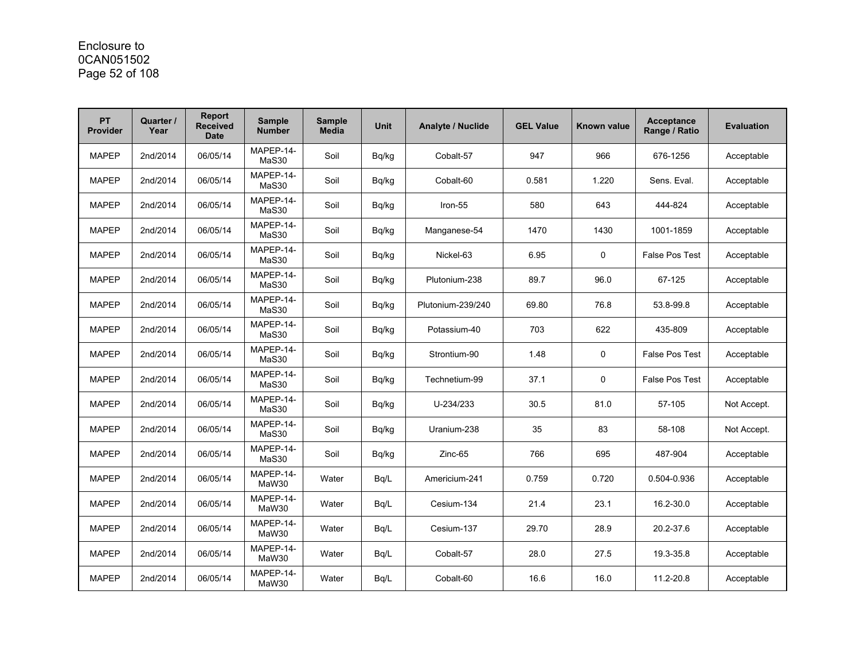### Enclosure to 0CAN051502 Page 52 of 108

| <b>PT</b><br><b>Provider</b> | Quarter /<br>Year | <b>Report</b><br><b>Received</b><br><b>Date</b> | <b>Sample</b><br><b>Number</b> | <b>Sample</b><br><b>Media</b> | <b>Unit</b> | <b>Analyte / Nuclide</b> | <b>GEL Value</b> | Known value | <b>Acceptance</b><br>Range / Ratio | <b>Evaluation</b> |
|------------------------------|-------------------|-------------------------------------------------|--------------------------------|-------------------------------|-------------|--------------------------|------------------|-------------|------------------------------------|-------------------|
| <b>MAPEP</b>                 | 2nd/2014          | 06/05/14                                        | MAPEP-14-<br>MaS30             | Soil                          | Bq/kg       | Cobalt-57                | 947              | 966         | 676-1256                           | Acceptable        |
| <b>MAPEP</b>                 | 2nd/2014          | 06/05/14                                        | MAPEP-14-<br>MaS30             | Soil                          | Bq/kg       | Cobalt-60                | 0.581            | 1.220       | Sens. Eval.                        | Acceptable        |
| <b>MAPEP</b>                 | 2nd/2014          | 06/05/14                                        | MAPEP-14-<br>MaS30             | Soil                          | Bq/kg       | Iron-55                  | 580              | 643         | 444-824                            | Acceptable        |
| <b>MAPEP</b>                 | 2nd/2014          | 06/05/14                                        | MAPEP-14-<br>MaS30             | Soil                          | Bq/kg       | Manganese-54             | 1470             | 1430        | 1001-1859                          | Acceptable        |
| <b>MAPEP</b>                 | 2nd/2014          | 06/05/14                                        | MAPEP-14-<br>MaS30             | Soil                          | Bq/kg       | Nickel-63                | 6.95             | $\mathbf 0$ | <b>False Pos Test</b>              | Acceptable        |
| <b>MAPEP</b>                 | 2nd/2014          | 06/05/14                                        | MAPEP-14-<br>MaS30             | Soil                          | Bq/kg       | Plutonium-238            | 89.7             | 96.0        | 67-125                             | Acceptable        |
| <b>MAPEP</b>                 | 2nd/2014          | 06/05/14                                        | MAPEP-14-<br>MaS30             | Soil                          | Bq/kg       | Plutonium-239/240        | 69.80            | 76.8        | 53.8-99.8                          | Acceptable        |
| <b>MAPEP</b>                 | 2nd/2014          | 06/05/14                                        | MAPEP-14-<br>MaS30             | Soil                          | Bq/kg       | Potassium-40             | 703              | 622         | 435-809                            | Acceptable        |
| <b>MAPEP</b>                 | 2nd/2014          | 06/05/14                                        | MAPEP-14-<br>MaS30             | Soil                          | Bq/kg       | Strontium-90             | 1.48             | $\mathbf 0$ | <b>False Pos Test</b>              | Acceptable        |
| <b>MAPEP</b>                 | 2nd/2014          | 06/05/14                                        | MAPEP-14-<br>MaS30             | Soil                          | Bq/kg       | Technetium-99            | 37.1             | $\mathbf 0$ | <b>False Pos Test</b>              | Acceptable        |
| <b>MAPEP</b>                 | 2nd/2014          | 06/05/14                                        | MAPEP-14-<br>MaS30             | Soil                          | Bq/kg       | U-234/233                | 30.5             | 81.0        | 57-105                             | Not Accept.       |
| <b>MAPEP</b>                 | 2nd/2014          | 06/05/14                                        | MAPEP-14-<br>MaS30             | Soil                          | Bg/kg       | Uranium-238              | 35               | 83          | 58-108                             | Not Accept.       |
| <b>MAPEP</b>                 | 2nd/2014          | 06/05/14                                        | MAPEP-14-<br>MaS30             | Soil                          | Bq/kg       | Zinc-65                  | 766              | 695         | 487-904                            | Acceptable        |
| <b>MAPEP</b>                 | 2nd/2014          | 06/05/14                                        | MAPEP-14-<br>MaW30             | Water                         | Bg/L        | Americium-241            | 0.759            | 0.720       | 0.504-0.936                        | Acceptable        |
| <b>MAPEP</b>                 | 2nd/2014          | 06/05/14                                        | MAPEP-14-<br>MaW30             | Water                         | Bq/L        | Cesium-134               | 21.4             | 23.1        | 16.2-30.0                          | Acceptable        |
| <b>MAPEP</b>                 | 2nd/2014          | 06/05/14                                        | MAPEP-14-<br>MaW30             | Water                         | Bq/L        | Cesium-137               | 29.70            | 28.9        | 20.2-37.6                          | Acceptable        |
| <b>MAPEP</b>                 | 2nd/2014          | 06/05/14                                        | MAPEP-14-<br>MaW30             | Water                         | Bq/L        | Cobalt-57                | 28.0             | 27.5        | 19.3-35.8                          | Acceptable        |
| <b>MAPEP</b>                 | 2nd/2014          | 06/05/14                                        | MAPEP-14-<br>MaW30             | Water                         | Bq/L        | Cobalt-60                | 16.6             | 16.0        | 11.2-20.8                          | Acceptable        |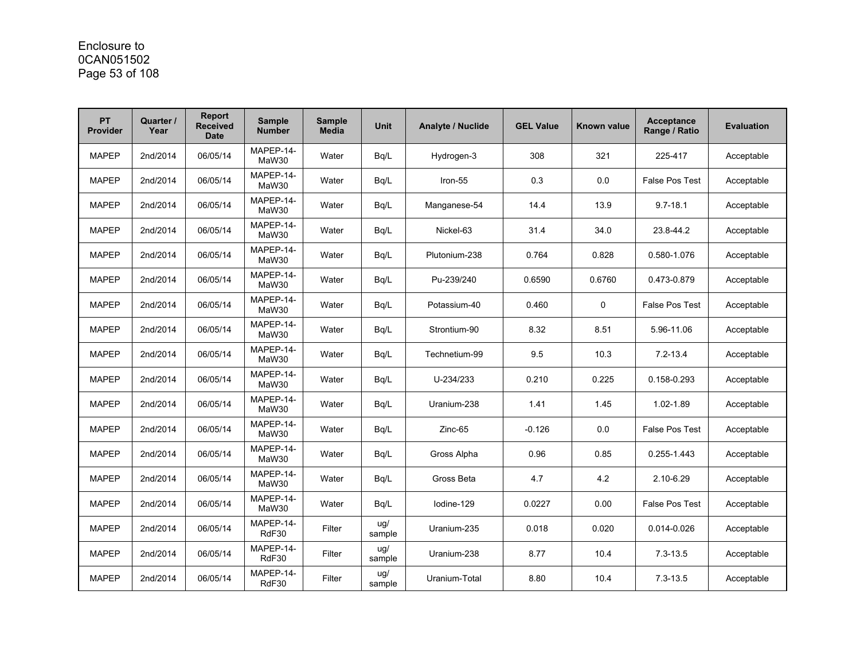### Enclosure to 0CAN051502 Page 53 of 108

| <b>PT</b><br><b>Provider</b> | Quarter /<br>Year | <b>Report</b><br><b>Received</b><br><b>Date</b> | <b>Sample</b><br><b>Number</b> | <b>Sample</b><br><b>Media</b> | <b>Unit</b>   | <b>Analyte / Nuclide</b> | <b>GEL Value</b> | <b>Known value</b> | <b>Acceptance</b><br>Range / Ratio | <b>Evaluation</b> |
|------------------------------|-------------------|-------------------------------------------------|--------------------------------|-------------------------------|---------------|--------------------------|------------------|--------------------|------------------------------------|-------------------|
| <b>MAPEP</b>                 | 2nd/2014          | 06/05/14                                        | MAPEP-14-<br>MaW30             | Water                         | Bq/L          | Hydrogen-3               | 308              | 321                | 225-417                            | Acceptable        |
| <b>MAPEP</b>                 | 2nd/2014          | 06/05/14                                        | MAPEP-14-<br>MaW30             | Water                         | Bq/L          | Iron-55                  | 0.3              | 0.0                | <b>False Pos Test</b>              | Acceptable        |
| <b>MAPEP</b>                 | 2nd/2014          | 06/05/14                                        | MAPEP-14-<br>MaW30             | Water                         | Bq/L          | Manganese-54             | 14.4             | 13.9               | $9.7 - 18.1$                       | Acceptable        |
| <b>MAPEP</b>                 | 2nd/2014          | 06/05/14                                        | MAPEP-14-<br>MaW30             | Water                         | Bq/L          | Nickel-63                | 31.4             | 34.0               | 23.8-44.2                          | Acceptable        |
| <b>MAPEP</b>                 | 2nd/2014          | 06/05/14                                        | MAPEP-14-<br>MaW30             | Water                         | Bg/L          | Plutonium-238            | 0.764            | 0.828              | 0.580-1.076                        | Acceptable        |
| <b>MAPEP</b>                 | 2nd/2014          | 06/05/14                                        | MAPEP-14-<br>MaW30             | Water                         | Bq/L          | Pu-239/240               | 0.6590           | 0.6760             | 0.473-0.879                        | Acceptable        |
| <b>MAPEP</b>                 | 2nd/2014          | 06/05/14                                        | MAPEP-14-<br>MaW30             | Water                         | Bq/L          | Potassium-40             | 0.460            | 0                  | <b>False Pos Test</b>              | Acceptable        |
| <b>MAPEP</b>                 | 2nd/2014          | 06/05/14                                        | MAPEP-14-<br>MaW30             | Water                         | Bq/L          | Strontium-90             | 8.32             | 8.51               | 5.96-11.06                         | Acceptable        |
| <b>MAPEP</b>                 | 2nd/2014          | 06/05/14                                        | MAPEP-14-<br>MaW30             | Water                         | Bq/L          | Technetium-99            | 9.5              | 10.3               | $7.2 - 13.4$                       | Acceptable        |
| <b>MAPEP</b>                 | 2nd/2014          | 06/05/14                                        | MAPEP-14-<br>MaW30             | Water                         | Bq/L          | U-234/233                | 0.210            | 0.225              | 0.158-0.293                        | Acceptable        |
| <b>MAPEP</b>                 | 2nd/2014          | 06/05/14                                        | MAPEP-14-<br>MaW30             | Water                         | Bg/L          | Uranium-238              | 1.41             | 1.45               | 1.02-1.89                          | Acceptable        |
| <b>MAPEP</b>                 | 2nd/2014          | 06/05/14                                        | MAPEP-14-<br>MaW30             | Water                         | Bg/L          | $Zinc-65$                | $-0.126$         | 0.0                | <b>False Pos Test</b>              | Acceptable        |
| <b>MAPEP</b>                 | 2nd/2014          | 06/05/14                                        | MAPEP-14-<br>MaW30             | Water                         | Bq/L          | Gross Alpha              | 0.96             | 0.85               | 0.255-1.443                        | Acceptable        |
| <b>MAPEP</b>                 | 2nd/2014          | 06/05/14                                        | MAPEP-14-<br>MaW30             | Water                         | Bg/L          | Gross Beta               | 4.7              | 4.2                | 2.10-6.29                          | Acceptable        |
| <b>MAPEP</b>                 | 2nd/2014          | 06/05/14                                        | MAPEP-14-<br>MaW30             | Water                         | Bq/L          | lodine-129               | 0.0227           | 0.00               | <b>False Pos Test</b>              | Acceptable        |
| <b>MAPEP</b>                 | 2nd/2014          | 06/05/14                                        | MAPEP-14-<br>RdF30             | Filter                        | ug/<br>sample | Uranium-235              | 0.018            | 0.020              | 0.014-0.026                        | Acceptable        |
| <b>MAPEP</b>                 | 2nd/2014          | 06/05/14                                        | MAPEP-14-<br>RdF30             | Filter                        | ug/<br>sample | Uranium-238              | 8.77             | 10.4               | $7.3 - 13.5$                       | Acceptable        |
| <b>MAPEP</b>                 | 2nd/2014          | 06/05/14                                        | MAPEP-14-<br>RdF30             | Filter                        | ug/<br>sample | Uranium-Total            | 8.80             | 10.4               | $7.3 - 13.5$                       | Acceptable        |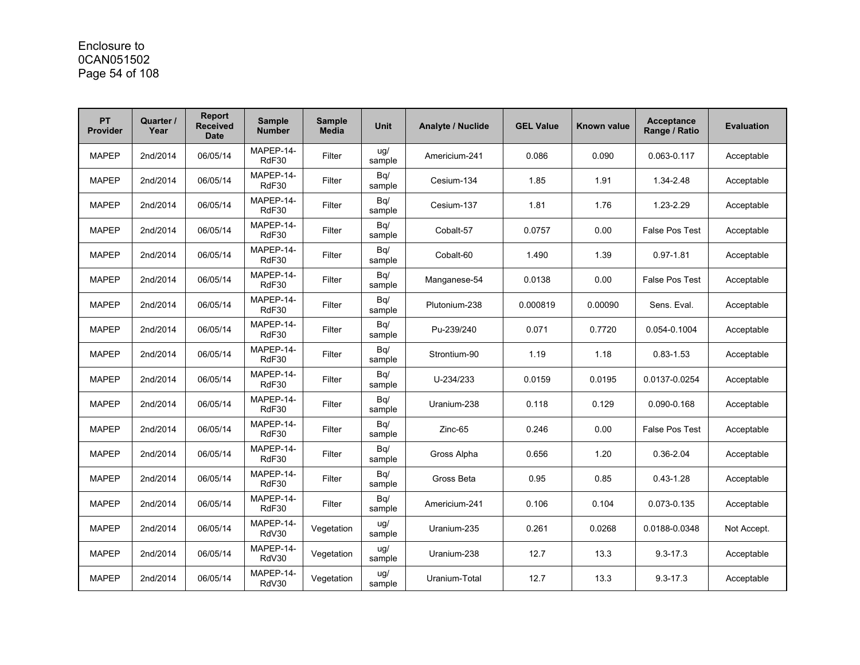### Enclosure to 0CAN051502 Page 54 of 108

| <b>PT</b><br><b>Provider</b> | Quarter /<br>Year | <b>Report</b><br><b>Received</b><br><b>Date</b> | <b>Sample</b><br><b>Number</b> | <b>Sample</b><br><b>Media</b> | <b>Unit</b>   | <b>Analyte / Nuclide</b> | <b>GEL Value</b> | Known value | <b>Acceptance</b><br>Range / Ratio | <b>Evaluation</b> |
|------------------------------|-------------------|-------------------------------------------------|--------------------------------|-------------------------------|---------------|--------------------------|------------------|-------------|------------------------------------|-------------------|
| <b>MAPEP</b>                 | 2nd/2014          | 06/05/14                                        | MAPEP-14-<br>RdF30             | Filter                        | ug/<br>sample | Americium-241            | 0.086            | 0.090       | 0.063-0.117                        | Acceptable        |
| <b>MAPEP</b>                 | 2nd/2014          | 06/05/14                                        | MAPEP-14-<br>RdF30             | Filter                        | Bq/<br>sample | Cesium-134               | 1.85             | 1.91        | 1.34-2.48                          | Acceptable        |
| <b>MAPEP</b>                 | 2nd/2014          | 06/05/14                                        | MAPEP-14-<br>RdF30             | Filter                        | Bq/<br>sample | Cesium-137               | 1.81             | 1.76        | 1.23-2.29                          | Acceptable        |
| <b>MAPEP</b>                 | 2nd/2014          | 06/05/14                                        | MAPEP-14-<br>RdF30             | Filter                        | Bq/<br>sample | Cobalt-57                | 0.0757           | 0.00        | <b>False Pos Test</b>              | Acceptable        |
| <b>MAPEP</b>                 | 2nd/2014          | 06/05/14                                        | MAPEP-14-<br>RdF30             | Filter                        | Bq/<br>sample | Cobalt-60                | 1.490            | 1.39        | $0.97 - 1.81$                      | Acceptable        |
| <b>MAPEP</b>                 | 2nd/2014          | 06/05/14                                        | MAPEP-14-<br>RdF30             | Filter                        | Bq/<br>sample | Manganese-54             | 0.0138           | 0.00        | <b>False Pos Test</b>              | Acceptable        |
| <b>MAPEP</b>                 | 2nd/2014          | 06/05/14                                        | MAPEP-14-<br>RdF30             | Filter                        | Bq/<br>sample | Plutonium-238            | 0.000819         | 0.00090     | Sens. Eval.                        | Acceptable        |
| <b>MAPEP</b>                 | 2nd/2014          | 06/05/14                                        | MAPEP-14-<br>RdF30             | Filter                        | Bq/<br>sample | Pu-239/240               | 0.071            | 0.7720      | 0.054-0.1004                       | Acceptable        |
| <b>MAPEP</b>                 | 2nd/2014          | 06/05/14                                        | MAPEP-14-<br>RdF30             | Filter                        | Bq/<br>sample | Strontium-90             | 1.19             | 1.18        | $0.83 - 1.53$                      | Acceptable        |
| <b>MAPEP</b>                 | 2nd/2014          | 06/05/14                                        | MAPEP-14-<br>RdF30             | Filter                        | Bq/<br>sample | U-234/233                | 0.0159           | 0.0195      | 0.0137-0.0254                      | Acceptable        |
| <b>MAPEP</b>                 | 2nd/2014          | 06/05/14                                        | MAPEP-14-<br>RdF30             | Filter                        | Bq/<br>sample | Uranium-238              | 0.118            | 0.129       | 0.090-0.168                        | Acceptable        |
| <b>MAPEP</b>                 | 2nd/2014          | 06/05/14                                        | MAPEP-14-<br>RdF30             | Filter                        | Bq/<br>sample | Zinc-65                  | 0.246            | 0.00        | <b>False Pos Test</b>              | Acceptable        |
| <b>MAPEP</b>                 | 2nd/2014          | 06/05/14                                        | MAPEP-14-<br>RdF30             | Filter                        | Bq/<br>sample | Gross Alpha              | 0.656            | 1.20        | $0.36 - 2.04$                      | Acceptable        |
| <b>MAPEP</b>                 | 2nd/2014          | 06/05/14                                        | MAPEP-14-<br>RdF30             | Filter                        | Bq/<br>sample | Gross Beta               | 0.95             | 0.85        | $0.43 - 1.28$                      | Acceptable        |
| <b>MAPEP</b>                 | 2nd/2014          | 06/05/14                                        | MAPEP-14-<br>RdF30             | Filter                        | Bq/<br>sample | Americium-241            | 0.106            | 0.104       | 0.073-0.135                        | Acceptable        |
| <b>MAPEP</b>                 | 2nd/2014          | 06/05/14                                        | MAPEP-14-<br>RdV30             | Vegetation                    | ug/<br>sample | Uranium-235              | 0.261            | 0.0268      | 0.0188-0.0348                      | Not Accept.       |
| <b>MAPEP</b>                 | 2nd/2014          | 06/05/14                                        | MAPEP-14-<br>RdV30             | Vegetation                    | ug/<br>sample | Uranium-238              | 12.7             | 13.3        | $9.3 - 17.3$                       | Acceptable        |
| <b>MAPEP</b>                 | 2nd/2014          | 06/05/14                                        | MAPEP-14-<br>RdV30             | Vegetation                    | ug/<br>sample | Uranium-Total            | 12.7             | 13.3        | $9.3 - 17.3$                       | Acceptable        |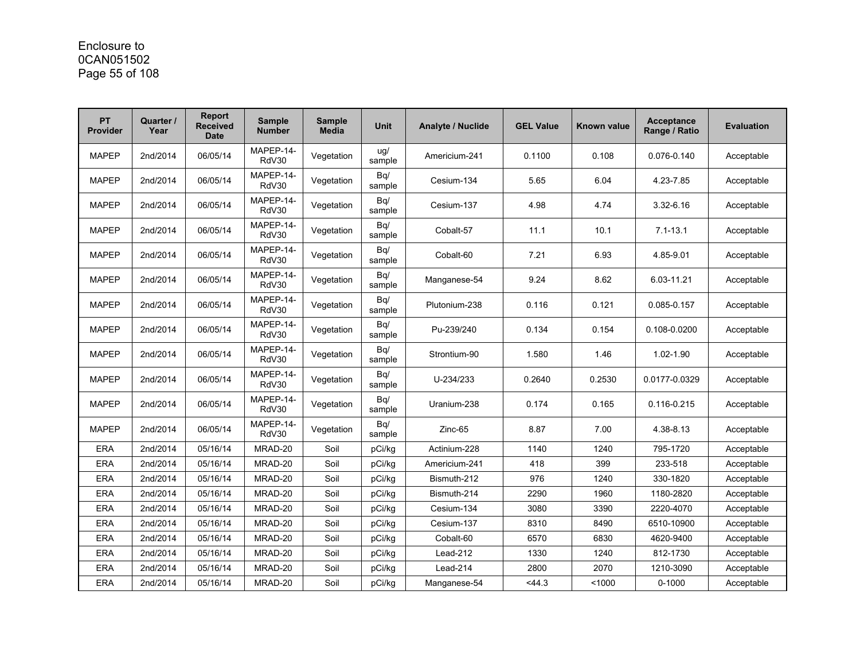### Enclosure to 0CAN051502 Page 55 of 108

| PT<br><b>Provider</b> | Quarter /<br>Year | <b>Report</b><br>Received<br><b>Date</b> | <b>Sample</b><br><b>Number</b> | <b>Sample</b><br><b>Media</b> | <b>Unit</b>   | <b>Analyte / Nuclide</b> | <b>GEL Value</b> | Known value | <b>Acceptance</b><br>Range / Ratio | <b>Evaluation</b> |
|-----------------------|-------------------|------------------------------------------|--------------------------------|-------------------------------|---------------|--------------------------|------------------|-------------|------------------------------------|-------------------|
| <b>MAPEP</b>          | 2nd/2014          | 06/05/14                                 | MAPEP-14-<br>RdV30             | Vegetation                    | ug/<br>sample | Americium-241            | 0.1100           | 0.108       | 0.076-0.140                        | Acceptable        |
| <b>MAPEP</b>          | 2nd/2014          | 06/05/14                                 | MAPEP-14-<br>RdV30             | Vegetation                    | Bq/<br>sample | Cesium-134               | 5.65             | 6.04        | 4.23-7.85                          | Acceptable        |
| <b>MAPEP</b>          | 2nd/2014          | 06/05/14                                 | MAPEP-14-<br>RdV30             | Vegetation                    | Bq/<br>sample | Cesium-137               | 4.98             | 4.74        | 3.32-6.16                          | Acceptable        |
| <b>MAPEP</b>          | 2nd/2014          | 06/05/14                                 | MAPEP-14-<br>RdV30             | Vegetation                    | Bq/<br>sample | Cobalt-57                | 11.1             | 10.1        | $7.1 - 13.1$                       | Acceptable        |
| <b>MAPEP</b>          | 2nd/2014          | 06/05/14                                 | MAPEP-14-<br>RdV30             | Vegetation                    | Bq/<br>sample | Cobalt-60                | 7.21             | 6.93        | 4.85-9.01                          | Acceptable        |
| <b>MAPEP</b>          | 2nd/2014          | 06/05/14                                 | MAPEP-14-<br>RdV30             | Vegetation                    | Bq/<br>sample | Manganese-54             | 9.24             | 8.62        | 6.03-11.21                         | Acceptable        |
| <b>MAPEP</b>          | 2nd/2014          | 06/05/14                                 | MAPEP-14-<br>RdV30             | Vegetation                    | Bq/<br>sample | Plutonium-238            | 0.116            | 0.121       | 0.085-0.157                        | Acceptable        |
| <b>MAPEP</b>          | 2nd/2014          | 06/05/14                                 | MAPEP-14-<br>RdV30             | Vegetation                    | Bq/<br>sample | Pu-239/240               | 0.134            | 0.154       | 0.108-0.0200                       | Acceptable        |
| <b>MAPEP</b>          | 2nd/2014          | 06/05/14                                 | MAPEP-14-<br>RdV30             | Vegetation                    | Bq/<br>sample | Strontium-90             | 1.580            | 1.46        | 1.02-1.90                          | Acceptable        |
| <b>MAPEP</b>          | 2nd/2014          | 06/05/14                                 | MAPEP-14-<br>RdV30             | Vegetation                    | Bq/<br>sample | U-234/233                | 0.2640           | 0.2530      | 0.0177-0.0329                      | Acceptable        |
| <b>MAPEP</b>          | 2nd/2014          | 06/05/14                                 | MAPEP-14-<br>RdV30             | Vegetation                    | Bq/<br>sample | Uranium-238              | 0.174            | 0.165       | 0.116-0.215                        | Acceptable        |
| <b>MAPEP</b>          | 2nd/2014          | 06/05/14                                 | MAPEP-14-<br>RdV30             | Vegetation                    | Bq/<br>sample | Zinc-65                  | 8.87             | 7.00        | 4.38-8.13                          | Acceptable        |
| <b>ERA</b>            | 2nd/2014          | 05/16/14                                 | MRAD-20                        | Soil                          | pCi/kg        | Actinium-228             | 1140             | 1240        | 795-1720                           | Acceptable        |
| <b>ERA</b>            | 2nd/2014          | 05/16/14                                 | MRAD-20                        | Soil                          | pCi/kg        | Americium-241            | 418              | 399         | 233-518                            | Acceptable        |
| <b>ERA</b>            | 2nd/2014          | 05/16/14                                 | MRAD-20                        | Soil                          | pCi/kq        | Bismuth-212              | 976              | 1240        | 330-1820                           | Acceptable        |
| <b>ERA</b>            | 2nd/2014          | 05/16/14                                 | MRAD-20                        | Soil                          | pCi/kg        | Bismuth-214              | 2290             | 1960        | 1180-2820                          | Acceptable        |
| <b>ERA</b>            | 2nd/2014          | 05/16/14                                 | MRAD-20                        | Soil                          | pCi/kg        | Cesium-134               | 3080             | 3390        | 2220-4070                          | Acceptable        |
| <b>ERA</b>            | 2nd/2014          | 05/16/14                                 | MRAD-20                        | Soil                          | pCi/kg        | Cesium-137               | 8310             | 8490        | 6510-10900                         | Acceptable        |
| <b>ERA</b>            | 2nd/2014          | 05/16/14                                 | MRAD-20                        | Soil                          | pCi/kg        | Cobalt-60                | 6570             | 6830        | 4620-9400                          | Acceptable        |
| <b>ERA</b>            | 2nd/2014          | 05/16/14                                 | MRAD-20                        | Soil                          | pCi/kg        | Lead-212                 | 1330             | 1240        | 812-1730                           | Acceptable        |
| <b>ERA</b>            | 2nd/2014          | 05/16/14                                 | MRAD-20                        | Soil                          | pCi/kg        | Lead-214                 | 2800             | 2070        | 1210-3090                          | Acceptable        |
| <b>ERA</b>            | 2nd/2014          | 05/16/14                                 | MRAD-20                        | Soil                          | pCi/kg        | Manganese-54             | < 44.3           | < 1000      | $0 - 1000$                         | Acceptable        |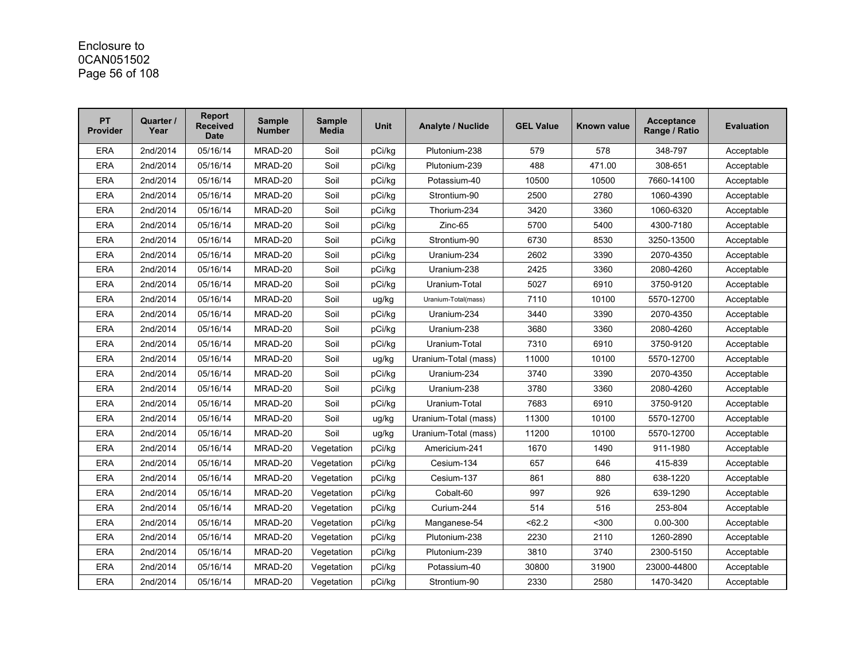### Enclosure to 0CAN051502 Page 56 of 108

| <b>PT</b><br><b>Provider</b> | Quarter /<br>Year | <b>Report</b><br><b>Received</b><br><b>Date</b> | <b>Sample</b><br><b>Number</b> | <b>Sample</b><br><b>Media</b> | <b>Unit</b> | Analyte / Nuclide    | <b>GEL Value</b> | Known value | <b>Acceptance</b><br>Range / Ratio | <b>Evaluation</b> |
|------------------------------|-------------------|-------------------------------------------------|--------------------------------|-------------------------------|-------------|----------------------|------------------|-------------|------------------------------------|-------------------|
| <b>ERA</b>                   | 2nd/2014          | 05/16/14                                        | MRAD-20                        | Soil                          | pCi/kq      | Plutonium-238        | 579              | 578         | 348-797                            | Acceptable        |
| <b>ERA</b>                   | 2nd/2014          | 05/16/14                                        | MRAD-20                        | Soil                          | pCi/kg      | Plutonium-239        | 488              | 471.00      | 308-651                            | Acceptable        |
| <b>ERA</b>                   | 2nd/2014          | 05/16/14                                        | MRAD-20                        | Soil                          | pCi/kg      | Potassium-40         | 10500            | 10500       | 7660-14100                         | Acceptable        |
| <b>ERA</b>                   | 2nd/2014          | 05/16/14                                        | MRAD-20                        | Soil                          | pCi/kg      | Strontium-90         | 2500             | 2780        | 1060-4390                          | Acceptable        |
| <b>ERA</b>                   | 2nd/2014          | 05/16/14                                        | MRAD-20                        | Soil                          | pCi/kg      | Thorium-234          | 3420             | 3360        | 1060-6320                          | Acceptable        |
| <b>ERA</b>                   | 2nd/2014          | 05/16/14                                        | MRAD-20                        | Soil                          | pCi/kg      | Zinc-65              | 5700             | 5400        | 4300-7180                          | Acceptable        |
| <b>ERA</b>                   | 2nd/2014          | 05/16/14                                        | MRAD-20                        | Soil                          | pCi/kg      | Strontium-90         | 6730             | 8530        | 3250-13500                         | Acceptable        |
| <b>ERA</b>                   | 2nd/2014          | 05/16/14                                        | MRAD-20                        | Soil                          | pCi/kg      | Uranium-234          | 2602             | 3390        | 2070-4350                          | Acceptable        |
| <b>ERA</b>                   | 2nd/2014          | 05/16/14                                        | MRAD-20                        | Soil                          | pCi/kg      | Uranium-238          | 2425             | 3360        | 2080-4260                          | Acceptable        |
| <b>ERA</b>                   | 2nd/2014          | 05/16/14                                        | MRAD-20                        | Soil                          | pCi/kg      | Uranium-Total        | 5027             | 6910        | 3750-9120                          | Acceptable        |
| <b>ERA</b>                   | 2nd/2014          | 05/16/14                                        | MRAD-20                        | Soil                          | ug/kg       | Uranium-Total(mass)  | 7110             | 10100       | 5570-12700                         | Acceptable        |
| <b>ERA</b>                   | 2nd/2014          | 05/16/14                                        | MRAD-20                        | Soil                          | pCi/kg      | Uranium-234          | 3440             | 3390        | 2070-4350                          | Acceptable        |
| <b>ERA</b>                   | 2nd/2014          | 05/16/14                                        | MRAD-20                        | Soil                          | pCi/kg      | Uranium-238          | 3680             | 3360        | 2080-4260                          | Acceptable        |
| <b>ERA</b>                   | 2nd/2014          | 05/16/14                                        | MRAD-20                        | Soil                          | pCi/kg      | Uranium-Total        | 7310             | 6910        | 3750-9120                          | Acceptable        |
| <b>ERA</b>                   | 2nd/2014          | 05/16/14                                        | MRAD-20                        | Soil                          | ug/kg       | Uranium-Total (mass) | 11000            | 10100       | 5570-12700                         | Acceptable        |
| <b>ERA</b>                   | 2nd/2014          | 05/16/14                                        | MRAD-20                        | Soil                          | pCi/kq      | Uranium-234          | 3740             | 3390        | 2070-4350                          | Acceptable        |
| <b>ERA</b>                   | 2nd/2014          | 05/16/14                                        | MRAD-20                        | Soil                          | pCi/kg      | Uranium-238          | 3780             | 3360        | 2080-4260                          | Acceptable        |
| <b>ERA</b>                   | 2nd/2014          | 05/16/14                                        | MRAD-20                        | Soil                          | pCi/kg      | Uranium-Total        | 7683             | 6910        | 3750-9120                          | Acceptable        |
| <b>ERA</b>                   | 2nd/2014          | 05/16/14                                        | MRAD-20                        | Soil                          | ug/kg       | Uranium-Total (mass) | 11300            | 10100       | 5570-12700                         | Acceptable        |
| <b>ERA</b>                   | 2nd/2014          | 05/16/14                                        | MRAD-20                        | Soil                          | ug/kg       | Uranium-Total (mass) | 11200            | 10100       | 5570-12700                         | Acceptable        |
| <b>ERA</b>                   | 2nd/2014          | 05/16/14                                        | MRAD-20                        | Vegetation                    | pCi/kq      | Americium-241        | 1670             | 1490        | 911-1980                           | Acceptable        |
| <b>ERA</b>                   | 2nd/2014          | 05/16/14                                        | MRAD-20                        | Vegetation                    | pCi/kg      | Cesium-134           | 657              | 646         | 415-839                            | Acceptable        |
| <b>ERA</b>                   | 2nd/2014          | 05/16/14                                        | MRAD-20                        | Vegetation                    | pCi/kg      | Cesium-137           | 861              | 880         | 638-1220                           | Acceptable        |
| <b>ERA</b>                   | 2nd/2014          | 05/16/14                                        | MRAD-20                        | Vegetation                    | pCi/kg      | Cobalt-60            | 997              | 926         | 639-1290                           | Acceptable        |
| <b>ERA</b>                   | 2nd/2014          | 05/16/14                                        | MRAD-20                        | Vegetation                    | pCi/kg      | Curium-244           | 514              | 516         | 253-804                            | Acceptable        |
| <b>ERA</b>                   | 2nd/2014          | 05/16/14                                        | MRAD-20                        | Vegetation                    | pCi/kg      | Manganese-54         | < 62.2           | $300$       | 0.00-300                           | Acceptable        |
| <b>ERA</b>                   | 2nd/2014          | 05/16/14                                        | MRAD-20                        | Vegetation                    | pCi/kg      | Plutonium-238        | 2230             | 2110        | 1260-2890                          | Acceptable        |
| <b>ERA</b>                   | 2nd/2014          | 05/16/14                                        | MRAD-20                        | Vegetation                    | pCi/kg      | Plutonium-239        | 3810             | 3740        | 2300-5150                          | Acceptable        |
| <b>ERA</b>                   | 2nd/2014          | 05/16/14                                        | MRAD-20                        | Vegetation                    | pCi/kg      | Potassium-40         | 30800            | 31900       | 23000-44800                        | Acceptable        |
| <b>ERA</b>                   | 2nd/2014          | 05/16/14                                        | MRAD-20                        | Vegetation                    | pCi/kg      | Strontium-90         | 2330             | 2580        | 1470-3420                          | Acceptable        |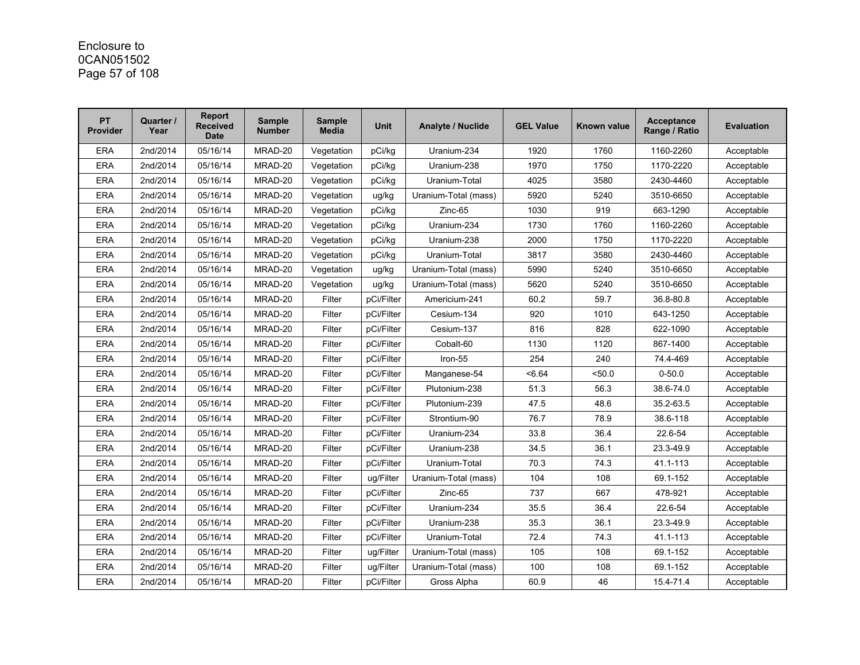# Enclosure to 0CAN051502 Page 57 of 108

| <b>PT</b><br><b>Provider</b> | Quarter /<br>Year | Report<br><b>Received</b><br><b>Date</b> | <b>Sample</b><br><b>Number</b> | <b>Sample</b><br><b>Media</b> | <b>Unit</b> | Analyte / Nuclide    | <b>GEL Value</b> | Known value | <b>Acceptance</b><br>Range / Ratio | <b>Evaluation</b> |
|------------------------------|-------------------|------------------------------------------|--------------------------------|-------------------------------|-------------|----------------------|------------------|-------------|------------------------------------|-------------------|
| <b>ERA</b>                   | 2nd/2014          | 05/16/14                                 | MRAD-20                        | Vegetation                    | pCi/kg      | Uranium-234          | 1920             | 1760        | 1160-2260                          | Acceptable        |
| <b>ERA</b>                   | 2nd/2014          | 05/16/14                                 | MRAD-20                        | Vegetation                    | pCi/kq      | Uranium-238          | 1970             | 1750        | 1170-2220                          | Acceptable        |
| <b>ERA</b>                   | 2nd/2014          | 05/16/14                                 | MRAD-20                        | Vegetation                    | pCi/kg      | Uranium-Total        | 4025             | 3580        | 2430-4460                          | Acceptable        |
| <b>ERA</b>                   | 2nd/2014          | 05/16/14                                 | MRAD-20                        | Vegetation                    | ug/kg       | Uranium-Total (mass) | 5920             | 5240        | 3510-6650                          | Acceptable        |
| <b>ERA</b>                   | 2nd/2014          | 05/16/14                                 | MRAD-20                        | Vegetation                    | pCi/kg      | Zinc-65              | 1030             | 919         | 663-1290                           | Acceptable        |
| <b>ERA</b>                   | 2nd/2014          | 05/16/14                                 | MRAD-20                        | Vegetation                    | pCi/kg      | Uranium-234          | 1730             | 1760        | 1160-2260                          | Acceptable        |
| <b>ERA</b>                   | 2nd/2014          | 05/16/14                                 | MRAD-20                        | Vegetation                    | pCi/kq      | Uranium-238          | 2000             | 1750        | 1170-2220                          | Acceptable        |
| <b>ERA</b>                   | 2nd/2014          | 05/16/14                                 | MRAD-20                        | Vegetation                    | pCi/kg      | Uranium-Total        | 3817             | 3580        | 2430-4460                          | Acceptable        |
| <b>ERA</b>                   | 2nd/2014          | 05/16/14                                 | MRAD-20                        | Vegetation                    | ug/kg       | Uranium-Total (mass) | 5990             | 5240        | 3510-6650                          | Acceptable        |
| <b>ERA</b>                   | 2nd/2014          | 05/16/14                                 | MRAD-20                        | Vegetation                    | ug/kg       | Uranium-Total (mass) | 5620             | 5240        | 3510-6650                          | Acceptable        |
| <b>ERA</b>                   | 2nd/2014          | 05/16/14                                 | MRAD-20                        | Filter                        | pCi/Filter  | Americium-241        | 60.2             | 59.7        | 36.8-80.8                          | Acceptable        |
| <b>ERA</b>                   | 2nd/2014          | 05/16/14                                 | MRAD-20                        | Filter                        | pCi/Filter  | Cesium-134           | 920              | 1010        | 643-1250                           | Acceptable        |
| <b>ERA</b>                   | 2nd/2014          | 05/16/14                                 | MRAD-20                        | Filter                        | pCi/Filter  | Cesium-137           | 816              | 828         | 622-1090                           | Acceptable        |
| ERA                          | 2nd/2014          | 05/16/14                                 | MRAD-20                        | Filter                        | pCi/Filter  | Cobalt-60            | 1130             | 1120        | 867-1400                           | Acceptable        |
| <b>ERA</b>                   | 2nd/2014          | 05/16/14                                 | MRAD-20                        | Filter                        | pCi/Filter  | Iron-55              | 254              | 240         | 74.4-469                           | Acceptable        |
| <b>ERA</b>                   | 2nd/2014          | 05/16/14                                 | MRAD-20                        | Filter                        | pCi/Filter  | Manganese-54         | < 6.64           | 50.0        | $0 - 50.0$                         | Acceptable        |
| <b>ERA</b>                   | 2nd/2014          | 05/16/14                                 | MRAD-20                        | Filter                        | pCi/Filter  | Plutonium-238        | 51.3             | 56.3        | 38.6-74.0                          | Acceptable        |
| <b>ERA</b>                   | 2nd/2014          | 05/16/14                                 | MRAD-20                        | Filter                        | pCi/Filter  | Plutonium-239        | 47.5             | 48.6        | 35.2-63.5                          | Acceptable        |
| <b>ERA</b>                   | 2nd/2014          | 05/16/14                                 | MRAD-20                        | Filter                        | pCi/Filter  | Strontium-90         | 76.7             | 78.9        | 38.6-118                           | Acceptable        |
| ERA                          | 2nd/2014          | 05/16/14                                 | MRAD-20                        | Filter                        | pCi/Filter  | Uranium-234          | 33.8             | 36.4        | 22.6-54                            | Acceptable        |
| <b>ERA</b>                   | 2nd/2014          | 05/16/14                                 | MRAD-20                        | Filter                        | pCi/Filter  | Uranium-238          | 34.5             | 36.1        | 23.3-49.9                          | Acceptable        |
| <b>ERA</b>                   | 2nd/2014          | 05/16/14                                 | MRAD-20                        | Filter                        | pCi/Filter  | Uranium-Total        | 70.3             | 74.3        | 41.1-113                           | Acceptable        |
| <b>ERA</b>                   | 2nd/2014          | 05/16/14                                 | MRAD-20                        | Filter                        | uq/Filter   | Uranium-Total (mass) | 104              | 108         | 69.1-152                           | Acceptable        |
| <b>ERA</b>                   | 2nd/2014          | 05/16/14                                 | MRAD-20                        | Filter                        | pCi/Filter  | Zinc-65              | 737              | 667         | 478-921                            | Acceptable        |
| <b>ERA</b>                   | 2nd/2014          | 05/16/14                                 | MRAD-20                        | Filter                        | pCi/Filter  | Uranium-234          | 35.5             | 36.4        | 22.6-54                            | Acceptable        |
| <b>ERA</b>                   | 2nd/2014          | 05/16/14                                 | MRAD-20                        | Filter                        | pCi/Filter  | Uranium-238          | 35.3             | 36.1        | 23.3-49.9                          | Acceptable        |
| <b>ERA</b>                   | 2nd/2014          | 05/16/14                                 | MRAD-20                        | Filter                        | pCi/Filter  | Uranium-Total        | 72.4             | 74.3        | 41.1-113                           | Acceptable        |
| <b>ERA</b>                   | 2nd/2014          | 05/16/14                                 | MRAD-20                        | Filter                        | ug/Filter   | Uranium-Total (mass) | 105              | 108         | 69.1-152                           | Acceptable        |
| <b>ERA</b>                   | 2nd/2014          | 05/16/14                                 | MRAD-20                        | Filter                        | ug/Filter   | Uranium-Total (mass) | 100              | 108         | 69.1-152                           | Acceptable        |
| <b>ERA</b>                   | 2nd/2014          | 05/16/14                                 | MRAD-20                        | Filter                        | pCi/Filter  | Gross Alpha          | 60.9             | 46          | 154-71.4                           | Acceptable        |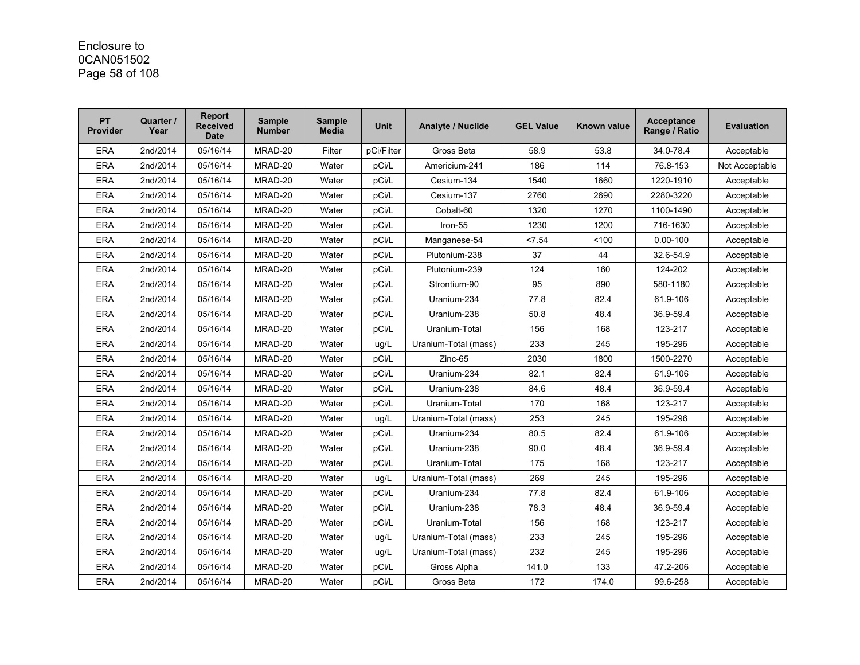### Enclosure to 0CAN051502 Page 58 of 108

| <b>PT</b><br><b>Provider</b> | Quarter /<br>Year | <b>Report</b><br><b>Received</b><br><b>Date</b> | <b>Sample</b><br><b>Number</b> | <b>Sample</b><br><b>Media</b> | <b>Unit</b> | Analyte / Nuclide    | <b>GEL Value</b> | Known value | <b>Acceptance</b><br>Range / Ratio | <b>Evaluation</b> |
|------------------------------|-------------------|-------------------------------------------------|--------------------------------|-------------------------------|-------------|----------------------|------------------|-------------|------------------------------------|-------------------|
| <b>ERA</b>                   | 2nd/2014          | 05/16/14                                        | MRAD-20                        | Filter                        | pCi/Filter  | Gross Beta           | 58.9             | 53.8        | 34.0-78.4                          | Acceptable        |
| <b>ERA</b>                   | 2nd/2014          | 05/16/14                                        | MRAD-20                        | Water                         | pCi/L       | Americium-241        | 186              | 114         | 76.8-153                           | Not Acceptable    |
| <b>ERA</b>                   | 2nd/2014          | 05/16/14                                        | MRAD-20                        | Water                         | pCi/L       | Cesium-134           | 1540             | 1660        | 1220-1910                          | Acceptable        |
| <b>ERA</b>                   | 2nd/2014          | 05/16/14                                        | MRAD-20                        | Water                         | pCi/L       | Cesium-137           | 2760             | 2690        | 2280-3220                          | Acceptable        |
| <b>ERA</b>                   | 2nd/2014          | 05/16/14                                        | MRAD-20                        | Water                         | pCi/L       | Cobalt-60            | 1320             | 1270        | 1100-1490                          | Acceptable        |
| <b>ERA</b>                   | 2nd/2014          | 05/16/14                                        | MRAD-20                        | Water                         | pCi/L       | Iron-55              | 1230             | 1200        | 716-1630                           | Acceptable        |
| <b>ERA</b>                   | 2nd/2014          | 05/16/14                                        | MRAD-20                        | Water                         | pCi/L       | Manganese-54         | < 7.54           | 100         | $0.00 - 100$                       | Acceptable        |
| <b>ERA</b>                   | 2nd/2014          | 05/16/14                                        | MRAD-20                        | Water                         | pCi/L       | Plutonium-238        | 37               | 44          | 32.6-54.9                          | Acceptable        |
| <b>ERA</b>                   | 2nd/2014          | 05/16/14                                        | MRAD-20                        | Water                         | pCi/L       | Plutonium-239        | 124              | 160         | 124-202                            | Acceptable        |
| <b>ERA</b>                   | 2nd/2014          | 05/16/14                                        | MRAD-20                        | Water                         | pCi/L       | Strontium-90         | 95               | 890         | 580-1180                           | Acceptable        |
| <b>ERA</b>                   | 2nd/2014          | 05/16/14                                        | MRAD-20                        | Water                         | pCi/L       | Uranium-234          | 77.8             | 82.4        | 61.9-106                           | Acceptable        |
| <b>ERA</b>                   | 2nd/2014          | 05/16/14                                        | MRAD-20                        | Water                         | pCi/L       | Uranium-238          | 50.8             | 48.4        | 36.9-59.4                          | Acceptable        |
| <b>ERA</b>                   | 2nd/2014          | 05/16/14                                        | MRAD-20                        | Water                         | pCi/L       | Uranium-Total        | 156              | 168         | 123-217                            | Acceptable        |
| <b>ERA</b>                   | 2nd/2014          | 05/16/14                                        | MRAD-20                        | Water                         | ug/L        | Uranium-Total (mass) | 233              | 245         | 195-296                            | Acceptable        |
| <b>ERA</b>                   | 2nd/2014          | 05/16/14                                        | MRAD-20                        | Water                         | pCi/L       | Zinc-65              | 2030             | 1800        | 1500-2270                          | Acceptable        |
| <b>ERA</b>                   | 2nd/2014          | 05/16/14                                        | MRAD-20                        | Water                         | pCi/L       | Uranium-234          | 82.1             | 82.4        | 61.9-106                           | Acceptable        |
| <b>ERA</b>                   | 2nd/2014          | 05/16/14                                        | MRAD-20                        | Water                         | pCi/L       | Uranium-238          | 84.6             | 48.4        | 36.9-59.4                          | Acceptable        |
| <b>ERA</b>                   | 2nd/2014          | 05/16/14                                        | MRAD-20                        | Water                         | pCi/L       | Uranium-Total        | 170              | 168         | 123-217                            | Acceptable        |
| <b>ERA</b>                   | 2nd/2014          | 05/16/14                                        | MRAD-20                        | Water                         | ug/L        | Uranium-Total (mass) | 253              | 245         | 195-296                            | Acceptable        |
| <b>ERA</b>                   | 2nd/2014          | 05/16/14                                        | MRAD-20                        | Water                         | pCi/L       | Uranium-234          | 80.5             | 82.4        | 61.9-106                           | Acceptable        |
| <b>ERA</b>                   | 2nd/2014          | 05/16/14                                        | MRAD-20                        | Water                         | pCi/L       | Uranium-238          | 90.0             | 48.4        | 36.9-59.4                          | Acceptable        |
| <b>ERA</b>                   | 2nd/2014          | 05/16/14                                        | MRAD-20                        | Water                         | pCi/L       | Uranium-Total        | 175              | 168         | 123-217                            | Acceptable        |
| <b>ERA</b>                   | 2nd/2014          | 05/16/14                                        | MRAD-20                        | Water                         | ug/L        | Uranium-Total (mass) | 269              | 245         | 195-296                            | Acceptable        |
| <b>ERA</b>                   | 2nd/2014          | 05/16/14                                        | MRAD-20                        | Water                         | pCi/L       | Uranium-234          | 77.8             | 82.4        | 61.9-106                           | Acceptable        |
| <b>ERA</b>                   | 2nd/2014          | 05/16/14                                        | MRAD-20                        | Water                         | pCi/L       | Uranium-238          | 78.3             | 48.4        | 36.9-59.4                          | Acceptable        |
| <b>ERA</b>                   | 2nd/2014          | 05/16/14                                        | MRAD-20                        | Water                         | pCi/L       | Uranium-Total        | 156              | 168         | 123-217                            | Acceptable        |
| <b>ERA</b>                   | 2nd/2014          | 05/16/14                                        | MRAD-20                        | Water                         | ug/L        | Uranium-Total (mass) | 233              | 245         | 195-296                            | Acceptable        |
| <b>ERA</b>                   | 2nd/2014          | 05/16/14                                        | MRAD-20                        | Water                         | ug/L        | Uranium-Total (mass) | 232              | 245         | 195-296                            | Acceptable        |
| <b>ERA</b>                   | 2nd/2014          | 05/16/14                                        | MRAD-20                        | Water                         | pCi/L       | Gross Alpha          | 141.0            | 133         | 47.2-206                           | Acceptable        |
| <b>ERA</b>                   | 2nd/2014          | 05/16/14                                        | MRAD-20                        | Water                         | pCi/L       | Gross Beta           | 172              | 174.0       | 99.6-258                           | Acceptable        |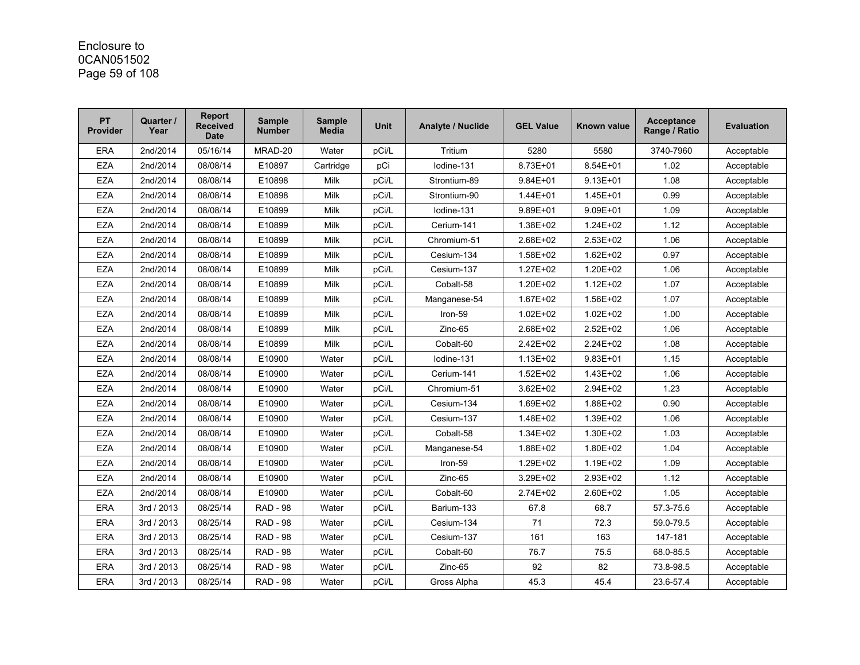### Enclosure to 0CAN051502 Page 59 of 108

| <b>PT</b><br><b>Provider</b> | Quarter /<br>Year | <b>Report</b><br><b>Received</b><br><b>Date</b> | <b>Sample</b><br><b>Number</b> | <b>Sample</b><br><b>Media</b> | <b>Unit</b> | Analyte / Nuclide | <b>GEL Value</b> | Known value  | <b>Acceptance</b><br>Range / Ratio | <b>Evaluation</b> |
|------------------------------|-------------------|-------------------------------------------------|--------------------------------|-------------------------------|-------------|-------------------|------------------|--------------|------------------------------------|-------------------|
| <b>ERA</b>                   | 2nd/2014          | 05/16/14                                        | MRAD-20                        | Water                         | pCi/L       | Tritium           | 5280             | 5580         | 3740-7960                          | Acceptable        |
| <b>EZA</b>                   | 2nd/2014          | 08/08/14                                        | E10897                         | Cartridge                     | pCi         | lodine-131        | 8.73E+01         | 8.54E+01     | 1.02                               | Acceptable        |
| <b>EZA</b>                   | 2nd/2014          | 08/08/14                                        | E10898                         | <b>Milk</b>                   | pCi/L       | Strontium-89      | $9.84E + 01$     | $9.13E + 01$ | 1.08                               | Acceptable        |
| <b>EZA</b>                   | 2nd/2014          | 08/08/14                                        | E10898                         | Milk                          | pCi/L       | Strontium-90      | $1.44E + 01$     | 1.45E+01     | 0.99                               | Acceptable        |
| <b>EZA</b>                   | 2nd/2014          | 08/08/14                                        | E10899                         | Milk                          | pCi/L       | lodine-131        | $9.89E + 01$     | $9.09E + 01$ | 1.09                               | Acceptable        |
| <b>EZA</b>                   | 2nd/2014          | 08/08/14                                        | E10899                         | Milk                          | pCi/L       | Cerium-141        | 1.38E+02         | $1.24E + 02$ | 1.12                               | Acceptable        |
| <b>EZA</b>                   | 2nd/2014          | 08/08/14                                        | E10899                         | Milk                          | pCi/L       | Chromium-51       | 2.68E+02         | 2.53E+02     | 1.06                               | Acceptable        |
| <b>EZA</b>                   | 2nd/2014          | 08/08/14                                        | E10899                         | <b>Milk</b>                   | pCi/L       | Cesium-134        | 1.58E+02         | $1.62E + 02$ | 0.97                               | Acceptable        |
| <b>EZA</b>                   | 2nd/2014          | 08/08/14                                        | E10899                         | Milk                          | pCi/L       | Cesium-137        | 1.27E+02         | 1.20E+02     | 1.06                               | Acceptable        |
| <b>EZA</b>                   | 2nd/2014          | 08/08/14                                        | E10899                         | Milk                          | pCi/L       | Cobalt-58         | 1.20E+02         | $1.12E + 02$ | 1.07                               | Acceptable        |
| <b>EZA</b>                   | 2nd/2014          | 08/08/14                                        | E10899                         | <b>Milk</b>                   | pCi/L       | Manganese-54      | 1.67E+02         | 1.56E+02     | 1.07                               | Acceptable        |
| <b>EZA</b>                   | 2nd/2014          | 08/08/14                                        | E10899                         | Milk                          | pCi/L       | Iron-59           | $1.02E + 02$     | $1.02E + 02$ | 1.00                               | Acceptable        |
| <b>EZA</b>                   | 2nd/2014          | 08/08/14                                        | E10899                         | <b>Milk</b>                   | pCi/L       | $Zinc-65$         | 2.68E+02         | 2.52E+02     | 1.06                               | Acceptable        |
| <b>EZA</b>                   | 2nd/2014          | 08/08/14                                        | E10899                         | <b>Milk</b>                   | pCi/L       | Cobalt-60         | 2.42E+02         | 2.24E+02     | 1.08                               | Acceptable        |
| <b>EZA</b>                   | 2nd/2014          | 08/08/14                                        | E10900                         | Water                         | pCi/L       | lodine-131        | 1.13E+02         | $9.83E + 01$ | 1.15                               | Acceptable        |
| <b>EZA</b>                   | 2nd/2014          | 08/08/14                                        | E10900                         | Water                         | pCi/L       | Cerium-141        | $1.52E + 02$     | 1.43E+02     | 1.06                               | Acceptable        |
| <b>EZA</b>                   | 2nd/2014          | 08/08/14                                        | E10900                         | Water                         | pCi/L       | Chromium-51       | 3.62E+02         | 2.94E+02     | 1.23                               | Acceptable        |
| <b>EZA</b>                   | 2nd/2014          | 08/08/14                                        | E10900                         | Water                         | pCi/L       | Cesium-134        | 1.69E+02         | 1.88E+02     | 0.90                               | Acceptable        |
| <b>EZA</b>                   | 2nd/2014          | 08/08/14                                        | E10900                         | Water                         | pCi/L       | Cesium-137        | 1.48E+02         | 1.39E+02     | 1.06                               | Acceptable        |
| <b>EZA</b>                   | 2nd/2014          | 08/08/14                                        | E10900                         | Water                         | pCi/L       | Cobalt-58         | 1.34E+02         | 1.30E+02     | 1.03                               | Acceptable        |
| <b>EZA</b>                   | 2nd/2014          | 08/08/14                                        | E10900                         | Water                         | pCi/L       | Manganese-54      | 1.88E+02         | 1.80E+02     | 1.04                               | Acceptable        |
| <b>EZA</b>                   | 2nd/2014          | 08/08/14                                        | E10900                         | Water                         | pCi/L       | Iron-59           | 1.29E+02         | 1.19E+02     | 1.09                               | Acceptable        |
| <b>EZA</b>                   | 2nd/2014          | 08/08/14                                        | E10900                         | Water                         | pCi/L       | $Zinc-65$         | 3.29E+02         | 2.93E+02     | 1.12                               | Acceptable        |
| <b>EZA</b>                   | 2nd/2014          | 08/08/14                                        | E10900                         | Water                         | pCi/L       | Cobalt-60         | 2.74E+02         | 2.60E+02     | 1.05                               | Acceptable        |
| <b>ERA</b>                   | 3rd / 2013        | 08/25/14                                        | <b>RAD - 98</b>                | Water                         | pCi/L       | Barium-133        | 67.8             | 68.7         | 57.3-75.6                          | Acceptable        |
| <b>ERA</b>                   | 3rd / 2013        | 08/25/14                                        | <b>RAD - 98</b>                | Water                         | pCi/L       | Cesium-134        | 71               | 72.3         | 59.0-79.5                          | Acceptable        |
| <b>ERA</b>                   | 3rd / 2013        | 08/25/14                                        | <b>RAD - 98</b>                | Water                         | pCi/L       | Cesium-137        | 161              | 163          | 147-181                            | Acceptable        |
| <b>ERA</b>                   | 3rd / 2013        | 08/25/14                                        | <b>RAD - 98</b>                | Water                         | pCi/L       | Cobalt-60         | 76.7             | 75.5         | 68.0-85.5                          | Acceptable        |
| <b>ERA</b>                   | 3rd / 2013        | 08/25/14                                        | <b>RAD - 98</b>                | Water                         | pCi/L       | Zinc-65           | 92               | 82           | 73.8-98.5                          | Acceptable        |
| <b>ERA</b>                   | 3rd / 2013        | 08/25/14                                        | <b>RAD - 98</b>                | Water                         | pCi/L       | Gross Alpha       | 45.3             | 45.4         | 23.6-57.4                          | Acceptable        |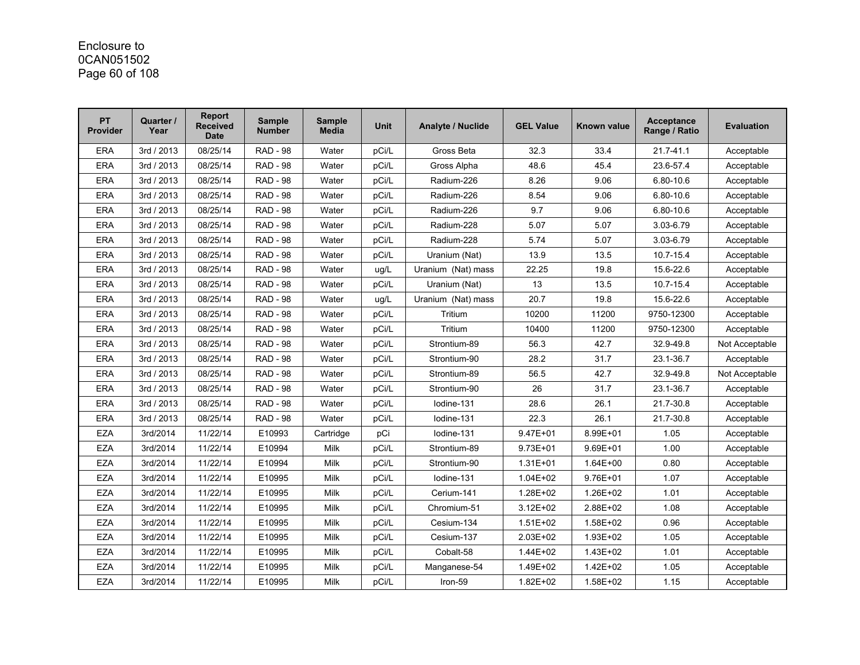# Enclosure to 0CAN051502 Page 60 of 108

| PT<br><b>Provider</b> | Quarter /<br>Year | <b>Report</b><br><b>Received</b><br><b>Date</b> | <b>Sample</b><br><b>Number</b> | <b>Sample</b><br><b>Media</b> | <b>Unit</b> | <b>Analyte / Nuclide</b> | <b>GEL Value</b> | Known value  | <b>Acceptance</b><br>Range / Ratio | <b>Evaluation</b> |
|-----------------------|-------------------|-------------------------------------------------|--------------------------------|-------------------------------|-------------|--------------------------|------------------|--------------|------------------------------------|-------------------|
| <b>ERA</b>            | 3rd / 2013        | 08/25/14                                        | <b>RAD - 98</b>                | Water                         | pCi/L       | Gross Beta               | 32.3             | 33.4         | $21.7 - 41.1$                      | Acceptable        |
| <b>ERA</b>            | 3rd / 2013        | 08/25/14                                        | <b>RAD - 98</b>                | Water                         | pCi/L       | Gross Alpha              | 48.6             | 45.4         | 23.6-57.4                          | Acceptable        |
| <b>ERA</b>            | 3rd / 2013        | 08/25/14                                        | <b>RAD - 98</b>                | Water                         | pCi/L       | Radium-226               | 8.26             | 9.06         | 6.80-10.6                          | Acceptable        |
| <b>ERA</b>            | 3rd / 2013        | 08/25/14                                        | <b>RAD - 98</b>                | Water                         | pCi/L       | Radium-226               | 8.54             | 9.06         | 6.80-10.6                          | Acceptable        |
| <b>ERA</b>            | 3rd / 2013        | 08/25/14                                        | <b>RAD - 98</b>                | Water                         | pCi/L       | Radium-226               | 9.7              | 9.06         | 6.80-10.6                          | Acceptable        |
| <b>ERA</b>            | 3rd / 2013        | 08/25/14                                        | <b>RAD - 98</b>                | Water                         | pCi/L       | Radium-228               | 5.07             | 5.07         | 3.03-6.79                          | Acceptable        |
| <b>ERA</b>            | 3rd / 2013        | 08/25/14                                        | <b>RAD - 98</b>                | Water                         | pCi/L       | Radium-228               | 5.74             | 5.07         | 3.03-6.79                          | Acceptable        |
| <b>ERA</b>            | 3rd / 2013        | 08/25/14                                        | <b>RAD - 98</b>                | Water                         | pCi/L       | Uranium (Nat)            | 13.9             | 13.5         | 10.7-15.4                          | Acceptable        |
| <b>ERA</b>            | 3rd / 2013        | 08/25/14                                        | <b>RAD - 98</b>                | Water                         | ug/L        | Uranium (Nat) mass       | 22.25            | 19.8         | 15.6-22.6                          | Acceptable        |
| <b>ERA</b>            | 3rd / 2013        | 08/25/14                                        | <b>RAD - 98</b>                | Water                         | pCi/L       | Uranium (Nat)            | 13               | 13.5         | 10.7-15.4                          | Acceptable        |
| <b>ERA</b>            | 3rd / 2013        | 08/25/14                                        | <b>RAD - 98</b>                | Water                         | ug/L        | Uranium (Nat) mass       | 20.7             | 19.8         | 15.6-22.6                          | Acceptable        |
| <b>ERA</b>            | 3rd / 2013        | 08/25/14                                        | <b>RAD - 98</b>                | Water                         | pCi/L       | Tritium                  | 10200            | 11200        | 9750-12300                         | Acceptable        |
| <b>ERA</b>            | 3rd / 2013        | 08/25/14                                        | <b>RAD - 98</b>                | Water                         | pCi/L       | Tritium                  | 10400            | 11200        | 9750-12300                         | Acceptable        |
| <b>ERA</b>            | 3rd / 2013        | 08/25/14                                        | <b>RAD - 98</b>                | Water                         | pCi/L       | Strontium-89             | 56.3             | 42.7         | 32.9-49.8                          | Not Acceptable    |
| <b>ERA</b>            | 3rd / 2013        | 08/25/14                                        | <b>RAD - 98</b>                | Water                         | pCi/L       | Strontium-90             | 28.2             | 31.7         | 23.1-36.7                          | Acceptable        |
| <b>ERA</b>            | 3rd / 2013        | 08/25/14                                        | <b>RAD - 98</b>                | Water                         | pCi/L       | Strontium-89             | 56.5             | 42.7         | 32.9-49.8                          | Not Acceptable    |
| <b>ERA</b>            | 3rd / 2013        | 08/25/14                                        | <b>RAD - 98</b>                | Water                         | pCi/L       | Strontium-90             | 26               | 31.7         | 23.1-36.7                          | Acceptable        |
| <b>ERA</b>            | 3rd / 2013        | 08/25/14                                        | <b>RAD - 98</b>                | Water                         | pCi/L       | lodine-131               | 28.6             | 26.1         | 21.7-30.8                          | Acceptable        |
| <b>ERA</b>            | 3rd / 2013        | 08/25/14                                        | <b>RAD - 98</b>                | Water                         | pCi/L       | Iodine-131               | 22.3             | 26.1         | 21.7-30.8                          | Acceptable        |
| EZA                   | 3rd/2014          | 11/22/14                                        | E10993                         | Cartridge                     | pCi         | lodine-131               | 9.47E+01         | 8.99E+01     | 1.05                               | Acceptable        |
| <b>EZA</b>            | 3rd/2014          | 11/22/14                                        | E10994                         | <b>Milk</b>                   | pCi/L       | Strontium-89             | $9.73E + 01$     | $9.69E + 01$ | 1.00                               | Acceptable        |
| <b>EZA</b>            | 3rd/2014          | 11/22/14                                        | E10994                         | Milk                          | pCi/L       | Strontium-90             | 1.31E+01         | $1.64E + 00$ | 0.80                               | Acceptable        |
| <b>EZA</b>            | 3rd/2014          | 11/22/14                                        | E10995                         | <b>Milk</b>                   | pCi/L       | lodine-131               | $1.04E + 02$     | 9.76E+01     | 1.07                               | Acceptable        |
| <b>EZA</b>            | 3rd/2014          | 11/22/14                                        | E10995                         | Milk                          | pCi/L       | Cerium-141               | 1.28E+02         | 1.26E+02     | 1.01                               | Acceptable        |
| <b>EZA</b>            | 3rd/2014          | 11/22/14                                        | E10995                         | Milk                          | pCi/L       | Chromium-51              | 3.12E+02         | 2.88E+02     | 1.08                               | Acceptable        |
| <b>EZA</b>            | 3rd/2014          | 11/22/14                                        | E10995                         | <b>Milk</b>                   | pCi/L       | Cesium-134               | $1.51E + 02$     | 1.58E+02     | 0.96                               | Acceptable        |
| <b>EZA</b>            | 3rd/2014          | 11/22/14                                        | E10995                         | Milk                          | pCi/L       | Cesium-137               | 2.03E+02         | 1.93E+02     | 1.05                               | Acceptable        |
| <b>EZA</b>            | 3rd/2014          | 11/22/14                                        | E10995                         | <b>Milk</b>                   | pCi/L       | Cobalt-58                | 1.44E+02         | 1.43E+02     | 1.01                               | Acceptable        |
| <b>EZA</b>            | 3rd/2014          | 11/22/14                                        | E10995                         | Milk                          | pCi/L       | Manganese-54             | 1.49E+02         | 1.42E+02     | 1.05                               | Acceptable        |
| <b>EZA</b>            | 3rd/2014          | 11/22/14                                        | E10995                         | Milk                          | pCi/L       | Iron-59                  | $1.82E + 02$     | 1.58E+02     | 1.15                               | Acceptable        |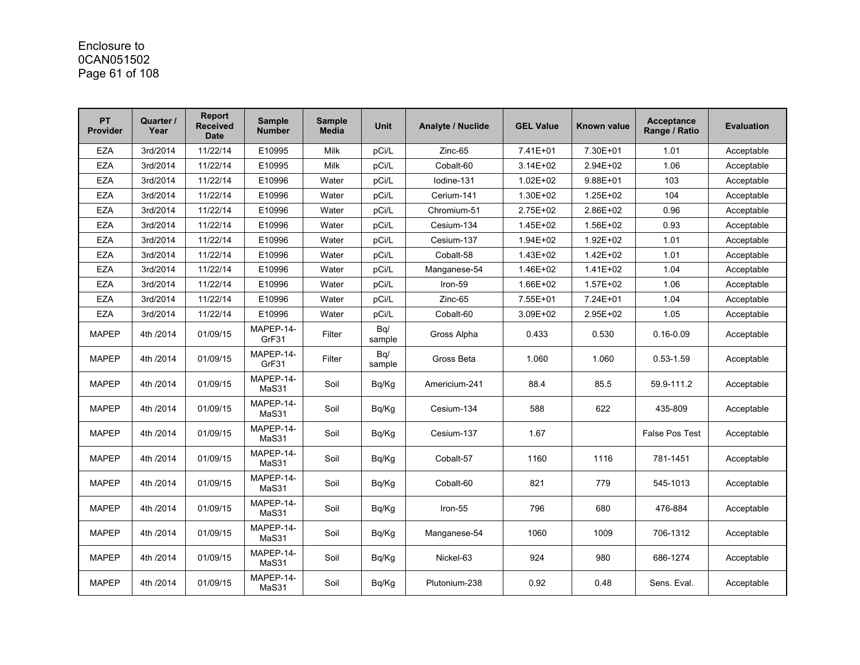# Enclosure to 0CAN051502 Page 61 of 108

| <b>PT</b><br><b>Provider</b> | Quarter /<br>Year | <b>Report</b><br><b>Received</b><br><b>Date</b> | <b>Sample</b><br><b>Number</b> | <b>Sample</b><br><b>Media</b> | <b>Unit</b>   | <b>Analyte / Nuclide</b> | <b>GEL Value</b> | Known value  | <b>Acceptance</b><br>Range / Ratio | <b>Evaluation</b> |
|------------------------------|-------------------|-------------------------------------------------|--------------------------------|-------------------------------|---------------|--------------------------|------------------|--------------|------------------------------------|-------------------|
| <b>EZA</b>                   | 3rd/2014          | 11/22/14                                        | E10995                         | <b>Milk</b>                   | pCi/L         | Zinc-65                  | 7.41E+01         | 7.30E+01     | 1.01                               | Acceptable        |
| <b>EZA</b>                   | 3rd/2014          | 11/22/14                                        | E10995                         | Milk                          | pCi/L         | Cobalt-60                | $3.14E + 02$     | $2.94E + 02$ | 1.06                               | Acceptable        |
| <b>EZA</b>                   | 3rd/2014          | 11/22/14                                        | E10996                         | Water                         | pCi/L         | Iodine-131               | $1.02E + 02$     | 9.88E+01     | 103                                | Acceptable        |
| <b>EZA</b>                   | 3rd/2014          | 11/22/14                                        | E10996                         | Water                         | pCi/L         | Cerium-141               | 1.30E+02         | 1.25E+02     | 104                                | Acceptable        |
| <b>EZA</b>                   | 3rd/2014          | 11/22/14                                        | E10996                         | Water                         | pCi/L         | Chromium-51              | 2.75E+02         | 2.86E+02     | 0.96                               | Acceptable        |
| <b>EZA</b>                   | 3rd/2014          | 11/22/14                                        | E10996                         | Water                         | pCi/L         | Cesium-134               | 1.45E+02         | 1.56E+02     | 0.93                               | Acceptable        |
| <b>EZA</b>                   | 3rd/2014          | 11/22/14                                        | E10996                         | Water                         | pCi/L         | Cesium-137               | 1.94E+02         | 1.92E+02     | 1.01                               | Acceptable        |
| <b>EZA</b>                   | 3rd/2014          | 11/22/14                                        | E10996                         | Water                         | pCi/L         | Cobalt-58                | 1.43E+02         | $1.42E + 02$ | 1.01                               | Acceptable        |
| <b>EZA</b>                   | 3rd/2014          | 11/22/14                                        | E10996                         | Water                         | pCi/L         | Manganese-54             | 1.46E+02         | $1.41E + 02$ | 1.04                               | Acceptable        |
| <b>EZA</b>                   | 3rd/2014          | 11/22/14                                        | E10996                         | Water                         | pCi/L         | Iron-59                  | 1.66E+02         | $1.57E + 02$ | 1.06                               | Acceptable        |
| <b>EZA</b>                   | 3rd/2014          | 11/22/14                                        | E10996                         | Water                         | pCi/L         | Zinc-65                  | 7.55E+01         | 7.24E+01     | 1.04                               | Acceptable        |
| <b>EZA</b>                   | 3rd/2014          | 11/22/14                                        | E10996                         | Water                         | pCi/L         | Cobalt-60                | 3.09E+02         | 2.95E+02     | 1.05                               | Acceptable        |
| <b>MAPEP</b>                 | 4th /2014         | 01/09/15                                        | MAPEP-14-<br>GrF31             | Filter                        | Bq/<br>sample | Gross Alpha              | 0.433            | 0.530        | $0.16 - 0.09$                      | Acceptable        |
| <b>MAPEP</b>                 | 4th /2014         | 01/09/15                                        | MAPEP-14-<br>GrF31             | Filter                        | Bq/<br>sample | Gross Beta               | 1.060            | 1.060        | $0.53 - 1.59$                      | Acceptable        |
| <b>MAPEP</b>                 | 4th /2014         | 01/09/15                                        | MAPEP-14-<br>MaS31             | Soil                          | Bq/Kg         | Americium-241            | 88.4             | 85.5         | 59.9-111.2                         | Acceptable        |
| <b>MAPEP</b>                 | 4th /2014         | 01/09/15                                        | MAPEP-14-<br>MaS31             | Soil                          | Bq/Kg         | Cesium-134               | 588              | 622          | 435-809                            | Acceptable        |
| <b>MAPEP</b>                 | 4th /2014         | 01/09/15                                        | MAPEP-14-<br>MaS31             | Soil                          | Bq/Kg         | Cesium-137               | 1.67             |              | <b>False Pos Test</b>              | Acceptable        |
| <b>MAPEP</b>                 | 4th /2014         | 01/09/15                                        | MAPEP-14-<br>MaS31             | Soil                          | Bq/Kg         | Cobalt-57                | 1160             | 1116         | 781-1451                           | Acceptable        |
| <b>MAPEP</b>                 | 4th /2014         | 01/09/15                                        | MAPEP-14-<br>MaS31             | Soil                          | Bq/Kg         | Cobalt-60                | 821              | 779          | 545-1013                           | Acceptable        |
| <b>MAPEP</b>                 | 4th /2014         | 01/09/15                                        | MAPEP-14-<br>MaS31             | Soil                          | Bq/Kg         | Iron-55                  | 796              | 680          | 476-884                            | Acceptable        |
| <b>MAPEP</b>                 | 4th /2014         | 01/09/15                                        | MAPEP-14-<br>MaS31             | Soil                          | Bq/Kg         | Manganese-54             | 1060             | 1009         | 706-1312                           | Acceptable        |
| <b>MAPEP</b>                 | 4th /2014         | 01/09/15                                        | MAPEP-14-<br>MaS31             | Soil                          | Bq/Kg         | Nickel-63                | 924              | 980          | 686-1274                           | Acceptable        |
| <b>MAPEP</b>                 | 4th /2014         | 01/09/15                                        | MAPEP-14-<br>MaS31             | Soil                          | Bq/Kg         | Plutonium-238            | 0.92             | 0.48         | Sens. Eval.                        | Acceptable        |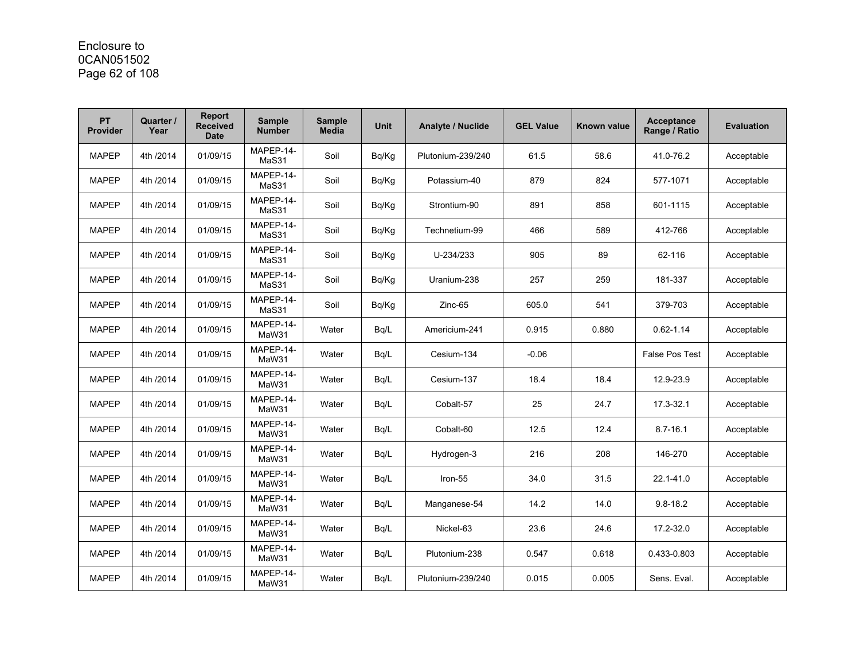# Enclosure to 0CAN051502 Page 62 of 108

| <b>PT</b><br><b>Provider</b> | Quarter /<br>Year | <b>Report</b><br><b>Received</b><br><b>Date</b> | <b>Sample</b><br><b>Number</b> | <b>Sample</b><br><b>Media</b> | <b>Unit</b> | <b>Analyte / Nuclide</b> | <b>GEL Value</b> | Known value | <b>Acceptance</b><br>Range / Ratio | <b>Evaluation</b> |
|------------------------------|-------------------|-------------------------------------------------|--------------------------------|-------------------------------|-------------|--------------------------|------------------|-------------|------------------------------------|-------------------|
| <b>MAPEP</b>                 | 4th /2014         | 01/09/15                                        | MAPEP-14-<br>MaS31             | Soil                          | Bq/Kg       | Plutonium-239/240        | 61.5             | 58.6        | 41.0-76.2                          | Acceptable        |
| <b>MAPEP</b>                 | 4th /2014         | 01/09/15                                        | MAPEP-14-<br>MaS31             | Soil                          | Bq/Kg       | Potassium-40             | 879              | 824         | 577-1071                           | Acceptable        |
| <b>MAPEP</b>                 | 4th /2014         | 01/09/15                                        | MAPEP-14-<br>MaS31             | Soil                          | Bq/Kg       | Strontium-90             | 891              | 858         | 601-1115                           | Acceptable        |
| <b>MAPEP</b>                 | 4th /2014         | 01/09/15                                        | MAPEP-14-<br>MaS31             | Soil                          | Bq/Kg       | Technetium-99            | 466              | 589         | 412-766                            | Acceptable        |
| <b>MAPEP</b>                 | 4th /2014         | 01/09/15                                        | MAPEP-14-<br>MaS31             | Soil                          | Bq/Kg       | U-234/233                | 905              | 89          | 62-116                             | Acceptable        |
| <b>MAPEP</b>                 | 4th /2014         | 01/09/15                                        | MAPEP-14-<br>MaS31             | Soil                          | Bq/Kg       | Uranium-238              | 257              | 259         | 181-337                            | Acceptable        |
| <b>MAPEP</b>                 | 4th /2014         | 01/09/15                                        | MAPEP-14-<br>MaS31             | Soil                          | Bq/Kg       | Zinc-65                  | 605.0            | 541         | 379-703                            | Acceptable        |
| <b>MAPEP</b>                 | 4th /2014         | 01/09/15                                        | MAPEP-14-<br>MaW31             | Water                         | Bq/L        | Americium-241            | 0.915            | 0.880       | $0.62 - 1.14$                      | Acceptable        |
| <b>MAPEP</b>                 | 4th /2014         | 01/09/15                                        | MAPEP-14-<br>MaW31             | Water                         | Bq/L        | Cesium-134               | $-0.06$          |             | <b>False Pos Test</b>              | Acceptable        |
| <b>MAPEP</b>                 | 4th /2014         | 01/09/15                                        | MAPEP-14-<br>MaW31             | Water                         | Bg/L        | Cesium-137               | 18.4             | 18.4        | 12.9-23.9                          | Acceptable        |
| <b>MAPEP</b>                 | 4th /2014         | 01/09/15                                        | MAPEP-14-<br>MaW31             | Water                         | Bg/L        | Cobalt-57                | 25               | 24.7        | 17.3-32.1                          | Acceptable        |
| <b>MAPEP</b>                 | 4th /2014         | 01/09/15                                        | MAPEP-14-<br>MaW31             | Water                         | Bg/L        | Cobalt-60                | 12.5             | 12.4        | $8.7 - 16.1$                       | Acceptable        |
| <b>MAPEP</b>                 | 4th /2014         | 01/09/15                                        | MAPEP-14-<br>MaW31             | Water                         | Bg/L        | Hydrogen-3               | 216              | 208         | 146-270                            | Acceptable        |
| <b>MAPEP</b>                 | 4th /2014         | 01/09/15                                        | MAPEP-14-<br>MaW31             | Water                         | Bq/L        | Iron-55                  | 34.0             | 31.5        | 22.1-41.0                          | Acceptable        |
| <b>MAPEP</b>                 | 4th /2014         | 01/09/15                                        | MAPEP-14-<br>MaW31             | Water                         | Bq/L        | Manganese-54             | 14.2             | 14.0        | $9.8 - 18.2$                       | Acceptable        |
| <b>MAPEP</b>                 | 4th /2014         | 01/09/15                                        | MAPEP-14-<br>MaW31             | Water                         | Bq/L        | Nickel-63                | 23.6             | 24.6        | 17.2-32.0                          | Acceptable        |
| <b>MAPEP</b>                 | 4th /2014         | 01/09/15                                        | MAPEP-14-<br>MaW31             | Water                         | Bg/L        | Plutonium-238            | 0.547            | 0.618       | 0.433-0.803                        | Acceptable        |
| <b>MAPEP</b>                 | 4th /2014         | 01/09/15                                        | MAPEP-14-<br>MaW31             | Water                         | Bg/L        | Plutonium-239/240        | 0.015            | 0.005       | Sens. Eval.                        | Acceptable        |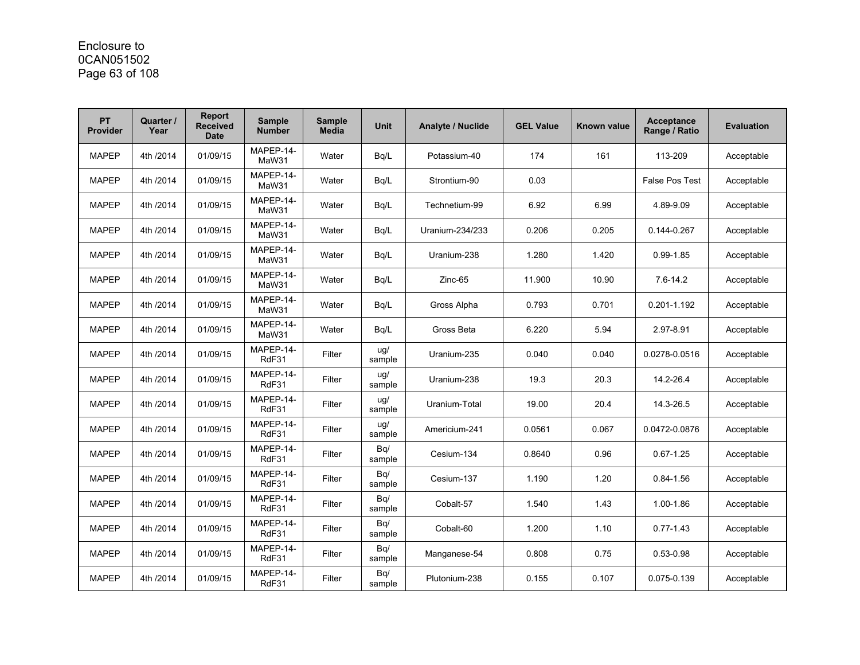# Enclosure to 0CAN051502 Page 63 of 108

| <b>PT</b><br><b>Provider</b> | Quarter /<br>Year | <b>Report</b><br><b>Received</b><br><b>Date</b> | <b>Sample</b><br><b>Number</b> | <b>Sample</b><br><b>Media</b> | <b>Unit</b>   | <b>Analyte / Nuclide</b> | <b>GEL Value</b> | Known value | <b>Acceptance</b><br>Range / Ratio | <b>Evaluation</b> |
|------------------------------|-------------------|-------------------------------------------------|--------------------------------|-------------------------------|---------------|--------------------------|------------------|-------------|------------------------------------|-------------------|
| <b>MAPEP</b>                 | 4th /2014         | 01/09/15                                        | MAPEP-14-<br>MaW31             | Water                         | Bq/L          | Potassium-40             | 174              | 161         | 113-209                            | Acceptable        |
| <b>MAPEP</b>                 | 4th /2014         | 01/09/15                                        | MAPEP-14-<br>MaW31             | Water                         | Bq/L          | Strontium-90             | 0.03             |             | <b>False Pos Test</b>              | Acceptable        |
| <b>MAPEP</b>                 | 4th /2014         | 01/09/15                                        | MAPEP-14-<br>MaW31             | Water                         | Bq/L          | Technetium-99            | 6.92             | 6.99        | 4.89-9.09                          | Acceptable        |
| <b>MAPEP</b>                 | 4th /2014         | 01/09/15                                        | MAPEP-14-<br>MaW31             | Water                         | Bg/L          | Uranium-234/233          | 0.206            | 0.205       | 0.144-0.267                        | Acceptable        |
| <b>MAPEP</b>                 | 4th /2014         | 01/09/15                                        | MAPEP-14-<br>MaW31             | Water                         | Bq/L          | Uranium-238              | 1.280            | 1.420       | $0.99 - 1.85$                      | Acceptable        |
| <b>MAPEP</b>                 | 4th /2014         | 01/09/15                                        | MAPEP-14-<br>MaW31             | Water                         | Bq/L          | Zinc-65                  | 11.900           | 10.90       | $7.6 - 14.2$                       | Acceptable        |
| <b>MAPEP</b>                 | 4th /2014         | 01/09/15                                        | MAPEP-14-<br>MaW31             | Water                         | Bq/L          | Gross Alpha              | 0.793            | 0.701       | 0.201-1.192                        | Acceptable        |
| <b>MAPEP</b>                 | 4th /2014         | 01/09/15                                        | MAPEP-14-<br>MaW31             | Water                         | Bq/L          | Gross Beta               | 6.220            | 5.94        | 2.97-8.91                          | Acceptable        |
| <b>MAPEP</b>                 | 4th /2014         | 01/09/15                                        | MAPEP-14-<br>RdF31             | Filter                        | uq/<br>sample | Uranium-235              | 0.040            | 0.040       | 0.0278-0.0516                      | Acceptable        |
| <b>MAPEP</b>                 | 4th /2014         | 01/09/15                                        | MAPEP-14-<br>RdF31             | Filter                        | ug/<br>sample | Uranium-238              | 19.3             | 20.3        | 14.2-26.4                          | Acceptable        |
| <b>MAPEP</b>                 | 4th /2014         | 01/09/15                                        | MAPEP-14-<br>RdF31             | Filter                        | ug/<br>sample | Uranium-Total            | 19.00            | 20.4        | 14.3-26.5                          | Acceptable        |
| <b>MAPEP</b>                 | 4th /2014         | 01/09/15                                        | MAPEP-14-<br>RdF31             | Filter                        | ug/<br>sample | Americium-241            | 0.0561           | 0.067       | 0.0472-0.0876                      | Acceptable        |
| <b>MAPEP</b>                 | 4th /2014         | 01/09/15                                        | MAPEP-14-<br>RdF31             | Filter                        | Bq/<br>sample | Cesium-134               | 0.8640           | 0.96        | $0.67 - 1.25$                      | Acceptable        |
| <b>MAPEP</b>                 | 4th /2014         | 01/09/15                                        | MAPEP-14-<br>RdF31             | Filter                        | Bq/<br>sample | Cesium-137               | 1.190            | 1.20        | $0.84 - 1.56$                      | Acceptable        |
| <b>MAPEP</b>                 | 4th /2014         | 01/09/15                                        | MAPEP-14-<br>RdF31             | Filter                        | Bq/<br>sample | Cobalt-57                | 1.540            | 1.43        | 1.00-1.86                          | Acceptable        |
| <b>MAPEP</b>                 | 4th /2014         | 01/09/15                                        | MAPEP-14-<br>RdF31             | Filter                        | Bq/<br>sample | Cobalt-60                | 1.200            | 1.10        | $0.77 - 1.43$                      | Acceptable        |
| <b>MAPEP</b>                 | 4th /2014         | 01/09/15                                        | MAPEP-14-<br>RdF31             | Filter                        | Bq/<br>sample | Manganese-54             | 0.808            | 0.75        | $0.53 - 0.98$                      | Acceptable        |
| <b>MAPEP</b>                 | 4th /2014         | 01/09/15                                        | MAPEP-14-<br>RdF31             | Filter                        | Bq/<br>sample | Plutonium-238            | 0.155            | 0.107       | 0.075-0.139                        | Acceptable        |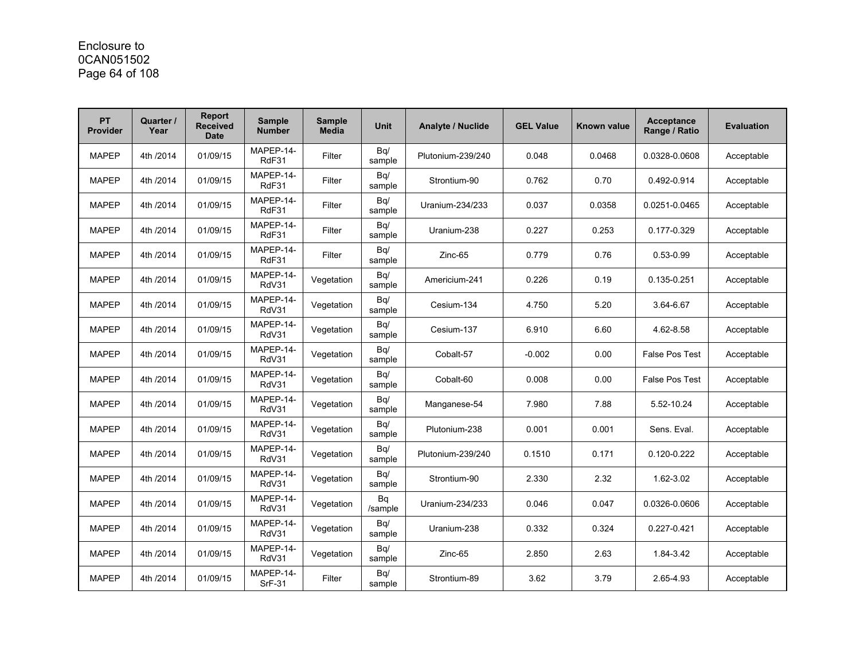### Enclosure to 0CAN051502 Page 64 of 108

| <b>PT</b><br><b>Provider</b> | Quarter /<br>Year | <b>Report</b><br><b>Received</b><br><b>Date</b> | <b>Sample</b><br><b>Number</b> | <b>Sample</b><br><b>Media</b> | <b>Unit</b>   | <b>Analyte / Nuclide</b> | <b>GEL Value</b> | Known value | <b>Acceptance</b><br>Range / Ratio | <b>Evaluation</b> |
|------------------------------|-------------------|-------------------------------------------------|--------------------------------|-------------------------------|---------------|--------------------------|------------------|-------------|------------------------------------|-------------------|
| <b>MAPEP</b>                 | 4th /2014         | 01/09/15                                        | MAPEP-14-<br>RdF31             | Filter                        | Bq/<br>sample | Plutonium-239/240        | 0.048            | 0.0468      | 0.0328-0.0608                      | Acceptable        |
| <b>MAPEP</b>                 | 4th /2014         | 01/09/15                                        | MAPEP-14-<br>RdF31             | Filter                        | Bq/<br>sample | Strontium-90             | 0.762            | 0.70        | 0.492-0.914                        | Acceptable        |
| <b>MAPEP</b>                 | 4th /2014         | 01/09/15                                        | MAPEP-14-<br>RdF31             | Filter                        | Bq/<br>sample | Uranium-234/233          | 0.037            | 0.0358      | 0.0251-0.0465                      | Acceptable        |
| <b>MAPEP</b>                 | 4th /2014         | 01/09/15                                        | MAPEP-14-<br>RdF31             | Filter                        | Bq/<br>sample | Uranium-238              | 0.227            | 0.253       | 0.177-0.329                        | Acceptable        |
| <b>MAPEP</b>                 | 4th /2014         | 01/09/15                                        | MAPEP-14-<br>RdF31             | Filter                        | Bq/<br>sample | Zinc-65                  | 0.779            | 0.76        | $0.53 - 0.99$                      | Acceptable        |
| <b>MAPEP</b>                 | 4th /2014         | 01/09/15                                        | MAPEP-14-<br>RdV31             | Vegetation                    | Bq/<br>sample | Americium-241            | 0.226            | 0.19        | 0.135-0.251                        | Acceptable        |
| <b>MAPEP</b>                 | 4th /2014         | 01/09/15                                        | MAPEP-14-<br>RdV31             | Vegetation                    | Bq/<br>sample | Cesium-134               | 4.750            | 5.20        | 3.64-6.67                          | Acceptable        |
| <b>MAPEP</b>                 | 4th /2014         | 01/09/15                                        | MAPEP-14-<br>RdV31             | Vegetation                    | Bq/<br>sample | Cesium-137               | 6.910            | 6.60        | 4.62-8.58                          | Acceptable        |
| <b>MAPEP</b>                 | 4th /2014         | 01/09/15                                        | MAPEP-14-<br>RdV31             | Vegetation                    | Bq/<br>sample | Cobalt-57                | $-0.002$         | 0.00        | <b>False Pos Test</b>              | Acceptable        |
| <b>MAPEP</b>                 | 4th /2014         | 01/09/15                                        | MAPEP-14-<br>RdV31             | Vegetation                    | Bq/<br>sample | Cobalt-60                | 0.008            | 0.00        | <b>False Pos Test</b>              | Acceptable        |
| <b>MAPEP</b>                 | 4th /2014         | 01/09/15                                        | MAPEP-14-<br>RdV31             | Vegetation                    | Bq/<br>sample | Manganese-54             | 7.980            | 7.88        | 5.52-10.24                         | Acceptable        |
| <b>MAPEP</b>                 | 4th /2014         | 01/09/15                                        | MAPEP-14-<br>RdV31             | Vegetation                    | Bq/<br>sample | Plutonium-238            | 0.001            | 0.001       | Sens. Eval.                        | Acceptable        |
| <b>MAPEP</b>                 | 4th /2014         | 01/09/15                                        | MAPEP-14-<br>RdV31             | Vegetation                    | Bq/<br>sample | Plutonium-239/240        | 0.1510           | 0.171       | 0.120-0.222                        | Acceptable        |
| <b>MAPEP</b>                 | 4th /2014         | 01/09/15                                        | MAPEP-14-<br>RdV31             | Vegetation                    | Bq/<br>sample | Strontium-90             | 2.330            | 2.32        | 1.62-3.02                          | Acceptable        |
| <b>MAPEP</b>                 | 4th /2014         | 01/09/15                                        | MAPEP-14-<br>RdV31             | Vegetation                    | Bq<br>/sample | Uranium-234/233          | 0.046            | 0.047       | 0.0326-0.0606                      | Acceptable        |
| <b>MAPEP</b>                 | 4th /2014         | 01/09/15                                        | MAPEP-14-<br>RdV31             | Vegetation                    | Bq/<br>sample | Uranium-238              | 0.332            | 0.324       | 0.227-0.421                        | Acceptable        |
| <b>MAPEP</b>                 | 4th /2014         | 01/09/15                                        | MAPEP-14-<br>RdV31             | Vegetation                    | Bq/<br>sample | Zinc-65                  | 2.850            | 2.63        | 1.84-3.42                          | Acceptable        |
| <b>MAPEP</b>                 | 4th /2014         | 01/09/15                                        | MAPEP-14-<br><b>SrF-31</b>     | Filter                        | Bq/<br>sample | Strontium-89             | 3.62             | 3.79        | 2.65-4.93                          | Acceptable        |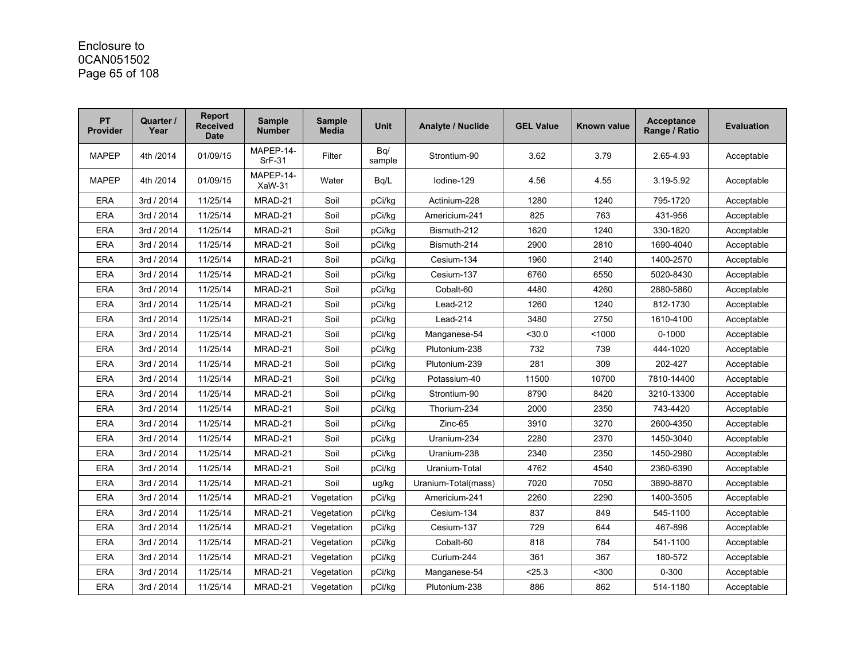### Enclosure to 0CAN051502 Page 65 of 108

| <b>PT</b><br>Provider | Quarter /<br>Year | <b>Report</b><br><b>Received</b><br><b>Date</b> | <b>Sample</b><br><b>Number</b> | <b>Sample</b><br><b>Media</b> | <b>Unit</b>   | <b>Analyte / Nuclide</b> | <b>GEL Value</b> | <b>Known value</b> | <b>Acceptance</b><br>Range / Ratio | <b>Evaluation</b> |
|-----------------------|-------------------|-------------------------------------------------|--------------------------------|-------------------------------|---------------|--------------------------|------------------|--------------------|------------------------------------|-------------------|
| <b>MAPEP</b>          | 4th /2014         | 01/09/15                                        | MAPEP-14-<br><b>SrF-31</b>     | Filter                        | Bq/<br>sample | Strontium-90             | 3.62             | 3.79               | 2.65-4.93                          | Acceptable        |
| <b>MAPEP</b>          | 4th /2014         | 01/09/15                                        | MAPEP-14-<br>XaW-31            | Water                         | Bq/L          | lodine-129               | 4.56             | 4.55               | 3.19-5.92                          | Acceptable        |
| <b>ERA</b>            | 3rd / 2014        | 11/25/14                                        | MRAD-21                        | Soil                          | pCi/kg        | Actinium-228             | 1280             | 1240               | 795-1720                           | Acceptable        |
| <b>ERA</b>            | 3rd / 2014        | 11/25/14                                        | MRAD-21                        | Soil                          | pCi/kg        | Americium-241            | 825              | 763                | 431-956                            | Acceptable        |
| <b>ERA</b>            | 3rd / 2014        | 11/25/14                                        | MRAD-21                        | Soil                          | pCi/kq        | Bismuth-212              | 1620             | 1240               | 330-1820                           | Acceptable        |
| <b>ERA</b>            | 3rd / 2014        | 11/25/14                                        | MRAD-21                        | Soil                          | pCi/kg        | Bismuth-214              | 2900             | 2810               | 1690-4040                          | Acceptable        |
| <b>ERA</b>            | 3rd / 2014        | 11/25/14                                        | MRAD-21                        | Soil                          | pCi/kg        | Cesium-134               | 1960             | 2140               | 1400-2570                          | Acceptable        |
| ERA                   | 3rd / 2014        | 11/25/14                                        | MRAD-21                        | Soil                          | pCi/kq        | Cesium-137               | 6760             | 6550               | 5020-8430                          | Acceptable        |
| <b>ERA</b>            | 3rd / 2014        | 11/25/14                                        | MRAD-21                        | Soil                          | pCi/kg        | Cobalt-60                | 4480             | 4260               | 2880-5860                          | Acceptable        |
| <b>ERA</b>            | 3rd / 2014        | 11/25/14                                        | MRAD-21                        | Soil                          | pCi/kg        | Lead-212                 | 1260             | 1240               | 812-1730                           | Acceptable        |
| <b>ERA</b>            | 3rd / 2014        | 11/25/14                                        | MRAD-21                        | Soil                          | pCi/kg        | Lead-214                 | 3480             | 2750               | 1610-4100                          | Acceptable        |
| <b>ERA</b>            | 3rd / 2014        | 11/25/14                                        | MRAD-21                        | Soil                          | pCi/kg        | Manganese-54             | $30.0$           | < 1000             | $0 - 1000$                         | Acceptable        |
| <b>ERA</b>            | 3rd / 2014        | 11/25/14                                        | MRAD-21                        | Soil                          | pCi/kq        | Plutonium-238            | 732              | 739                | 444-1020                           | Acceptable        |
| <b>ERA</b>            | 3rd / 2014        | 11/25/14                                        | MRAD-21                        | Soil                          | pCi/kq        | Plutonium-239            | 281              | 309                | 202-427                            | Acceptable        |
| <b>ERA</b>            | 3rd / 2014        | 11/25/14                                        | MRAD-21                        | Soil                          | pCi/kq        | Potassium-40             | 11500            | 10700              | 7810-14400                         | Acceptable        |
| <b>ERA</b>            | 3rd / 2014        | 11/25/14                                        | MRAD-21                        | Soil                          | pCi/kg        | Strontium-90             | 8790             | 8420               | 3210-13300                         | Acceptable        |
| <b>ERA</b>            | 3rd / 2014        | 11/25/14                                        | MRAD-21                        | Soil                          | pCi/kg        | Thorium-234              | 2000             | 2350               | 743-4420                           | Acceptable        |
| <b>ERA</b>            | 3rd / 2014        | 11/25/14                                        | MRAD-21                        | Soil                          | pCi/kg        | Zinc-65                  | 3910             | 3270               | 2600-4350                          | Acceptable        |
| <b>ERA</b>            | 3rd / 2014        | 11/25/14                                        | MRAD-21                        | Soil                          | pCi/kq        | Uranium-234              | 2280             | 2370               | 1450-3040                          | Acceptable        |
| <b>ERA</b>            | 3rd / 2014        | 11/25/14                                        | MRAD-21                        | Soil                          | pCi/kg        | Uranium-238              | 2340             | 2350               | 1450-2980                          | Acceptable        |
| <b>ERA</b>            | 3rd / 2014        | 11/25/14                                        | MRAD-21                        | Soil                          | pCi/kg        | Uranium-Total            | 4762             | 4540               | 2360-6390                          | Acceptable        |
| <b>ERA</b>            | 3rd / 2014        | 11/25/14                                        | MRAD-21                        | Soil                          | ug/kg         | Uranium-Total(mass)      | 7020             | 7050               | 3890-8870                          | Acceptable        |
| <b>ERA</b>            | 3rd / 2014        | 11/25/14                                        | MRAD-21                        | Vegetation                    | pCi/kg        | Americium-241            | 2260             | 2290               | 1400-3505                          | Acceptable        |
| <b>ERA</b>            | 3rd / 2014        | 11/25/14                                        | MRAD-21                        | Vegetation                    | pCi/kg        | Cesium-134               | 837              | 849                | 545-1100                           | Acceptable        |
| ERA                   | 3rd / 2014        | 11/25/14                                        | MRAD-21                        | Vegetation                    | pCi/kg        | Cesium-137               | 729              | 644                | 467-896                            | Acceptable        |
| <b>ERA</b>            | 3rd / 2014        | 11/25/14                                        | MRAD-21                        | Vegetation                    | pCi/kg        | Cobalt-60                | 818              | 784                | 541-1100                           | Acceptable        |
| <b>ERA</b>            | 3rd / 2014        | 11/25/14                                        | MRAD-21                        | Vegetation                    | pCi/kg        | Curium-244               | 361              | 367                | 180-572                            | Acceptable        |
| <b>ERA</b>            | 3rd / 2014        | 11/25/14                                        | MRAD-21                        | Vegetation                    | pCi/kg        | Manganese-54             | < 25.3           | $300$              | $0 - 300$                          | Acceptable        |
| <b>ERA</b>            | 3rd / 2014        | 11/25/14                                        | MRAD-21                        | Vegetation                    | pCi/kg        | Plutonium-238            | 886              | 862                | 514-1180                           | Acceptable        |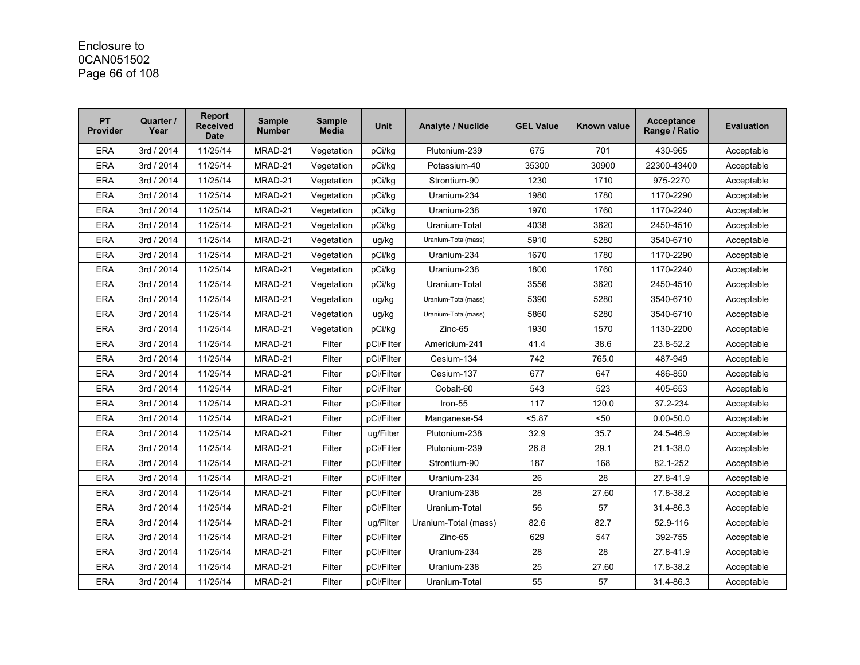# Enclosure to 0CAN051502 Page 66 of 108

| <b>PT</b><br><b>Provider</b> | Quarter /<br>Year | Report<br><b>Received</b><br><b>Date</b> | <b>Sample</b><br><b>Number</b> | <b>Sample</b><br><b>Media</b> | <b>Unit</b> | Analyte / Nuclide    | <b>GEL Value</b> | <b>Known value</b> | <b>Acceptance</b><br>Range / Ratio | <b>Evaluation</b> |
|------------------------------|-------------------|------------------------------------------|--------------------------------|-------------------------------|-------------|----------------------|------------------|--------------------|------------------------------------|-------------------|
| <b>ERA</b>                   | 3rd / 2014        | 11/25/14                                 | MRAD-21                        | Vegetation                    | pCi/kq      | Plutonium-239        | 675              | 701                | 430-965                            | Acceptable        |
| <b>ERA</b>                   | 3rd / 2014        | 11/25/14                                 | MRAD-21                        | Vegetation                    | pCi/kg      | Potassium-40         | 35300            | 30900              | 22300-43400                        | Acceptable        |
| <b>ERA</b>                   | 3rd / 2014        | 11/25/14                                 | MRAD-21                        | Vegetation                    | pCi/kg      | Strontium-90         | 1230             | 1710               | 975-2270                           | Acceptable        |
| <b>ERA</b>                   | 3rd / 2014        | 11/25/14                                 | MRAD-21                        | Vegetation                    | pCi/kg      | Uranium-234          | 1980             | 1780               | 1170-2290                          | Acceptable        |
| <b>ERA</b>                   | 3rd / 2014        | 11/25/14                                 | MRAD-21                        | Vegetation                    | pCi/kg      | Uranium-238          | 1970             | 1760               | 1170-2240                          | Acceptable        |
| ERA                          | 3rd / 2014        | 11/25/14                                 | MRAD-21                        | Vegetation                    | pCi/kg      | Uranium-Total        | 4038             | 3620               | 2450-4510                          | Acceptable        |
| <b>ERA</b>                   | 3rd / 2014        | 11/25/14                                 | MRAD-21                        | Vegetation                    | ug/kg       | Uranium-Total(mass)  | 5910             | 5280               | 3540-6710                          | Acceptable        |
| <b>ERA</b>                   | 3rd / 2014        | 11/25/14                                 | MRAD-21                        | Vegetation                    | pCi/kg      | Uranium-234          | 1670             | 1780               | 1170-2290                          | Acceptable        |
| <b>ERA</b>                   | 3rd / 2014        | 11/25/14                                 | MRAD-21                        | Vegetation                    | pCi/kg      | Uranium-238          | 1800             | 1760               | 1170-2240                          | Acceptable        |
| <b>ERA</b>                   | 3rd / 2014        | 11/25/14                                 | MRAD-21                        | Vegetation                    | pCi/kg      | Uranium-Total        | 3556             | 3620               | 2450-4510                          | Acceptable        |
| <b>ERA</b>                   | 3rd / 2014        | 11/25/14                                 | MRAD-21                        | Vegetation                    | ug/kg       | Uranium-Total(mass)  | 5390             | 5280               | 3540-6710                          | Acceptable        |
| <b>ERA</b>                   | 3rd / 2014        | 11/25/14                                 | MRAD-21                        | Vegetation                    | ug/kg       | Uranium-Total(mass)  | 5860             | 5280               | 3540-6710                          | Acceptable        |
| <b>ERA</b>                   | 3rd / 2014        | 11/25/14                                 | MRAD-21                        | Vegetation                    | pCi/kg      | Zinc-65              | 1930             | 1570               | 1130-2200                          | Acceptable        |
| ERA                          | 3rd / 2014        | 11/25/14                                 | MRAD-21                        | Filter                        | pCi/Filter  | Americium-241        | 41.4             | 38.6               | 23.8-52.2                          | Acceptable        |
| <b>ERA</b>                   | 3rd / 2014        | 11/25/14                                 | MRAD-21                        | Filter                        | pCi/Filter  | Cesium-134           | 742              | 765.0              | 487-949                            | Acceptable        |
| <b>ERA</b>                   | 3rd / 2014        | 11/25/14                                 | MRAD-21                        | Filter                        | pCi/Filter  | Cesium-137           | 677              | 647                | 486-850                            | Acceptable        |
| <b>ERA</b>                   | 3rd / 2014        | 11/25/14                                 | MRAD-21                        | Filter                        | pCi/Filter  | Cobalt-60            | 543              | 523                | 405-653                            | Acceptable        |
| <b>ERA</b>                   | 3rd / 2014        | 11/25/14                                 | MRAD-21                        | Filter                        | pCi/Filter  | Iron-55              | 117              | 120.0              | 37.2-234                           | Acceptable        |
| <b>ERA</b>                   | 3rd / 2014        | 11/25/14                                 | MRAD-21                        | Filter                        | pCi/Filter  | Manganese-54         | 5.87             | $50$               | $0.00 - 50.0$                      | Acceptable        |
| <b>ERA</b>                   | 3rd / 2014        | 11/25/14                                 | MRAD-21                        | Filter                        | ug/Filter   | Plutonium-238        | 32.9             | 35.7               | 24.5-46.9                          | Acceptable        |
| <b>ERA</b>                   | 3rd / 2014        | 11/25/14                                 | MRAD-21                        | Filter                        | pCi/Filter  | Plutonium-239        | 26.8             | 29.1               | 21.1-38.0                          | Acceptable        |
| <b>ERA</b>                   | 3rd / 2014        | 11/25/14                                 | MRAD-21                        | Filter                        | pCi/Filter  | Strontium-90         | 187              | 168                | 82.1-252                           | Acceptable        |
| <b>ERA</b>                   | 3rd / 2014        | 11/25/14                                 | MRAD-21                        | Filter                        | pCi/Filter  | Uranium-234          | 26               | 28                 | 27.8-41.9                          | Acceptable        |
| <b>ERA</b>                   | 3rd / 2014        | 11/25/14                                 | MRAD-21                        | Filter                        | pCi/Filter  | Uranium-238          | 28               | 27.60              | 17.8-38.2                          | Acceptable        |
| <b>ERA</b>                   | 3rd / 2014        | 11/25/14                                 | MRAD-21                        | Filter                        | pCi/Filter  | Uranium-Total        | 56               | 57                 | 31.4-86.3                          | Acceptable        |
| <b>ERA</b>                   | 3rd / 2014        | 11/25/14                                 | MRAD-21                        | Filter                        | ug/Filter   | Uranium-Total (mass) | 82.6             | 82.7               | 52.9-116                           | Acceptable        |
| <b>ERA</b>                   | 3rd / 2014        | 11/25/14                                 | MRAD-21                        | Filter                        | pCi/Filter  | Zinc-65              | 629              | 547                | 392-755                            | Acceptable        |
| <b>ERA</b>                   | 3rd / 2014        | 11/25/14                                 | MRAD-21                        | Filter                        | pCi/Filter  | Uranium-234          | 28               | 28                 | 27.8-41.9                          | Acceptable        |
| <b>ERA</b>                   | 3rd / 2014        | 11/25/14                                 | MRAD-21                        | Filter                        | pCi/Filter  | Uranium-238          | 25               | 27.60              | 17.8-38.2                          | Acceptable        |
| ERA                          | 3rd / 2014        | 11/25/14                                 | MRAD-21                        | Filter                        | pCi/Filter  | Uranium-Total        | 55               | 57                 | 31.4-86.3                          | Acceptable        |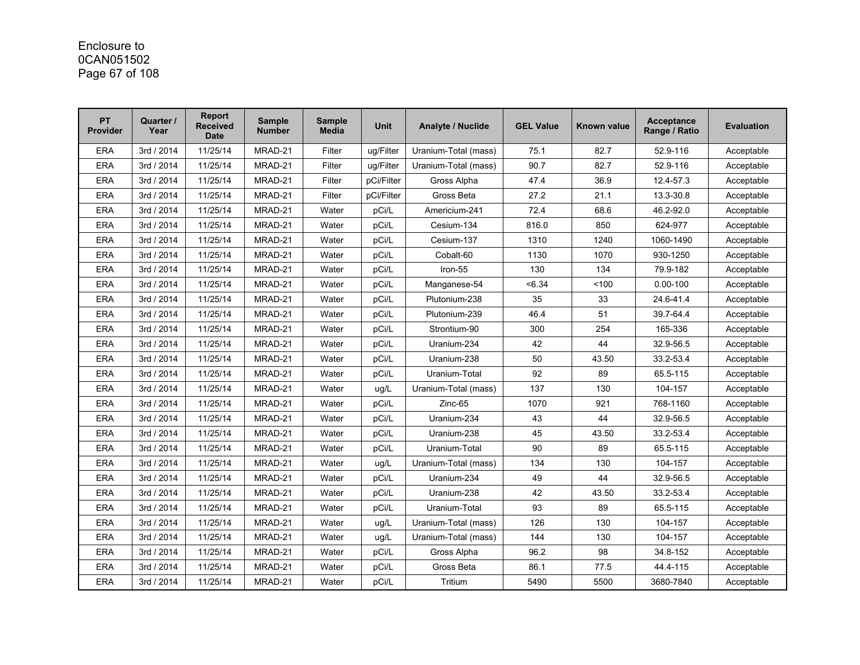# Enclosure to 0CAN051502 Page 67 of 108

| <b>PT</b><br>Provider | Quarter /<br>Year | Report<br><b>Received</b><br><b>Date</b> | <b>Sample</b><br><b>Number</b> | <b>Sample</b><br><b>Media</b> | <b>Unit</b> | <b>Analyte / Nuclide</b> | <b>GEL Value</b> | Known value | <b>Acceptance</b><br>Range / Ratio | <b>Evaluation</b> |
|-----------------------|-------------------|------------------------------------------|--------------------------------|-------------------------------|-------------|--------------------------|------------------|-------------|------------------------------------|-------------------|
| <b>ERA</b>            | 3rd / 2014        | 11/25/14                                 | MRAD-21                        | Filter                        | uq/Filter   | Uranium-Total (mass)     | 75.1             | 82.7        | 52.9-116                           | Acceptable        |
| <b>ERA</b>            | 3rd / 2014        | 11/25/14                                 | MRAD-21                        | Filter                        | ug/Filter   | Uranium-Total (mass)     | 90.7             | 82.7        | 52.9-116                           | Acceptable        |
| <b>ERA</b>            | 3rd / 2014        | 11/25/14                                 | MRAD-21                        | Filter                        | pCi/Filter  | Gross Alpha              | 47.4             | 36.9        | 12.4-57.3                          | Acceptable        |
| <b>ERA</b>            | 3rd / 2014        | 11/25/14                                 | MRAD-21                        | Filter                        | pCi/Filter  | Gross Beta               | 27.2             | 21.1        | 13.3-30.8                          | Acceptable        |
| <b>ERA</b>            | 3rd / 2014        | 11/25/14                                 | MRAD-21                        | Water                         | pCi/L       | Americium-241            | 72.4             | 68.6        | 46.2-92.0                          | Acceptable        |
| <b>ERA</b>            | 3rd / 2014        | 11/25/14                                 | MRAD-21                        | Water                         | pCi/L       | Cesium-134               | 816.0            | 850         | 624-977                            | Acceptable        |
| <b>ERA</b>            | 3rd / 2014        | 11/25/14                                 | MRAD-21                        | Water                         | pCi/L       | Cesium-137               | 1310             | 1240        | 1060-1490                          | Acceptable        |
| <b>ERA</b>            | 3rd / 2014        | 11/25/14                                 | MRAD-21                        | Water                         | pCi/L       | Cobalt-60                | 1130             | 1070        | 930-1250                           | Acceptable        |
| <b>ERA</b>            | 3rd / 2014        | 11/25/14                                 | MRAD-21                        | Water                         | pCi/L       | Iron-55                  | 130              | 134         | 79.9-182                           | Acceptable        |
| <b>ERA</b>            | 3rd / 2014        | 11/25/14                                 | MRAD-21                        | Water                         | pCi/L       | Manganese-54             | < 6.34           | 100         | $0.00 - 100$                       | Acceptable        |
| <b>ERA</b>            | 3rd / 2014        | 11/25/14                                 | MRAD-21                        | Water                         | pCi/L       | Plutonium-238            | 35               | 33          | 24.6-41.4                          | Acceptable        |
| <b>ERA</b>            | 3rd / 2014        | 11/25/14                                 | MRAD-21                        | Water                         | pCi/L       | Plutonium-239            | 46.4             | 51          | 39.7-64.4                          | Acceptable        |
| <b>ERA</b>            | 3rd / 2014        | 11/25/14                                 | MRAD-21                        | Water                         | pCi/L       | Strontium-90             | 300              | 254         | 165-336                            | Acceptable        |
| <b>ERA</b>            | 3rd / 2014        | 11/25/14                                 | MRAD-21                        | Water                         | pCi/L       | Uranium-234              | 42               | 44          | 32.9-56.5                          | Acceptable        |
| <b>ERA</b>            | 3rd / 2014        | 11/25/14                                 | MRAD-21                        | Water                         | pCi/L       | Uranium-238              | 50               | 43.50       | 33.2-53.4                          | Acceptable        |
| <b>ERA</b>            | 3rd / 2014        | 11/25/14                                 | MRAD-21                        | Water                         | pCi/L       | Uranium-Total            | 92               | 89          | 65.5-115                           | Acceptable        |
| <b>ERA</b>            | 3rd / 2014        | 11/25/14                                 | MRAD-21                        | Water                         | ug/L        | Uranium-Total (mass)     | 137              | 130         | 104-157                            | Acceptable        |
| <b>ERA</b>            | 3rd / 2014        | 11/25/14                                 | MRAD-21                        | Water                         | pCi/L       | Zinc-65                  | 1070             | 921         | 768-1160                           | Acceptable        |
| <b>ERA</b>            | 3rd / 2014        | 11/25/14                                 | MRAD-21                        | Water                         | pCi/L       | Uranium-234              | 43               | 44          | 32.9-56.5                          | Acceptable        |
| <b>ERA</b>            | 3rd / 2014        | 11/25/14                                 | MRAD-21                        | Water                         | pCi/L       | Uranium-238              | 45               | 43.50       | 33.2-53.4                          | Acceptable        |
| <b>ERA</b>            | 3rd / 2014        | 11/25/14                                 | MRAD-21                        | Water                         | pCi/L       | Uranium-Total            | 90               | 89          | 65.5-115                           | Acceptable        |
| <b>ERA</b>            | 3rd / 2014        | 11/25/14                                 | MRAD-21                        | Water                         | ug/L        | Uranium-Total (mass)     | 134              | 130         | 104-157                            | Acceptable        |
| <b>ERA</b>            | 3rd / 2014        | 11/25/14                                 | MRAD-21                        | Water                         | pCi/L       | Uranium-234              | 49               | 44          | 32.9-56.5                          | Acceptable        |
| <b>ERA</b>            | 3rd / 2014        | 11/25/14                                 | MRAD-21                        | Water                         | pCi/L       | Uranium-238              | 42               | 43.50       | 33.2-53.4                          | Acceptable        |
| <b>ERA</b>            | 3rd / 2014        | 11/25/14                                 | MRAD-21                        | Water                         | pCi/L       | Uranium-Total            | 93               | 89          | 65.5-115                           | Acceptable        |
| <b>ERA</b>            | 3rd / 2014        | 11/25/14                                 | MRAD-21                        | Water                         | ug/L        | Uranium-Total (mass)     | 126              | 130         | 104-157                            | Acceptable        |
| <b>ERA</b>            | 3rd / 2014        | 11/25/14                                 | MRAD-21                        | Water                         | ug/L        | Uranium-Total (mass)     | 144              | 130         | 104-157                            | Acceptable        |
| <b>ERA</b>            | 3rd / 2014        | 11/25/14                                 | MRAD-21                        | Water                         | pCi/L       | Gross Alpha              | 96.2             | 98          | 34.8-152                           | Acceptable        |
| <b>ERA</b>            | 3rd / 2014        | 11/25/14                                 | MRAD-21                        | Water                         | pCi/L       | Gross Beta               | 86.1             | 77.5        | 44.4-115                           | Acceptable        |
| <b>ERA</b>            | 3rd / 2014        | 11/25/14                                 | MRAD-21                        | Water                         | pCi/L       | Tritium                  | 5490             | 5500        | 3680-7840                          | Acceptable        |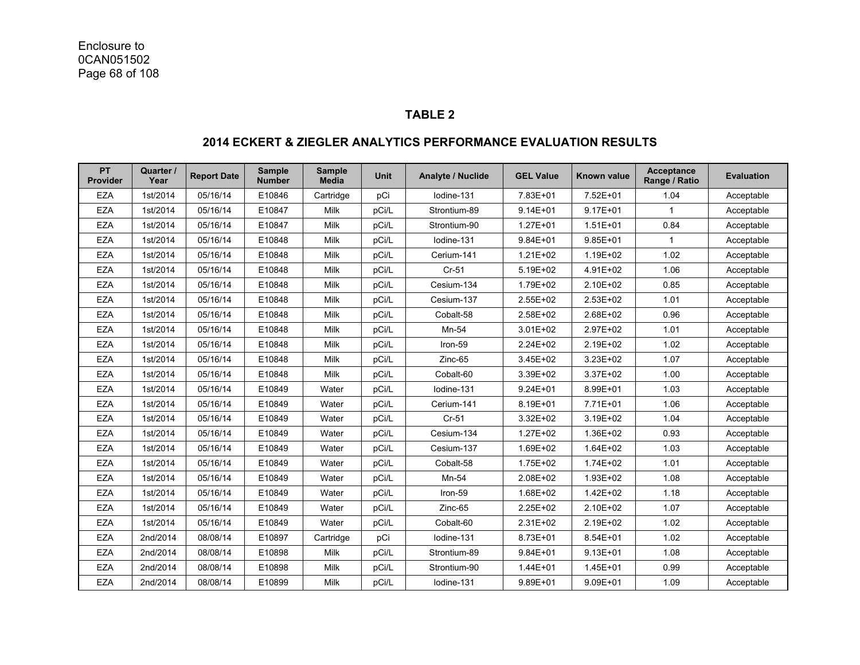#### **TABLE 2**

#### **PT Provider Quarter /**  <sup>Jarter /</sup> Report Date <sup>Sample</sup> Sample Wnit Analyte / Nuclide GEL Value Known value Acceptance Evaluation **Range / Ratio** Pulletion **Range / Ratio Acceptance** EZA | 1st/2014 | 05/16/14 | E10846 | Cartridge | pCi | Iodine-131 | 7.83E+01 | 7.52E+01 | 1.04 | Acceptable EZA | 1st/2014 | 05/16/14 | E10847 | Milk | pCi/L | Strontium-89 | 9.14E+01 | 9.17E+01 | 1 | Acceptable EZA | 1st/2014 | 05/16/14 | E10847 | Milk | pCi/L | Strontium-90 | 1.27E+01 | 1.51E+01 | 0.84 | Acceptable EZA | 1st/2014 | 05/16/14 | E10848 | Milk | pCi/L | lodine-131 | 9.84E+01 | 9.85E+01 | 1 | Acceptable EZA | 1st/2014 | 05/16/14 | E10848 | Milk | pCi/L | Cerium-141 | 1.21E+02 | 1.19E+02 | 1.02 | Acceptable EZA | 1st/2014 | 05/16/14 | E10848 | Milk | pCi/L | Cr-51 | 5.19E+02 | 4.91E+02 | 1.06 | Acceptable EZA | 1st/2014 | 05/16/14 | E10848 | Milk | pCi/L | Cesium-134 | 1.79E+02 | 2.10E+02 | 0.85 | Acceptable EZA | 1st/2014 | 05/16/14 | E10848 | Milk | pCi/L | Cesium-137 | 2.55E+02 | 2.53E+02 | 1.01 | Acceptable EZA | 1st/2014 | 05/16/14 | E10848 | Milk | pCi/L | Cobalt-58 | 2.58E+02 | 2.68E+02 | 0.96 | Acceptable EZA | 1st/2014 | 05/16/14 | E10848 | Milk | pCi/L | Mn-54 | 3.01E+02 | 2.97E+02 | 1.01 | Acceptable EZA | 1st/2014 | 05/16/14 | E10848 | Milk | pCi/L | Iron-59 | 2.24E+02 | 2.19E+02 | 1.02 | Acceptable EZA | 1st/2014 | 05/16/14 | E10848 | Milk | pCi/L | Zinc-65 | 3.45E+02 | 3.23E+02 | 1.07 | Acceptable EZA | 1st/2014 | 05/16/14 | E10848 | Milk | pCi/L | Cobalt-60 | 3.39E+02 | 3.37E+02 | 1.00 | Acceptable EZA | 1st/2014 | 05/16/14 | E10849 | Water | pCi/L | Iodine-131 | 9.24E+01 | 8.99E+01 | 1.03 | Acceptable EZA | 1st/2014 | 05/16/14 | E10849 | Water | pCi/L | Cerium-141 | 8.19E+01 | 7.71E+01 | 1.06 | Acceptable EZA | 1st/2014 | 05/16/14 | E10849 | Water | pCi/L | Cr-51 | 3.32E+02 | 3.19E+02 | 1.04 | Acceptable EZA | 1st/2014 | 05/16/14 | E10849 | Water | pCi/L | Cesium-134 | 1.27E+02 | 1.36E+02 | 0.93 | Acceptable EZA | 1st/2014 | 05/16/14 | E10849 | Water | pCi/L | Cesium-137 | 1.69E+02 | 1.64E+02 | 1.03 | Acceptable EZA | 1st/2014 | 05/16/14 | E10849 | Water | pCi/L | Cobalt-58 | 1.75E+02 | 1.74E+02 | 1.01 | Acceptable EZA | 1st/2014 | 05/16/14 | E10849 | Water | pCi/L | Mn-54 | 2.08E+02 | 1.93E+02 | 1.08 | Acceptable EZA | 1st/2014 | 05/16/14 | E10849 | Water | pCi/L | Iron-59 | 1.68E+02 | 1.42E+02 | 1.18 | Acceptable EZA | 1st/2014 | 05/16/14 | E10849 | Water | pCi/L | Zinc-65 | 2.25E+02 | 2.10E+02 | 1.07 | Acceptable EZA | 1st/2014 | 05/16/14 | E10849 | Water | pCi/L | Cobalt-60 | 2.31E+02 | 2.19E+02 | 1.02 | Acceptable EZA | 2nd/2014 | 08/08/14 | E10897 | Cartridge | pCi | lodine-131 | 8.73E+01 | 8.54E+01 | 1.02 | Acceptable EZA | 2nd/2014 | 08/08/14 | E10898 | Milk | pCi/L | Strontium-89 | 9.84E+01 | 9.13E+01 | 1.08 | Acceptable EZA | 2nd/2014 | 08/08/14 | E10898 | Milk | pCi/L | Strontium-90 | 1.44E+01 | 1.45E+01 | 0.99 | Acceptable EZA | 2nd/2014 | 08/08/14 | E10899 | Milk | pCi/L | Iodine-131 | 9.89E+01 | 9.09E+01 | 1.09 | Acceptable

#### **2014 ECKERT & ZIEGLER ANALYTICS PERFORMANCE EVALUATION RESULTS**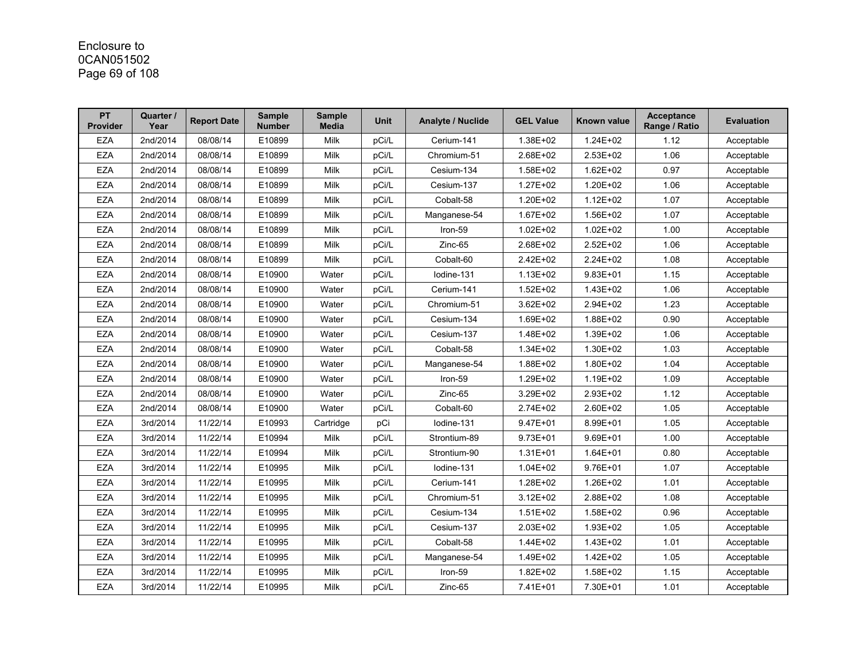# Enclosure to 0CAN051502 Page 69 of 108

| PT<br><b>Provider</b> | Quarter /<br>Year | <b>Report Date</b> | <b>Sample</b><br><b>Number</b> | <b>Sample</b><br><b>Media</b> | <b>Unit</b> | <b>Analyte / Nuclide</b> | <b>GEL Value</b> | Known value  | <b>Acceptance</b><br>Range / Ratio | <b>Evaluation</b> |
|-----------------------|-------------------|--------------------|--------------------------------|-------------------------------|-------------|--------------------------|------------------|--------------|------------------------------------|-------------------|
| <b>EZA</b>            | 2nd/2014          | 08/08/14           | E10899                         | Milk                          | pCi/L       | Cerium-141               | 1.38E+02         | $1.24E + 02$ | 1.12                               | Acceptable        |
| <b>EZA</b>            | 2nd/2014          | 08/08/14           | E10899                         | <b>Milk</b>                   | pCi/L       | Chromium-51              | 2.68E+02         | $2.53E+02$   | 1.06                               | Acceptable        |
| <b>EZA</b>            | 2nd/2014          | 08/08/14           | E10899                         | <b>Milk</b>                   | pCi/L       | Cesium-134               | 1.58E+02         | 1.62E+02     | 0.97                               | Acceptable        |
| <b>EZA</b>            | 2nd/2014          | 08/08/14           | E10899                         | Milk                          | pCi/L       | Cesium-137               | 1.27E+02         | 1.20E+02     | 1.06                               | Acceptable        |
| <b>EZA</b>            | 2nd/2014          | 08/08/14           | E10899                         | Milk                          | pCi/L       | Cobalt-58                | 1.20E+02         | $1.12E + 02$ | 1.07                               | Acceptable        |
| <b>EZA</b>            | 2nd/2014          | 08/08/14           | E10899                         | <b>Milk</b>                   | pCi/L       | Manganese-54             | $1.67E + 02$     | 1.56E+02     | 1.07                               | Acceptable        |
| <b>EZA</b>            | 2nd/2014          | 08/08/14           | E10899                         | Milk                          | pCi/L       | Iron-59                  | $1.02E + 02$     | $1.02E + 02$ | 1.00                               | Acceptable        |
| <b>EZA</b>            | 2nd/2014          | 08/08/14           | E10899                         | Milk                          | pCi/L       | Zinc-65                  | 2.68E+02         | 2.52E+02     | 1.06                               | Acceptable        |
| <b>EZA</b>            | 2nd/2014          | 08/08/14           | E10899                         | <b>Milk</b>                   | pCi/L       | Cobalt-60                | 2.42E+02         | 2.24E+02     | 1.08                               | Acceptable        |
| <b>EZA</b>            | 2nd/2014          | 08/08/14           | E10900                         | Water                         | pCi/L       | Iodine-131               | $1.13E + 02$     | $9.83E + 01$ | 1.15                               | Acceptable        |
| <b>EZA</b>            | 2nd/2014          | 08/08/14           | E10900                         | Water                         | pCi/L       | Cerium-141               | $1.52E + 02$     | 1.43E+02     | 1.06                               | Acceptable        |
| <b>EZA</b>            | 2nd/2014          | 08/08/14           | E10900                         | Water                         | pCi/L       | Chromium-51              | 3.62E+02         | 2.94E+02     | 1.23                               | Acceptable        |
| <b>EZA</b>            | 2nd/2014          | 08/08/14           | E10900                         | Water                         | pCi/L       | Cesium-134               | 1.69E+02         | 1.88E+02     | 0.90                               | Acceptable        |
| <b>EZA</b>            | 2nd/2014          | 08/08/14           | E10900                         | Water                         | pCi/L       | Cesium-137               | 1.48E+02         | 1.39E+02     | 1.06                               | Acceptable        |
| <b>EZA</b>            | 2nd/2014          | 08/08/14           | E10900                         | Water                         | pCi/L       | Cobalt-58                | $1.34E + 02$     | 1.30E+02     | 1.03                               | Acceptable        |
| <b>EZA</b>            | 2nd/2014          | 08/08/14           | E10900                         | Water                         | pCi/L       | Manganese-54             | 1.88E+02         | 1.80E+02     | 1.04                               | Acceptable        |
| <b>EZA</b>            | 2nd/2014          | 08/08/14           | E10900                         | Water                         | pCi/L       | Iron-59                  | 1.29E+02         | 1.19E+02     | 1.09                               | Acceptable        |
| <b>EZA</b>            | 2nd/2014          | 08/08/14           | E10900                         | Water                         | pCi/L       | Zinc-65                  | 3.29E+02         | 2.93E+02     | 1.12                               | Acceptable        |
| <b>EZA</b>            | 2nd/2014          | 08/08/14           | E10900                         | Water                         | pCi/L       | Cobalt-60                | 2.74E+02         | 2.60E+02     | 1.05                               | Acceptable        |
| <b>EZA</b>            | 3rd/2014          | 11/22/14           | E10993                         | Cartridge                     | pCi         | lodine-131               | $9.47E + 01$     | 8.99E+01     | 1.05                               | Acceptable        |
| <b>EZA</b>            | 3rd/2014          | 11/22/14           | E10994                         | Milk                          | pCi/L       | Strontium-89             | $9.73E + 01$     | $9.69E + 01$ | 1.00                               | Acceptable        |
| <b>EZA</b>            | 3rd/2014          | 11/22/14           | E10994                         | Milk                          | pCi/L       | Strontium-90             | $1.31E + 01$     | 1.64E+01     | 0.80                               | Acceptable        |
| <b>EZA</b>            | 3rd/2014          | 11/22/14           | E10995                         | <b>Milk</b>                   | pCi/L       | Iodine-131               | $1.04E + 02$     | 9.76E+01     | 1.07                               | Acceptable        |
| <b>EZA</b>            | 3rd/2014          | 11/22/14           | E10995                         | Milk                          | pCi/L       | Cerium-141               | 1.28E+02         | 1.26E+02     | 1.01                               | Acceptable        |
| <b>EZA</b>            | 3rd/2014          | 11/22/14           | E10995                         | Milk                          | pCi/L       | Chromium-51              | $3.12E + 02$     | 2.88E+02     | 1.08                               | Acceptable        |
| <b>EZA</b>            | 3rd/2014          | 11/22/14           | E10995                         | Milk                          | pCi/L       | Cesium-134               | 1.51E+02         | 1.58E+02     | 0.96                               | Acceptable        |
| <b>EZA</b>            | 3rd/2014          | 11/22/14           | E10995                         | Milk                          | pCi/L       | Cesium-137               | 2.03E+02         | 1.93E+02     | 1.05                               | Acceptable        |
| <b>EZA</b>            | 3rd/2014          | 11/22/14           | E10995                         | Milk                          | pCi/L       | Cobalt-58                | 1.44E+02         | $1.43E + 02$ | 1.01                               | Acceptable        |
| <b>EZA</b>            | 3rd/2014          | 11/22/14           | E10995                         | Milk                          | pCi/L       | Manganese-54             | 1.49E+02         | $1.42E + 02$ | 1.05                               | Acceptable        |
| <b>EZA</b>            | 3rd/2014          | 11/22/14           | E10995                         | Milk                          | pCi/L       | Iron-59                  | 1.82E+02         | 1.58E+02     | 1.15                               | Acceptable        |
| <b>EZA</b>            | 3rd/2014          | 11/22/14           | E10995                         | Milk                          | pCi/L       | Zinc-65                  | 7.41E+01         | 7.30E+01     | 1.01                               | Acceptable        |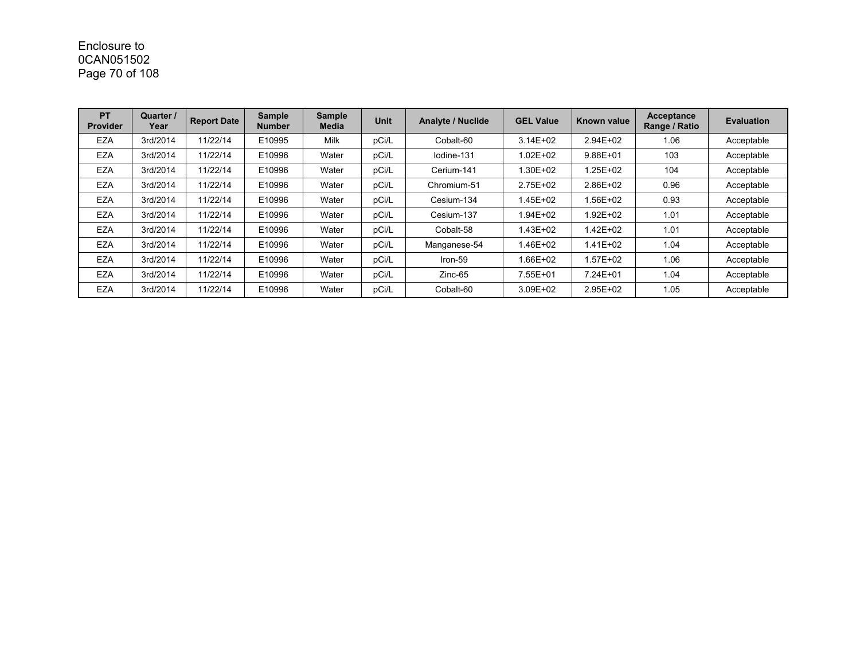# Enclosure to 0CAN051502 Page 70 of 108

| <b>PT</b><br><b>Provider</b> | Quarter /<br>Year | <b>Report Date</b> | <b>Sample</b><br><b>Number</b> | <b>Sample</b><br><b>Media</b> | <b>Unit</b> | <b>Analyte / Nuclide</b> | <b>GEL Value</b> | Known value  | <b>Acceptance</b><br>Range / Ratio | <b>Evaluation</b> |
|------------------------------|-------------------|--------------------|--------------------------------|-------------------------------|-------------|--------------------------|------------------|--------------|------------------------------------|-------------------|
| <b>EZA</b>                   | 3rd/2014          | 11/22/14           | E10995                         | Milk                          | pCi/L       | Cobalt-60                | $3.14E + 02$     | $2.94E + 02$ | 1.06                               | Acceptable        |
| <b>EZA</b>                   | 3rd/2014          | 11/22/14           | E10996                         | Water                         | pCi/L       | lodine-131               | $1.02E + 02$     | $9.88E + 01$ | 103                                | Acceptable        |
| <b>EZA</b>                   | 3rd/2014          | 11/22/14           | E10996                         | Water                         | pCi/L       | Cerium-141               | 1.30E+02         | 1.25E+02     | 104                                | Acceptable        |
| <b>EZA</b>                   | 3rd/2014          | 11/22/14           | E10996                         | Water                         | pCi/L       | Chromium-51              | 2.75E+02         | 2.86E+02     | 0.96                               | Acceptable        |
| <b>EZA</b>                   | 3rd/2014          | 11/22/14           | E10996                         | Water                         | pCi/L       | Cesium-134               | 1.45E+02         | 1.56E+02     | 0.93                               | Acceptable        |
| <b>EZA</b>                   | 3rd/2014          | 11/22/14           | E10996                         | Water                         | pCi/L       | Cesium-137               | 1.94E+02         | 1.92E+02     | 1.01                               | Acceptable        |
| <b>EZA</b>                   | 3rd/2014          | 11/22/14           | E10996                         | Water                         | pCi/L       | Cobalt-58                | 1.43E+02         | 1.42E+02     | 1.01                               | Acceptable        |
| <b>EZA</b>                   | 3rd/2014          | 11/22/14           | E10996                         | Water                         | pCi/L       | Manganese-54             | 1.46E+02         | 1.41E+02     | 1.04                               | Acceptable        |
| <b>EZA</b>                   | 3rd/2014          | 11/22/14           | E10996                         | Water                         | pCi/L       | Iron-59                  | 1.66E+02         | 1.57E+02     | 1.06                               | Acceptable        |
| <b>EZA</b>                   | 3rd/2014          | 11/22/14           | E10996                         | Water                         | pCi/L       | $Zinc-65$                | 7.55E+01         | 7.24E+01     | 1.04                               | Acceptable        |
| <b>EZA</b>                   | 3rd/2014          | 11/22/14           | E10996                         | Water                         | pCi/L       | Cobalt-60                | 3.09E+02         | 2.95E+02     | 1.05                               | Acceptable        |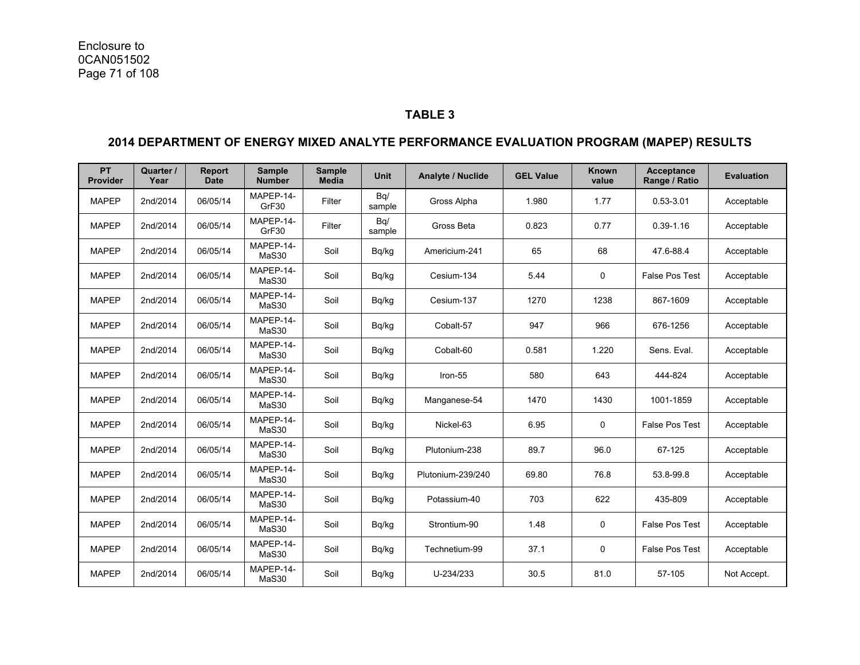#### **TABLE 3**

### **2014 DEPARTMENT OF ENERGY MIXED ANALYTE PERFORMANCE EVALUATION PROGRAM (MAPEP) RESULTS**

| <b>PT</b><br>Provider | Quarter /<br>Year | <b>Report</b><br><b>Date</b> | <b>Sample</b><br><b>Number</b> | <b>Sample</b><br>Media | <b>Unit</b>   | Analyte / Nuclide | <b>GEL Value</b> | <b>Known</b><br>value | <b>Acceptance</b><br>Range / Ratio | <b>Evaluation</b> |
|-----------------------|-------------------|------------------------------|--------------------------------|------------------------|---------------|-------------------|------------------|-----------------------|------------------------------------|-------------------|
| <b>MAPEP</b>          | 2nd/2014          | 06/05/14                     | MAPEP-14-<br>GrF30             | Filter                 | Bq/<br>sample | Gross Alpha       | 1.980            | 1.77                  | $0.53 - 3.01$                      | Acceptable        |
| <b>MAPEP</b>          | 2nd/2014          | 06/05/14                     | MAPEP-14-<br>GrF30             | Filter                 | Bq/<br>sample | Gross Beta        | 0.823            | 0.77                  | $0.39 - 1.16$                      | Acceptable        |
| <b>MAPEP</b>          | 2nd/2014          | 06/05/14                     | MAPEP-14-<br>MaS30             | Soil                   | Bq/kg         | Americium-241     | 65               | 68                    | 47.6-88.4                          | Acceptable        |
| <b>MAPEP</b>          | 2nd/2014          | 06/05/14                     | MAPEP-14-<br>MaS30             | Soil                   | Bq/kg         | Cesium-134        | 5.44             | 0                     | False Pos Test                     | Acceptable        |
| <b>MAPEP</b>          | 2nd/2014          | 06/05/14                     | MAPEP-14-<br>MaS30             | Soil                   | Bq/kg         | Cesium-137        | 1270             | 1238                  | 867-1609                           | Acceptable        |
| <b>MAPEP</b>          | 2nd/2014          | 06/05/14                     | MAPEP-14-<br>MaS30             | Soil                   | Bq/kg         | Cobalt-57         | 947              | 966                   | 676-1256                           | Acceptable        |
| <b>MAPEP</b>          | 2nd/2014          | 06/05/14                     | MAPEP-14-<br>MaS30             | Soil                   | Bq/kg         | Cobalt-60         | 0.581            | 1.220                 | Sens. Eval.                        | Acceptable        |
| <b>MAPEP</b>          | 2nd/2014          | 06/05/14                     | MAPEP-14-<br>MaS30             | Soil                   | Bq/kg         | Iron-55           | 580              | 643                   | 444-824                            | Acceptable        |
| <b>MAPEP</b>          | 2nd/2014          | 06/05/14                     | MAPEP-14-<br>MaS30             | Soil                   | Bg/kg         | Manganese-54      | 1470             | 1430                  | 1001-1859                          | Acceptable        |
| <b>MAPEP</b>          | 2nd/2014          | 06/05/14                     | MAPEP-14-<br>MaS30             | Soil                   | Bq/kg         | Nickel-63         | 6.95             | 0                     | False Pos Test                     | Acceptable        |
| <b>MAPEP</b>          | 2nd/2014          | 06/05/14                     | MAPEP-14-<br>MaS30             | Soil                   | Bg/kg         | Plutonium-238     | 89.7             | 96.0                  | 67-125                             | Acceptable        |
| <b>MAPEP</b>          | 2nd/2014          | 06/05/14                     | MAPEP-14-<br>MaS30             | Soil                   | Bq/kg         | Plutonium-239/240 | 69.80            | 76.8                  | 53.8-99.8                          | Acceptable        |
| <b>MAPEP</b>          | 2nd/2014          | 06/05/14                     | MAPEP-14-<br>MaS30             | Soil                   | Bq/kg         | Potassium-40      | 703              | 622                   | 435-809                            | Acceptable        |
| <b>MAPEP</b>          | 2nd/2014          | 06/05/14                     | MAPEP-14-<br>MaS30             | Soil                   | Bq/kg         | Strontium-90      | 1.48             | 0                     | False Pos Test                     | Acceptable        |
| <b>MAPEP</b>          | 2nd/2014          | 06/05/14                     | MAPEP-14-<br>MaS30             | Soil                   | Bq/kg         | Technetium-99     | 37.1             | $\mathbf 0$           | False Pos Test                     | Acceptable        |
| <b>MAPEP</b>          | 2nd/2014          | 06/05/14                     | MAPEP-14-<br>MaS30             | Soil                   | Bq/kg         | U-234/233         | 30.5             | 81.0                  | 57-105                             | Not Accept.       |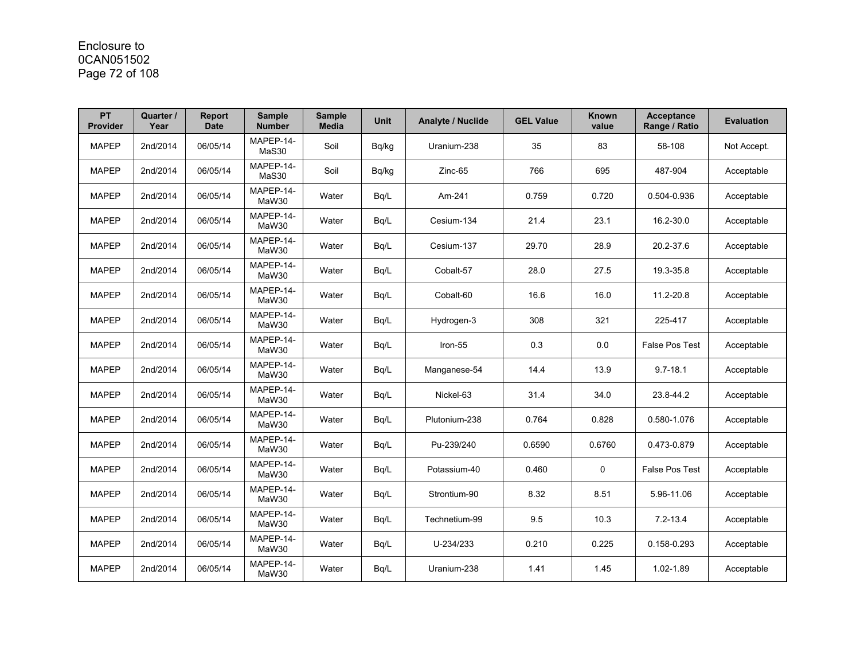# Enclosure to 0CAN051502 Page 72 of 108

| <b>PT</b><br>Provider | Quarter /<br>Year | Report<br><b>Date</b> | <b>Sample</b><br><b>Number</b> | <b>Sample</b><br><b>Media</b> | <b>Unit</b> | <b>Analyte / Nuclide</b> | <b>GEL Value</b> | <b>Known</b><br>value | <b>Acceptance</b><br>Range / Ratio | <b>Evaluation</b> |
|-----------------------|-------------------|-----------------------|--------------------------------|-------------------------------|-------------|--------------------------|------------------|-----------------------|------------------------------------|-------------------|
| <b>MAPEP</b>          | 2nd/2014          | 06/05/14              | MAPEP-14-<br>MaS30             | Soil                          | Bq/kg       | Uranium-238              | 35               | 83                    | 58-108                             | Not Accept.       |
| <b>MAPEP</b>          | 2nd/2014          | 06/05/14              | MAPEP-14-<br>MaS30             | Soil                          | Bq/kg       | Zinc-65                  | 766              | 695                   | 487-904                            | Acceptable        |
| <b>MAPEP</b>          | 2nd/2014          | 06/05/14              | MAPEP-14-<br>MaW30             | Water                         | Bq/L        | Am-241                   | 0.759            | 0.720                 | 0.504-0.936                        | Acceptable        |
| <b>MAPEP</b>          | 2nd/2014          | 06/05/14              | MAPEP-14-<br>MaW30             | Water                         | Bq/L        | Cesium-134               | 21.4             | 23.1                  | 16.2-30.0                          | Acceptable        |
| <b>MAPEP</b>          | 2nd/2014          | 06/05/14              | MAPEP-14-<br>MaW30             | Water                         | Bq/L        | Cesium-137               | 29.70            | 28.9                  | 20.2-37.6                          | Acceptable        |
| <b>MAPEP</b>          | 2nd/2014          | 06/05/14              | MAPEP-14-<br>MaW30             | Water                         | Bq/L        | Cobalt-57                | 28.0             | 27.5                  | 19.3-35.8                          | Acceptable        |
| <b>MAPEP</b>          | 2nd/2014          | 06/05/14              | MAPEP-14-<br>MaW30             | Water                         | Bg/L        | Cobalt-60                | 16.6             | 16.0                  | 11.2-20.8                          | Acceptable        |
| <b>MAPEP</b>          | 2nd/2014          | 06/05/14              | MAPEP-14-<br>MaW30             | Water                         | Bq/L        | Hydrogen-3               | 308              | 321                   | 225-417                            | Acceptable        |
| <b>MAPEP</b>          | 2nd/2014          | 06/05/14              | MAPEP-14-<br>MaW30             | Water                         | Bq/L        | Iron-55                  | 0.3              | 0.0                   | <b>False Pos Test</b>              | Acceptable        |
| <b>MAPEP</b>          | 2nd/2014          | 06/05/14              | MAPEP-14-<br>MaW30             | Water                         | Bq/L        | Manganese-54             | 14.4             | 13.9                  | $9.7 - 18.1$                       | Acceptable        |
| <b>MAPEP</b>          | 2nd/2014          | 06/05/14              | MAPEP-14-<br>MaW30             | Water                         | Bq/L        | Nickel-63                | 31.4             | 34.0                  | 23.8-44.2                          | Acceptable        |
| <b>MAPEP</b>          | 2nd/2014          | 06/05/14              | MAPEP-14-<br>MaW30             | Water                         | Bq/L        | Plutonium-238            | 0.764            | 0.828                 | 0.580-1.076                        | Acceptable        |
| <b>MAPEP</b>          | 2nd/2014          | 06/05/14              | MAPEP-14-<br>MaW30             | Water                         | Bq/L        | Pu-239/240               | 0.6590           | 0.6760                | 0.473-0.879                        | Acceptable        |
| <b>MAPEP</b>          | 2nd/2014          | 06/05/14              | MAPEP-14-<br>MaW30             | Water                         | Bg/L        | Potassium-40             | 0.460            | $\Omega$              | False Pos Test                     | Acceptable        |
| <b>MAPEP</b>          | 2nd/2014          | 06/05/14              | MAPEP-14-<br>MaW30             | Water                         | Bq/L        | Strontium-90             | 8.32             | 8.51                  | 5.96-11.06                         | Acceptable        |
| <b>MAPEP</b>          | 2nd/2014          | 06/05/14              | MAPEP-14-<br>MaW30             | Water                         | Bq/L        | Technetium-99            | 9.5              | 10.3                  | $7.2 - 13.4$                       | Acceptable        |
| <b>MAPEP</b>          | 2nd/2014          | 06/05/14              | MAPEP-14-<br>MaW30             | Water                         | Bq/L        | U-234/233                | 0.210            | 0.225                 | 0.158-0.293                        | Acceptable        |
| <b>MAPEP</b>          | 2nd/2014          | 06/05/14              | MAPEP-14-<br>MaW30             | Water                         | Bq/L        | Uranium-238              | 1.41             | 1.45                  | 1.02-1.89                          | Acceptable        |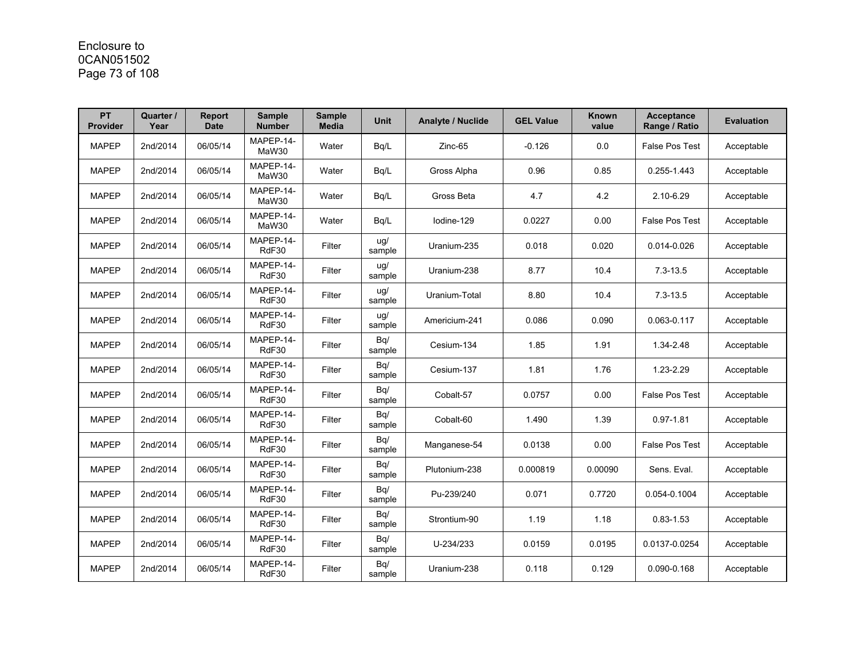# Enclosure to 0CAN051502 Page 73 of 108

| PT<br>Provider | Quarter /<br>Year | <b>Report</b><br><b>Date</b> | <b>Sample</b><br><b>Number</b> | <b>Sample</b><br><b>Media</b> | <b>Unit</b>   | <b>Analyte / Nuclide</b> | <b>GEL Value</b> | Known<br>value | <b>Acceptance</b><br>Range / Ratio | <b>Evaluation</b> |
|----------------|-------------------|------------------------------|--------------------------------|-------------------------------|---------------|--------------------------|------------------|----------------|------------------------------------|-------------------|
| <b>MAPEP</b>   | 2nd/2014          | 06/05/14                     | MAPEP-14-<br>MaW30             | Water                         | Bq/L          | Zinc-65                  | $-0.126$         | 0.0            | <b>False Pos Test</b>              | Acceptable        |
| <b>MAPEP</b>   | 2nd/2014          | 06/05/14                     | MAPEP-14-<br>MaW30             | Water                         | Bq/L          | Gross Alpha              | 0.96             | 0.85           | 0.255-1.443                        | Acceptable        |
| <b>MAPEP</b>   | 2nd/2014          | 06/05/14                     | MAPEP-14-<br>MaW30             | Water                         | Bq/L          | Gross Beta               | 4.7              | 4.2            | 2.10-6.29                          | Acceptable        |
| <b>MAPEP</b>   | 2nd/2014          | 06/05/14                     | MAPEP-14-<br>MaW30             | Water                         | Bg/L          | lodine-129               | 0.0227           | 0.00           | <b>False Pos Test</b>              | Acceptable        |
| <b>MAPEP</b>   | 2nd/2014          | 06/05/14                     | MAPEP-14-<br>RdF30             | Filter                        | uq/<br>sample | Uranium-235              | 0.018            | 0.020          | 0.014-0.026                        | Acceptable        |
| <b>MAPEP</b>   | 2nd/2014          | 06/05/14                     | MAPEP-14-<br>RdF30             | Filter                        | ug/<br>sample | Uranium-238              | 8.77             | 10.4           | $7.3 - 13.5$                       | Acceptable        |
| <b>MAPEP</b>   | 2nd/2014          | 06/05/14                     | MAPEP-14-<br>RdF30             | Filter                        | ug/<br>sample | Uranium-Total            | 8.80             | 10.4           | $7.3 - 13.5$                       | Acceptable        |
| <b>MAPEP</b>   | 2nd/2014          | 06/05/14                     | MAPEP-14-<br>RdF30             | Filter                        | ug/<br>sample | Americium-241            | 0.086            | 0.090          | 0.063-0.117                        | Acceptable        |
| <b>MAPEP</b>   | 2nd/2014          | 06/05/14                     | MAPEP-14-<br>RdF30             | Filter                        | Bq/<br>sample | Cesium-134               | 1.85             | 1.91           | 1.34-2.48                          | Acceptable        |
| <b>MAPEP</b>   | 2nd/2014          | 06/05/14                     | MAPEP-14-<br>RdF30             | Filter                        | Bq/<br>sample | Cesium-137               | 1.81             | 1.76           | 1.23-2.29                          | Acceptable        |
| <b>MAPEP</b>   | 2nd/2014          | 06/05/14                     | MAPEP-14-<br>RdF30             | Filter                        | Bq/<br>sample | Cobalt-57                | 0.0757           | 0.00           | <b>False Pos Test</b>              | Acceptable        |
| <b>MAPEP</b>   | 2nd/2014          | 06/05/14                     | MAPEP-14-<br>RdF30             | Filter                        | Bq/<br>sample | Cobalt-60                | 1.490            | 1.39           | $0.97 - 1.81$                      | Acceptable        |
| <b>MAPEP</b>   | 2nd/2014          | 06/05/14                     | MAPEP-14-<br>RdF30             | Filter                        | Bq/<br>sample | Manganese-54             | 0.0138           | 0.00           | False Pos Test                     | Acceptable        |
| <b>MAPEP</b>   | 2nd/2014          | 06/05/14                     | MAPEP-14-<br>RdF30             | Filter                        | Bq/<br>sample | Plutonium-238            | 0.000819         | 0.00090        | Sens. Eval.                        | Acceptable        |
| <b>MAPEP</b>   | 2nd/2014          | 06/05/14                     | MAPEP-14-<br>RdF30             | Filter                        | Bq/<br>sample | Pu-239/240               | 0.071            | 0.7720         | 0.054-0.1004                       | Acceptable        |
| <b>MAPEP</b>   | 2nd/2014          | 06/05/14                     | MAPEP-14-<br>RdF30             | Filter                        | Bq/<br>sample | Strontium-90             | 1.19             | 1.18           | $0.83 - 1.53$                      | Acceptable        |
| <b>MAPEP</b>   | 2nd/2014          | 06/05/14                     | MAPEP-14-<br>RdF30             | Filter                        | Bq/<br>sample | U-234/233                | 0.0159           | 0.0195         | 0.0137-0.0254                      | Acceptable        |
| <b>MAPEP</b>   | 2nd/2014          | 06/05/14                     | MAPEP-14-<br>RdF30             | Filter                        | Bq/<br>sample | Uranium-238              | 0.118            | 0.129          | 0.090-0.168                        | Acceptable        |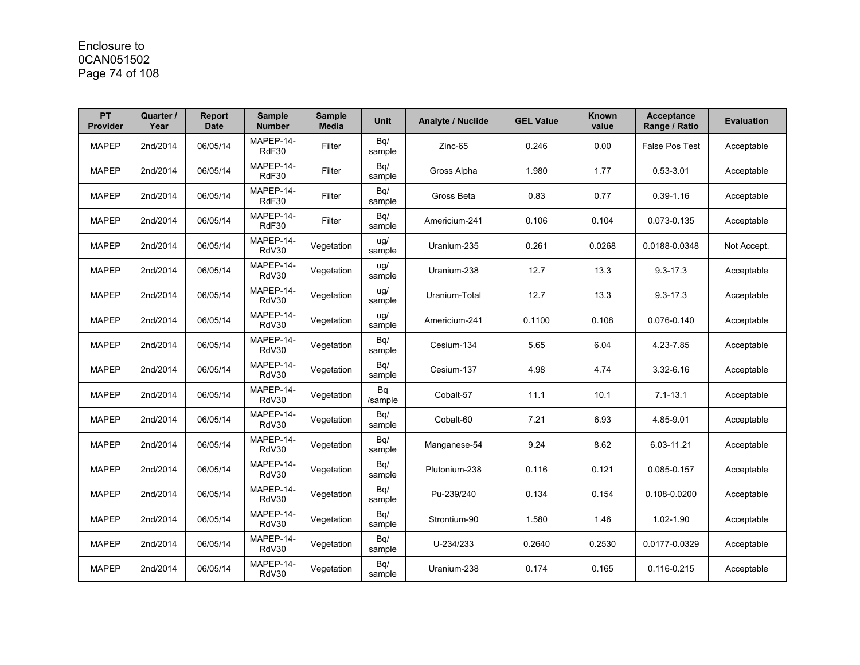## Enclosure to 0CAN051502 Page 74 of 108

| <b>PT</b><br><b>Provider</b> | Quarter /<br>Year | <b>Report</b><br><b>Date</b> | <b>Sample</b><br><b>Number</b> | <b>Sample</b><br><b>Media</b> | <b>Unit</b>   | <b>Analyte / Nuclide</b> | <b>GEL Value</b> | Known<br>value | <b>Acceptance</b><br>Range / Ratio | <b>Evaluation</b> |
|------------------------------|-------------------|------------------------------|--------------------------------|-------------------------------|---------------|--------------------------|------------------|----------------|------------------------------------|-------------------|
| <b>MAPEP</b>                 | 2nd/2014          | 06/05/14                     | MAPEP-14-<br>RdF30             | Filter                        | Bq/<br>sample | Zinc-65                  | 0.246            | 0.00           | <b>False Pos Test</b>              | Acceptable        |
| <b>MAPEP</b>                 | 2nd/2014          | 06/05/14                     | MAPEP-14-<br>RdF30             | Filter                        | Bq/<br>sample | Gross Alpha              | 1.980            | 1.77           | $0.53 - 3.01$                      | Acceptable        |
| <b>MAPEP</b>                 | 2nd/2014          | 06/05/14                     | MAPEP-14-<br>RdF30             | Filter                        | Bq/<br>sample | Gross Beta               | 0.83             | 0.77           | $0.39 - 1.16$                      | Acceptable        |
| <b>MAPEP</b>                 | 2nd/2014          | 06/05/14                     | MAPEP-14-<br>RdF30             | Filter                        | Bq/<br>sample | Americium-241            | 0.106            | 0.104          | 0.073-0.135                        | Acceptable        |
| <b>MAPEP</b>                 | 2nd/2014          | 06/05/14                     | MAPEP-14-<br>RdV30             | Vegetation                    | ug/<br>sample | Uranium-235              | 0.261            | 0.0268         | 0.0188-0.0348                      | Not Accept.       |
| <b>MAPEP</b>                 | 2nd/2014          | 06/05/14                     | MAPEP-14-<br>RdV30             | Vegetation                    | ug/<br>sample | Uranium-238              | 12.7             | 13.3           | $9.3 - 17.3$                       | Acceptable        |
| <b>MAPEP</b>                 | 2nd/2014          | 06/05/14                     | MAPEP-14-<br>RdV30             | Vegetation                    | ug/<br>sample | Uranium-Total            | 12.7             | 13.3           | $9.3 - 17.3$                       | Acceptable        |
| <b>MAPEP</b>                 | 2nd/2014          | 06/05/14                     | MAPEP-14-<br>RdV30             | Vegetation                    | ug/<br>sample | Americium-241            | 0.1100           | 0.108          | 0.076-0.140                        | Acceptable        |
| <b>MAPEP</b>                 | 2nd/2014          | 06/05/14                     | MAPEP-14-<br>RdV30             | Vegetation                    | Bq/<br>sample | Cesium-134               | 5.65             | 6.04           | 4.23-7.85                          | Acceptable        |
| <b>MAPEP</b>                 | 2nd/2014          | 06/05/14                     | MAPEP-14-<br>RdV30             | Vegetation                    | Bq/<br>sample | Cesium-137               | 4.98             | 4.74           | 3.32-6.16                          | Acceptable        |
| <b>MAPEP</b>                 | 2nd/2014          | 06/05/14                     | MAPEP-14-<br>RdV30             | Vegetation                    | Bq<br>/sample | Cobalt-57                | 11.1             | 10.1           | $7.1 - 13.1$                       | Acceptable        |
| <b>MAPEP</b>                 | 2nd/2014          | 06/05/14                     | MAPEP-14-<br>RdV30             | Vegetation                    | Bq/<br>sample | Cobalt-60                | 7.21             | 6.93           | 4.85-9.01                          | Acceptable        |
| <b>MAPEP</b>                 | 2nd/2014          | 06/05/14                     | MAPEP-14-<br>RdV30             | Vegetation                    | Bq/<br>sample | Manganese-54             | 9.24             | 8.62           | 6.03-11.21                         | Acceptable        |
| <b>MAPEP</b>                 | 2nd/2014          | 06/05/14                     | MAPEP-14-<br>RdV30             | Vegetation                    | Bq/<br>sample | Plutonium-238            | 0.116            | 0.121          | 0.085-0.157                        | Acceptable        |
| <b>MAPEP</b>                 | 2nd/2014          | 06/05/14                     | MAPEP-14-<br>RdV30             | Vegetation                    | Bq/<br>sample | Pu-239/240               | 0.134            | 0.154          | 0.108-0.0200                       | Acceptable        |
| <b>MAPEP</b>                 | 2nd/2014          | 06/05/14                     | MAPEP-14-<br>RdV30             | Vegetation                    | Bq/<br>sample | Strontium-90             | 1.580            | 1.46           | 1.02-1.90                          | Acceptable        |
| <b>MAPEP</b>                 | 2nd/2014          | 06/05/14                     | MAPEP-14-<br>RdV30             | Vegetation                    | Bq/<br>sample | U-234/233                | 0.2640           | 0.2530         | 0.0177-0.0329                      | Acceptable        |
| <b>MAPEP</b>                 | 2nd/2014          | 06/05/14                     | MAPEP-14-<br>RdV30             | Vegetation                    | Bq/<br>sample | Uranium-238              | 0.174            | 0.165          | 0.116-0.215                        | Acceptable        |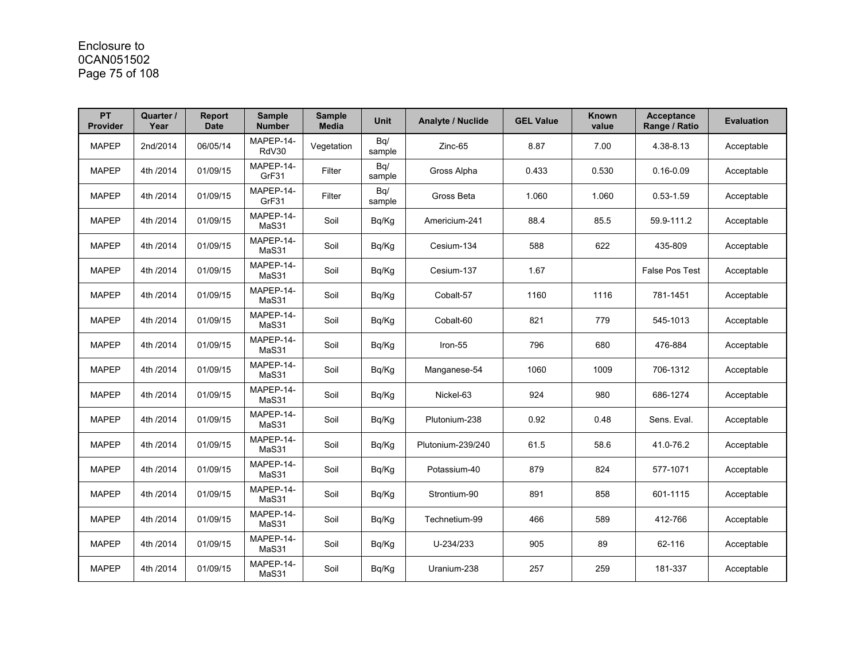## Enclosure to 0CAN051502 Page 75 of 108

| <b>PT</b><br><b>Provider</b> | Quarter /<br>Year | Report<br><b>Date</b> | <b>Sample</b><br><b>Number</b> | <b>Sample</b><br><b>Media</b> | Unit          | <b>Analyte / Nuclide</b> | <b>GEL Value</b> | <b>Known</b><br>value | <b>Acceptance</b><br>Range / Ratio | <b>Evaluation</b> |
|------------------------------|-------------------|-----------------------|--------------------------------|-------------------------------|---------------|--------------------------|------------------|-----------------------|------------------------------------|-------------------|
| <b>MAPEP</b>                 | 2nd/2014          | 06/05/14              | MAPEP-14-<br>RdV30             | Vegetation                    | Bq/<br>sample | Zinc-65                  | 8.87             | 7.00                  | 4.38-8.13                          | Acceptable        |
| <b>MAPEP</b>                 | 4th /2014         | 01/09/15              | MAPEP-14-<br>GrF31             | Filter                        | Bq/<br>sample | Gross Alpha              | 0.433            | 0.530                 | $0.16 - 0.09$                      | Acceptable        |
| <b>MAPEP</b>                 | 4th /2014         | 01/09/15              | MAPEP-14-<br>GrF31             | Filter                        | Bq/<br>sample | Gross Beta               | 1.060            | 1.060                 | $0.53 - 1.59$                      | Acceptable        |
| <b>MAPEP</b>                 | 4th /2014         | 01/09/15              | MAPEP-14-<br>MaS31             | Soil                          | Bq/Kg         | Americium-241            | 88.4             | 85.5                  | 59.9-111.2                         | Acceptable        |
| <b>MAPEP</b>                 | 4th /2014         | 01/09/15              | MAPEP-14-<br>MaS31             | Soil                          | Bq/Kg         | Cesium-134               | 588              | 622                   | 435-809                            | Acceptable        |
| <b>MAPEP</b>                 | 4th /2014         | 01/09/15              | MAPEP-14-<br>MaS31             | Soil                          | Bq/Kg         | Cesium-137               | 1.67             |                       | <b>False Pos Test</b>              | Acceptable        |
| <b>MAPEP</b>                 | 4th /2014         | 01/09/15              | MAPEP-14-<br>MaS31             | Soil                          | Bq/Kg         | Cobalt-57                | 1160             | 1116                  | 781-1451                           | Acceptable        |
| <b>MAPEP</b>                 | 4th /2014         | 01/09/15              | MAPEP-14-<br>MaS31             | Soil                          | Bq/Kg         | Cobalt-60                | 821              | 779                   | 545-1013                           | Acceptable        |
| <b>MAPEP</b>                 | 4th /2014         | 01/09/15              | MAPEP-14-<br>MaS31             | Soil                          | Bq/Kg         | Iron-55                  | 796              | 680                   | 476-884                            | Acceptable        |
| <b>MAPEP</b>                 | 4th /2014         | 01/09/15              | MAPEP-14-<br>MaS31             | Soil                          | Bq/Kg         | Manganese-54             | 1060             | 1009                  | 706-1312                           | Acceptable        |
| <b>MAPEP</b>                 | 4th /2014         | 01/09/15              | MAPEP-14-<br>MaS31             | Soil                          | Bq/Kg         | Nickel-63                | 924              | 980                   | 686-1274                           | Acceptable        |
| <b>MAPEP</b>                 | 4th /2014         | 01/09/15              | MAPEP-14-<br>MaS31             | Soil                          | Bq/Kg         | Plutonium-238            | 0.92             | 0.48                  | Sens. Eval.                        | Acceptable        |
| <b>MAPEP</b>                 | 4th /2014         | 01/09/15              | MAPEP-14-<br>MaS31             | Soil                          | Bq/Kg         | Plutonium-239/240        | 61.5             | 58.6                  | 41.0-76.2                          | Acceptable        |
| <b>MAPEP</b>                 | 4th /2014         | 01/09/15              | MAPEP-14-<br>MaS31             | Soil                          | Bq/Kg         | Potassium-40             | 879              | 824                   | 577-1071                           | Acceptable        |
| <b>MAPEP</b>                 | 4th /2014         | 01/09/15              | MAPEP-14-<br>MaS31             | Soil                          | Bq/Kg         | Strontium-90             | 891              | 858                   | 601-1115                           | Acceptable        |
| <b>MAPEP</b>                 | 4th /2014         | 01/09/15              | MAPEP-14-<br>MaS31             | Soil                          | Bq/Kg         | Technetium-99            | 466              | 589                   | 412-766                            | Acceptable        |
| <b>MAPEP</b>                 | 4th /2014         | 01/09/15              | MAPEP-14-<br>MaS31             | Soil                          | Bq/Kg         | U-234/233                | 905              | 89                    | 62-116                             | Acceptable        |
| <b>MAPEP</b>                 | 4th /2014         | 01/09/15              | MAPEP-14-<br>MaS31             | Soil                          | Bg/Kg         | Uranium-238              | 257              | 259                   | 181-337                            | Acceptable        |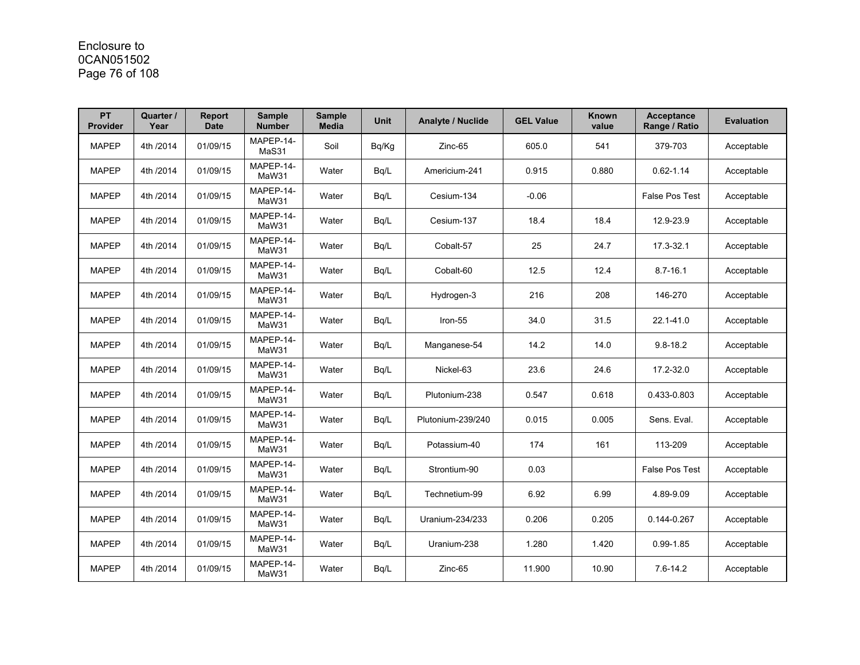# Enclosure to 0CAN051502 Page 76 of 108

| PT<br>Provider | Quarter /<br>Year | <b>Report</b><br><b>Date</b> | <b>Sample</b><br><b>Number</b> | <b>Sample</b><br><b>Media</b> | <b>Unit</b> | <b>Analyte / Nuclide</b> | <b>GEL Value</b> | Known<br>value | <b>Acceptance</b><br>Range / Ratio | <b>Evaluation</b> |
|----------------|-------------------|------------------------------|--------------------------------|-------------------------------|-------------|--------------------------|------------------|----------------|------------------------------------|-------------------|
| <b>MAPEP</b>   | 4th /2014         | 01/09/15                     | MAPEP-14-<br>MaS31             | Soil                          | Bq/Kg       | Zinc-65                  | 605.0            | 541            | 379-703                            | Acceptable        |
| <b>MAPEP</b>   | 4th /2014         | 01/09/15                     | MAPEP-14-<br>MaW31             | Water                         | Bq/L        | Americium-241            | 0.915            | 0.880          | $0.62 - 1.14$                      | Acceptable        |
| <b>MAPEP</b>   | 4th /2014         | 01/09/15                     | MAPEP-14-<br>MaW31             | Water                         | Bq/L        | Cesium-134               | $-0.06$          |                | <b>False Pos Test</b>              | Acceptable        |
| <b>MAPEP</b>   | 4th /2014         | 01/09/15                     | MAPEP-14-<br>MaW31             | Water                         | Bq/L        | Cesium-137               | 18.4             | 18.4           | 12.9-23.9                          | Acceptable        |
| <b>MAPEP</b>   | 4th /2014         | 01/09/15                     | MAPEP-14-<br>MaW31             | Water                         | Bg/L        | Cobalt-57                | 25               | 24.7           | 17.3-32.1                          | Acceptable        |
| <b>MAPEP</b>   | 4th /2014         | 01/09/15                     | MAPEP-14-<br>MaW31             | Water                         | Bq/L        | Cobalt-60                | 12.5             | 12.4           | $8.7 - 16.1$                       | Acceptable        |
| <b>MAPEP</b>   | 4th /2014         | 01/09/15                     | MAPEP-14-<br>MaW31             | Water                         | Bq/L        | Hydrogen-3               | 216              | 208            | 146-270                            | Acceptable        |
| <b>MAPEP</b>   | 4th /2014         | 01/09/15                     | MAPEP-14-<br>MaW31             | Water                         | Bq/L        | Iron-55                  | 34.0             | 31.5           | 22.1-41.0                          | Acceptable        |
| <b>MAPEP</b>   | 4th /2014         | 01/09/15                     | MAPEP-14-<br>MaW31             | Water                         | Bq/L        | Manganese-54             | 14.2             | 14.0           | $9.8 - 18.2$                       | Acceptable        |
| <b>MAPEP</b>   | 4th /2014         | 01/09/15                     | MAPEP-14-<br>MaW31             | Water                         | Bq/L        | Nickel-63                | 23.6             | 24.6           | 17.2-32.0                          | Acceptable        |
| <b>MAPEP</b>   | 4th /2014         | 01/09/15                     | MAPEP-14-<br>MaW31             | Water                         | Bq/L        | Plutonium-238            | 0.547            | 0.618          | 0.433-0.803                        | Acceptable        |
| <b>MAPEP</b>   | 4th /2014         | 01/09/15                     | MAPEP-14-<br>MaW31             | Water                         | Bq/L        | Plutonium-239/240        | 0.015            | 0.005          | Sens. Eval.                        | Acceptable        |
| <b>MAPEP</b>   | 4th /2014         | 01/09/15                     | MAPEP-14-<br>MaW31             | Water                         | Bq/L        | Potassium-40             | 174              | 161            | 113-209                            | Acceptable        |
| <b>MAPEP</b>   | 4th /2014         | 01/09/15                     | MAPEP-14-<br>MaW31             | Water                         | Bq/L        | Strontium-90             | 0.03             |                | False Pos Test                     | Acceptable        |
| <b>MAPEP</b>   | 4th /2014         | 01/09/15                     | MAPEP-14-<br>MaW31             | Water                         | Bq/L        | Technetium-99            | 6.92             | 6.99           | 4.89-9.09                          | Acceptable        |
| <b>MAPEP</b>   | 4th /2014         | 01/09/15                     | MAPEP-14-<br>MaW31             | Water                         | Bq/L        | Uranium-234/233          | 0.206            | 0.205          | 0.144-0.267                        | Acceptable        |
| <b>MAPEP</b>   | 4th /2014         | 01/09/15                     | MAPEP-14-<br>MaW31             | Water                         | Bq/L        | Uranium-238              | 1.280            | 1.420          | $0.99 - 1.85$                      | Acceptable        |
| <b>MAPEP</b>   | 4th /2014         | 01/09/15                     | MAPEP-14-<br>MaW31             | Water                         | Bq/L        | Zinc-65                  | 11.900           | 10.90          | $7.6 - 14.2$                       | Acceptable        |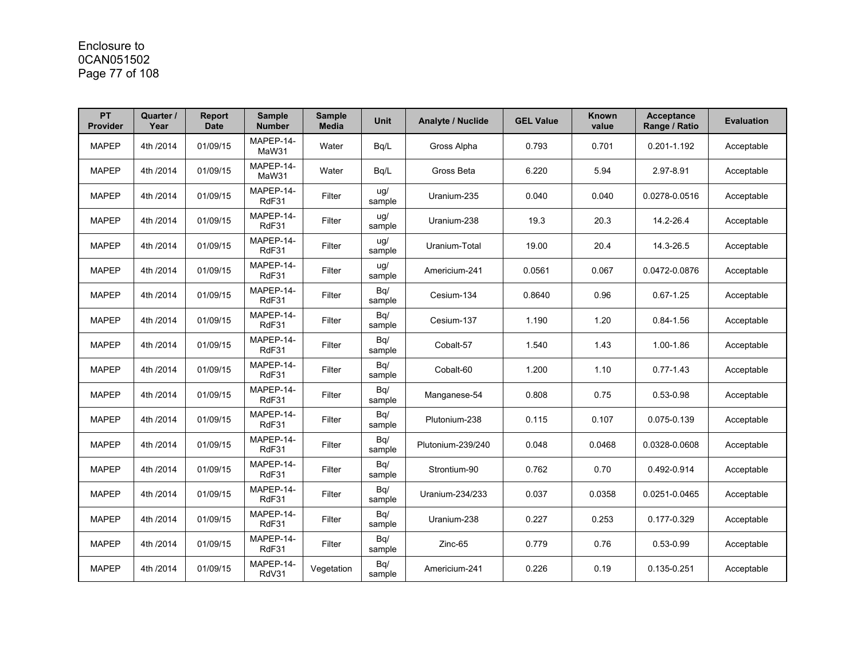# Enclosure to 0CAN051502 Page 77 of 108

| <b>PT</b><br><b>Provider</b> | Quarter /<br>Year | <b>Report</b><br><b>Date</b> | <b>Sample</b><br><b>Number</b> | <b>Sample</b><br><b>Media</b> | <b>Unit</b>   | <b>Analyte / Nuclide</b> | <b>GEL Value</b> | <b>Known</b><br>value | <b>Acceptance</b><br>Range / Ratio | <b>Evaluation</b> |
|------------------------------|-------------------|------------------------------|--------------------------------|-------------------------------|---------------|--------------------------|------------------|-----------------------|------------------------------------|-------------------|
| <b>MAPEP</b>                 | 4th /2014         | 01/09/15                     | MAPEP-14-<br>MaW31             | Water                         | Bq/L          | Gross Alpha              | 0.793            | 0.701                 | 0.201-1.192                        | Acceptable        |
| <b>MAPEP</b>                 | 4th /2014         | 01/09/15                     | MAPEP-14-<br>MaW31             | Water                         | Bg/L          | Gross Beta               | 6.220            | 5.94                  | 2.97-8.91                          | Acceptable        |
| <b>MAPEP</b>                 | 4th /2014         | 01/09/15                     | MAPEP-14-<br>RdF31             | Filter                        | ug/<br>sample | Uranium-235              | 0.040            | 0.040                 | 0.0278-0.0516                      | Acceptable        |
| <b>MAPEP</b>                 | 4th /2014         | 01/09/15                     | MAPEP-14-<br>RdF31             | Filter                        | uq/<br>sample | Uranium-238              | 19.3             | 20.3                  | 14.2-26.4                          | Acceptable        |
| <b>MAPEP</b>                 | 4th /2014         | 01/09/15                     | MAPEP-14-<br>RdF31             | Filter                        | ug/<br>sample | Uranium-Total            | 19.00            | 20.4                  | 14.3-26.5                          | Acceptable        |
| <b>MAPEP</b>                 | 4th /2014         | 01/09/15                     | MAPEP-14-<br>RdF31             | Filter                        | ug/<br>sample | Americium-241            | 0.0561           | 0.067                 | 0.0472-0.0876                      | Acceptable        |
| <b>MAPEP</b>                 | 4th /2014         | 01/09/15                     | MAPEP-14-<br>RdF31             | Filter                        | Bq/<br>sample | Cesium-134               | 0.8640           | 0.96                  | $0.67 - 1.25$                      | Acceptable        |
| <b>MAPEP</b>                 | 4th /2014         | 01/09/15                     | MAPEP-14-<br>RdF31             | Filter                        | Bq/<br>sample | Cesium-137               | 1.190            | 1.20                  | $0.84 - 1.56$                      | Acceptable        |
| <b>MAPEP</b>                 | 4th /2014         | 01/09/15                     | MAPEP-14-<br>RdF31             | Filter                        | Bq/<br>sample | Cobalt-57                | 1.540            | 1.43                  | 1.00-1.86                          | Acceptable        |
| <b>MAPEP</b>                 | 4th /2014         | 01/09/15                     | MAPEP-14-<br>RdF31             | Filter                        | Bq/<br>sample | Cobalt-60                | 1.200            | 1.10                  | $0.77 - 1.43$                      | Acceptable        |
| <b>MAPEP</b>                 | 4th /2014         | 01/09/15                     | MAPEP-14-<br>RdF31             | Filter                        | Bq/<br>sample | Manganese-54             | 0.808            | 0.75                  | $0.53 - 0.98$                      | Acceptable        |
| <b>MAPEP</b>                 | 4th /2014         | 01/09/15                     | MAPEP-14-<br>RdF31             | Filter                        | Bq/<br>sample | Plutonium-238            | 0.115            | 0.107                 | 0.075-0.139                        | Acceptable        |
| <b>MAPEP</b>                 | 4th /2014         | 01/09/15                     | MAPEP-14-<br>RdF31             | Filter                        | Bq/<br>sample | Plutonium-239/240        | 0.048            | 0.0468                | 0.0328-0.0608                      | Acceptable        |
| <b>MAPEP</b>                 | 4th /2014         | 01/09/15                     | MAPEP-14-<br>RdF31             | Filter                        | Bq/<br>sample | Strontium-90             | 0.762            | 0.70                  | 0.492-0.914                        | Acceptable        |
| <b>MAPEP</b>                 | 4th /2014         | 01/09/15                     | MAPEP-14-<br>RdF31             | Filter                        | Bq/<br>sample | Uranium-234/233          | 0.037            | 0.0358                | 0.0251-0.0465                      | Acceptable        |
| <b>MAPEP</b>                 | 4th /2014         | 01/09/15                     | MAPEP-14-<br>RdF31             | Filter                        | Bq/<br>sample | Uranium-238              | 0.227            | 0.253                 | 0.177-0.329                        | Acceptable        |
| <b>MAPEP</b>                 | 4th /2014         | 01/09/15                     | MAPEP-14-<br>RdF31             | Filter                        | Bq/<br>sample | Zinc-65                  | 0.779            | 0.76                  | $0.53 - 0.99$                      | Acceptable        |
| <b>MAPEP</b>                 | 4th /2014         | 01/09/15                     | MAPEP-14-<br>RdV31             | Vegetation                    | Bq/<br>sample | Americium-241            | 0.226            | 0.19                  | 0.135-0.251                        | Acceptable        |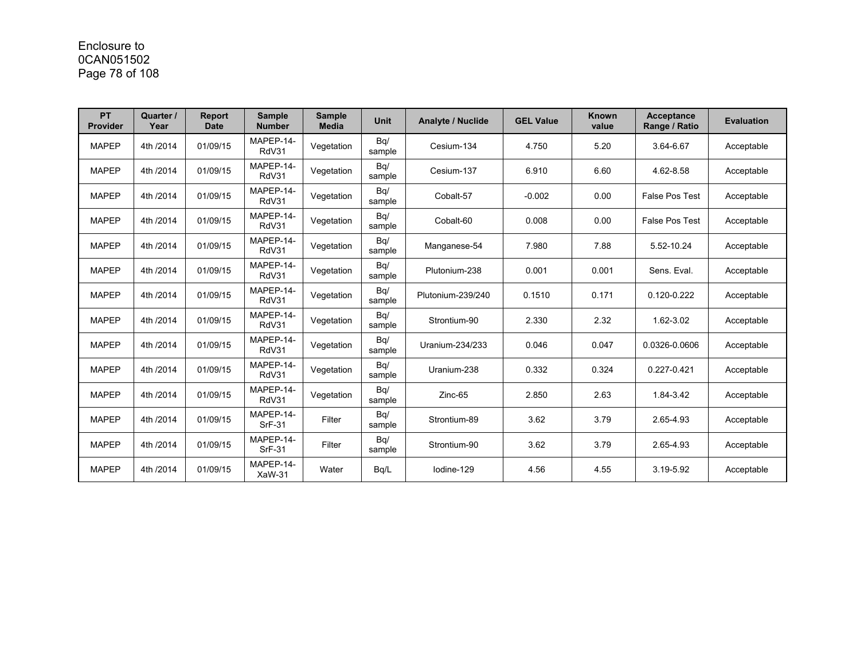# Enclosure to 0CAN051502 Page 78 of 108

| <b>PT</b><br>Provider | Quarter /<br>Year | <b>Report</b><br>Date | <b>Sample</b><br><b>Number</b> | <b>Sample</b><br><b>Media</b> | <b>Unit</b>   | <b>Analyte / Nuclide</b> | <b>GEL Value</b> | <b>Known</b><br>value | <b>Acceptance</b><br>Range / Ratio | <b>Evaluation</b> |
|-----------------------|-------------------|-----------------------|--------------------------------|-------------------------------|---------------|--------------------------|------------------|-----------------------|------------------------------------|-------------------|
| <b>MAPEP</b>          | 4th /2014         | 01/09/15              | MAPEP-14-<br>RdV31             | Vegetation                    | Bq/<br>sample | Cesium-134               | 4.750            | 5.20                  | 3.64-6.67                          | Acceptable        |
| <b>MAPEP</b>          | 4th /2014         | 01/09/15              | MAPEP-14-<br>RdV31             | Vegetation                    | Bq/<br>sample | Cesium-137               | 6.910            | 6.60                  | 4.62-8.58                          | Acceptable        |
| <b>MAPEP</b>          | 4th /2014         | 01/09/15              | MAPEP-14-<br>RdV31             | Vegetation                    | Bq/<br>sample | Cobalt-57                | $-0.002$         | 0.00                  | <b>False Pos Test</b>              | Acceptable        |
| <b>MAPEP</b>          | 4th /2014         | 01/09/15              | MAPEP-14-<br>RdV31             | Vegetation                    | Bq/<br>sample | Cobalt-60                | 0.008            | 0.00                  | <b>False Pos Test</b>              | Acceptable        |
| <b>MAPEP</b>          | 4th /2014         | 01/09/15              | MAPEP-14-<br>RdV31             | Vegetation                    | Bq/<br>sample | Manganese-54             | 7.980            | 7.88                  | 5.52-10.24                         | Acceptable        |
| <b>MAPEP</b>          | 4th /2014         | 01/09/15              | MAPEP-14-<br>RdV31             | Vegetation                    | Bq/<br>sample | Plutonium-238            | 0.001            | 0.001                 | Sens. Eval.                        | Acceptable        |
| <b>MAPEP</b>          | 4th /2014         | 01/09/15              | MAPEP-14-<br>RdV31             | Vegetation                    | Bq/<br>sample | Plutonium-239/240        | 0.1510           | 0.171                 | $0.120 - 0.222$                    | Acceptable        |
| <b>MAPEP</b>          | 4th /2014         | 01/09/15              | MAPEP-14-<br>RdV31             | Vegetation                    | Bq/<br>sample | Strontium-90             | 2.330            | 2.32                  | 1.62-3.02                          | Acceptable        |
| <b>MAPEP</b>          | 4th /2014         | 01/09/15              | MAPEP-14-<br>RdV31             | Vegetation                    | Bq/<br>sample | Uranium-234/233          | 0.046            | 0.047                 | 0.0326-0.0606                      | Acceptable        |
| <b>MAPEP</b>          | 4th /2014         | 01/09/15              | MAPEP-14-<br>RdV31             | Vegetation                    | Bq/<br>sample | Uranium-238              | 0.332            | 0.324                 | 0.227-0.421                        | Acceptable        |
| <b>MAPEP</b>          | 4th /2014         | 01/09/15              | MAPEP-14-<br>RdV31             | Vegetation                    | Bq/<br>sample | Zinc-65                  | 2.850            | 2.63                  | 1.84-3.42                          | Acceptable        |
| <b>MAPEP</b>          | 4th /2014         | 01/09/15              | MAPEP-14-<br><b>SrF-31</b>     | Filter                        | Bq/<br>sample | Strontium-89             | 3.62             | 3.79                  | 2.65-4.93                          | Acceptable        |
| <b>MAPEP</b>          | 4th /2014         | 01/09/15              | MAPEP-14-<br><b>SrF-31</b>     | Filter                        | Bq/<br>sample | Strontium-90             | 3.62             | 3.79                  | 2.65-4.93                          | Acceptable        |
| <b>MAPEP</b>          | 4th /2014         | 01/09/15              | MAPEP-14-<br>XaW-31            | Water                         | Bg/L          | lodine-129               | 4.56             | 4.55                  | 3.19-5.92                          | Acceptable        |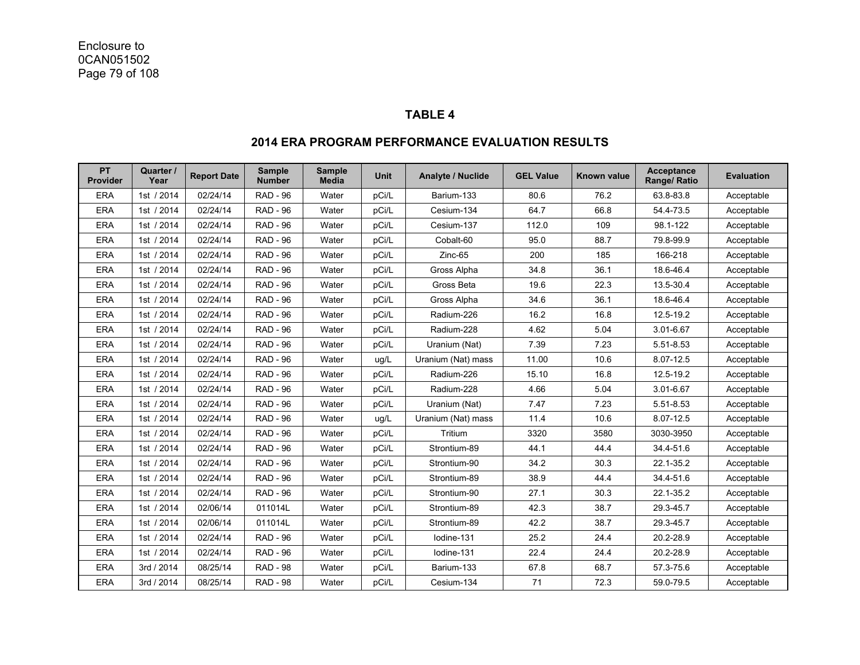#### **TABLE 4**

#### **PT Provider Quarter /**  <sup>Jarter /</sup> Report Date <sup>Sample</sup> Sample Wnit Analyte / Nuclide GEL Value Known value Acceptance Evaluation **Range/ Ratio** Evaluation ERA |1st / 2014 | 02/24/14 | RAD - 96 | Water | pCi/L | Barium-133 | 80.6 | 76.2 | 63.8-83.8 | Acceptable ERA |1st / 2014 | 02/24/14 | RAD-96 | Water | pCi/L | Cesium-134 | 64.7 | 66.8 | 54.4-73.5 | Acceptable ERA |1st / 2014 | 02/24/14 | RAD-96 | Water | pCi/L | Cesium-137 | 112.0 | 109 | 98.1-122 | Acceptable ERA |1st / 2014 | 02/24/14 | RAD - 96 | Water | pCi/L | Cobalt-60 | 95.0 | 88.7 | 79.8-99.9 | Acceptable ERA |1st / 2014 | 02/24/14 | RAD-96 | Water | pCi/L | Zinc-65 | 200 | 185 | 166-218 | Acceptable ERA |1st / 2014 | 02/24/14 | RAD - 96 | Water | pCi/L | Gross Alpha | 34.8 | 36.1 | 18.6-46.4 | Acceptable ERA |1st / 2014 | 02/24/14 | RAD - 96 | Water | pCi/L | Gross Beta | 19.6 | 22.3 | 13.5-30.4 | Acceptable ERA |1st / 2014 | 02/24/14 | RAD - 96 | Water | pCi/L | Gross Alpha | 34.6 | 36.1 | 18.6-46.4 | Acceptable ERA |1st / 2014 | 02/24/14 | RAD-96 | Water | pCi/L | Radium-226 | 16.2 | 16.8 | 12.5-19.2 | Acceptable ERA |1st / 2014 | 02/24/14 | RAD-96 | Water | pCi/L | Radium-228 | 4.62 | 5.04 | 3.01-6.67 | Acceptable ERA |1st / 2014 | 02/24/14 | RAD - 96 | Water | pCi/L | Uranium(Nat) | 7.39 | 7.23 | 5.51-8.53 | Acceptable ERA 1st / 2014 02/24/14 RAD - 96 Water ug/L Uranium (Nat) mass 11.00 10.6 8.07-12.5 Acceptable ERA |1st / 2014 | 02/24/14 | RAD - 96 | Water | pCi/L | Radium-226 | 15.10 | 16.8 | 12.5-19.2 | Acceptable ERA |1st / 2014 | 02/24/14 | RAD-96 | Water | pCi/L | Radium-228 | 4.66 | 5.04 | 3.01-6.67 | Acceptable ERA |1st / 2014 | 02/24/14 | RAD - 96 | Water | pCi/L | Uranium(Nat) | 7.47 | 7.23 | 5.51-8.53 | Acceptable ERA 1st / 2014 02/24/14 RAD - 96 Water ug/L Uranium (Nat) mass 11.4 10.6 8.07-12.5 Acceptable ERA |1st / 2014 | 02/24/14 | RAD - 96 | Water | pCi/L | Tritium | 3320 | 3580 | 3030-3950 | Acceptable ERA |1st / 2014 | 02/24/14 | RAD - 96 | Water | pCi/L | Strontium-89 | 44.1 | 44.4 | 34.4-51.6 | Acceptable ERA |1st / 2014 | 02/24/14 | RAD - 96 | Water | pCi/L | Strontium-90 | 34.2 | 30.3 | 22.1-35.2 | Acceptable ERA |1st / 2014 | 02/24/14 | RAD - 96 | Water | pCi/L | Strontium-89 | 38.9 | 44.4 | 34.4-51.6 | Acceptable ERA |1st / 2014 | 02/24/14 | RAD - 96 | Water | pCi/L | Strontium-90 | 27.1 | 30.3 | 22.1-35.2 | Acceptable ERA |1st / 2014 | 02/06/14 | 011014L | Water | pCi/L | Strontium-89 | 42.3 | 38.7 | 29.3-45.7 | Acceptable ERA |1st / 2014 | 02/06/14 | 011014L | Water | pCi/L | Strontium-89 | 42.2 | 38.7 | 29.3-45.7 | Acceptable ERA |1st / 2014 | 02/24/14 | RAD - 96 | Water | pCi/L | lodine-131 | 25.2 | 24.4 | 20.2-28.9 | Acceptable ERA |1st / 2014 | 02/24/14 | RAD - 96 | Water | pCi/L | lodine-131 | 22.4 | 24.4 | 20.2-28.9 | Acceptable ERA | 3rd / 2014 | 08/25/14 | RAD - 98 | Water | pCi/L | Barium-133 | 67.8 | 68.7 | 57.3-75.6 | Acceptable ERA | 3rd / 2014 | 08/25/14 | RAD - 98 | Water | pCi/L | Cesium-134 | 71 | 72.3 | 59.0-79.5 | Acceptable

#### **2014 ERA PROGRAM PERFORMANCE EVALUATION RESULTS**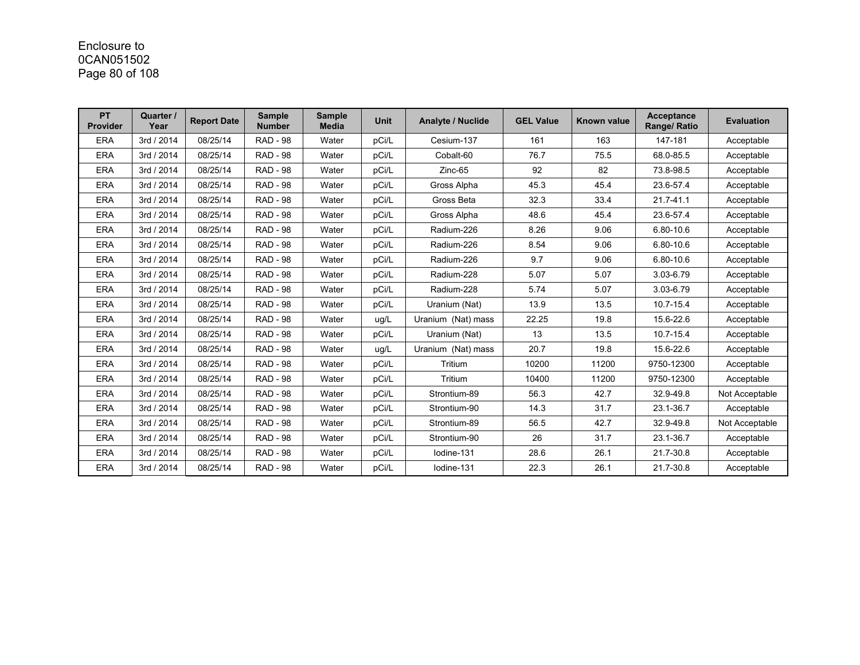# Enclosure to 0CAN051502 Page 80 of 108

| <b>PT</b><br><b>Provider</b> | Quarter /<br>Year | <b>Report Date</b> | <b>Sample</b><br><b>Number</b> | <b>Sample</b><br><b>Media</b> | <b>Unit</b> | Analyte / Nuclide  | <b>GEL Value</b> | Known value | <b>Acceptance</b><br>Range/ Ratio | <b>Evaluation</b> |
|------------------------------|-------------------|--------------------|--------------------------------|-------------------------------|-------------|--------------------|------------------|-------------|-----------------------------------|-------------------|
| <b>ERA</b>                   | 3rd / 2014        | 08/25/14           | <b>RAD - 98</b>                | Water                         | pCi/L       | Cesium-137         | 161              | 163         | 147-181                           | Acceptable        |
| <b>ERA</b>                   | 3rd / 2014        | 08/25/14           | <b>RAD - 98</b>                | Water                         | pCi/L       | Cobalt-60          | 76.7             | 75.5        | 68.0-85.5                         | Acceptable        |
| <b>ERA</b>                   | 3rd / 2014        | 08/25/14           | <b>RAD - 98</b>                | Water                         | pCi/L       | $Zinc-65$          | 92               | 82          | 73.8-98.5                         | Acceptable        |
| <b>ERA</b>                   | 3rd / 2014        | 08/25/14           | <b>RAD - 98</b>                | Water                         | pCi/L       | Gross Alpha        | 45.3             | 45.4        | 23.6-57.4                         | Acceptable        |
| <b>ERA</b>                   | 3rd / 2014        | 08/25/14           | <b>RAD - 98</b>                | Water                         | pCi/L       | Gross Beta         | 32.3             | 33.4        | 21.7-41.1                         | Acceptable        |
| <b>ERA</b>                   | 3rd / 2014        | 08/25/14           | <b>RAD - 98</b>                | Water                         | pCi/L       | Gross Alpha        | 48.6             | 45.4        | 23.6-57.4                         | Acceptable        |
| <b>ERA</b>                   | 3rd / 2014        | 08/25/14           | <b>RAD - 98</b>                | Water                         | pCi/L       | Radium-226         | 8.26             | 9.06        | 6.80-10.6                         | Acceptable        |
| <b>ERA</b>                   | 3rd / 2014        | 08/25/14           | <b>RAD - 98</b>                | Water                         | pCi/L       | Radium-226         | 8.54             | 9.06        | 6.80-10.6                         | Acceptable        |
| <b>ERA</b>                   | 3rd / 2014        | 08/25/14           | <b>RAD - 98</b>                | Water                         | pCi/L       | Radium-226         | 9.7              | 9.06        | 6.80-10.6                         | Acceptable        |
| <b>ERA</b>                   | 3rd / 2014        | 08/25/14           | <b>RAD - 98</b>                | Water                         | pCi/L       | Radium-228         | 5.07             | 5.07        | 3.03-6.79                         | Acceptable        |
| <b>ERA</b>                   | 3rd / 2014        | 08/25/14           | <b>RAD - 98</b>                | Water                         | pCi/L       | Radium-228         | 5.74             | 5.07        | 3.03-6.79                         | Acceptable        |
| <b>ERA</b>                   | 3rd / 2014        | 08/25/14           | <b>RAD - 98</b>                | Water                         | pCi/L       | Uranium (Nat)      | 13.9             | 13.5        | 10.7-15.4                         | Acceptable        |
| <b>ERA</b>                   | 3rd / 2014        | 08/25/14           | <b>RAD - 98</b>                | Water                         | ug/L        | Uranium (Nat) mass | 22.25            | 19.8        | 15.6-22.6                         | Acceptable        |
| <b>ERA</b>                   | 3rd / 2014        | 08/25/14           | <b>RAD - 98</b>                | Water                         | pCi/L       | Uranium (Nat)      | 13               | 13.5        | 10.7-15.4                         | Acceptable        |
| <b>ERA</b>                   | 3rd / 2014        | 08/25/14           | <b>RAD - 98</b>                | Water                         | ug/L        | Uranium (Nat) mass | 20.7             | 19.8        | 15.6-22.6                         | Acceptable        |
| <b>ERA</b>                   | 3rd / 2014        | 08/25/14           | <b>RAD - 98</b>                | Water                         | pCi/L       | Tritium            | 10200            | 11200       | 9750-12300                        | Acceptable        |
| <b>ERA</b>                   | 3rd / 2014        | 08/25/14           | <b>RAD - 98</b>                | Water                         | pCi/L       | Tritium            | 10400            | 11200       | 9750-12300                        | Acceptable        |
| <b>ERA</b>                   | 3rd / 2014        | 08/25/14           | <b>RAD - 98</b>                | Water                         | pCi/L       | Strontium-89       | 56.3             | 42.7        | 32.9-49.8                         | Not Acceptable    |
| <b>ERA</b>                   | 3rd / 2014        | 08/25/14           | <b>RAD - 98</b>                | Water                         | pCi/L       | Strontium-90       | 14.3             | 31.7        | 23.1-36.7                         | Acceptable        |
| <b>ERA</b>                   | 3rd / 2014        | 08/25/14           | <b>RAD - 98</b>                | Water                         | pCi/L       | Strontium-89       | 56.5             | 42.7        | 32.9-49.8                         | Not Acceptable    |
| <b>ERA</b>                   | 3rd / 2014        | 08/25/14           | <b>RAD - 98</b>                | Water                         | pCi/L       | Strontium-90       | 26               | 31.7        | 23.1-36.7                         | Acceptable        |
| <b>ERA</b>                   | 3rd / 2014        | 08/25/14           | <b>RAD - 98</b>                | Water                         | pCi/L       | Iodine-131         | 28.6             | 26.1        | 21.7-30.8                         | Acceptable        |
| <b>ERA</b>                   | 3rd / 2014        | 08/25/14           | <b>RAD - 98</b>                | Water                         | pCi/L       | lodine-131         | 22.3             | 26.1        | 21.7-30.8                         | Acceptable        |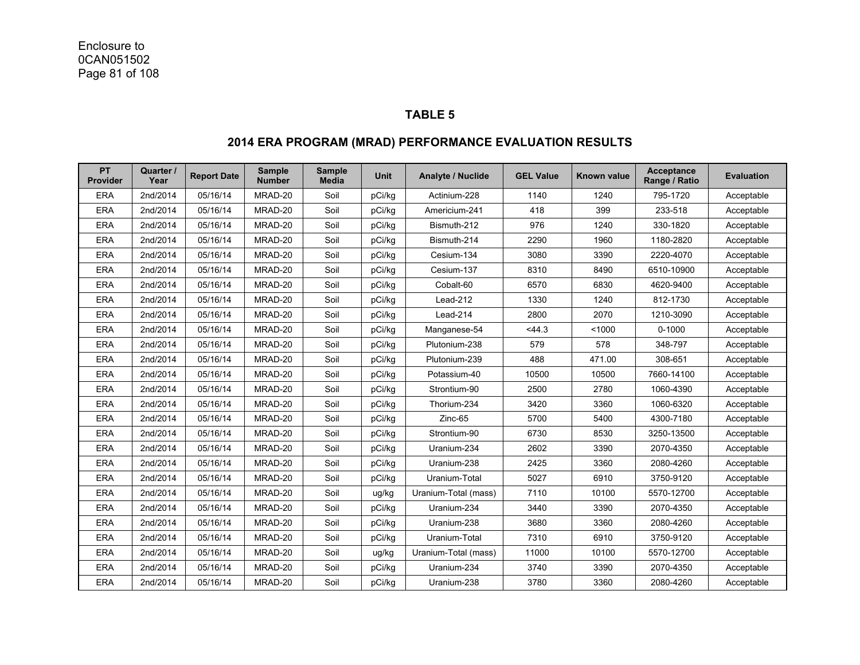#### **TABLE 5**

### **2014 ERA PROGRAM (MRAD) PERFORMANCE EVALUATION RESULTS**

| PT<br>Provider | Quarter /<br>Year | <b>Report Date</b> | <b>Sample</b><br><b>Number</b> | <b>Sample</b><br><b>Media</b> | <b>Unit</b> | <b>Analyte / Nuclide</b> | <b>GEL Value</b> | <b>Known value</b> | Acceptance<br>Range / Ratio | <b>Evaluation</b> |
|----------------|-------------------|--------------------|--------------------------------|-------------------------------|-------------|--------------------------|------------------|--------------------|-----------------------------|-------------------|
| <b>ERA</b>     | 2nd/2014          | 05/16/14           | MRAD-20                        | Soil                          | pCi/kg      | Actinium-228             | 1140             | 1240               | 795-1720                    | Acceptable        |
| <b>ERA</b>     | 2nd/2014          | 05/16/14           | MRAD-20                        | Soil                          | pCi/kg      | Americium-241            | 418              | 399                | 233-518                     | Acceptable        |
| <b>ERA</b>     | 2nd/2014          | 05/16/14           | MRAD-20                        | Soil                          | pCi/kg      | Bismuth-212              | 976              | 1240               | 330-1820                    | Acceptable        |
| <b>ERA</b>     | 2nd/2014          | 05/16/14           | MRAD-20                        | Soil                          | pCi/kg      | Bismuth-214              | 2290             | 1960               | 1180-2820                   | Acceptable        |
| <b>ERA</b>     | 2nd/2014          | 05/16/14           | MRAD-20                        | Soil                          | pCi/kg      | Cesium-134               | 3080             | 3390               | 2220-4070                   | Acceptable        |
| <b>ERA</b>     | 2nd/2014          | 05/16/14           | MRAD-20                        | Soil                          | pCi/kg      | Cesium-137               | 8310             | 8490               | 6510-10900                  | Acceptable        |
| <b>ERA</b>     | 2nd/2014          | 05/16/14           | MRAD-20                        | Soil                          | pCi/kg      | Cobalt-60                | 6570             | 6830               | 4620-9400                   | Acceptable        |
| <b>ERA</b>     | 2nd/2014          | 05/16/14           | MRAD-20                        | Soil                          | pCi/kg      | Lead-212                 | 1330             | 1240               | 812-1730                    | Acceptable        |
| <b>ERA</b>     | 2nd/2014          | 05/16/14           | MRAD-20                        | Soil                          | pCi/kq      | Lead-214                 | 2800             | 2070               | 1210-3090                   | Acceptable        |
| <b>ERA</b>     | 2nd/2014          | 05/16/14           | MRAD-20                        | Soil                          | pCi/kg      | Manganese-54             | < 44.3           | < 1000             | $0 - 1000$                  | Acceptable        |
| <b>ERA</b>     | 2nd/2014          | 05/16/14           | MRAD-20                        | Soil                          | pCi/kg      | Plutonium-238            | 579              | 578                | 348-797                     | Acceptable        |
| <b>ERA</b>     | 2nd/2014          | 05/16/14           | MRAD-20                        | Soil                          | pCi/kq      | Plutonium-239            | 488              | 471.00             | 308-651                     | Acceptable        |
| <b>ERA</b>     | 2nd/2014          | 05/16/14           | MRAD-20                        | Soil                          | pCi/kq      | Potassium-40             | 10500            | 10500              | 7660-14100                  | Acceptable        |
| <b>ERA</b>     | 2nd/2014          | 05/16/14           | MRAD-20                        | Soil                          | pCi/kq      | Strontium-90             | 2500             | 2780               | 1060-4390                   | Acceptable        |
| <b>ERA</b>     | 2nd/2014          | 05/16/14           | MRAD-20                        | Soil                          | pCi/kq      | Thorium-234              | 3420             | 3360               | 1060-6320                   | Acceptable        |
| <b>ERA</b>     | 2nd/2014          | 05/16/14           | MRAD-20                        | Soil                          | pCi/kg      | Zinc-65                  | 5700             | 5400               | 4300-7180                   | Acceptable        |
| <b>ERA</b>     | 2nd/2014          | 05/16/14           | MRAD-20                        | Soil                          | pCi/kq      | Strontium-90             | 6730             | 8530               | 3250-13500                  | Acceptable        |
| <b>ERA</b>     | 2nd/2014          | 05/16/14           | MRAD-20                        | Soil                          | pCi/kg      | Uranium-234              | 2602             | 3390               | 2070-4350                   | Acceptable        |
| <b>ERA</b>     | 2nd/2014          | 05/16/14           | MRAD-20                        | Soil                          | pCi/kq      | Uranium-238              | 2425             | 3360               | 2080-4260                   | Acceptable        |
| <b>ERA</b>     | 2nd/2014          | 05/16/14           | MRAD-20                        | Soil                          | pCi/kg      | Uranium-Total            | 5027             | 6910               | 3750-9120                   | Acceptable        |
| <b>ERA</b>     | 2nd/2014          | 05/16/14           | MRAD-20                        | Soil                          | ug/kg       | Uranium-Total (mass)     | 7110             | 10100              | 5570-12700                  | Acceptable        |
| <b>ERA</b>     | 2nd/2014          | 05/16/14           | MRAD-20                        | Soil                          | pCi/kg      | Uranium-234              | 3440             | 3390               | 2070-4350                   | Acceptable        |
| <b>ERA</b>     | 2nd/2014          | 05/16/14           | MRAD-20                        | Soil                          | pCi/kg      | Uranium-238              | 3680             | 3360               | 2080-4260                   | Acceptable        |
| <b>ERA</b>     | 2nd/2014          | 05/16/14           | MRAD-20                        | Soil                          | pCi/kg      | Uranium-Total            | 7310             | 6910               | 3750-9120                   | Acceptable        |
| <b>ERA</b>     | 2nd/2014          | 05/16/14           | MRAD-20                        | Soil                          | ug/kg       | Uranium-Total (mass)     | 11000            | 10100              | 5570-12700                  | Acceptable        |
| <b>ERA</b>     | 2nd/2014          | 05/16/14           | MRAD-20                        | Soil                          | pCi/kg      | Uranium-234              | 3740             | 3390               | 2070-4350                   | Acceptable        |
| <b>ERA</b>     | 2nd/2014          | 05/16/14           | MRAD-20                        | Soil                          | pCi/kg      | Uranium-238              | 3780             | 3360               | 2080-4260                   | Acceptable        |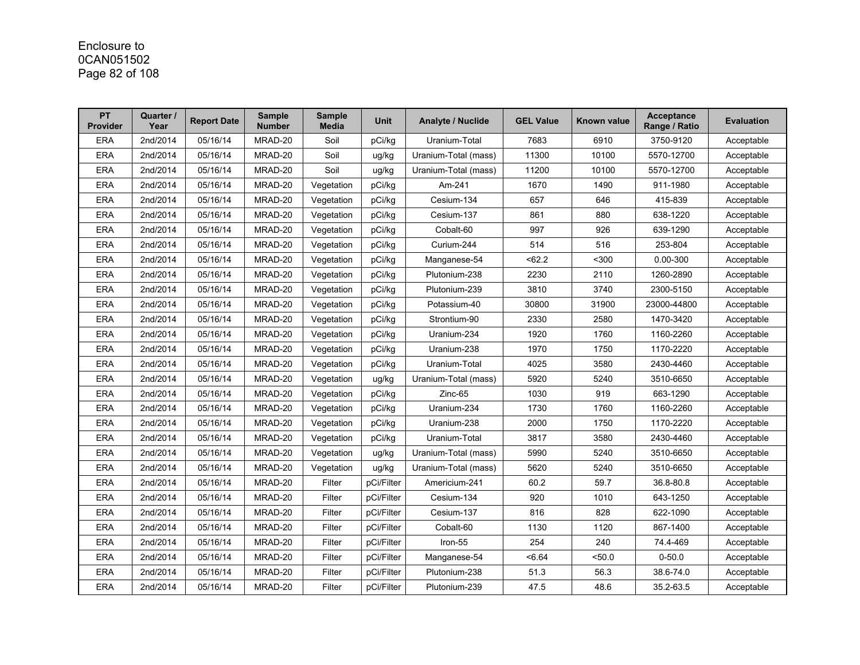# Enclosure to 0CAN051502 Page 82 of 108

| <b>PT</b><br><b>Provider</b> | Quarter /<br>Year | <b>Report Date</b> | <b>Sample</b><br><b>Number</b> | <b>Sample</b><br><b>Media</b> | <b>Unit</b> | <b>Analyte / Nuclide</b> | <b>GEL Value</b> | Known value | <b>Acceptance</b><br>Range / Ratio | <b>Evaluation</b> |
|------------------------------|-------------------|--------------------|--------------------------------|-------------------------------|-------------|--------------------------|------------------|-------------|------------------------------------|-------------------|
| <b>ERA</b>                   | 2nd/2014          | 05/16/14           | MRAD-20                        | Soil                          | pCi/kg      | Uranium-Total            | 7683             | 6910        | 3750-9120                          | Acceptable        |
| <b>ERA</b>                   | 2nd/2014          | 05/16/14           | MRAD-20                        | Soil                          | ug/kg       | Uranium-Total (mass)     | 11300            | 10100       | 5570-12700                         | Acceptable        |
| <b>ERA</b>                   | 2nd/2014          | 05/16/14           | MRAD-20                        | Soil                          | ug/kg       | Uranium-Total (mass)     | 11200            | 10100       | 5570-12700                         | Acceptable        |
| <b>ERA</b>                   | 2nd/2014          | 05/16/14           | MRAD-20                        | Vegetation                    | pCi/kg      | Am-241                   | 1670             | 1490        | 911-1980                           | Acceptable        |
| <b>ERA</b>                   | 2nd/2014          | 05/16/14           | MRAD-20                        | Vegetation                    | pCi/kg      | Cesium-134               | 657              | 646         | 415-839                            | Acceptable        |
| <b>ERA</b>                   | 2nd/2014          | 05/16/14           | MRAD-20                        | Vegetation                    | pCi/kg      | Cesium-137               | 861              | 880         | 638-1220                           | Acceptable        |
| <b>ERA</b>                   | 2nd/2014          | 05/16/14           | MRAD-20                        | Vegetation                    | pCi/kg      | Cobalt-60                | 997              | 926         | 639-1290                           | Acceptable        |
| <b>ERA</b>                   | 2nd/2014          | 05/16/14           | MRAD-20                        | Vegetation                    | pCi/kg      | Curium-244               | 514              | 516         | 253-804                            | Acceptable        |
| <b>ERA</b>                   | 2nd/2014          | 05/16/14           | MRAD-20                        | Vegetation                    | pCi/kg      | Manganese-54             | < 62.2           | $300$       | 0.00-300                           | Acceptable        |
| <b>ERA</b>                   | 2nd/2014          | 05/16/14           | MRAD-20                        | Vegetation                    | pCi/kg      | Plutonium-238            | 2230             | 2110        | 1260-2890                          | Acceptable        |
| <b>ERA</b>                   | 2nd/2014          | 05/16/14           | MRAD-20                        | Vegetation                    | pCi/kg      | Plutonium-239            | 3810             | 3740        | 2300-5150                          | Acceptable        |
| <b>ERA</b>                   | 2nd/2014          | 05/16/14           | MRAD-20                        | Vegetation                    | pCi/kg      | Potassium-40             | 30800            | 31900       | 23000-44800                        | Acceptable        |
| <b>ERA</b>                   | 2nd/2014          | 05/16/14           | MRAD-20                        | Vegetation                    | pCi/kg      | Strontium-90             | 2330             | 2580        | 1470-3420                          | Acceptable        |
| <b>ERA</b>                   | 2nd/2014          | 05/16/14           | MRAD-20                        | Vegetation                    | pCi/kg      | Uranium-234              | 1920             | 1760        | 1160-2260                          | Acceptable        |
| <b>ERA</b>                   | 2nd/2014          | 05/16/14           | MRAD-20                        | Vegetation                    | pCi/kg      | Uranium-238              | 1970             | 1750        | 1170-2220                          | Acceptable        |
| <b>ERA</b>                   | 2nd/2014          | 05/16/14           | MRAD-20                        | Vegetation                    | pCi/kg      | Uranium-Total            | 4025             | 3580        | 2430-4460                          | Acceptable        |
| <b>ERA</b>                   | 2nd/2014          | 05/16/14           | MRAD-20                        | Vegetation                    | ug/kg       | Uranium-Total (mass)     | 5920             | 5240        | 3510-6650                          | Acceptable        |
| <b>ERA</b>                   | 2nd/2014          | 05/16/14           | MRAD-20                        | Vegetation                    | pCi/kg      | Zinc-65                  | 1030             | 919         | 663-1290                           | Acceptable        |
| <b>ERA</b>                   | 2nd/2014          | 05/16/14           | MRAD-20                        | Vegetation                    | pCi/kg      | Uranium-234              | 1730             | 1760        | 1160-2260                          | Acceptable        |
| <b>ERA</b>                   | 2nd/2014          | 05/16/14           | MRAD-20                        | Vegetation                    | pCi/kg      | Uranium-238              | 2000             | 1750        | 1170-2220                          | Acceptable        |
| <b>ERA</b>                   | 2nd/2014          | 05/16/14           | MRAD-20                        | Vegetation                    | pCi/kg      | Uranium-Total            | 3817             | 3580        | 2430-4460                          | Acceptable        |
| <b>ERA</b>                   | 2nd/2014          | 05/16/14           | MRAD-20                        | Vegetation                    | ug/kg       | Uranium-Total (mass)     | 5990             | 5240        | 3510-6650                          | Acceptable        |
| <b>ERA</b>                   | 2nd/2014          | 05/16/14           | MRAD-20                        | Vegetation                    | ug/kg       | Uranium-Total (mass)     | 5620             | 5240        | 3510-6650                          | Acceptable        |
| <b>ERA</b>                   | 2nd/2014          | 05/16/14           | MRAD-20                        | Filter                        | pCi/Filter  | Americium-241            | 60.2             | 59.7        | 36.8-80.8                          | Acceptable        |
| <b>ERA</b>                   | 2nd/2014          | 05/16/14           | MRAD-20                        | Filter                        | pCi/Filter  | Cesium-134               | 920              | 1010        | 643-1250                           | Acceptable        |
| <b>ERA</b>                   | 2nd/2014          | 05/16/14           | MRAD-20                        | Filter                        | pCi/Filter  | Cesium-137               | 816              | 828         | 622-1090                           | Acceptable        |
| <b>ERA</b>                   | 2nd/2014          | 05/16/14           | MRAD-20                        | Filter                        | pCi/Filter  | Cobalt-60                | 1130             | 1120        | 867-1400                           | Acceptable        |
| <b>ERA</b>                   | 2nd/2014          | 05/16/14           | MRAD-20                        | Filter                        | pCi/Filter  | Iron-55                  | 254              | 240         | 74.4-469                           | Acceptable        |
| <b>ERA</b>                   | 2nd/2014          | 05/16/14           | MRAD-20                        | Filter                        | pCi/Filter  | Manganese-54             | <6.64            | <50.0       | $0 - 50.0$                         | Acceptable        |
| <b>ERA</b>                   | 2nd/2014          | 05/16/14           | MRAD-20                        | Filter                        | pCi/Filter  | Plutonium-238            | 51.3             | 56.3        | 38 6-74.0                          | Acceptable        |
| <b>ERA</b>                   | 2nd/2014          | 05/16/14           | MRAD-20                        | Filter                        | pCi/Filter  | Plutonium-239            | 47.5             | 48.6        | 35.2-63.5                          | Acceptable        |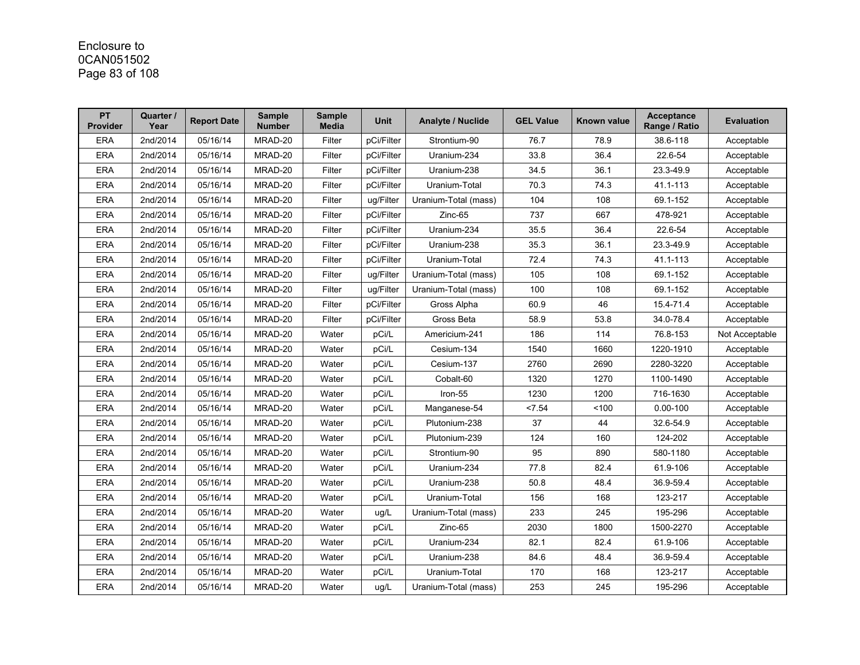# Enclosure to 0CAN051502 Page 83 of 108

| <b>PT</b><br><b>Provider</b> | Quarter /<br>Year | <b>Report Date</b> | <b>Sample</b><br><b>Number</b> | <b>Sample</b><br><b>Media</b> | <b>Unit</b> | <b>Analyte / Nuclide</b> | <b>GEL Value</b> | Known value | <b>Acceptance</b><br>Range / Ratio | <b>Evaluation</b> |
|------------------------------|-------------------|--------------------|--------------------------------|-------------------------------|-------------|--------------------------|------------------|-------------|------------------------------------|-------------------|
| <b>ERA</b>                   | 2nd/2014          | 05/16/14           | MRAD-20                        | Filter                        | pCi/Filter  | Strontium-90             | 76.7             | 78.9        | 38.6-118                           | Acceptable        |
| <b>ERA</b>                   | 2nd/2014          | 05/16/14           | MRAD-20                        | Filter                        | pCi/Filter  | Uranium-234              | 33.8             | 36.4        | 22.6-54                            | Acceptable        |
| <b>ERA</b>                   | 2nd/2014          | 05/16/14           | MRAD-20                        | Filter                        | pCi/Filter  | Uranium-238              | 34.5             | 36.1        | 23.3-49.9                          | Acceptable        |
| <b>ERA</b>                   | 2nd/2014          | 05/16/14           | MRAD-20                        | Filter                        | pCi/Filter  | Uranium-Total            | 70.3             | 74.3        | 41.1-113                           | Acceptable        |
| <b>ERA</b>                   | 2nd/2014          | 05/16/14           | MRAD-20                        | Filter                        | ug/Filter   | Uranium-Total (mass)     | 104              | 108         | 69.1-152                           | Acceptable        |
| <b>ERA</b>                   | 2nd/2014          | 05/16/14           | MRAD-20                        | Filter                        | pCi/Filter  | Zinc-65                  | 737              | 667         | 478-921                            | Acceptable        |
| <b>ERA</b>                   | 2nd/2014          | 05/16/14           | MRAD-20                        | Filter                        | pCi/Filter  | Uranium-234              | 35.5             | 36.4        | 22.6-54                            | Acceptable        |
| <b>ERA</b>                   | 2nd/2014          | 05/16/14           | MRAD-20                        | Filter                        | pCi/Filter  | Uranium-238              | 35.3             | 36.1        | 23.3-49.9                          | Acceptable        |
| <b>ERA</b>                   | 2nd/2014          | 05/16/14           | MRAD-20                        | Filter                        | pCi/Filter  | Uranium-Total            | 72.4             | 74.3        | 41.1-113                           | Acceptable        |
| <b>ERA</b>                   | 2nd/2014          | 05/16/14           | MRAD-20                        | Filter                        | ug/Filter   | Uranium-Total (mass)     | 105              | 108         | 69.1-152                           | Acceptable        |
| <b>ERA</b>                   | 2nd/2014          | 05/16/14           | MRAD-20                        | Filter                        | ug/Filter   | Uranium-Total (mass)     | 100              | 108         | 69.1-152                           | Acceptable        |
| <b>ERA</b>                   | 2nd/2014          | 05/16/14           | MRAD-20                        | Filter                        | pCi/Filter  | Gross Alpha              | 60.9             | 46          | 15.4-71.4                          | Acceptable        |
| <b>ERA</b>                   | 2nd/2014          | 05/16/14           | MRAD-20                        | Filter                        | pCi/Filter  | Gross Beta               | 58.9             | 53.8        | 34.0-78.4                          | Acceptable        |
| <b>ERA</b>                   | 2nd/2014          | 05/16/14           | MRAD-20                        | Water                         | pCi/L       | Americium-241            | 186              | 114         | 76.8-153                           | Not Acceptable    |
| <b>ERA</b>                   | 2nd/2014          | 05/16/14           | MRAD-20                        | Water                         | pCi/L       | Cesium-134               | 1540             | 1660        | 1220-1910                          | Acceptable        |
| <b>ERA</b>                   | 2nd/2014          | 05/16/14           | MRAD-20                        | Water                         | pCi/L       | Cesium-137               | 2760             | 2690        | 2280-3220                          | Acceptable        |
| <b>ERA</b>                   | 2nd/2014          | 05/16/14           | MRAD-20                        | Water                         | pCi/L       | Cobalt-60                | 1320             | 1270        | 1100-1490                          | Acceptable        |
| <b>ERA</b>                   | 2nd/2014          | 05/16/14           | MRAD-20                        | Water                         | pCi/L       | Iron-55                  | 1230             | 1200        | 716-1630                           | Acceptable        |
| <b>ERA</b>                   | 2nd/2014          | 05/16/14           | MRAD-20                        | Water                         | pCi/L       | Manganese-54             | < 7.54           | 100         | $0.00 - 100$                       | Acceptable        |
| <b>ERA</b>                   | 2nd/2014          | 05/16/14           | MRAD-20                        | Water                         | pCi/L       | Plutonium-238            | 37               | 44          | 32.6-54.9                          | Acceptable        |
| <b>ERA</b>                   | 2nd/2014          | 05/16/14           | MRAD-20                        | Water                         | pCi/L       | Plutonium-239            | 124              | 160         | 124-202                            | Acceptable        |
| <b>ERA</b>                   | 2nd/2014          | 05/16/14           | MRAD-20                        | Water                         | pCi/L       | Strontium-90             | 95               | 890         | 580-1180                           | Acceptable        |
| <b>ERA</b>                   | 2nd/2014          | 05/16/14           | MRAD-20                        | Water                         | pCi/L       | Uranium-234              | 77.8             | 82.4        | 61.9-106                           | Acceptable        |
| <b>ERA</b>                   | 2nd/2014          | 05/16/14           | MRAD-20                        | Water                         | pCi/L       | Uranium-238              | 50.8             | 48.4        | 36.9-59.4                          | Acceptable        |
| <b>ERA</b>                   | 2nd/2014          | 05/16/14           | MRAD-20                        | Water                         | pCi/L       | Uranium-Total            | 156              | 168         | 123-217                            | Acceptable        |
| <b>ERA</b>                   | 2nd/2014          | 05/16/14           | MRAD-20                        | Water                         | ug/L        | Uranium-Total (mass)     | 233              | 245         | 195-296                            | Acceptable        |
| <b>ERA</b>                   | 2nd/2014          | 05/16/14           | MRAD-20                        | Water                         | pCi/L       | Zinc-65                  | 2030             | 1800        | 1500-2270                          | Acceptable        |
| <b>ERA</b>                   | 2nd/2014          | 05/16/14           | MRAD-20                        | Water                         | pCi/L       | Uranium-234              | 82.1             | 82.4        | 61.9-106                           | Acceptable        |
| <b>ERA</b>                   | 2nd/2014          | 05/16/14           | MRAD-20                        | Water                         | pCi/L       | Uranium-238              | 84.6             | 48.4        | 36.9-59.4                          | Acceptable        |
| <b>ERA</b>                   | 2nd/2014          | 05/16/14           | MRAD-20                        | Water                         | pCi/L       | Uranium-Total            | 170              | 168         | 123-217                            | Acceptable        |
| <b>ERA</b>                   | 2nd/2014          | 05/16/14           | MRAD-20                        | Water                         | ug/L        | Uranium-Total (mass)     | 253              | 245         | 195-296                            | Acceptable        |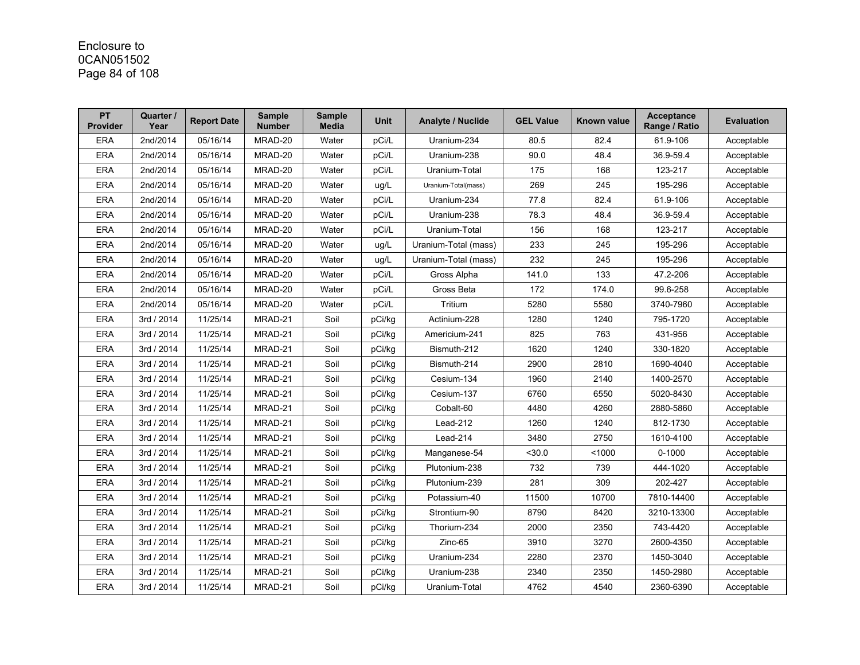## Enclosure to 0CAN051502 Page 84 of 108

| <b>PT</b><br><b>Provider</b> | Quarter /<br>Year | <b>Report Date</b> | <b>Sample</b><br><b>Number</b> | <b>Sample</b><br><b>Media</b> | <b>Unit</b> | <b>Analyte / Nuclide</b> | <b>GEL Value</b> | Known value | <b>Acceptance</b><br>Range / Ratio | <b>Evaluation</b> |
|------------------------------|-------------------|--------------------|--------------------------------|-------------------------------|-------------|--------------------------|------------------|-------------|------------------------------------|-------------------|
| <b>ERA</b>                   | 2nd/2014          | 05/16/14           | MRAD-20                        | Water                         | pCi/L       | Uranium-234              | 80.5             | 82.4        | 61.9-106                           | Acceptable        |
| <b>ERA</b>                   | 2nd/2014          | 05/16/14           | MRAD-20                        | Water                         | pCi/L       | Uranium-238              | 90.0             | 48.4        | 36.9-59.4                          | Acceptable        |
| <b>ERA</b>                   | 2nd/2014          | 05/16/14           | MRAD-20                        | Water                         | pCi/L       | Uranium-Total            | 175              | 168         | 123-217                            | Acceptable        |
| <b>ERA</b>                   | 2nd/2014          | 05/16/14           | MRAD-20                        | Water                         | ug/L        | Uranium-Total(mass)      | 269              | 245         | 195-296                            | Acceptable        |
| <b>ERA</b>                   | 2nd/2014          | 05/16/14           | MRAD-20                        | Water                         | pCi/L       | Uranium-234              | 77.8             | 82.4        | 61.9-106                           | Acceptable        |
| <b>ERA</b>                   | 2nd/2014          | 05/16/14           | MRAD-20                        | Water                         | pCi/L       | Uranium-238              | 78.3             | 48.4        | 36.9-59.4                          | Acceptable        |
| <b>ERA</b>                   | 2nd/2014          | 05/16/14           | MRAD-20                        | Water                         | pCi/L       | Uranium-Total            | 156              | 168         | 123-217                            | Acceptable        |
| <b>ERA</b>                   | 2nd/2014          | 05/16/14           | MRAD-20                        | Water                         | ug/L        | Uranium-Total (mass)     | 233              | 245         | 195-296                            | Acceptable        |
| <b>ERA</b>                   | 2nd/2014          | 05/16/14           | MRAD-20                        | Water                         | ug/L        | Uranium-Total (mass)     | 232              | 245         | 195-296                            | Acceptable        |
| <b>ERA</b>                   | 2nd/2014          | 05/16/14           | MRAD-20                        | Water                         | pCi/L       | Gross Alpha              | 141.0            | 133         | 47.2-206                           | Acceptable        |
| <b>ERA</b>                   | 2nd/2014          | 05/16/14           | MRAD-20                        | Water                         | pCi/L       | Gross Beta               | 172              | 174.0       | 99.6-258                           | Acceptable        |
| <b>ERA</b>                   | 2nd/2014          | 05/16/14           | MRAD-20                        | Water                         | pCi/L       | Tritium                  | 5280             | 5580        | 3740-7960                          | Acceptable        |
| <b>ERA</b>                   | 3rd / 2014        | 11/25/14           | MRAD-21                        | Soil                          | pCi/kg      | Actinium-228             | 1280             | 1240        | 795-1720                           | Acceptable        |
| <b>ERA</b>                   | 3rd / 2014        | 11/25/14           | MRAD-21                        | Soil                          | pCi/kg      | Americium-241            | 825              | 763         | 431-956                            | Acceptable        |
| <b>ERA</b>                   | 3rd / 2014        | 11/25/14           | MRAD-21                        | Soil                          | pCi/kg      | Bismuth-212              | 1620             | 1240        | 330-1820                           | Acceptable        |
| <b>ERA</b>                   | 3rd / 2014        | 11/25/14           | MRAD-21                        | Soil                          | pCi/kg      | Bismuth-214              | 2900             | 2810        | 1690-4040                          | Acceptable        |
| <b>ERA</b>                   | 3rd / 2014        | 11/25/14           | MRAD-21                        | Soil                          | pCi/kg      | Cesium-134               | 1960             | 2140        | 1400-2570                          | Acceptable        |
| <b>ERA</b>                   | 3rd / 2014        | 11/25/14           | MRAD-21                        | Soil                          | pCi/kg      | Cesium-137               | 6760             | 6550        | 5020-8430                          | Acceptable        |
| <b>ERA</b>                   | 3rd / 2014        | 11/25/14           | MRAD-21                        | Soil                          | pCi/kg      | Cobalt-60                | 4480             | 4260        | 2880-5860                          | Acceptable        |
| <b>ERA</b>                   | 3rd / 2014        | 11/25/14           | MRAD-21                        | Soil                          | pCi/kg      | Lead-212                 | 1260             | 1240        | 812-1730                           | Acceptable        |
| <b>ERA</b>                   | 3rd / 2014        | 11/25/14           | MRAD-21                        | Soil                          | pCi/kg      | Lead-214                 | 3480             | 2750        | 1610-4100                          | Acceptable        |
| <b>ERA</b>                   | 3rd / 2014        | 11/25/14           | MRAD-21                        | Soil                          | pCi/kg      | Manganese-54             | $30.0$           | < 1000      | $0 - 1000$                         | Acceptable        |
| <b>ERA</b>                   | 3rd / 2014        | 11/25/14           | MRAD-21                        | Soil                          | pCi/kg      | Plutonium-238            | 732              | 739         | 444-1020                           | Acceptable        |
| <b>ERA</b>                   | 3rd / 2014        | 11/25/14           | MRAD-21                        | Soil                          | pCi/kg      | Plutonium-239            | 281              | 309         | 202-427                            | Acceptable        |
| <b>ERA</b>                   | 3rd / 2014        | 11/25/14           | MRAD-21                        | Soil                          | pCi/kg      | Potassium-40             | 11500            | 10700       | 7810-14400                         | Acceptable        |
| <b>ERA</b>                   | 3rd / 2014        | 11/25/14           | MRAD-21                        | Soil                          | pCi/kg      | Strontium-90             | 8790             | 8420        | 3210-13300                         | Acceptable        |
| <b>ERA</b>                   | 3rd / 2014        | 11/25/14           | MRAD-21                        | Soil                          | pCi/kg      | Thorium-234              | 2000             | 2350        | 743-4420                           | Acceptable        |
| <b>ERA</b>                   | 3rd / 2014        | 11/25/14           | MRAD-21                        | Soil                          | pCi/kg      | Zinc-65                  | 3910             | 3270        | 2600-4350                          | Acceptable        |
| <b>ERA</b>                   | 3rd / 2014        | 11/25/14           | MRAD-21                        | Soil                          | pCi/kg      | Uranium-234              | 2280             | 2370        | 1450-3040                          | Acceptable        |
| <b>ERA</b>                   | 3rd / 2014        | 11/25/14           | MRAD-21                        | Soil                          | pCi/kg      | Uranium-238              | 2340             | 2350        | 1450-2980                          | Acceptable        |
| <b>ERA</b>                   | 3rd / 2014        | 11/25/14           | MRAD-21                        | Soil                          | pCi/kg      | Uranium-Total            | 4762             | 4540        | 2360-6390                          | Acceptable        |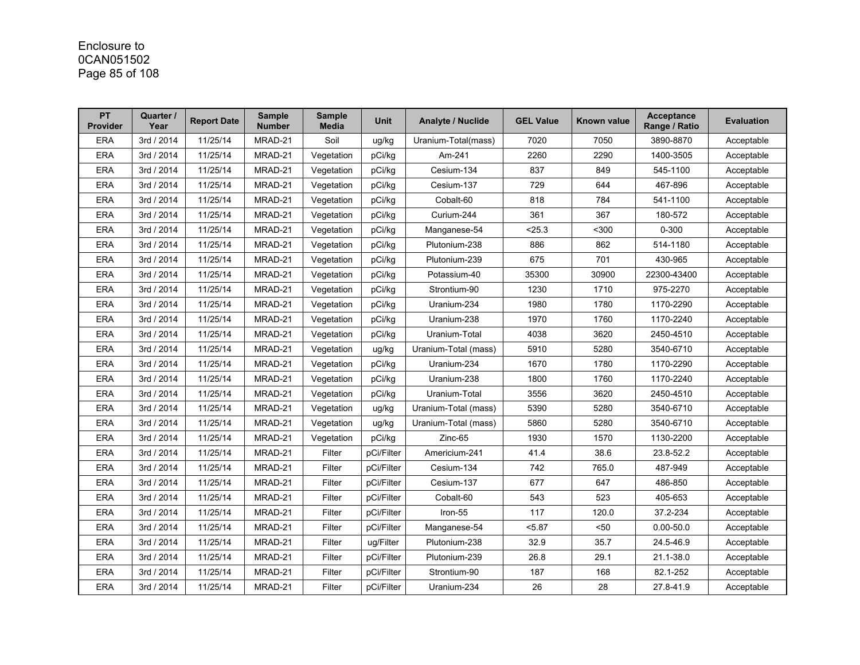# Enclosure to 0CAN051502 Page 85 of 108

| <b>PT</b><br><b>Provider</b> | Quarter /<br>Year | <b>Report Date</b> | <b>Sample</b><br><b>Number</b> | <b>Sample</b><br><b>Media</b> | <b>Unit</b> | <b>Analyte / Nuclide</b> | <b>GEL Value</b> | Known value | <b>Acceptance</b><br>Range / Ratio | <b>Evaluation</b> |
|------------------------------|-------------------|--------------------|--------------------------------|-------------------------------|-------------|--------------------------|------------------|-------------|------------------------------------|-------------------|
| <b>ERA</b>                   | 3rd / 2014        | 11/25/14           | MRAD-21                        | Soil                          | ug/kg       | Uranium-Total(mass)      | 7020             | 7050        | 3890-8870                          | Acceptable        |
| <b>ERA</b>                   | 3rd / 2014        | 11/25/14           | MRAD-21                        | Vegetation                    | pCi/kg      | Am-241                   | 2260             | 2290        | 1400-3505                          | Acceptable        |
| <b>ERA</b>                   | 3rd / 2014        | 11/25/14           | MRAD-21                        | Vegetation                    | pCi/kg      | Cesium-134               | 837              | 849         | 545-1100                           | Acceptable        |
| <b>ERA</b>                   | 3rd / 2014        | 11/25/14           | MRAD-21                        | Vegetation                    | pCi/kg      | Cesium-137               | 729              | 644         | 467-896                            | Acceptable        |
| <b>ERA</b>                   | 3rd / 2014        | 11/25/14           | MRAD-21                        | Vegetation                    | pCi/kg      | Cobalt-60                | 818              | 784         | 541-1100                           | Acceptable        |
| <b>ERA</b>                   | 3rd / 2014        | 11/25/14           | MRAD-21                        | Vegetation                    | pCi/kg      | Curium-244               | 361              | 367         | 180-572                            | Acceptable        |
| <b>ERA</b>                   | 3rd / 2014        | 11/25/14           | MRAD-21                        | Vegetation                    | pCi/kg      | Manganese-54             | < 25.3           | $300$       | $0 - 300$                          | Acceptable        |
| <b>ERA</b>                   | 3rd / 2014        | 11/25/14           | MRAD-21                        | Vegetation                    | pCi/kq      | Plutonium-238            | 886              | 862         | 514-1180                           | Acceptable        |
| <b>ERA</b>                   | 3rd / 2014        | 11/25/14           | MRAD-21                        | Vegetation                    | pCi/kg      | Plutonium-239            | 675              | 701         | 430-965                            | Acceptable        |
| <b>ERA</b>                   | 3rd / 2014        | 11/25/14           | MRAD-21                        | Vegetation                    | pCi/kg      | Potassium-40             | 35300            | 30900       | 22300-43400                        | Acceptable        |
| <b>ERA</b>                   | 3rd / 2014        | 11/25/14           | MRAD-21                        | Vegetation                    | pCi/kg      | Strontium-90             | 1230             | 1710        | 975-2270                           | Acceptable        |
| <b>ERA</b>                   | 3rd / 2014        | 11/25/14           | MRAD-21                        | Vegetation                    | pCi/kg      | Uranium-234              | 1980             | 1780        | 1170-2290                          | Acceptable        |
| <b>ERA</b>                   | 3rd / 2014        | 11/25/14           | MRAD-21                        | Vegetation                    | pCi/kg      | Uranium-238              | 1970             | 1760        | 1170-2240                          | Acceptable        |
| <b>ERA</b>                   | 3rd / 2014        | 11/25/14           | MRAD-21                        | Vegetation                    | pCi/kg      | Uranium-Total            | 4038             | 3620        | 2450-4510                          | Acceptable        |
| <b>ERA</b>                   | 3rd / 2014        | 11/25/14           | MRAD-21                        | Vegetation                    | ug/kg       | Uranium-Total (mass)     | 5910             | 5280        | 3540-6710                          | Acceptable        |
| <b>ERA</b>                   | 3rd / 2014        | 11/25/14           | MRAD-21                        | Vegetation                    | pCi/kg      | Uranium-234              | 1670             | 1780        | 1170-2290                          | Acceptable        |
| <b>ERA</b>                   | 3rd / 2014        | 11/25/14           | MRAD-21                        | Vegetation                    | pCi/kg      | Uranium-238              | 1800             | 1760        | 1170-2240                          | Acceptable        |
| <b>ERA</b>                   | 3rd / 2014        | 11/25/14           | MRAD-21                        | Vegetation                    | pCi/kg      | Uranium-Total            | 3556             | 3620        | 2450-4510                          | Acceptable        |
| <b>ERA</b>                   | 3rd / 2014        | 11/25/14           | MRAD-21                        | Vegetation                    | ug/kg       | Uranium-Total (mass)     | 5390             | 5280        | 3540-6710                          | Acceptable        |
| <b>ERA</b>                   | 3rd / 2014        | 11/25/14           | MRAD-21                        | Vegetation                    | ug/kg       | Uranium-Total (mass)     | 5860             | 5280        | 3540-6710                          | Acceptable        |
| <b>ERA</b>                   | 3rd / 2014        | 11/25/14           | MRAD-21                        | Vegetation                    | pCi/kg      | Zinc-65                  | 1930             | 1570        | 1130-2200                          | Acceptable        |
| <b>ERA</b>                   | 3rd / 2014        | 11/25/14           | MRAD-21                        | Filter                        | pCi/Filter  | Americium-241            | 41.4             | 38.6        | 23.8-52.2                          | Acceptable        |
| <b>ERA</b>                   | 3rd / 2014        | 11/25/14           | MRAD-21                        | Filter                        | pCi/Filter  | Cesium-134               | 742              | 765.0       | 487-949                            | Acceptable        |
| <b>ERA</b>                   | 3rd / 2014        | 11/25/14           | MRAD-21                        | Filter                        | pCi/Filter  | Cesium-137               | 677              | 647         | 486-850                            | Acceptable        |
| <b>ERA</b>                   | 3rd / 2014        | 11/25/14           | MRAD-21                        | Filter                        | pCi/Filter  | Cobalt-60                | 543              | 523         | 405-653                            | Acceptable        |
| <b>ERA</b>                   | 3rd / 2014        | 11/25/14           | MRAD-21                        | Filter                        | pCi/Filter  | Iron-55                  | 117              | 120.0       | 37.2-234                           | Acceptable        |
| <b>ERA</b>                   | 3rd / 2014        | 11/25/14           | MRAD-21                        | Filter                        | pCi/Filter  | Manganese-54             | <5.87            | < 50        | $0.00 - 50.0$                      | Acceptable        |
| <b>ERA</b>                   | 3rd / 2014        | 11/25/14           | MRAD-21                        | Filter                        | ug/Filter   | Plutonium-238            | 32.9             | 35.7        | 24.5-46.9                          | Acceptable        |
| <b>ERA</b>                   | 3rd / 2014        | 11/25/14           | MRAD-21                        | Filter                        | pCi/Filter  | Plutonium-239            | 26.8             | 29.1        | 21.1-38.0                          | Acceptable        |
| <b>ERA</b>                   | 3rd / 2014        | 11/25/14           | MRAD-21                        | Filter                        | pCi/Filter  | Strontium-90             | 187              | 168         | 82.1-252                           | Acceptable        |
| <b>ERA</b>                   | 3rd / 2014        | 11/25/14           | MRAD-21                        | Filter                        | pCi/Filter  | Uranium-234              | 26               | 28          | 27.8-41.9                          | Acceptable        |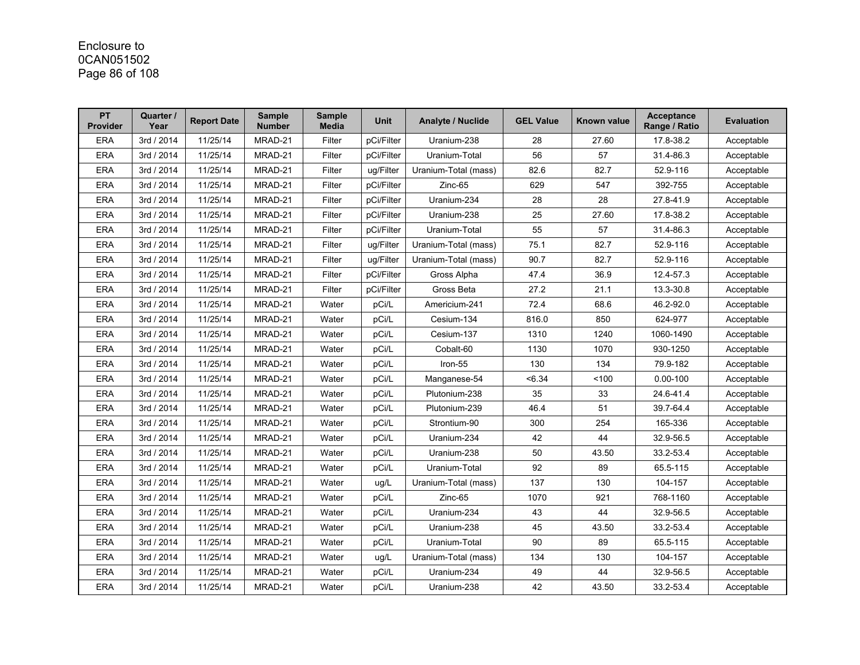# Enclosure to 0CAN051502 Page 86 of 108

| <b>PT</b><br><b>Provider</b> | Quarter /<br>Year | <b>Report Date</b> | <b>Sample</b><br><b>Number</b> | <b>Sample</b><br><b>Media</b> | <b>Unit</b> | <b>Analyte / Nuclide</b> | <b>GEL Value</b> | <b>Known value</b> | <b>Acceptance</b><br>Range / Ratio | <b>Evaluation</b> |
|------------------------------|-------------------|--------------------|--------------------------------|-------------------------------|-------------|--------------------------|------------------|--------------------|------------------------------------|-------------------|
| <b>ERA</b>                   | 3rd / 2014        | 11/25/14           | MRAD-21                        | Filter                        | pCi/Filter  | Uranium-238              | 28               | 27.60              | 17.8-38.2                          | Acceptable        |
| <b>ERA</b>                   | 3rd / 2014        | 11/25/14           | MRAD-21                        | Filter                        | pCi/Filter  | Uranium-Total            | 56               | 57                 | 31.4-86.3                          | Acceptable        |
| <b>ERA</b>                   | 3rd / 2014        | 11/25/14           | MRAD-21                        | Filter                        | ug/Filter   | Uranium-Total (mass)     | 82.6             | 82.7               | 52.9-116                           | Acceptable        |
| <b>ERA</b>                   | 3rd / 2014        | 11/25/14           | MRAD-21                        | Filter                        | pCi/Filter  | Zinc-65                  | 629              | 547                | 392-755                            | Acceptable        |
| <b>ERA</b>                   | 3rd / 2014        | 11/25/14           | MRAD-21                        | Filter                        | pCi/Filter  | Uranium-234              | 28               | 28                 | 27.8-41.9                          | Acceptable        |
| <b>ERA</b>                   | 3rd / 2014        | 11/25/14           | MRAD-21                        | Filter                        | pCi/Filter  | Uranium-238              | 25               | 27.60              | 17.8-38.2                          | Acceptable        |
| <b>ERA</b>                   | 3rd / 2014        | 11/25/14           | MRAD-21                        | Filter                        | pCi/Filter  | Uranium-Total            | 55               | 57                 | 31.4-86.3                          | Acceptable        |
| <b>ERA</b>                   | 3rd / 2014        | 11/25/14           | MRAD-21                        | Filter                        | ug/Filter   | Uranium-Total (mass)     | 75.1             | 82.7               | 52.9-116                           | Acceptable        |
| <b>ERA</b>                   | 3rd / 2014        | 11/25/14           | MRAD-21                        | Filter                        | ug/Filter   | Uranium-Total (mass)     | 90.7             | 82.7               | 52.9-116                           | Acceptable        |
| <b>ERA</b>                   | 3rd / 2014        | 11/25/14           | MRAD-21                        | Filter                        | pCi/Filter  | Gross Alpha              | 47.4             | 36.9               | 12.4-57.3                          | Acceptable        |
| <b>ERA</b>                   | 3rd / 2014        | 11/25/14           | MRAD-21                        | Filter                        | pCi/Filter  | Gross Beta               | 27.2             | 21.1               | 13.3-30.8                          | Acceptable        |
| <b>ERA</b>                   | 3rd / 2014        | 11/25/14           | MRAD-21                        | Water                         | pCi/L       | Americium-241            | 72.4             | 68.6               | 46.2-92.0                          | Acceptable        |
| <b>ERA</b>                   | 3rd / 2014        | 11/25/14           | MRAD-21                        | Water                         | pCi/L       | Cesium-134               | 816.0            | 850                | 624-977                            | Acceptable        |
| <b>ERA</b>                   | 3rd / 2014        | 11/25/14           | MRAD-21                        | Water                         | pCi/L       | Cesium-137               | 1310             | 1240               | 1060-1490                          | Acceptable        |
| <b>ERA</b>                   | 3rd / 2014        | 11/25/14           | MRAD-21                        | Water                         | pCi/L       | Cobalt-60                | 1130             | 1070               | 930-1250                           | Acceptable        |
| <b>ERA</b>                   | 3rd / 2014        | 11/25/14           | MRAD-21                        | Water                         | pCi/L       | Iron-55                  | 130              | 134                | 79.9-182                           | Acceptable        |
| <b>ERA</b>                   | 3rd / 2014        | 11/25/14           | MRAD-21                        | Water                         | pCi/L       | Manganese-54             | <6.34            | 100                | $0.00 - 100$                       | Acceptable        |
| <b>ERA</b>                   | 3rd / 2014        | 11/25/14           | MRAD-21                        | Water                         | pCi/L       | Plutonium-238            | 35               | 33                 | 24.6-41.4                          | Acceptable        |
| <b>ERA</b>                   | 3rd / 2014        | 11/25/14           | MRAD-21                        | Water                         | pCi/L       | Plutonium-239            | 46.4             | 51                 | 39.7-64.4                          | Acceptable        |
| <b>ERA</b>                   | 3rd / 2014        | 11/25/14           | MRAD-21                        | Water                         | pCi/L       | Strontium-90             | 300              | 254                | 165-336                            | Acceptable        |
| <b>ERA</b>                   | 3rd / 2014        | 11/25/14           | MRAD-21                        | Water                         | pCi/L       | Uranium-234              | 42               | 44                 | 32.9-56.5                          | Acceptable        |
| <b>ERA</b>                   | 3rd / 2014        | 11/25/14           | MRAD-21                        | Water                         | pCi/L       | Uranium-238              | 50               | 43.50              | 33.2-53.4                          | Acceptable        |
| <b>ERA</b>                   | 3rd / 2014        | 11/25/14           | MRAD-21                        | Water                         | pCi/L       | Uranium-Total            | 92               | 89                 | 65.5-115                           | Acceptable        |
| <b>ERA</b>                   | 3rd / 2014        | 11/25/14           | MRAD-21                        | Water                         | ug/L        | Uranium-Total (mass)     | 137              | 130                | 104-157                            | Acceptable        |
| <b>ERA</b>                   | 3rd / 2014        | 11/25/14           | MRAD-21                        | Water                         | pCi/L       | Zinc-65                  | 1070             | 921                | 768-1160                           | Acceptable        |
| <b>ERA</b>                   | 3rd / 2014        | 11/25/14           | MRAD-21                        | Water                         | pCi/L       | Uranium-234              | 43               | 44                 | 32.9-56.5                          | Acceptable        |
| <b>ERA</b>                   | 3rd / 2014        | 11/25/14           | MRAD-21                        | Water                         | pCi/L       | Uranium-238              | 45               | 43.50              | 33.2-53.4                          | Acceptable        |
| <b>ERA</b>                   | 3rd / 2014        | 11/25/14           | MRAD-21                        | Water                         | pCi/L       | Uranium-Total            | 90               | 89                 | 65.5-115                           | Acceptable        |
| <b>ERA</b>                   | 3rd / 2014        | 11/25/14           | MRAD-21                        | Water                         | ug/L        | Uranium-Total (mass)     | 134              | 130                | 104-157                            | Acceptable        |
| <b>ERA</b>                   | 3rd / 2014        | 11/25/14           | MRAD-21                        | Water                         | pCi/L       | Uranium-234              | 49               | 44                 | 32.9-56.5                          | Acceptable        |
| <b>ERA</b>                   | 3rd / 2014        | 11/25/14           | MRAD-21                        | Water                         | pCi/L       | Uranium-238              | 42               | 43.50              | 33.2-53.4                          | Acceptable        |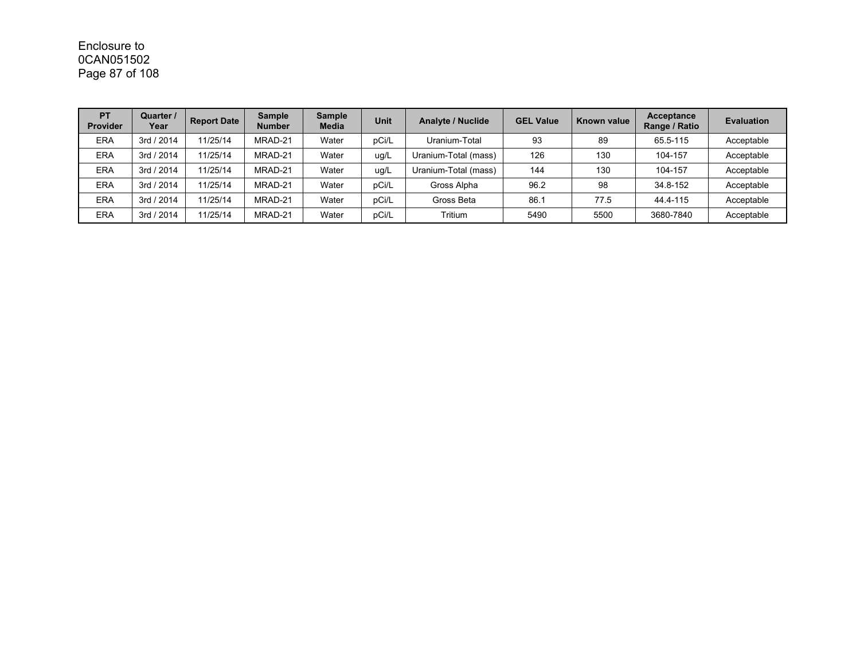## Enclosure to 0CAN051502 Page 87 of 108

| <b>PT</b><br><b>Provider</b> | Quarter /<br>Year | <b>Report Date</b> | <b>Sample</b><br><b>Number</b> | <b>Sample</b><br><b>Media</b> | <b>Unit</b> | <b>Analyte / Nuclide</b> | <b>GEL Value</b> | Known value | Acceptance<br>Range / Ratio | <b>Evaluation</b> |
|------------------------------|-------------------|--------------------|--------------------------------|-------------------------------|-------------|--------------------------|------------------|-------------|-----------------------------|-------------------|
| <b>ERA</b>                   | 3rd / 2014        | 11/25/14           | MRAD-21                        | Water                         | pCi/L       | Uranium-Total            | 93               | 89          | 65.5-115                    | Acceptable        |
| <b>ERA</b>                   | 3rd / 2014        | 11/25/14           | MRAD-21                        | Water                         | ug/L        | Uranium-Total (mass)     | 126              | 130         | 104-157                     | Acceptable        |
| <b>ERA</b>                   | 3rd / 2014        | 11/25/14           | MRAD-21                        | Water                         | ug/L        | Uranium-Total (mass)     | 144              | 130         | 104-157                     | Acceptable        |
| <b>ERA</b>                   | 3rd / 2014        | 11/25/14           | MRAD-21                        | Water                         | pCi/L       | Gross Alpha              | 96.2             | 98          | 34.8-152                    | Acceptable        |
| <b>ERA</b>                   | 3rd / 2014        | 11/25/14           | MRAD-21                        | Water                         | pCi/L       | Gross Beta               | 86.1             | 77.5        | 44.4-115                    | Acceptable        |
| <b>ERA</b>                   | 3rd / 2014        | 11/25/14           | MRAD-21                        | Water                         | pCi/L       | Tritium                  | 5490             | 5500        | 3680-7840                   | Acceptable        |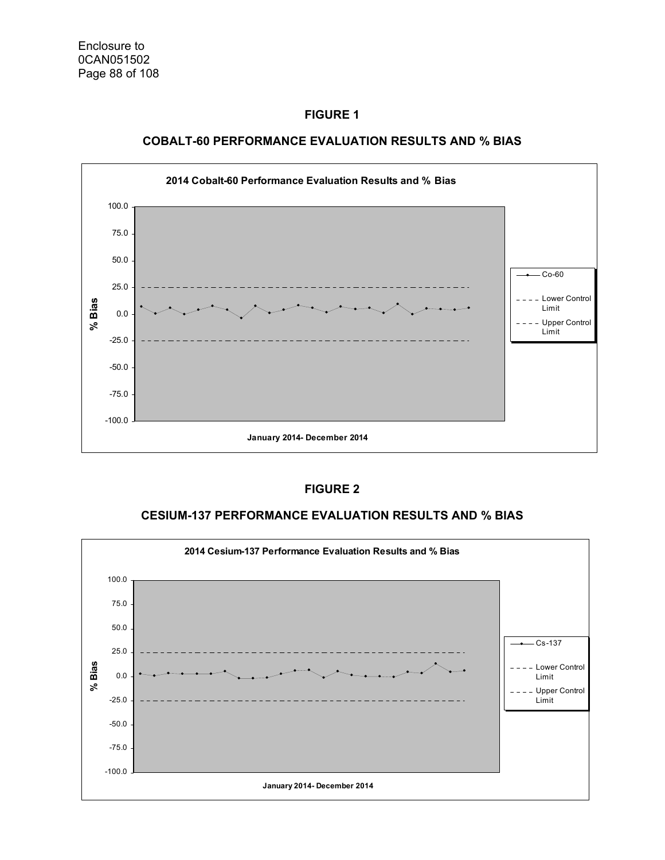

#### **COBALT-60 PERFORMANCE EVALUATION RESULTS AND % BIAS**

#### **FIGURE 2**

#### **CESIUM-137 PERFORMANCE EVALUATION RESULTS AND % BIAS**

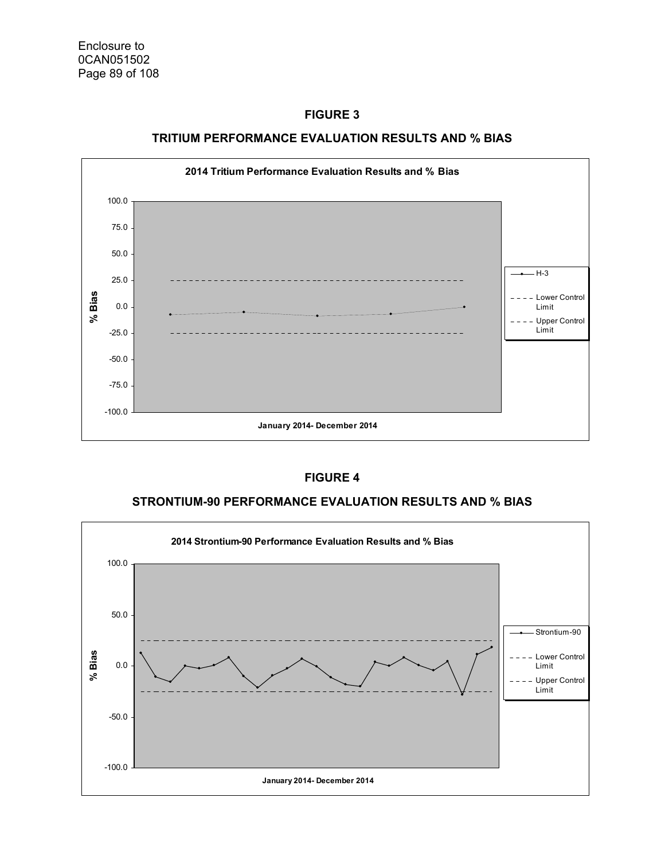

#### **TRITIUM PERFORMANCE EVALUATION RESULTS AND % BIAS**

#### **FIGURE 4**

#### **STRONTIUM-90 PERFORMANCE EVALUATION RESULTS AND % BIAS**

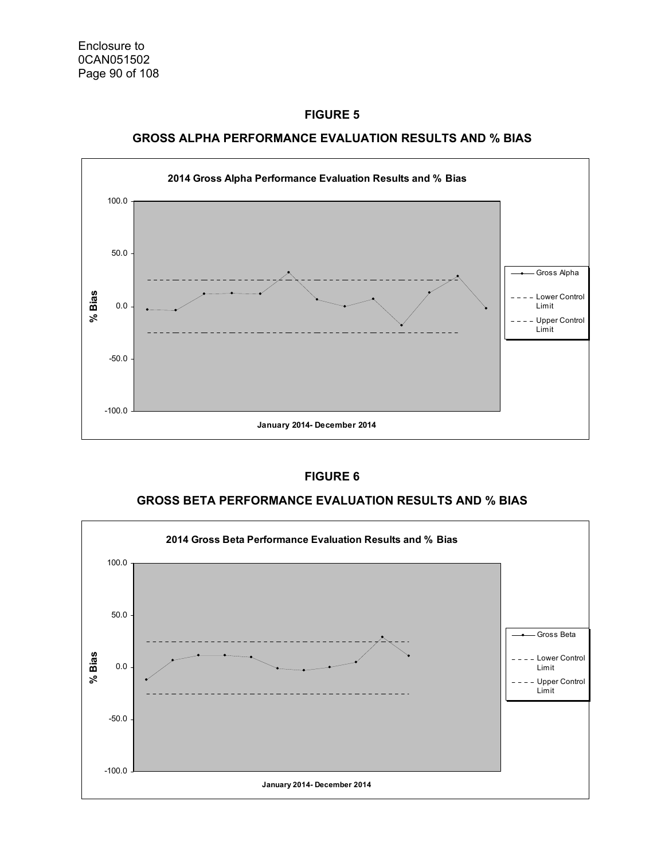



#### **FIGURE 6**

#### **GROSS BETA PERFORMANCE EVALUATION RESULTS AND % BIAS**

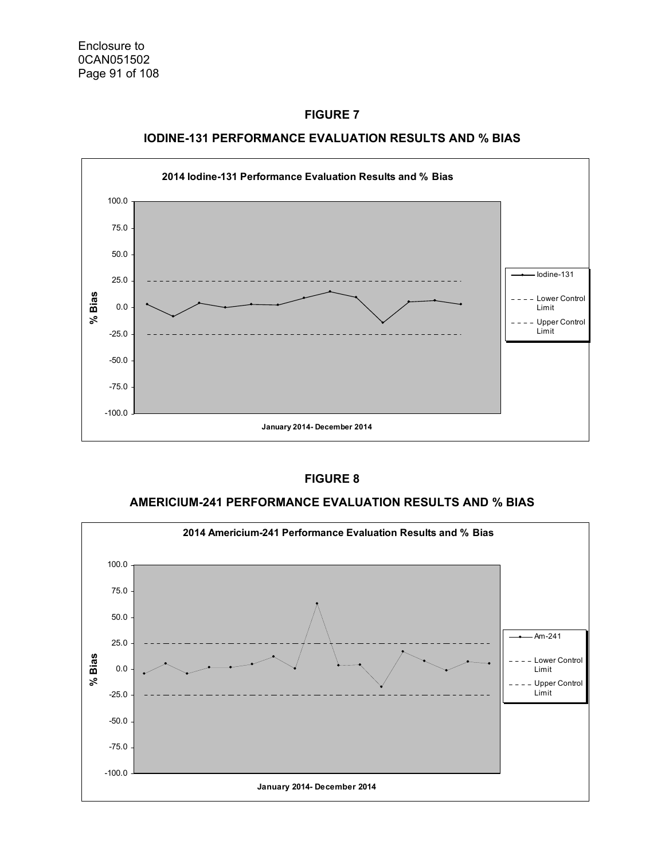

#### **IODINE-131 PERFORMANCE EVALUATION RESULTS AND % BIAS**

#### **FIGURE 8**

#### **AMERICIUM-241 PERFORMANCE EVALUATION RESULTS AND % BIAS**

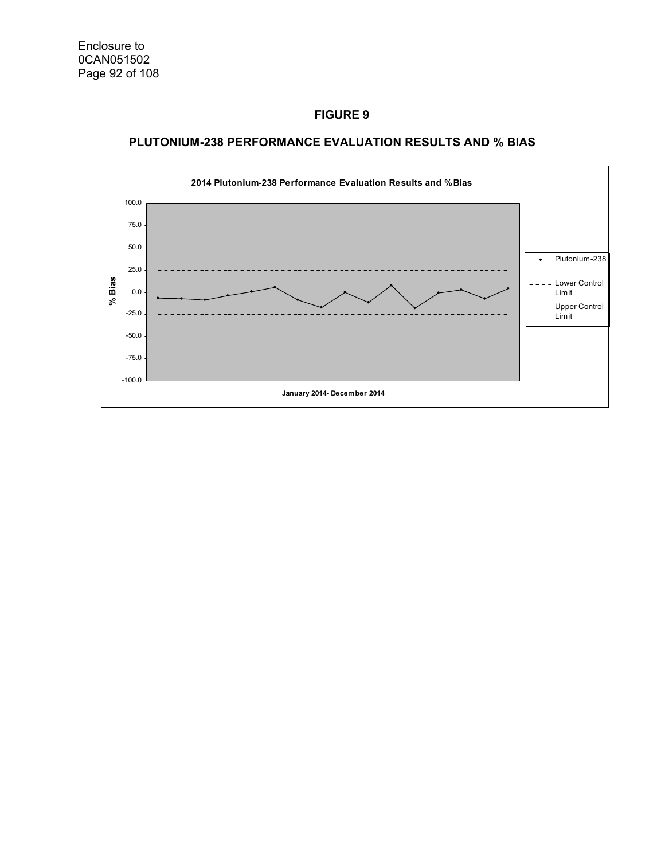

### **PLUTONIUM-238 PERFORMANCE EVALUATION RESULTS AND % BIAS**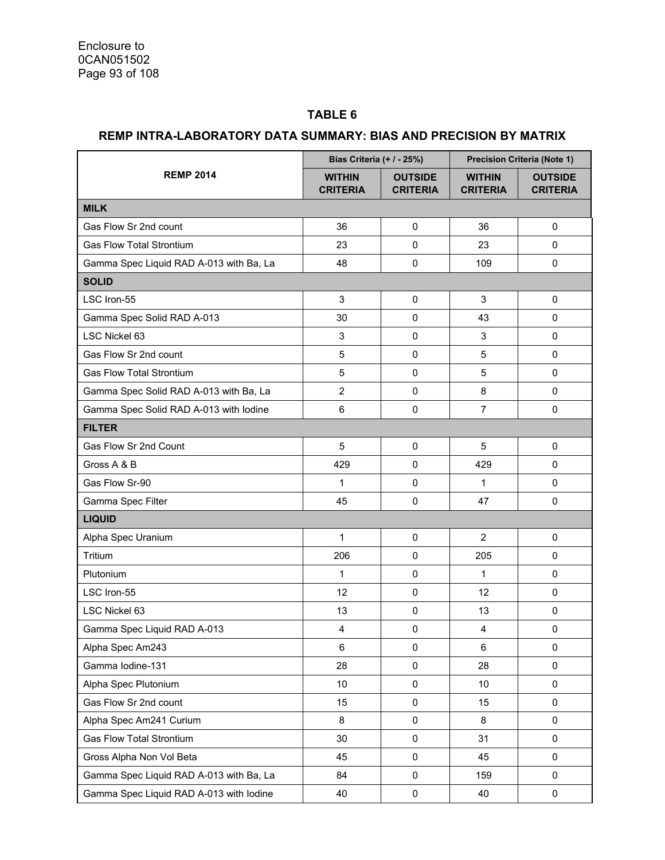### **TABLE 6**

### **REMP INTRA-LABORATORY DATA SUMMARY: BIAS AND PRECISION BY MATRIX**

|                                         | Bias Criteria (+ / - 25%)        |                                   | <b>Precision Criteria (Note 1)</b> |                                   |  |
|-----------------------------------------|----------------------------------|-----------------------------------|------------------------------------|-----------------------------------|--|
| <b>REMP 2014</b>                        | <b>WITHIN</b><br><b>CRITERIA</b> | <b>OUTSIDE</b><br><b>CRITERIA</b> | <b>WITHIN</b><br><b>CRITERIA</b>   | <b>OUTSIDE</b><br><b>CRITERIA</b> |  |
| <b>MILK</b>                             |                                  |                                   |                                    |                                   |  |
| Gas Flow Sr 2nd count                   | 36                               | 0                                 | 36                                 | 0                                 |  |
| <b>Gas Flow Total Strontium</b>         | 23                               | 0                                 | 23                                 | 0                                 |  |
| Gamma Spec Liquid RAD A-013 with Ba, La | 48                               | 0                                 | 109                                | 0                                 |  |
| <b>SOLID</b>                            |                                  |                                   |                                    |                                   |  |
| LSC Iron-55                             | 3                                | 0                                 | 3                                  | $\mathbf 0$                       |  |
| Gamma Spec Solid RAD A-013              | 30                               | 0                                 | 43                                 | 0                                 |  |
| LSC Nickel 63                           | $\mathsf 3$                      | 0                                 | 3                                  | 0                                 |  |
| Gas Flow Sr 2nd count                   | $\overline{5}$                   | 0                                 | 5                                  | 0                                 |  |
| <b>Gas Flow Total Strontium</b>         | 5                                | 0                                 | 5                                  | $\mathbf{0}$                      |  |
| Gamma Spec Solid RAD A-013 with Ba, La  | $\overline{2}$                   | 0                                 | 8                                  | $\Omega$                          |  |
| Gamma Spec Solid RAD A-013 with lodine  | $6\phantom{1}6$                  | 0                                 | $\overline{7}$                     | $\mathbf 0$                       |  |
| <b>FILTER</b>                           |                                  |                                   |                                    |                                   |  |
| Gas Flow Sr 2nd Count                   | 5                                | 0                                 | 5                                  | 0                                 |  |
| Gross A & B                             | 429                              | 0                                 | 429                                | $\mathbf{0}$                      |  |
| Gas Flow Sr-90                          | $\mathbf 1$                      | 0                                 | 1                                  | 0                                 |  |
| Gamma Spec Filter                       | 45                               | 0                                 | 47                                 | $\mathbf 0$                       |  |
| <b>LIQUID</b>                           |                                  |                                   |                                    |                                   |  |
| Alpha Spec Uranium                      | 1                                | 0                                 | $\overline{2}$                     | 0                                 |  |
| Tritium                                 | 206                              | 0                                 | 205                                | $\Omega$                          |  |
| Plutonium                               | $\mathbf{1}$                     | 0                                 | 1                                  | 0                                 |  |
| LSC Iron-55                             | 12                               | 0                                 | 12                                 | $\Omega$                          |  |
| LSC Nickel 63                           | 13                               | 0                                 | 13                                 | 0                                 |  |
| Gamma Spec Liquid RAD A-013             | $\overline{4}$                   | $\pmb{0}$                         | $\overline{4}$                     | $\pmb{0}$                         |  |
| Alpha Spec Am243                        | 6                                | 0                                 | 6                                  | 0                                 |  |
| Gamma lodine-131                        | 28                               | 0                                 | 28                                 | 0                                 |  |
| Alpha Spec Plutonium                    | 10                               | $\pmb{0}$                         | 10                                 | $\mathbf 0$                       |  |
| Gas Flow Sr 2nd count                   | 15                               | 0                                 | 15                                 | $\mathsf{O}\xspace$               |  |
| Alpha Spec Am241 Curium                 | 8                                | 0                                 | 8                                  | 0                                 |  |
| <b>Gas Flow Total Strontium</b>         | 30                               | 0                                 | 31                                 | 0                                 |  |
| Gross Alpha Non Vol Beta                | 45                               | 0                                 | 45                                 | $\mathbf 0$                       |  |
| Gamma Spec Liquid RAD A-013 with Ba, La | 84                               | 0                                 | 159                                | $\mathsf{O}\xspace$               |  |
| Gamma Spec Liquid RAD A-013 with lodine | 40                               | 0                                 | 40                                 | $\mathsf{O}\xspace$               |  |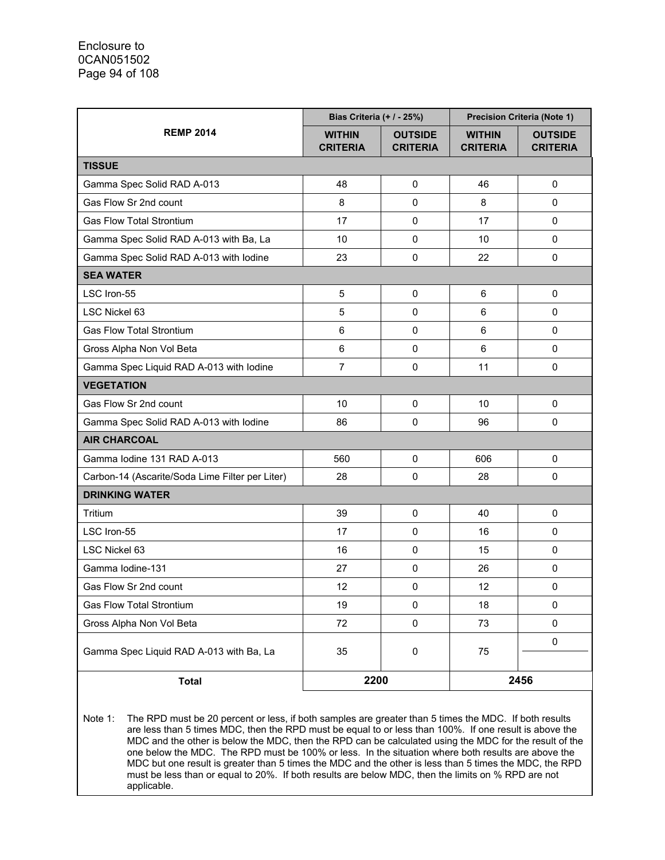|                                                 | Bias Criteria (+ / - 25%)        |                                   | <b>Precision Criteria (Note 1)</b> |                                   |  |
|-------------------------------------------------|----------------------------------|-----------------------------------|------------------------------------|-----------------------------------|--|
| <b>REMP 2014</b>                                | <b>WITHIN</b><br><b>CRITERIA</b> | <b>OUTSIDE</b><br><b>CRITERIA</b> | <b>WITHIN</b><br><b>CRITERIA</b>   | <b>OUTSIDE</b><br><b>CRITERIA</b> |  |
| <b>TISSUE</b>                                   |                                  |                                   |                                    |                                   |  |
| Gamma Spec Solid RAD A-013                      | 48                               | 0                                 | 46                                 | $\mathbf{0}$                      |  |
| Gas Flow Sr 2nd count                           | 8                                | $\Omega$                          | 8                                  | $\Omega$                          |  |
| <b>Gas Flow Total Strontium</b>                 | 17                               | 0                                 | 17                                 | $\mathbf{0}$                      |  |
| Gamma Spec Solid RAD A-013 with Ba, La          | 10                               | 0                                 | 10                                 | 0                                 |  |
| Gamma Spec Solid RAD A-013 with lodine          | 23                               | 0                                 | 22                                 | 0                                 |  |
| <b>SEA WATER</b>                                |                                  |                                   |                                    |                                   |  |
| LSC Iron-55                                     | $\overline{5}$                   | 0                                 | 6                                  | $\mathbf 0$                       |  |
| LSC Nickel 63                                   | 5                                | 0                                 | 6                                  | 0                                 |  |
| <b>Gas Flow Total Strontium</b>                 | 6                                | 0                                 | 6                                  | 0                                 |  |
| Gross Alpha Non Vol Beta                        | 6                                | 0                                 | 6                                  | 0                                 |  |
| Gamma Spec Liquid RAD A-013 with lodine         | $\overline{7}$                   | 0                                 | 11                                 | 0                                 |  |
| <b>VEGETATION</b>                               |                                  |                                   |                                    |                                   |  |
| Gas Flow Sr 2nd count                           | 10                               | 0                                 | 10                                 | $\mathbf 0$                       |  |
| Gamma Spec Solid RAD A-013 with lodine          | 86                               | 0                                 | 96                                 | 0                                 |  |
| <b>AIR CHARCOAL</b>                             |                                  |                                   |                                    |                                   |  |
| Gamma Iodine 131 RAD A-013                      | 560                              | 0                                 | 606                                | $\mathbf 0$                       |  |
| Carbon-14 (Ascarite/Soda Lime Filter per Liter) | 28                               | 0                                 | 28                                 | 0                                 |  |
| <b>DRINKING WATER</b>                           |                                  |                                   |                                    |                                   |  |
| Tritium                                         | 39                               | 0                                 | 40                                 | 0                                 |  |
| LSC Iron-55                                     | 17                               | 0                                 | 16                                 | 0                                 |  |
| LSC Nickel 63                                   | 16                               | 0                                 | 15                                 | 0                                 |  |
| Gamma Iodine-131                                | 27                               | 0                                 | 26                                 | 0                                 |  |
| Gas Flow Sr 2nd count                           | 12                               | 0                                 | 12                                 | $\mathbf 0$                       |  |
| <b>Gas Flow Total Strontium</b>                 | 19                               | 0                                 | 18                                 | $\pmb{0}$                         |  |
| Gross Alpha Non Vol Beta                        | 72                               | 0                                 | 73                                 | 0                                 |  |
|                                                 |                                  |                                   |                                    | 0                                 |  |
| Gamma Spec Liquid RAD A-013 with Ba, La         | 35                               | $\pmb{0}$                         | 75                                 |                                   |  |
| <b>Total</b>                                    | 2200                             |                                   | 2456                               |                                   |  |

Note 1: The RPD must be 20 percent or less, if both samples are greater than 5 times the MDC. If both results are less than 5 times MDC, then the RPD must be equal to or less than 100%. If one result is above the MDC and the other is below the MDC, then the RPD can be calculated using the MDC for the result of the one below the MDC. The RPD must be 100% or less. In the situation where both results are above the MDC but one result is greater than 5 times the MDC and the other is less than 5 times the MDC, the RPD must be less than or equal to 20%. If both results are below MDC, then the limits on % RPD are not applicable.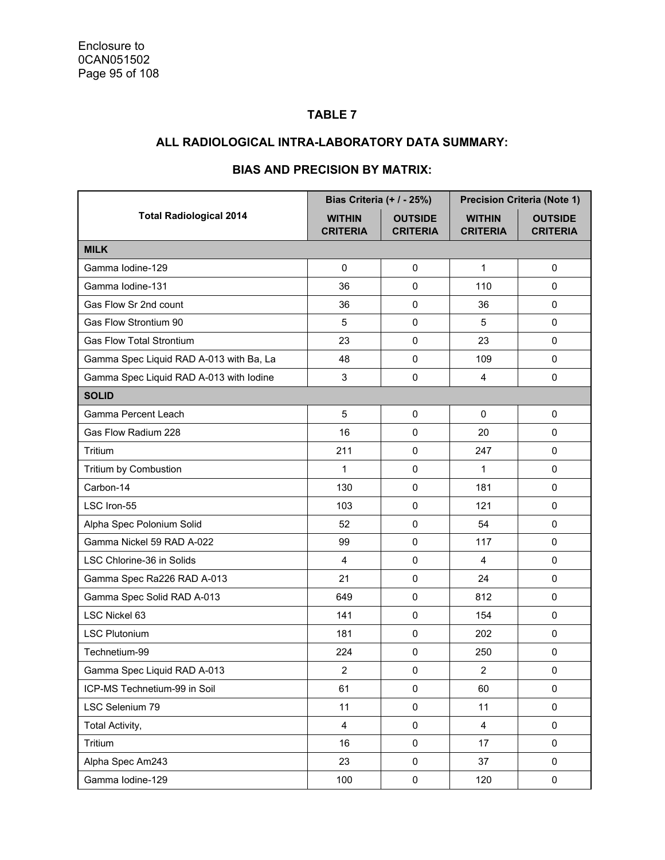### **TABLE 7**

### **ALL RADIOLOGICAL INTRA-LABORATORY DATA SUMMARY:**

|                                         | <b>Bias Criteria (+ / - 25%)</b> |                                   |                                  | <b>Precision Criteria (Note 1)</b> |
|-----------------------------------------|----------------------------------|-----------------------------------|----------------------------------|------------------------------------|
| <b>Total Radiological 2014</b>          | <b>WITHIN</b><br><b>CRITERIA</b> | <b>OUTSIDE</b><br><b>CRITERIA</b> | <b>WITHIN</b><br><b>CRITERIA</b> | <b>OUTSIDE</b><br><b>CRITERIA</b>  |
| <b>MILK</b>                             |                                  |                                   |                                  |                                    |
| Gamma Iodine-129                        | $\mathbf 0$                      | $\pmb{0}$                         | $\mathbf{1}$                     | 0                                  |
| Gamma Iodine-131                        | 36                               | $\pmb{0}$                         | 110                              | 0                                  |
| Gas Flow Sr 2nd count                   | 36                               | $\mathbf 0$                       | 36                               | $\mathbf 0$                        |
| Gas Flow Strontium 90                   | 5                                | 0                                 | 5                                | $\Omega$                           |
| <b>Gas Flow Total Strontium</b>         | 23                               | $\mathbf 0$                       | 23                               | $\mathbf 0$                        |
| Gamma Spec Liquid RAD A-013 with Ba, La | 48                               | $\pmb{0}$                         | 109                              | 0                                  |
| Gamma Spec Liquid RAD A-013 with lodine | $\ensuremath{\mathsf{3}}$        | 0                                 | 4                                | 0                                  |
| <b>SOLID</b>                            |                                  |                                   |                                  |                                    |
| Gamma Percent Leach                     | 5                                | 0                                 | $\mathbf 0$                      | 0                                  |
| Gas Flow Radium 228                     | 16                               | 0                                 | 20                               | 0                                  |
| Tritium                                 | 211                              | $\mathbf 0$                       | 247                              | $\mathbf 0$                        |
| Tritium by Combustion                   | 1                                | 0                                 | 1                                | 0                                  |
| Carbon-14                               | 130                              | $\mathbf 0$                       | 181                              | $\mathbf 0$                        |
| LSC Iron-55                             | 103                              | $\mathbf 0$                       | 121                              | $\Omega$                           |
| Alpha Spec Polonium Solid               | 52                               | $\mathbf 0$                       | 54                               | 0                                  |
| Gamma Nickel 59 RAD A-022               | 99                               | $\mathbf 0$                       | 117                              | $\mathbf 0$                        |
| LSC Chlorine-36 in Solids               | 4                                | 0                                 | 4                                | 0                                  |
| Gamma Spec Ra226 RAD A-013              | 21                               | $\pmb{0}$                         | 24                               | $\mathbf 0$                        |
| Gamma Spec Solid RAD A-013              | 649                              | $\mathbf 0$                       | 812                              | 0                                  |
| LSC Nickel 63                           | 141                              | 0                                 | 154                              | $\mathbf 0$                        |
| <b>LSC Plutonium</b>                    | 181                              | $\mathbf 0$                       | 202                              | $\mathbf 0$                        |
| Technetium-99                           | 224                              | 0                                 | 250                              | $\pmb{0}$                          |
| Gamma Spec Liquid RAD A-013             | $\overline{2}$                   | 0                                 | 2                                | 0                                  |
| ICP-MS Technetium-99 in Soil            | 61                               | 0                                 | 60                               | $\pmb{0}$                          |
| LSC Selenium 79                         | 11                               | 0                                 | 11                               | 0                                  |
| Total Activity,                         | $\overline{\mathbf{4}}$          | $\pmb{0}$                         | $\overline{\mathbf{4}}$          | 0                                  |
| Tritium                                 | 16                               | 0                                 | 17                               | $\pmb{0}$                          |
| Alpha Spec Am243                        | 23                               | 0                                 | 37                               | 0                                  |
| Gamma Iodine-129                        | 100                              | $\pmb{0}$                         | 120                              | $\pmb{0}$                          |

### **BIAS AND PRECISION BY MATRIX:**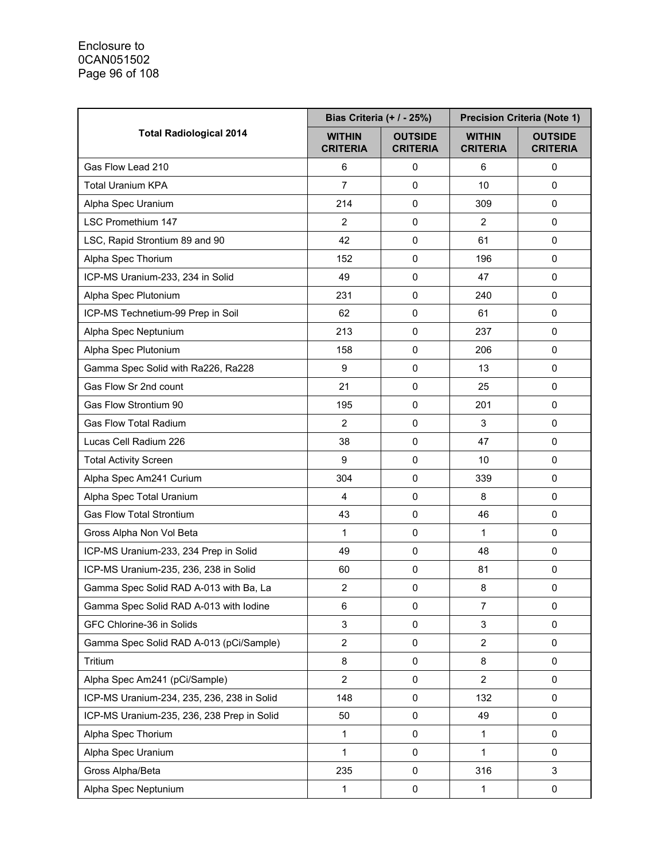|                                            | Bias Criteria (+ / - 25%)        |                                   | <b>Precision Criteria (Note 1)</b> |                                   |  |
|--------------------------------------------|----------------------------------|-----------------------------------|------------------------------------|-----------------------------------|--|
| <b>Total Radiological 2014</b>             | <b>WITHIN</b><br><b>CRITERIA</b> | <b>OUTSIDE</b><br><b>CRITERIA</b> | <b>WITHIN</b><br><b>CRITERIA</b>   | <b>OUTSIDE</b><br><b>CRITERIA</b> |  |
| Gas Flow Lead 210                          | 6                                | 0                                 | 6                                  | 0                                 |  |
| <b>Total Uranium KPA</b>                   | 7                                | $\mathbf 0$                       | 10                                 | 0                                 |  |
| Alpha Spec Uranium                         | 214                              | 0                                 | 309                                | 0                                 |  |
| LSC Promethium 147                         | $\overline{2}$                   | $\mathbf 0$                       | $\overline{2}$                     | 0                                 |  |
| LSC, Rapid Strontium 89 and 90             | 42                               | $\mathbf 0$                       | 61                                 | $\pmb{0}$                         |  |
| Alpha Spec Thorium                         | 152                              | $\pmb{0}$                         | 196                                | 0                                 |  |
| ICP-MS Uranium-233, 234 in Solid           | 49                               | $\mathbf 0$                       | 47                                 | 0                                 |  |
| Alpha Spec Plutonium                       | 231                              | $\mathbf 0$                       | 240                                | 0                                 |  |
| ICP-MS Technetium-99 Prep in Soil          | 62                               | 0                                 | 61                                 | 0                                 |  |
| Alpha Spec Neptunium                       | 213                              | $\mathbf 0$                       | 237                                | 0                                 |  |
| Alpha Spec Plutonium                       | 158                              | $\pmb{0}$                         | 206                                | 0                                 |  |
| Gamma Spec Solid with Ra226, Ra228         | 9                                | $\mathbf 0$                       | 13                                 | 0                                 |  |
| Gas Flow Sr 2nd count                      | 21                               | $\mathbf 0$                       | 25                                 | 0                                 |  |
| Gas Flow Strontium 90                      | 195                              | $\mathbf 0$                       | 201                                | 0                                 |  |
| <b>Gas Flow Total Radium</b>               | $\overline{2}$                   | $\mathbf 0$                       | 3                                  | 0                                 |  |
| Lucas Cell Radium 226                      | 38                               | 0                                 | 47                                 | 0                                 |  |
| <b>Total Activity Screen</b>               | 9                                | $\mathbf 0$                       | 10                                 | 0                                 |  |
| Alpha Spec Am241 Curium                    | 304                              | $\mathbf 0$                       | 339                                | 0                                 |  |
| Alpha Spec Total Uranium                   | $\overline{4}$                   | $\mathbf 0$                       | 8                                  | 0                                 |  |
| <b>Gas Flow Total Strontium</b>            | 43                               | $\mathbf 0$                       | 46                                 | 0                                 |  |
| Gross Alpha Non Vol Beta                   | 1                                | $\mathbf 0$                       | 1                                  | $\pmb{0}$                         |  |
| ICP-MS Uranium-233, 234 Prep in Solid      | 49                               | $\pmb{0}$                         | 48                                 | 0                                 |  |
| ICP-MS Uranium-235, 236, 238 in Solid      | 60                               | $\mathbf 0$                       | 81                                 | 0                                 |  |
| Gamma Spec Solid RAD A-013 with Ba, La     | $\overline{2}$                   | $\mathbf 0$                       | 8                                  | 0                                 |  |
| Gamma Spec Solid RAD A-013 with lodine     | 6                                | $\mathbf 0$                       | $\overline{7}$                     | 0                                 |  |
| GFC Chlorine-36 in Solids                  | 3                                | $\pmb{0}$                         | 3                                  | 0                                 |  |
| Gamma Spec Solid RAD A-013 (pCi/Sample)    | $\overline{2}$                   | $\pmb{0}$                         | $\overline{2}$                     | 0                                 |  |
| Tritium                                    | 8                                | 0                                 | 8                                  | 0                                 |  |
| Alpha Spec Am241 (pCi/Sample)              | $\overline{2}$                   | 0                                 | $\overline{2}$                     | 0                                 |  |
| ICP-MS Uranium-234, 235, 236, 238 in Solid | 148                              | $\mathbf 0$                       | 132                                | 0                                 |  |
| ICP-MS Uranium-235, 236, 238 Prep in Solid | 50                               | $\pmb{0}$                         | 49                                 | 0                                 |  |
| Alpha Spec Thorium                         | 1                                | $\pmb{0}$                         | 1                                  | 0                                 |  |
| Alpha Spec Uranium                         | $\mathbf{1}$                     | 0                                 | 1                                  | 0                                 |  |
| Gross Alpha/Beta                           | 235                              | 0                                 | 316                                | 3                                 |  |
| Alpha Spec Neptunium                       | $\mathbf{1}$                     | $\pmb{0}$                         | $\mathbf{1}$                       | 0                                 |  |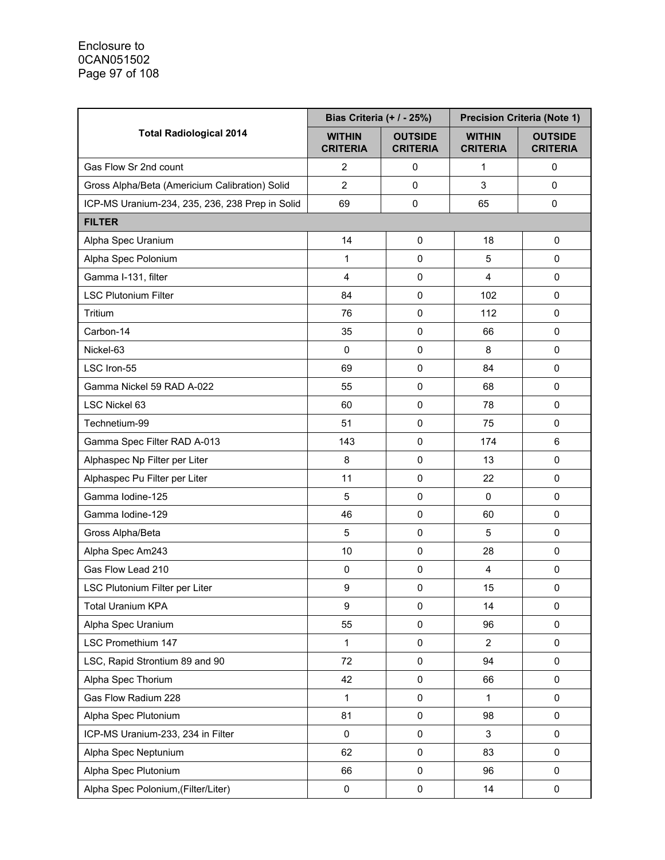|                                                 | Bias Criteria (+ / - 25%)        |                                   | <b>Precision Criteria (Note 1)</b> |                                   |  |
|-------------------------------------------------|----------------------------------|-----------------------------------|------------------------------------|-----------------------------------|--|
| <b>Total Radiological 2014</b>                  | <b>WITHIN</b><br><b>CRITERIA</b> | <b>OUTSIDE</b><br><b>CRITERIA</b> | <b>WITHIN</b><br><b>CRITERIA</b>   | <b>OUTSIDE</b><br><b>CRITERIA</b> |  |
| Gas Flow Sr 2nd count                           | $\overline{2}$                   | 0                                 | 1                                  | $\mathbf 0$                       |  |
| Gross Alpha/Beta (Americium Calibration) Solid  | $\overline{2}$                   | $\mathbf 0$                       | 3                                  | 0                                 |  |
| ICP-MS Uranium-234, 235, 236, 238 Prep in Solid | 69                               | $\pmb{0}$                         | 65                                 | 0                                 |  |
| <b>FILTER</b>                                   |                                  |                                   |                                    |                                   |  |
| Alpha Spec Uranium                              | 14                               | $\mathbf 0$                       | 18                                 | $\mathbf 0$                       |  |
| Alpha Spec Polonium                             | 1                                | $\pmb{0}$                         | 5                                  | 0                                 |  |
| Gamma I-131, filter                             | $\overline{\mathbf{4}}$          | $\mathbf 0$                       | 4                                  | 0                                 |  |
| <b>LSC Plutonium Filter</b>                     | 84                               | $\mathbf 0$                       | 102                                | $\mathbf 0$                       |  |
| Tritium                                         | 76                               | $\mathbf 0$                       | 112                                | $\mathbf 0$                       |  |
| Carbon-14                                       | 35                               | $\mathbf 0$                       | 66                                 | 0                                 |  |
| Nickel-63                                       | 0                                | $\pmb{0}$                         | 8                                  | 0                                 |  |
| LSC Iron-55                                     | 69                               | $\mathbf 0$                       | 84                                 | 0                                 |  |
| Gamma Nickel 59 RAD A-022                       | 55                               | $\mathbf 0$                       | 68                                 | $\mathbf 0$                       |  |
| LSC Nickel 63                                   | 60                               | $\mathbf 0$                       | 78                                 | $\mathbf 0$                       |  |
| Technetium-99                                   | 51                               | $\mathbf 0$                       | 75                                 | $\mathbf 0$                       |  |
| Gamma Spec Filter RAD A-013                     | 143                              | $\pmb{0}$                         | 174                                | $\,6\,$                           |  |
| Alphaspec Np Filter per Liter                   | 8                                | $\mathbf 0$                       | 13                                 | $\mathbf 0$                       |  |
| Alphaspec Pu Filter per Liter                   | 11                               | $\mathbf 0$                       | 22                                 | 0                                 |  |
| Gamma Iodine-125                                | 5                                | $\mathbf 0$                       | 0                                  | $\mathbf 0$                       |  |
| Gamma Iodine-129                                | 46                               | $\mathbf 0$                       | 60                                 | $\mathbf 0$                       |  |
| Gross Alpha/Beta                                | 5                                | $\pmb{0}$                         | 5                                  | $\mathbf 0$                       |  |
| Alpha Spec Am243                                | 10                               | $\mathbf 0$                       | 28                                 | $\mathbf 0$                       |  |
| Gas Flow Lead 210                               | 0                                | $\mathbf 0$                       | 4                                  | $\mathbf 0$                       |  |
| LSC Plutonium Filter per Liter                  | $\boldsymbol{9}$                 | $\mathbf 0$                       | 15                                 | $\pmb{0}$                         |  |
| <b>Total Uranium KPA</b>                        | 9                                | $\pmb{0}$                         | 14                                 | $\mathbf 0$                       |  |
| Alpha Spec Uranium                              | 55                               | $\pmb{0}$                         | 96                                 | $\pmb{0}$                         |  |
| LSC Promethium 147                              | 1                                | $\pmb{0}$                         | 2                                  | 0                                 |  |
| LSC, Rapid Strontium 89 and 90                  | 72                               | $\pmb{0}$                         | 94                                 | $\pmb{0}$                         |  |
| Alpha Spec Thorium                              | 42                               | $\pmb{0}$                         | 66                                 | 0                                 |  |
| Gas Flow Radium 228                             | 1                                | $\mathbf 0$                       | $\mathbf{1}$                       | $\mathbf 0$                       |  |
| Alpha Spec Plutonium                            | 81                               | $\pmb{0}$                         | 98                                 | 0                                 |  |
| ICP-MS Uranium-233, 234 in Filter               | 0                                | $\pmb{0}$                         | 3                                  | 0                                 |  |
| Alpha Spec Neptunium                            | 62                               | $\pmb{0}$                         | 83                                 | 0                                 |  |
| Alpha Spec Plutonium                            | 66                               | 0                                 | 96                                 | $\mathbf 0$                       |  |
| Alpha Spec Polonium, (Filter/Liter)             | 0                                | $\pmb{0}$                         | 14                                 | 0                                 |  |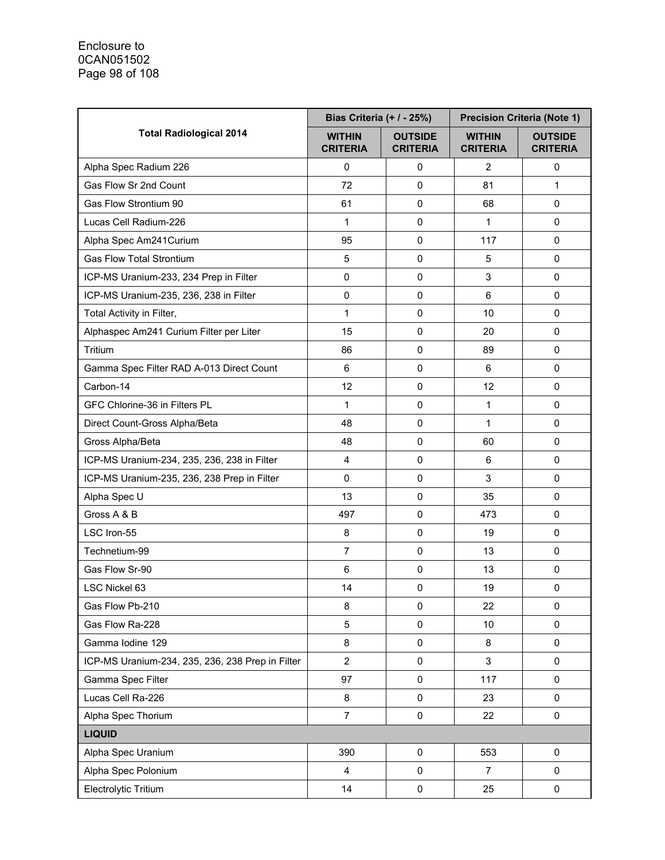|                                                  | Bias Criteria (+ / - 25%)        |                                   | <b>Precision Criteria (Note 1)</b> |                                   |  |
|--------------------------------------------------|----------------------------------|-----------------------------------|------------------------------------|-----------------------------------|--|
| <b>Total Radiological 2014</b>                   | <b>WITHIN</b><br><b>CRITERIA</b> | <b>OUTSIDE</b><br><b>CRITERIA</b> | <b>WITHIN</b><br><b>CRITERIA</b>   | <b>OUTSIDE</b><br><b>CRITERIA</b> |  |
| Alpha Spec Radium 226                            | 0                                | 0                                 | 2                                  | 0                                 |  |
| Gas Flow Sr 2nd Count                            | 72                               | $\mathbf 0$                       | 81                                 | 1                                 |  |
| Gas Flow Strontium 90                            | 61                               | $\mathbf 0$                       | 68                                 | $\Omega$                          |  |
| Lucas Cell Radium-226                            | 1                                | $\Omega$                          | 1                                  | $\Omega$                          |  |
| Alpha Spec Am241Curium                           | 95                               | $\mathbf 0$                       | 117                                | $\mathbf 0$                       |  |
| <b>Gas Flow Total Strontium</b>                  | 5                                | $\mathbf 0$                       | 5                                  | 0                                 |  |
| ICP-MS Uranium-233, 234 Prep in Filter           | $\mathbf 0$                      | $\mathbf 0$                       | 3                                  | 0                                 |  |
| ICP-MS Uranium-235, 236, 238 in Filter           | 0                                | $\Omega$                          | 6                                  | $\Omega$                          |  |
| Total Activity in Filter,                        | 1                                | $\Omega$                          | 10                                 | $\Omega$                          |  |
| Alphaspec Am241 Curium Filter per Liter          | 15                               | $\mathbf 0$                       | 20                                 | $\Omega$                          |  |
| Tritium                                          | 86                               | $\mathbf 0$                       | 89                                 | 0                                 |  |
| Gamma Spec Filter RAD A-013 Direct Count         | 6                                | $\mathbf 0$                       | 6                                  | 0                                 |  |
| Carbon-14                                        | 12                               | $\Omega$                          | 12                                 | 0                                 |  |
| GFC Chlorine-36 in Filters PL                    | 1                                | $\Omega$                          | 1                                  | $\Omega$                          |  |
| Direct Count-Gross Alpha/Beta                    | 48                               | $\Omega$                          | 1                                  | $\Omega$                          |  |
| Gross Alpha/Beta                                 | 48                               | $\mathbf 0$                       | 60                                 | 0                                 |  |
| ICP-MS Uranium-234, 235, 236, 238 in Filter      | $\overline{\mathbf{4}}$          | $\mathbf 0$                       | 6                                  | 0                                 |  |
| ICP-MS Uranium-235, 236, 238 Prep in Filter      | 0                                | $\Omega$                          | 3                                  | $\Omega$                          |  |
| Alpha Spec U                                     | 13                               | $\mathbf 0$                       | 35                                 | $\Omega$                          |  |
| Gross A & B                                      | 497                              | $\Omega$                          | 473                                | 0                                 |  |
| LSC Iron-55                                      | 8                                | $\mathbf 0$                       | 19                                 | $\mathbf 0$                       |  |
| Technetium-99                                    | $\overline{7}$                   | $\mathbf 0$                       | 13                                 | $\mathbf 0$                       |  |
| Gas Flow Sr-90                                   | 6                                | $\mathbf 0$                       | 13                                 | $\mathbf 0$                       |  |
| LSC Nickel 63                                    | 14                               | $\mathbf 0$                       | 19                                 | $\mathbf 0$                       |  |
| Gas Flow Pb-210                                  | 8                                | $\pmb{0}$                         | 22                                 | $\mathbf 0$                       |  |
| Gas Flow Ra-228                                  | 5                                | $\pmb{0}$                         | 10                                 | 0                                 |  |
| Gamma Iodine 129                                 | 8                                | $\pmb{0}$                         | 8                                  | 0                                 |  |
| ICP-MS Uranium-234, 235, 236, 238 Prep in Filter | $\overline{2}$                   | $\mathsf 0$                       | 3                                  | $\mathbf 0$                       |  |
| Gamma Spec Filter                                | 97                               | $\pmb{0}$                         | 117                                | 0                                 |  |
| Lucas Cell Ra-226                                | 8                                | 0                                 | 23                                 | $\mathbf 0$                       |  |
| Alpha Spec Thorium                               | $\overline{7}$                   | $\pmb{0}$                         | 22                                 | $\pmb{0}$                         |  |
| <b>LIQUID</b>                                    |                                  |                                   |                                    |                                   |  |
| Alpha Spec Uranium                               | 390                              | 0                                 | 553                                | $\mathbf 0$                       |  |
| Alpha Spec Polonium                              | $\overline{\mathbf{4}}$          | 0                                 | 7                                  | $\mathbf 0$                       |  |
| Electrolytic Tritium                             | 14                               | 0                                 | 25                                 | 0                                 |  |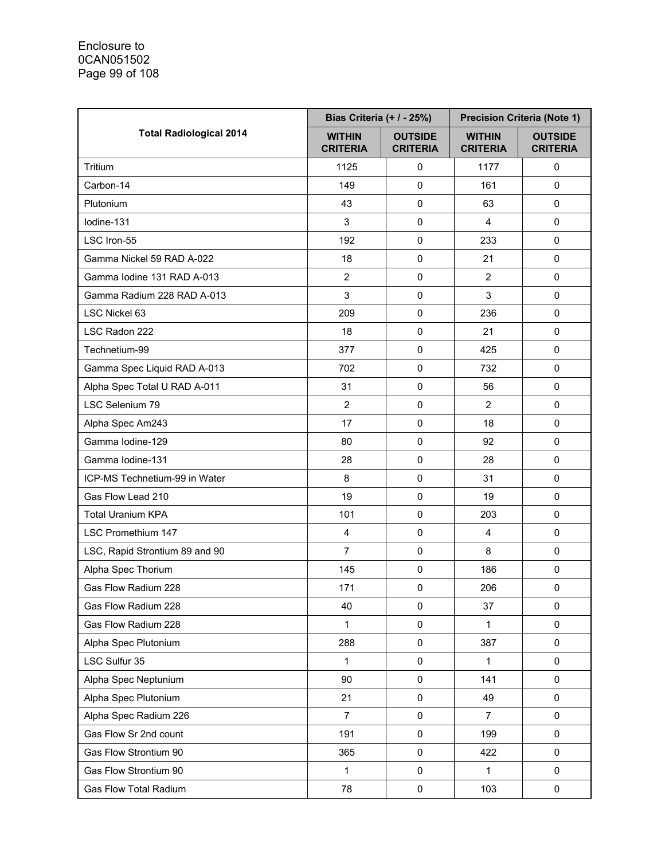|                                | Bias Criteria (+ / - 25%)        |                                   | <b>Precision Criteria (Note 1)</b> |                                   |  |
|--------------------------------|----------------------------------|-----------------------------------|------------------------------------|-----------------------------------|--|
| <b>Total Radiological 2014</b> | <b>WITHIN</b><br><b>CRITERIA</b> | <b>OUTSIDE</b><br><b>CRITERIA</b> | <b>WITHIN</b><br><b>CRITERIA</b>   | <b>OUTSIDE</b><br><b>CRITERIA</b> |  |
| Tritium                        | 1125                             | 0                                 | 1177                               | 0                                 |  |
| Carbon-14                      | 149                              | 0                                 | 161                                | $\Omega$                          |  |
| Plutonium                      | 43                               | 0                                 | 63                                 | $\mathbf 0$                       |  |
| lodine-131                     | 3                                | $\mathbf 0$                       | $\overline{4}$                     | $\Omega$                          |  |
| LSC Iron-55                    | 192                              | $\mathbf 0$                       | 233                                | $\mathbf 0$                       |  |
| Gamma Nickel 59 RAD A-022      | 18                               | $\pmb{0}$                         | 21                                 | $\pmb{0}$                         |  |
| Gamma Iodine 131 RAD A-013     | $\overline{2}$                   | $\mathbf 0$                       | $\overline{2}$                     | $\mathbf 0$                       |  |
| Gamma Radium 228 RAD A-013     | 3                                | 0                                 | 3                                  | 0                                 |  |
| LSC Nickel 63                  | 209                              | $\mathbf 0$                       | 236                                | $\mathbf 0$                       |  |
| LSC Radon 222                  | 18                               | 0                                 | 21                                 | $\mathbf 0$                       |  |
| Technetium-99                  | 377                              | $\pmb{0}$                         | 425                                | $\pmb{0}$                         |  |
| Gamma Spec Liquid RAD A-013    | 702                              | $\mathbf 0$                       | 732                                | $\mathbf 0$                       |  |
| Alpha Spec Total U RAD A-011   | 31                               | 0                                 | 56                                 | $\mathbf 0$                       |  |
| LSC Selenium 79                | $\overline{2}$                   | 0                                 | $\overline{2}$                     | $\mathbf 0$                       |  |
| Alpha Spec Am243               | 17                               | 0                                 | 18                                 | $\mathbf 0$                       |  |
| Gamma Iodine-129               | 80                               | $\pmb{0}$                         | 92                                 | 0                                 |  |
| Gamma Iodine-131               | 28                               | 0                                 | 28                                 | $\mathbf 0$                       |  |
| ICP-MS Technetium-99 in Water  | 8                                | 0                                 | 31                                 | $\Omega$                          |  |
| Gas Flow Lead 210              | 19                               | 0                                 | 19                                 | $\mathbf 0$                       |  |
| <b>Total Uranium KPA</b>       | 101                              | $\mathbf 0$                       | 203                                | $\mathbf 0$                       |  |
| <b>LSC Promethium 147</b>      | 4                                | $\pmb{0}$                         | 4                                  | 0                                 |  |
| LSC, Rapid Strontium 89 and 90 | $\overline{7}$                   | $\pmb{0}$                         | 8                                  | 0                                 |  |
| Alpha Spec Thorium             | 145                              | 0                                 | 186                                | $\mathbf 0$                       |  |
| Gas Flow Radium 228            | 171                              | $\pmb{0}$                         | 206                                | $\pmb{0}$                         |  |
| Gas Flow Radium 228            | 40                               | 0                                 | 37                                 | $\mathbf 0$                       |  |
| Gas Flow Radium 228            | 1                                | $\pmb{0}$                         | 1                                  | 0                                 |  |
| Alpha Spec Plutonium           | 288                              | $\pmb{0}$                         | 387                                | 0                                 |  |
| LSC Sulfur 35                  | 1                                | $\pmb{0}$                         | 1                                  | 0                                 |  |
| Alpha Spec Neptunium           | 90                               | $\pmb{0}$                         | 141                                | 0                                 |  |
| Alpha Spec Plutonium           | 21                               | 0                                 | 49                                 | 0                                 |  |
| Alpha Spec Radium 226          | $\overline{7}$                   | $\pmb{0}$                         | $\overline{7}$                     | $\pmb{0}$                         |  |
| Gas Flow Sr 2nd count          | 191                              | 0                                 | 199                                | $\pmb{0}$                         |  |
| Gas Flow Strontium 90          | 365                              | $\pmb{0}$                         | 422                                | 0                                 |  |
| Gas Flow Strontium 90          | 1                                | 0                                 | 1                                  | 0                                 |  |
| <b>Gas Flow Total Radium</b>   | 78                               | 0                                 | 103                                | 0                                 |  |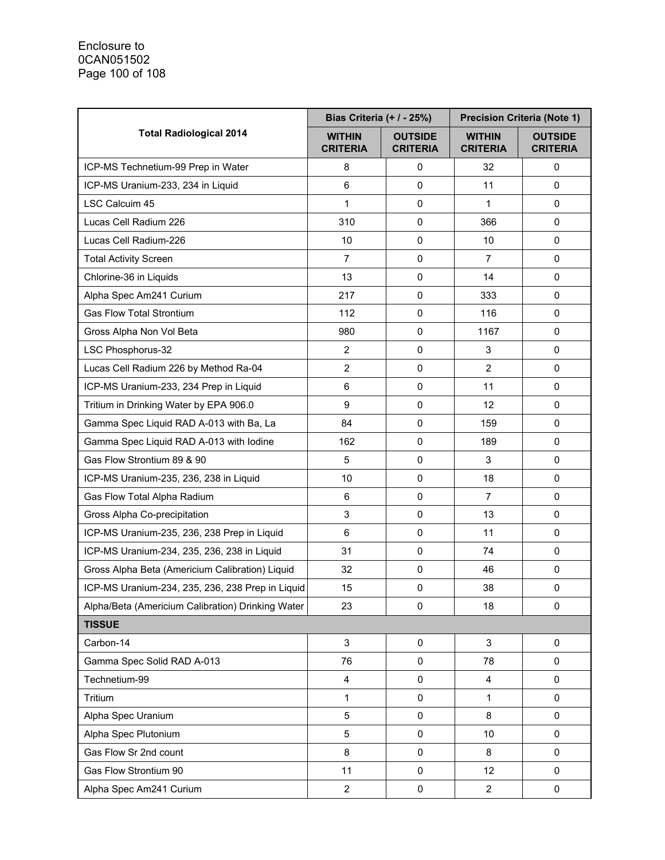|                                                   | Bias Criteria (+ / - 25%)        |                                   | <b>Precision Criteria (Note 1)</b> |                                   |
|---------------------------------------------------|----------------------------------|-----------------------------------|------------------------------------|-----------------------------------|
| <b>Total Radiological 2014</b>                    | <b>WITHIN</b><br><b>CRITERIA</b> | <b>OUTSIDE</b><br><b>CRITERIA</b> | <b>WITHIN</b><br><b>CRITERIA</b>   | <b>OUTSIDE</b><br><b>CRITERIA</b> |
| ICP-MS Technetium-99 Prep in Water                | 8                                | 0                                 | 32                                 | 0                                 |
| ICP-MS Uranium-233, 234 in Liquid                 | $6\phantom{1}$                   | 0                                 | 11                                 | $\mathbf 0$                       |
| LSC Calcuim 45                                    | 1                                | 0                                 | 1                                  | $\mathbf 0$                       |
| Lucas Cell Radium 226                             | 310                              | 0                                 | 366                                | $\mathbf 0$                       |
| Lucas Cell Radium-226                             | 10                               | 0                                 | 10                                 | $\mathbf 0$                       |
| <b>Total Activity Screen</b>                      | $\overline{7}$                   | 0                                 | $\overline{7}$                     | 0                                 |
| Chlorine-36 in Liquids                            | 13                               | 0                                 | 14                                 | $\mathbf 0$                       |
| Alpha Spec Am241 Curium                           | 217                              | 0                                 | 333                                | 0                                 |
| <b>Gas Flow Total Strontium</b>                   | 112                              | 0                                 | 116                                | $\mathbf 0$                       |
| Gross Alpha Non Vol Beta                          | 980                              | 0                                 | 1167                               | $\mathbf 0$                       |
| LSC Phosphorus-32                                 | $\overline{2}$                   | 0                                 | 3                                  | 0                                 |
| Lucas Cell Radium 226 by Method Ra-04             | $\overline{2}$                   | 0                                 | $\overline{2}$                     | $\mathbf 0$                       |
| ICP-MS Uranium-233, 234 Prep in Liquid            | 6                                | 0                                 | 11                                 | $\mathbf 0$                       |
| Tritium in Drinking Water by EPA 906.0            | 9                                | 0                                 | 12                                 | $\mathbf 0$                       |
| Gamma Spec Liquid RAD A-013 with Ba, La           | 84                               | 0                                 | 159                                | 0                                 |
| Gamma Spec Liquid RAD A-013 with lodine           | 162                              | 0                                 | 189                                | 0                                 |
| Gas Flow Strontium 89 & 90                        | 5                                | 0                                 | 3                                  | $\mathbf 0$                       |
| ICP-MS Uranium-235, 236, 238 in Liquid            | 10                               | 0                                 | 18                                 | $\mathbf 0$                       |
| Gas Flow Total Alpha Radium                       | 6                                | 0                                 | $\overline{7}$                     | 0                                 |
| Gross Alpha Co-precipitation                      | 3                                | 0                                 | 13                                 | $\mathbf 0$                       |
| ICP-MS Uranium-235, 236, 238 Prep in Liquid       | 6                                | 0                                 | 11                                 | 0                                 |
| ICP-MS Uranium-234, 235, 236, 238 in Liquid       | 31                               | 0                                 | 74                                 | 0                                 |
| Gross Alpha Beta (Americium Calibration) Liquid   | 32                               | 0                                 | 46                                 | 0                                 |
| ICP-MS Uranium-234, 235, 236, 238 Prep in Liquid  | 15                               | 0                                 | 38                                 | $\pmb{0}$                         |
| Alpha/Beta (Americium Calibration) Drinking Water | 23                               | $\mathbf 0$                       | 18                                 | 0                                 |
| <b>TISSUE</b>                                     |                                  |                                   |                                    |                                   |
| Carbon-14                                         | 3                                | 0                                 | 3                                  | 0                                 |
| Gamma Spec Solid RAD A-013                        | 76                               | 0                                 | 78                                 | 0                                 |
| Technetium-99                                     | $\overline{\mathbf{4}}$          | 0                                 | 4                                  | 0                                 |
| Tritium                                           | 1                                | 0                                 | 1                                  | 0                                 |
| Alpha Spec Uranium                                | 5                                | 0                                 | 8                                  | 0                                 |
| Alpha Spec Plutonium                              | 5                                | 0                                 | 10                                 | 0                                 |
| Gas Flow Sr 2nd count                             | 8                                | 0                                 | 8                                  | 0                                 |
| Gas Flow Strontium 90                             | 11                               | 0                                 | 12                                 | 0                                 |
| Alpha Spec Am241 Curium                           | $\overline{c}$                   | 0                                 | $\mathbf{2}$                       | 0                                 |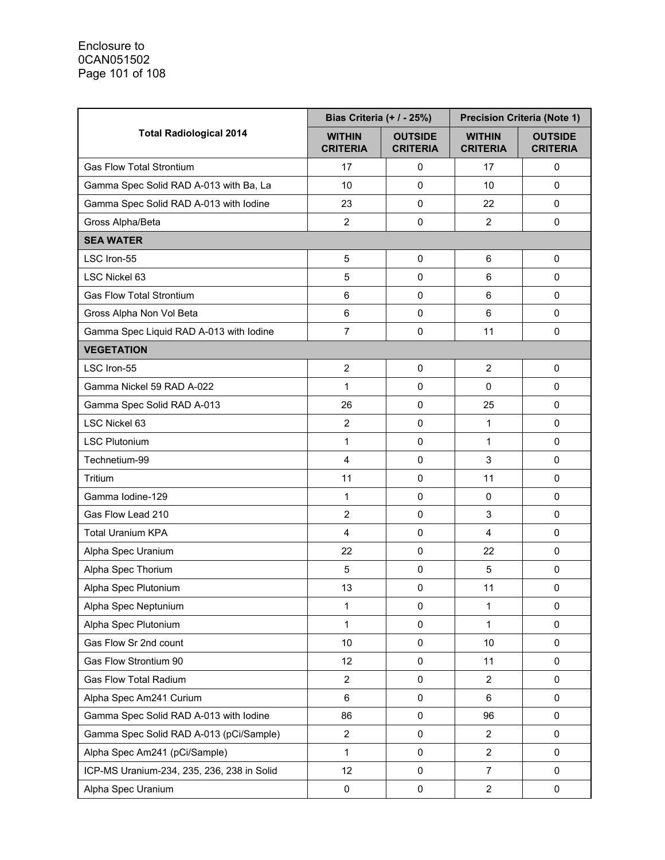|                                            | Bias Criteria (+ / - 25%)        |                                   | <b>Precision Criteria (Note 1)</b> |                                   |
|--------------------------------------------|----------------------------------|-----------------------------------|------------------------------------|-----------------------------------|
| <b>Total Radiological 2014</b>             | <b>WITHIN</b><br><b>CRITERIA</b> | <b>OUTSIDE</b><br><b>CRITERIA</b> | <b>WITHIN</b><br><b>CRITERIA</b>   | <b>OUTSIDE</b><br><b>CRITERIA</b> |
| <b>Gas Flow Total Strontium</b>            | 17                               | 0                                 | 17                                 | 0                                 |
| Gamma Spec Solid RAD A-013 with Ba, La     | 10                               | 0                                 | 10                                 | $\mathbf 0$                       |
| Gamma Spec Solid RAD A-013 with lodine     | 23                               | 0                                 | 22                                 | $\mathbf 0$                       |
| Gross Alpha/Beta                           | $\overline{2}$                   | $\Omega$                          | $\overline{2}$                     | $\mathbf 0$                       |
| <b>SEA WATER</b>                           |                                  |                                   |                                    |                                   |
| LSC Iron-55                                | $\mathbf 5$                      | 0                                 | 6                                  | 0                                 |
| LSC Nickel 63                              | 5                                | 0                                 | 6                                  | $\mathbf 0$                       |
| <b>Gas Flow Total Strontium</b>            | 6                                | $\Omega$                          | 6                                  | $\Omega$                          |
| Gross Alpha Non Vol Beta                   | 6                                | 0                                 | 6                                  | $\mathbf 0$                       |
| Gamma Spec Liquid RAD A-013 with lodine    | $\overline{7}$                   | 0                                 | 11                                 | $\mathbf 0$                       |
| <b>VEGETATION</b>                          |                                  |                                   |                                    |                                   |
| LSC Iron-55                                | $\overline{2}$                   | 0                                 | $\overline{2}$                     | $\mathbf 0$                       |
| Gamma Nickel 59 RAD A-022                  | 1                                | $\Omega$                          | $\Omega$                           | 0                                 |
| Gamma Spec Solid RAD A-013                 | 26                               | 0                                 | 25                                 | $\Omega$                          |
| LSC Nickel 63                              | $\overline{c}$                   | 0                                 | $\mathbf{1}$                       | $\mathbf 0$                       |
| <b>LSC Plutonium</b>                       | 1                                | 0                                 | $\mathbf{1}$                       | $\mathbf 0$                       |
| Technetium-99                              | $\overline{\mathbf{4}}$          | 0                                 | 3                                  | $\mathbf 0$                       |
| Tritium                                    | 11                               | 0                                 | 11                                 | $\Omega$                          |
| Gamma Iodine-129                           | 1                                | $\mathbf 0$                       | $\mathbf 0$                        | $\Omega$                          |
| Gas Flow Lead 210                          | $\overline{2}$                   | 0                                 | 3                                  | $\mathbf 0$                       |
| <b>Total Uranium KPA</b>                   | 4                                | 0                                 | 4                                  | $\mathbf 0$                       |
| Alpha Spec Uranium                         | 22                               | $\mathbf 0$                       | 22                                 | $\mathbf 0$                       |
| Alpha Spec Thorium                         | 5                                | $\mathbf 0$                       | 5                                  | $\mathbf 0$                       |
| Alpha Spec Plutonium                       | 13                               | 0                                 | 11                                 | $\pmb{0}$                         |
| Alpha Spec Neptunium                       | 1                                | 0                                 | $\mathbf{1}$                       | $\mathbf 0$                       |
| Alpha Spec Plutonium                       | 1                                | 0                                 | $\mathbf{1}$                       | $\mathbf 0$                       |
| Gas Flow Sr 2nd count                      | 10                               | 0                                 | 10                                 | 0                                 |
| Gas Flow Strontium 90                      | 12                               | 0                                 | 11                                 | $\mathbf 0$                       |
| <b>Gas Flow Total Radium</b>               | $\overline{2}$                   | 0                                 | $\overline{2}$                     | $\mathbf 0$                       |
| Alpha Spec Am241 Curium                    | $6\phantom{1}$                   | $\mathbf 0$                       | 6                                  | $\mathbf 0$                       |
| Gamma Spec Solid RAD A-013 with lodine     | 86                               | 0                                 | 96                                 | $\mathbf 0$                       |
| Gamma Spec Solid RAD A-013 (pCi/Sample)    | $\overline{c}$                   | 0                                 | $\overline{c}$                     | 0                                 |
| Alpha Spec Am241 (pCi/Sample)              | 1                                | 0                                 | $\overline{2}$                     | $\mathbf 0$                       |
| ICP-MS Uranium-234, 235, 236, 238 in Solid | 12                               | 0                                 | $\overline{7}$                     | $\mathbf 0$                       |
| Alpha Spec Uranium                         | 0                                | 0                                 | $\overline{c}$                     | 0                                 |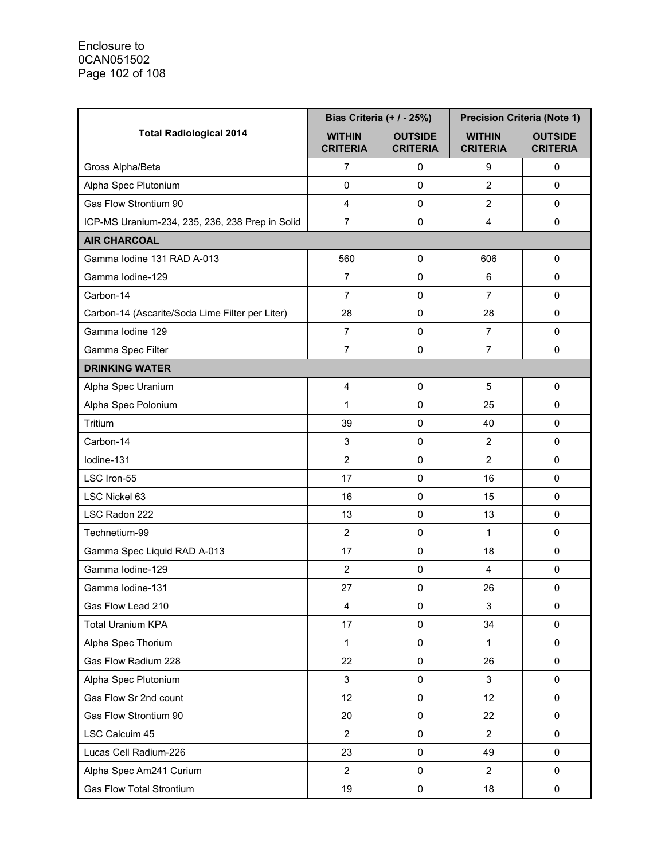|                                                 | Bias Criteria (+ / - 25%)        |                                   | <b>Precision Criteria (Note 1)</b> |                                   |
|-------------------------------------------------|----------------------------------|-----------------------------------|------------------------------------|-----------------------------------|
| <b>Total Radiological 2014</b>                  | <b>WITHIN</b><br><b>CRITERIA</b> | <b>OUTSIDE</b><br><b>CRITERIA</b> | <b>WITHIN</b><br><b>CRITERIA</b>   | <b>OUTSIDE</b><br><b>CRITERIA</b> |
| Gross Alpha/Beta                                | 7                                | $\mathbf 0$                       | 9                                  | 0                                 |
| Alpha Spec Plutonium                            | $\mathsf 0$                      | $\mathbf 0$                       | $\overline{2}$                     | $\mathbf 0$                       |
| Gas Flow Strontium 90                           | 4                                | $\pmb{0}$                         | $\overline{2}$                     | $\mathsf 0$                       |
| ICP-MS Uranium-234, 235, 236, 238 Prep in Solid | $\overline{7}$                   | $\mathsf 0$                       | 4                                  | $\mathbf 0$                       |
| <b>AIR CHARCOAL</b>                             |                                  |                                   |                                    |                                   |
| Gamma Iodine 131 RAD A-013                      | 560                              | 0                                 | 606                                | 0                                 |
| Gamma Iodine-129                                | $\overline{7}$                   | $\pmb{0}$                         | 6                                  | $\mathsf 0$                       |
| Carbon-14                                       | 7                                | $\mathsf 0$                       | 7                                  | $\Omega$                          |
| Carbon-14 (Ascarite/Soda Lime Filter per Liter) | 28                               | $\pmb{0}$                         | 28                                 | $\Omega$                          |
| Gamma lodine 129                                | $\overline{7}$                   | $\pmb{0}$                         | $\overline{7}$                     | $\mathsf 0$                       |
| Gamma Spec Filter                               | $\overline{7}$                   | $\pmb{0}$                         | $\overline{7}$                     | $\mathbf 0$                       |
| <b>DRINKING WATER</b>                           |                                  |                                   |                                    |                                   |
| Alpha Spec Uranium                              | 4                                | $\mathbf 0$                       | 5                                  | $\mathbf 0$                       |
| Alpha Spec Polonium                             | 1                                | $\mathbf 0$                       | 25                                 | $\mathbf 0$                       |
| Tritium                                         | 39                               | 0                                 | 40                                 | $\mathbf 0$                       |
| Carbon-14                                       | $\ensuremath{\mathsf{3}}$        | $\mathbf 0$                       | $\overline{2}$                     | $\mathbf 0$                       |
| lodine-131                                      | $\overline{2}$                   | 0                                 | $\overline{2}$                     | 0                                 |
| LSC Iron-55                                     | 17                               | $\pmb{0}$                         | 16                                 | $\mathbf 0$                       |
| LSC Nickel 63                                   | 16                               | $\pmb{0}$                         | 15                                 | $\mathbf 0$                       |
| LSC Radon 222                                   | 13                               | $\mathbf 0$                       | 13                                 | $\Omega$                          |
| Technetium-99                                   | $\overline{2}$                   | $\pmb{0}$                         | 1                                  | $\mathbf 0$                       |
| Gamma Spec Liquid RAD A-013                     | 17                               | 0                                 | 18                                 | $\pmb{0}$                         |
| Gamma Iodine-129                                | $\overline{2}$                   | 0                                 | 4                                  | 0                                 |
| Gamma Iodine-131                                | 27                               | 0                                 | 26                                 | $\mathbf 0$                       |
| Gas Flow Lead 210                               | $\overline{\mathbf{4}}$          | $\pmb{0}$                         | 3                                  | $\mathbf 0$                       |
| <b>Total Uranium KPA</b>                        | 17                               | $\pmb{0}$                         | 34                                 | 0                                 |
| Alpha Spec Thorium                              | 1                                | $\pmb{0}$                         | 1                                  | $\pmb{0}$                         |
| Gas Flow Radium 228                             | 22                               | $\pmb{0}$                         | 26                                 | 0                                 |
| Alpha Spec Plutonium                            | 3                                | 0                                 | 3                                  | 0                                 |
| Gas Flow Sr 2nd count                           | 12                               | $\pmb{0}$                         | 12                                 | 0                                 |
| Gas Flow Strontium 90                           | 20                               | $\mathsf 0$                       | 22                                 | 0                                 |
| LSC Calcuim 45                                  | $\overline{2}$                   | 0                                 | $\overline{2}$                     | $\pmb{0}$                         |
| Lucas Cell Radium-226                           | 23                               | $\pmb{0}$                         | 49                                 | $\pmb{0}$                         |
| Alpha Spec Am241 Curium                         | $\overline{2}$                   | 0                                 | $\overline{2}$                     | 0                                 |
| <b>Gas Flow Total Strontium</b>                 | 19                               | $\pmb{0}$                         | 18                                 | $\pmb{0}$                         |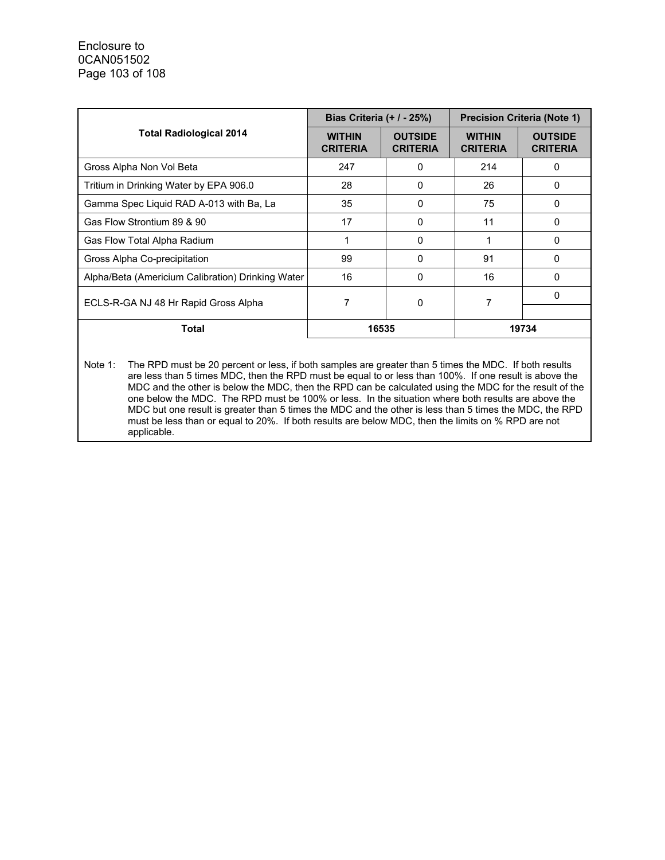|                                                   | Bias Criteria $(+ / -25%)$       |                                   | <b>Precision Criteria (Note 1)</b> |                                   |  |
|---------------------------------------------------|----------------------------------|-----------------------------------|------------------------------------|-----------------------------------|--|
| <b>Total Radiological 2014</b>                    | <b>WITHIN</b><br><b>CRITERIA</b> | <b>OUTSIDE</b><br><b>CRITERIA</b> | <b>WITHIN</b><br><b>CRITERIA</b>   | <b>OUTSIDE</b><br><b>CRITERIA</b> |  |
| Gross Alpha Non Vol Beta                          | 247                              | 0                                 | 214                                | 0                                 |  |
| Tritium in Drinking Water by EPA 906.0            | 28                               | 0                                 | 26                                 | 0                                 |  |
| Gamma Spec Liquid RAD A-013 with Ba, La           | 35                               | $\Omega$                          | 75                                 | 0                                 |  |
| Gas Flow Strontium 89 & 90                        | 17                               | 0                                 | 11                                 | 0                                 |  |
| Gas Flow Total Alpha Radium                       |                                  | $\Omega$                          |                                    | O                                 |  |
| Gross Alpha Co-precipitation                      | 99                               | $\Omega$                          | 91                                 | $\Omega$                          |  |
| Alpha/Beta (Americium Calibration) Drinking Water | 16                               | 0                                 | 16                                 | O                                 |  |
| ECLS-R-GA NJ 48 Hr Rapid Gross Alpha              |                                  | 0                                 | 7                                  | O                                 |  |
| <b>Total</b>                                      | 16535                            |                                   | 19734                              |                                   |  |

Note 1: The RPD must be 20 percent or less, if both samples are greater than 5 times the MDC. If both results are less than 5 times MDC, then the RPD must be equal to or less than 100%. If one result is above the MDC and the other is below the MDC, then the RPD can be calculated using the MDC for the result of the one below the MDC. The RPD must be 100% or less. In the situation where both results are above the MDC but one result is greater than 5 times the MDC and the other is less than 5 times the MDC, the RPD must be less than or equal to 20%. If both results are below MDC, then the limits on % RPD are not applicable.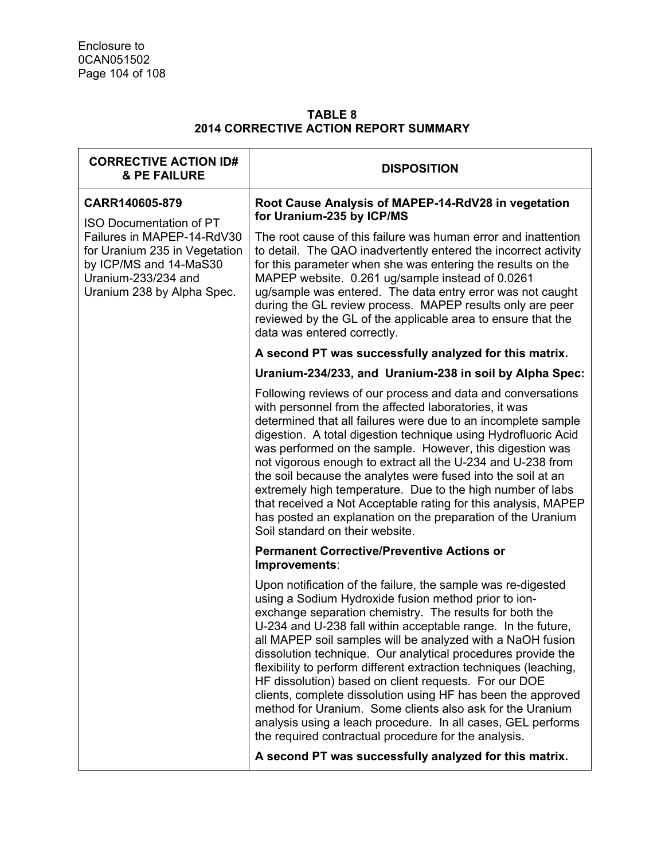#### **TABLE 8 2014 CORRECTIVE ACTION REPORT SUMMARY**

| <b>CORRECTIVE ACTION ID#</b><br><b>&amp; PE FAILURE</b>                                                                                    | <b>DISPOSITION</b>                                                                                                                                                                                                                                                                                                                                                                                                                                                                                                                                                                                                                                                                                                                                               |
|--------------------------------------------------------------------------------------------------------------------------------------------|------------------------------------------------------------------------------------------------------------------------------------------------------------------------------------------------------------------------------------------------------------------------------------------------------------------------------------------------------------------------------------------------------------------------------------------------------------------------------------------------------------------------------------------------------------------------------------------------------------------------------------------------------------------------------------------------------------------------------------------------------------------|
| CARR140605-879<br><b>ISO Documentation of PT</b>                                                                                           | Root Cause Analysis of MAPEP-14-RdV28 in vegetation<br>for Uranium-235 by ICP/MS                                                                                                                                                                                                                                                                                                                                                                                                                                                                                                                                                                                                                                                                                 |
| Failures in MAPEP-14-RdV30<br>for Uranium 235 in Vegetation<br>by ICP/MS and 14-MaS30<br>Uranium-233/234 and<br>Uranium 238 by Alpha Spec. | The root cause of this failure was human error and inattention<br>to detail. The QAO inadvertently entered the incorrect activity<br>for this parameter when she was entering the results on the<br>MAPEP website. 0.261 ug/sample instead of 0.0261<br>ug/sample was entered. The data entry error was not caught<br>during the GL review process. MAPEP results only are peer<br>reviewed by the GL of the applicable area to ensure that the<br>data was entered correctly.                                                                                                                                                                                                                                                                                   |
|                                                                                                                                            | A second PT was successfully analyzed for this matrix.                                                                                                                                                                                                                                                                                                                                                                                                                                                                                                                                                                                                                                                                                                           |
|                                                                                                                                            | Uranium-234/233, and Uranium-238 in soil by Alpha Spec:                                                                                                                                                                                                                                                                                                                                                                                                                                                                                                                                                                                                                                                                                                          |
|                                                                                                                                            | Following reviews of our process and data and conversations<br>with personnel from the affected laboratories, it was<br>determined that all failures were due to an incomplete sample<br>digestion. A total digestion technique using Hydrofluoric Acid<br>was performed on the sample. However, this digestion was<br>not vigorous enough to extract all the U-234 and U-238 from<br>the soil because the analytes were fused into the soil at an<br>extremely high temperature. Due to the high number of labs<br>that received a Not Acceptable rating for this analysis, MAPEP<br>has posted an explanation on the preparation of the Uranium<br>Soil standard on their website.                                                                             |
|                                                                                                                                            | <b>Permanent Corrective/Preventive Actions or</b><br>Improvements:                                                                                                                                                                                                                                                                                                                                                                                                                                                                                                                                                                                                                                                                                               |
|                                                                                                                                            | Upon notification of the failure, the sample was re-digested<br>using a Sodium Hydroxide fusion method prior to ion-<br>exchange separation chemistry. The results for both the<br>U-234 and U-238 fall within acceptable range. In the future,<br>all MAPEP soil samples will be analyzed with a NaOH fusion<br>dissolution technique. Our analytical procedures provide the<br>flexibility to perform different extraction techniques (leaching,<br>HF dissolution) based on client requests. For our DOE<br>clients, complete dissolution using HF has been the approved<br>method for Uranium. Some clients also ask for the Uranium<br>analysis using a leach procedure. In all cases, GEL performs<br>the required contractual procedure for the analysis. |
|                                                                                                                                            | A second PT was successfully analyzed for this matrix.                                                                                                                                                                                                                                                                                                                                                                                                                                                                                                                                                                                                                                                                                                           |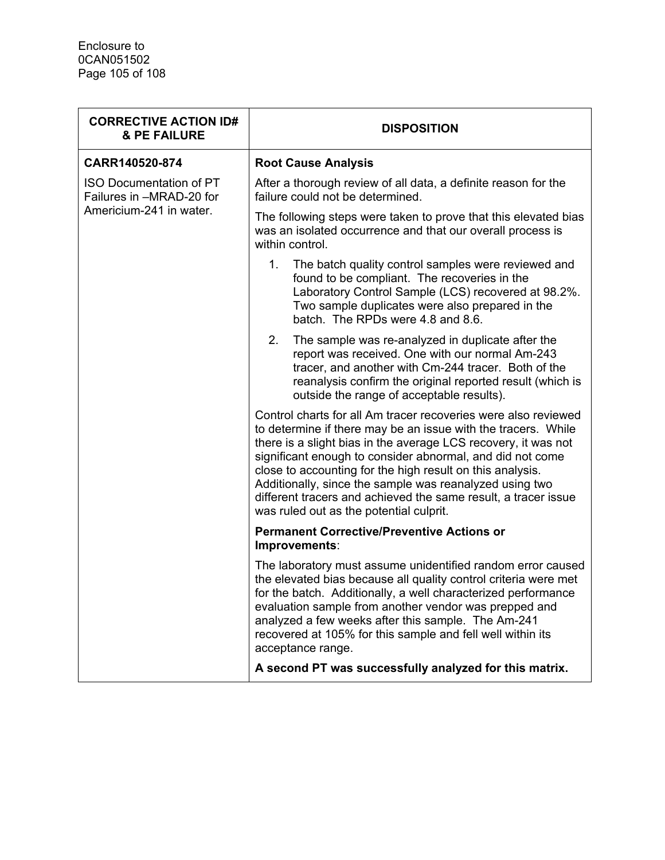| <b>CORRECTIVE ACTION ID#</b><br><b>&amp; PE FAILURE</b>    | <b>DISPOSITION</b>                                                                                                                                                                                                                                                                                                                                                                                                                                                                                  |  |
|------------------------------------------------------------|-----------------------------------------------------------------------------------------------------------------------------------------------------------------------------------------------------------------------------------------------------------------------------------------------------------------------------------------------------------------------------------------------------------------------------------------------------------------------------------------------------|--|
| CARR140520-874                                             | <b>Root Cause Analysis</b>                                                                                                                                                                                                                                                                                                                                                                                                                                                                          |  |
| <b>ISO Documentation of PT</b><br>Failures in -MRAD-20 for | After a thorough review of all data, a definite reason for the<br>failure could not be determined.                                                                                                                                                                                                                                                                                                                                                                                                  |  |
| Americium-241 in water.                                    | The following steps were taken to prove that this elevated bias<br>was an isolated occurrence and that our overall process is<br>within control.                                                                                                                                                                                                                                                                                                                                                    |  |
|                                                            | $1_{-}$<br>The batch quality control samples were reviewed and<br>found to be compliant. The recoveries in the<br>Laboratory Control Sample (LCS) recovered at 98.2%.<br>Two sample duplicates were also prepared in the<br>batch. The RPDs were 4.8 and 8.6.                                                                                                                                                                                                                                       |  |
|                                                            | 2.<br>The sample was re-analyzed in duplicate after the<br>report was received. One with our normal Am-243<br>tracer, and another with Cm-244 tracer. Both of the<br>reanalysis confirm the original reported result (which is<br>outside the range of acceptable results).                                                                                                                                                                                                                         |  |
|                                                            | Control charts for all Am tracer recoveries were also reviewed<br>to determine if there may be an issue with the tracers. While<br>there is a slight bias in the average LCS recovery, it was not<br>significant enough to consider abnormal, and did not come<br>close to accounting for the high result on this analysis.<br>Additionally, since the sample was reanalyzed using two<br>different tracers and achieved the same result, a tracer issue<br>was ruled out as the potential culprit. |  |
|                                                            | <b>Permanent Corrective/Preventive Actions or</b><br>Improvements:                                                                                                                                                                                                                                                                                                                                                                                                                                  |  |
|                                                            | The laboratory must assume unidentified random error caused<br>the elevated bias because all quality control criteria were met<br>for the batch. Additionally, a well characterized performance<br>evaluation sample from another vendor was prepped and<br>analyzed a few weeks after this sample. The Am-241<br>recovered at 105% for this sample and fell well within its<br>acceptance range.                                                                                                   |  |
|                                                            | A second PT was successfully analyzed for this matrix.                                                                                                                                                                                                                                                                                                                                                                                                                                              |  |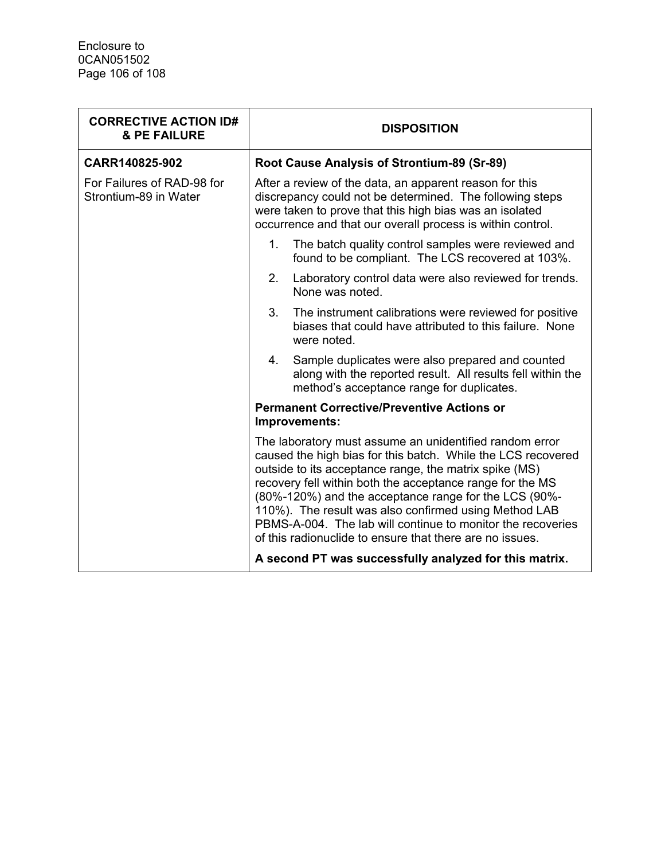| <b>CORRECTIVE ACTION ID#</b><br><b>&amp; PE FAILURE</b> | <b>DISPOSITION</b>                                                                                                                                                                                                                                                                                                                                                                                                                                                                          |
|---------------------------------------------------------|---------------------------------------------------------------------------------------------------------------------------------------------------------------------------------------------------------------------------------------------------------------------------------------------------------------------------------------------------------------------------------------------------------------------------------------------------------------------------------------------|
| CARR140825-902                                          | Root Cause Analysis of Strontium-89 (Sr-89)                                                                                                                                                                                                                                                                                                                                                                                                                                                 |
| For Failures of RAD-98 for<br>Strontium-89 in Water     | After a review of the data, an apparent reason for this<br>discrepancy could not be determined. The following steps<br>were taken to prove that this high bias was an isolated<br>occurrence and that our overall process is within control.                                                                                                                                                                                                                                                |
|                                                         | The batch quality control samples were reviewed and<br>$1_{-}$<br>found to be compliant. The LCS recovered at 103%.                                                                                                                                                                                                                                                                                                                                                                         |
|                                                         | 2.<br>Laboratory control data were also reviewed for trends.<br>None was noted.                                                                                                                                                                                                                                                                                                                                                                                                             |
|                                                         | 3.<br>The instrument calibrations were reviewed for positive<br>biases that could have attributed to this failure. None<br>were noted.                                                                                                                                                                                                                                                                                                                                                      |
|                                                         | Sample duplicates were also prepared and counted<br>4.<br>along with the reported result. All results fell within the<br>method's acceptance range for duplicates.                                                                                                                                                                                                                                                                                                                          |
|                                                         | <b>Permanent Corrective/Preventive Actions or</b><br>Improvements:                                                                                                                                                                                                                                                                                                                                                                                                                          |
|                                                         | The laboratory must assume an unidentified random error<br>caused the high bias for this batch. While the LCS recovered<br>outside to its acceptance range, the matrix spike (MS)<br>recovery fell within both the acceptance range for the MS<br>(80%-120%) and the acceptance range for the LCS (90%-<br>110%). The result was also confirmed using Method LAB<br>PBMS-A-004. The lab will continue to monitor the recoveries<br>of this radionuclide to ensure that there are no issues. |
|                                                         | A second PT was successfully analyzed for this matrix.                                                                                                                                                                                                                                                                                                                                                                                                                                      |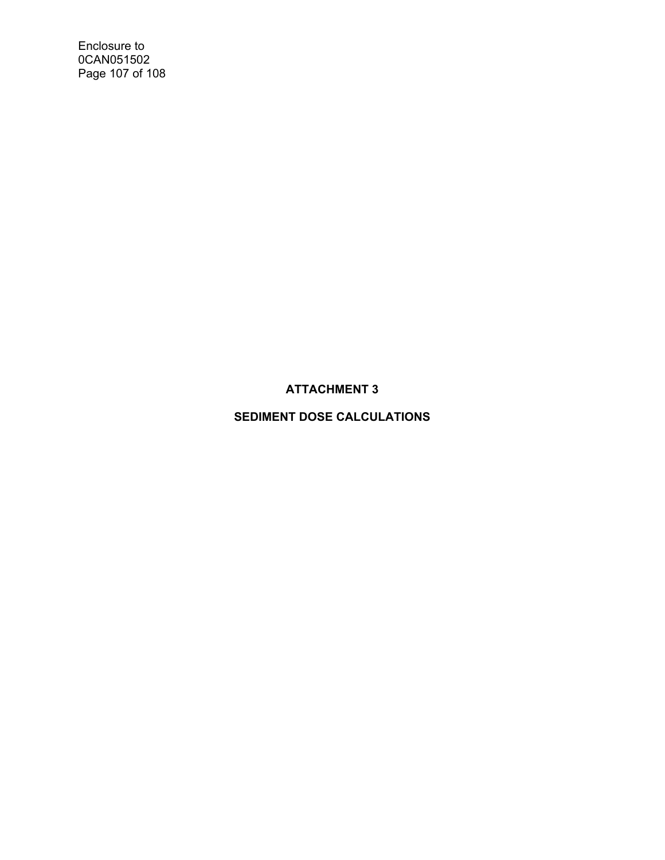Enclosure to 0CAN051502 Page 107 of 108

## **ATTACHMENT 3**

## **SEDIMENT DOSE CALCULATIONS**